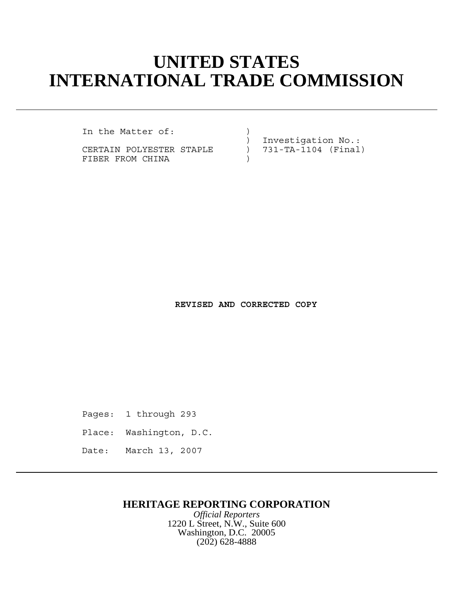# **UNITED STATES INTERNATIONAL TRADE COMMISSION**

In the Matter of:  $\qquad \qquad$  )

CERTAIN POLYESTER STAPLE ) FIBER FROM CHINA

) Investigation No.:<br>) 731-TA-1104 (Final)

**REVISED AND CORRECTED COPY**

Pages: 1 through 293

Place: Washington, D.C.

Date: March 13, 2007

### **HERITAGE REPORTING CORPORATION**

*Official Reporters* 1220 L Street, N.W., Suite 600 Washington, D.C. 20005 (202) 628-4888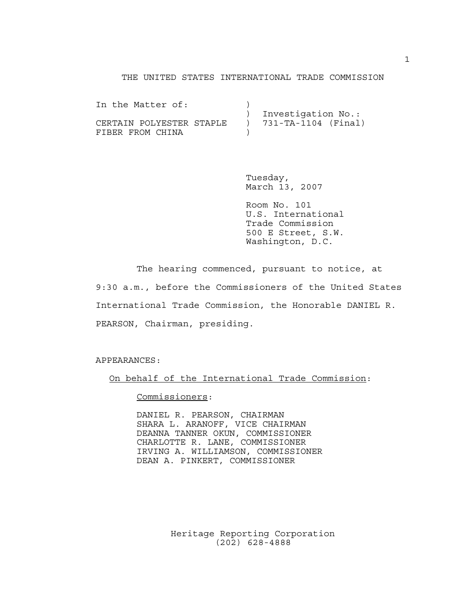#### THE UNITED STATES INTERNATIONAL TRADE COMMISSION

In the Matter of: ) Investigation No.: CERTAIN POLYESTER STAPLE ) 731-TA-1104 (Final) FIBER FROM CHINA

> Tuesday, March 13, 2007

Room No. 101 U.S. International Trade Commission 500 E Street, S.W. Washington, D.C.

The hearing commenced, pursuant to notice, at 9:30 a.m., before the Commissioners of the United States International Trade Commission, the Honorable DANIEL R. PEARSON, Chairman, presiding.

APPEARANCES:

On behalf of the International Trade Commission:

Commissioners:

DANIEL R. PEARSON, CHAIRMAN SHARA L. ARANOFF, VICE CHAIRMAN DEANNA TANNER OKUN, COMMISSIONER CHARLOTTE R. LANE, COMMISSIONER IRVING A. WILLIAMSON, COMMISSIONER DEAN A. PINKERT, COMMISSIONER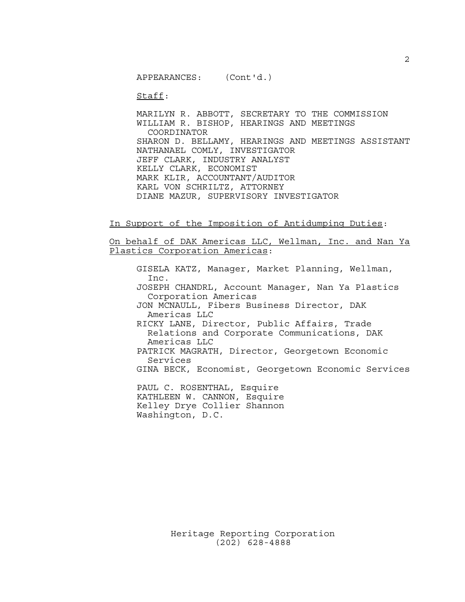APPEARANCES: (Cont'd.)

Staff:

MARILYN R. ABBOTT, SECRETARY TO THE COMMISSION WILLIAM R. BISHOP, HEARINGS AND MEETINGS COORDINATOR SHARON D. BELLAMY, HEARINGS AND MEETINGS ASSISTANT NATHANAEL COMLY, INVESTIGATOR JEFF CLARK, INDUSTRY ANALYST KELLY CLARK, ECONOMIST MARK KLIR, ACCOUNTANT/AUDITOR KARL VON SCHRILTZ, ATTORNEY DIANE MAZUR, SUPERVISORY INVESTIGATOR

In Support of the Imposition of Antidumping Duties:

On behalf of DAK Americas LLC, Wellman, Inc. and Nan Ya Plastics Corporation Americas:

GISELA KATZ, Manager, Market Planning, Wellman, Inc. JOSEPH CHANDRL, Account Manager, Nan Ya Plastics Corporation Americas JON MCNAULL, Fibers Business Director, DAK Americas LLC RICKY LANE, Director, Public Affairs, Trade Relations and Corporate Communications, DAK Americas LLC PATRICK MAGRATH, Director, Georgetown Economic Services GINA BECK, Economist, Georgetown Economic Services PAUL C. ROSENTHAL, Esquire KATHLEEN W. CANNON, Esquire Kelley Drye Collier Shannon Washington, D.C.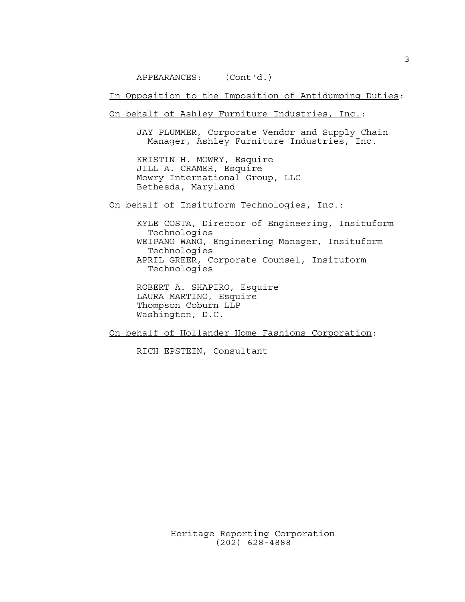APPEARANCES: (Cont'd.)

In Opposition to the Imposition of Antidumping Duties:

On behalf of Ashley Furniture Industries, Inc.:

JAY PLUMMER, Corporate Vendor and Supply Chain Manager, Ashley Furniture Industries, Inc.

KRISTIN H. MOWRY, Esquire JILL A. CRAMER, Esquire Mowry International Group, LLC Bethesda, Maryland

On behalf of Insituform Technologies, Inc.:

KYLE COSTA, Director of Engineering, Insituform Technologies WEIPANG WANG, Engineering Manager, Insituform Technologies APRIL GREER, Corporate Counsel, Insituform Technologies

ROBERT A. SHAPIRO, Esquire LAURA MARTINO, Esquire Thompson Coburn LLP Washington, D.C.

On behalf of Hollander Home Fashions Corporation:

RICH EPSTEIN, Consultant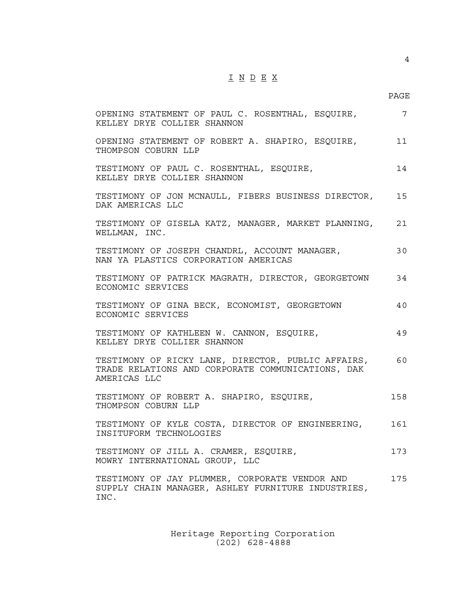# $\underline{\texttt{I}} \underline{\texttt{N}} \underline{\texttt{D}} \underline{\texttt{E}} \underline{\texttt{X}}$

4

| OPENING STATEMENT OF PAUL C. ROSENTHAL, ESQUIRE,<br>KELLEY DRYE COLLIER SHANNON                                            | 7   |
|----------------------------------------------------------------------------------------------------------------------------|-----|
| OPENING STATEMENT OF ROBERT A. SHAPIRO, ESQUIRE,<br>THOMPSON COBURN LLP                                                    | 11  |
| TESTIMONY OF PAUL C. ROSENTHAL, ESQUIRE,<br>KELLEY DRYE COLLIER SHANNON                                                    | 14  |
| TESTIMONY OF JON MCNAULL, FIBERS BUSINESS DIRECTOR, 15<br>DAK AMERICAS LLC                                                 |     |
| TESTIMONY OF GISELA KATZ, MANAGER, MARKET PLANNING, 21<br>WELLMAN, INC.                                                    |     |
| TESTIMONY OF JOSEPH CHANDRL, ACCOUNT MANAGER,<br>NAN YA PLASTICS CORPORATION AMERICAS                                      | 30  |
| TESTIMONY OF PATRICK MAGRATH, DIRECTOR, GEORGETOWN 34<br>ECONOMIC SERVICES                                                 |     |
| TESTIMONY OF GINA BECK, ECONOMIST, GEORGETOWN<br>ECONOMIC SERVICES                                                         | 40  |
| TESTIMONY OF KATHLEEN W. CANNON, ESQUIRE,<br>KELLEY DRYE COLLIER SHANNON                                                   | 49  |
| TESTIMONY OF RICKY LANE, DIRECTOR, PUBLIC AFFAIRS, 60<br>TRADE RELATIONS AND CORPORATE COMMUNICATIONS, DAK<br>AMERICAS LLC |     |
| TESTIMONY OF ROBERT A. SHAPIRO, ESQUIRE,<br>THOMPSON COBURN LLP                                                            | 158 |
| TESTIMONY OF KYLE COSTA, DIRECTOR OF ENGINEERING,<br>INSITUFORM TECHNOLOGIES                                               | 161 |
| TESTIMONY OF JILL A. CRAMER, ESQUIRE,<br>MOWRY INTERNATIONAL GROUP, LLC                                                    | 173 |
| TESTIMONY OF JAY PLUMMER, CORPORATE VENDOR AND<br>SUPPLY CHAIN MANAGER, ASHLEY FURNITURE INDUSTRIES,<br>INC.               | 175 |
|                                                                                                                            |     |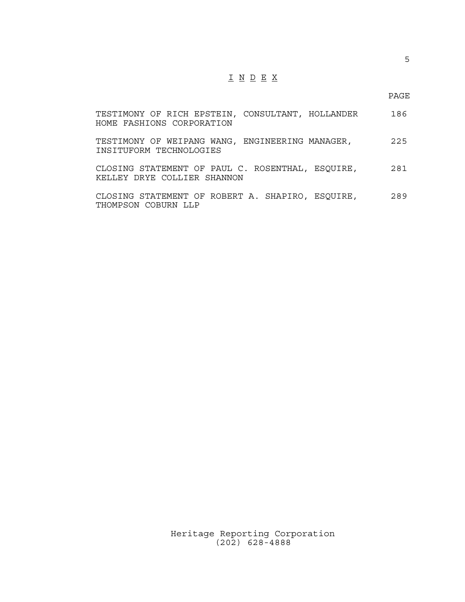## I N D E X

PAGE

| TESTIMONY OF RICH EPSTEIN, CONSULTANT, HOLLANDER<br>HOME FASHIONS CORPORATION   | 186 |
|---------------------------------------------------------------------------------|-----|
| TESTIMONY OF WEIPANG WANG, ENGINEERING MANAGER,<br>INSITUFORM TECHNOLOGIES      | 225 |
| CLOSING STATEMENT OF PAUL C. ROSENTHAL, ESQUIRE,<br>KELLEY DRYE COLLIER SHANNON | 281 |
| CLOSING STATEMENT OF ROBERT A. SHAPIRO, ESQUIRE,<br>THOMPSON COBURN LLP         | 289 |

Heritage Reporting Corporation (202) 628-4888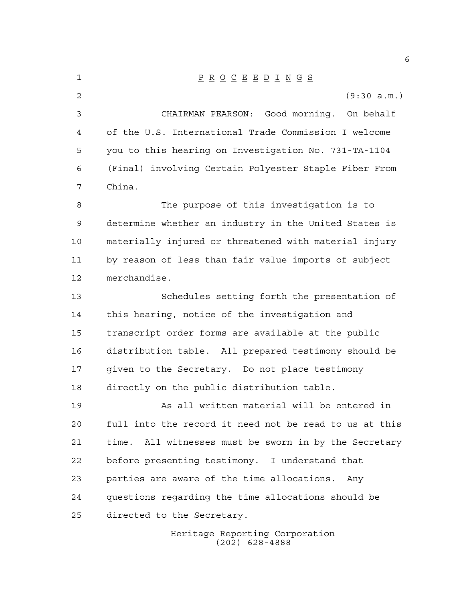Heritage Reporting Corporation (202) 628-4888 P R O C E E D I N G S (9:30 a.m.) CHAIRMAN PEARSON: Good morning. On behalf of the U.S. International Trade Commission I welcome you to this hearing on Investigation No. 731-TA-1104 (Final) involving Certain Polyester Staple Fiber From China. The purpose of this investigation is to determine whether an industry in the United States is materially injured or threatened with material injury by reason of less than fair value imports of subject merchandise. Schedules setting forth the presentation of this hearing, notice of the investigation and transcript order forms are available at the public distribution table. All prepared testimony should be given to the Secretary. Do not place testimony directly on the public distribution table. As all written material will be entered in full into the record it need not be read to us at this time. All witnesses must be sworn in by the Secretary before presenting testimony. I understand that parties are aware of the time allocations. Any questions regarding the time allocations should be directed to the Secretary.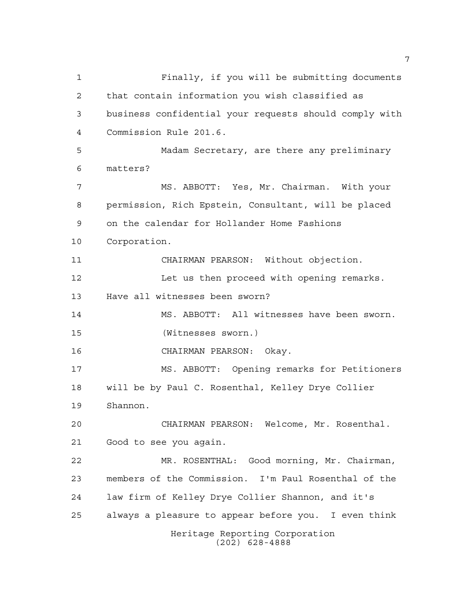Heritage Reporting Corporation (202) 628-4888 Finally, if you will be submitting documents that contain information you wish classified as business confidential your requests should comply with Commission Rule 201.6. Madam Secretary, are there any preliminary matters? MS. ABBOTT: Yes, Mr. Chairman. With your permission, Rich Epstein, Consultant, will be placed on the calendar for Hollander Home Fashions Corporation. CHAIRMAN PEARSON: Without objection. 12 Let us then proceed with opening remarks. Have all witnesses been sworn? MS. ABBOTT: All witnesses have been sworn. (Witnesses sworn.) CHAIRMAN PEARSON: Okay. MS. ABBOTT: Opening remarks for Petitioners will be by Paul C. Rosenthal, Kelley Drye Collier Shannon. CHAIRMAN PEARSON: Welcome, Mr. Rosenthal. Good to see you again. MR. ROSENTHAL: Good morning, Mr. Chairman, members of the Commission. I'm Paul Rosenthal of the law firm of Kelley Drye Collier Shannon, and it's always a pleasure to appear before you. I even think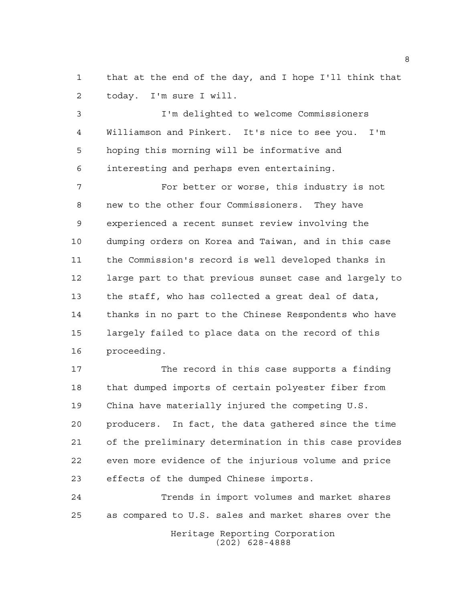that at the end of the day, and I hope I'll think that today. I'm sure I will.

 I'm delighted to welcome Commissioners Williamson and Pinkert. It's nice to see you. I'm hoping this morning will be informative and interesting and perhaps even entertaining.

7 For better or worse, this industry is not new to the other four Commissioners. They have experienced a recent sunset review involving the dumping orders on Korea and Taiwan, and in this case the Commission's record is well developed thanks in large part to that previous sunset case and largely to the staff, who has collected a great deal of data, thanks in no part to the Chinese Respondents who have largely failed to place data on the record of this proceeding.

 The record in this case supports a finding that dumped imports of certain polyester fiber from China have materially injured the competing U.S. producers. In fact, the data gathered since the time of the preliminary determination in this case provides even more evidence of the injurious volume and price effects of the dumped Chinese imports.

 Trends in import volumes and market shares as compared to U.S. sales and market shares over the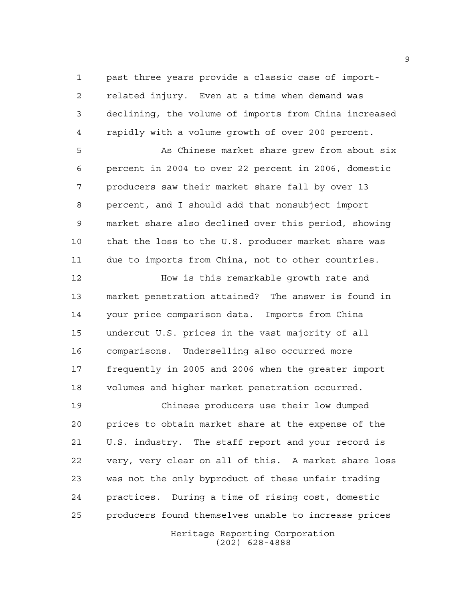past three years provide a classic case of import- related injury. Even at a time when demand was declining, the volume of imports from China increased rapidly with a volume growth of over 200 percent.

 As Chinese market share grew from about six percent in 2004 to over 22 percent in 2006, domestic producers saw their market share fall by over 13 percent, and I should add that nonsubject import market share also declined over this period, showing that the loss to the U.S. producer market share was due to imports from China, not to other countries.

 How is this remarkable growth rate and market penetration attained? The answer is found in your price comparison data. Imports from China undercut U.S. prices in the vast majority of all comparisons. Underselling also occurred more frequently in 2005 and 2006 when the greater import volumes and higher market penetration occurred.

 Chinese producers use their low dumped prices to obtain market share at the expense of the U.S. industry. The staff report and your record is very, very clear on all of this. A market share loss was not the only byproduct of these unfair trading practices. During a time of rising cost, domestic producers found themselves unable to increase prices

Heritage Reporting Corporation (202) 628-4888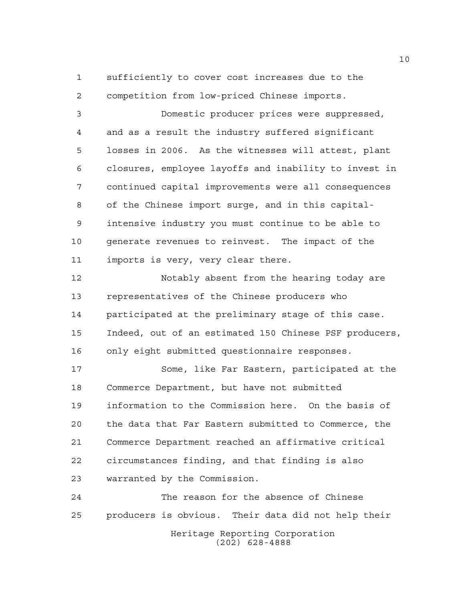sufficiently to cover cost increases due to the competition from low-priced Chinese imports.

 Domestic producer prices were suppressed, and as a result the industry suffered significant losses in 2006. As the witnesses will attest, plant closures, employee layoffs and inability to invest in continued capital improvements were all consequences of the Chinese import surge, and in this capital- intensive industry you must continue to be able to generate revenues to reinvest. The impact of the imports is very, very clear there.

 Notably absent from the hearing today are representatives of the Chinese producers who participated at the preliminary stage of this case. Indeed, out of an estimated 150 Chinese PSF producers, only eight submitted questionnaire responses.

 Some, like Far Eastern, participated at the Commerce Department, but have not submitted information to the Commission here. On the basis of the data that Far Eastern submitted to Commerce, the Commerce Department reached an affirmative critical circumstances finding, and that finding is also warranted by the Commission.

Heritage Reporting Corporation (202) 628-4888 The reason for the absence of Chinese producers is obvious. Their data did not help their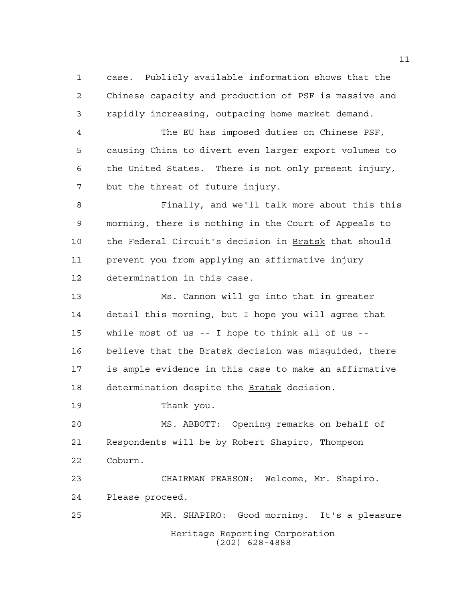case. Publicly available information shows that the Chinese capacity and production of PSF is massive and rapidly increasing, outpacing home market demand.

 The EU has imposed duties on Chinese PSF, causing China to divert even larger export volumes to the United States. There is not only present injury, but the threat of future injury.

 Finally, and we'll talk more about this this morning, there is nothing in the Court of Appeals to the Federal Circuit's decision in Bratsk that should prevent you from applying an affirmative injury determination in this case.

 Ms. Cannon will go into that in greater detail this morning, but I hope you will agree that while most of us -- I hope to think all of us -- 16 believe that the Bratsk decision was misquided, there is ample evidence in this case to make an affirmative 18 determination despite the Bratsk decision.

Thank you.

 MS. ABBOTT: Opening remarks on behalf of Respondents will be by Robert Shapiro, Thompson Coburn.

 CHAIRMAN PEARSON: Welcome, Mr. Shapiro. Please proceed. MR. SHAPIRO: Good morning. It's a pleasure

> Heritage Reporting Corporation (202) 628-4888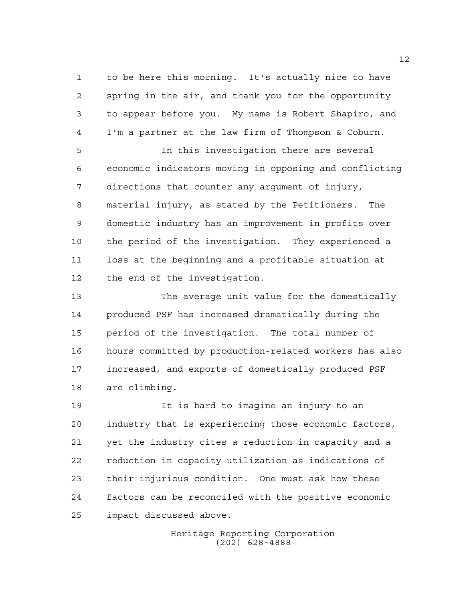to be here this morning. It's actually nice to have spring in the air, and thank you for the opportunity to appear before you. My name is Robert Shapiro, and I'm a partner at the law firm of Thompson & Coburn.

 In this investigation there are several economic indicators moving in opposing and conflicting directions that counter any argument of injury, material injury, as stated by the Petitioners. The domestic industry has an improvement in profits over the period of the investigation. They experienced a loss at the beginning and a profitable situation at the end of the investigation.

 The average unit value for the domestically produced PSF has increased dramatically during the period of the investigation. The total number of hours committed by production-related workers has also increased, and exports of domestically produced PSF are climbing.

 It is hard to imagine an injury to an industry that is experiencing those economic factors, yet the industry cites a reduction in capacity and a reduction in capacity utilization as indications of their injurious condition. One must ask how these factors can be reconciled with the positive economic impact discussed above.

> Heritage Reporting Corporation (202) 628-4888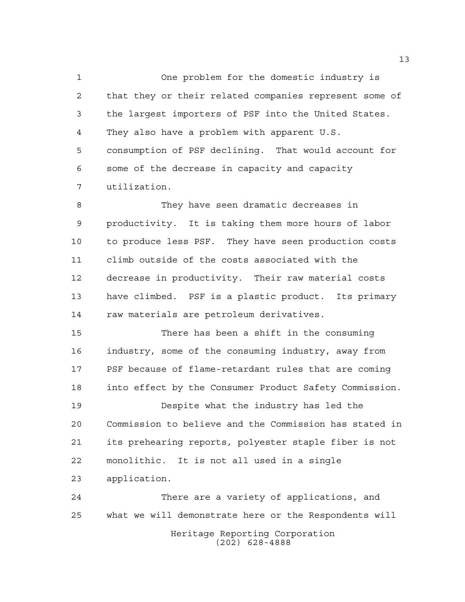One problem for the domestic industry is that they or their related companies represent some of the largest importers of PSF into the United States. They also have a problem with apparent U.S. consumption of PSF declining. That would account for some of the decrease in capacity and capacity utilization.

 They have seen dramatic decreases in productivity. It is taking them more hours of labor to produce less PSF. They have seen production costs climb outside of the costs associated with the decrease in productivity. Their raw material costs have climbed. PSF is a plastic product. Its primary raw materials are petroleum derivatives.

 There has been a shift in the consuming industry, some of the consuming industry, away from PSF because of flame-retardant rules that are coming into effect by the Consumer Product Safety Commission.

 Despite what the industry has led the Commission to believe and the Commission has stated in its prehearing reports, polyester staple fiber is not monolithic. It is not all used in a single application.

Heritage Reporting Corporation (202) 628-4888 There are a variety of applications, and what we will demonstrate here or the Respondents will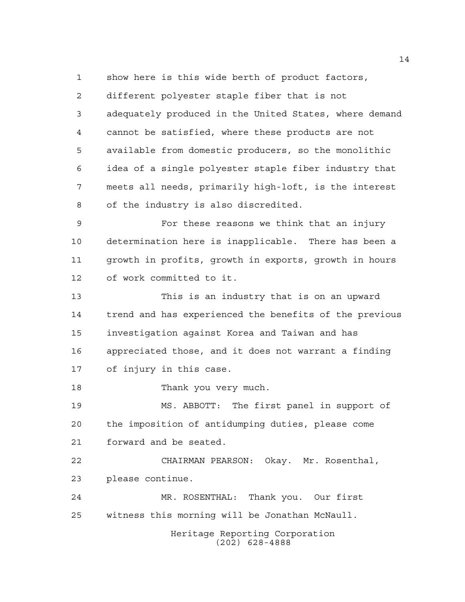show here is this wide berth of product factors, different polyester staple fiber that is not adequately produced in the United States, where demand cannot be satisfied, where these products are not available from domestic producers, so the monolithic idea of a single polyester staple fiber industry that meets all needs, primarily high-loft, is the interest of the industry is also discredited. For these reasons we think that an injury determination here is inapplicable. There has been a growth in profits, growth in exports, growth in hours of work committed to it. This is an industry that is on an upward trend and has experienced the benefits of the previous investigation against Korea and Taiwan and has appreciated those, and it does not warrant a finding of injury in this case. Thank you very much. MS. ABBOTT: The first panel in support of the imposition of antidumping duties, please come forward and be seated. CHAIRMAN PEARSON: Okay. Mr. Rosenthal, please continue. MR. ROSENTHAL: Thank you. Our first

witness this morning will be Jonathan McNaull.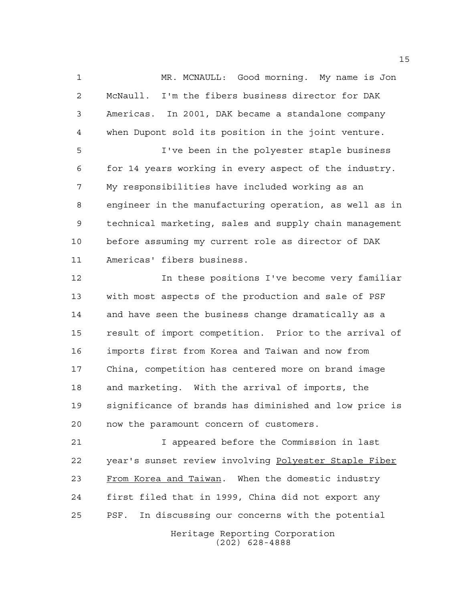MR. MCNAULL: Good morning. My name is Jon McNaull. I'm the fibers business director for DAK Americas. In 2001, DAK became a standalone company when Dupont sold its position in the joint venture.

 I've been in the polyester staple business for 14 years working in every aspect of the industry. My responsibilities have included working as an engineer in the manufacturing operation, as well as in technical marketing, sales and supply chain management before assuming my current role as director of DAK Americas' fibers business.

 In these positions I've become very familiar with most aspects of the production and sale of PSF and have seen the business change dramatically as a result of import competition. Prior to the arrival of imports first from Korea and Taiwan and now from China, competition has centered more on brand image and marketing. With the arrival of imports, the significance of brands has diminished and low price is now the paramount concern of customers.

Heritage Reporting Corporation (202) 628-4888 I appeared before the Commission in last year's sunset review involving Polyester Staple Fiber From Korea and Taiwan. When the domestic industry first filed that in 1999, China did not export any PSF. In discussing our concerns with the potential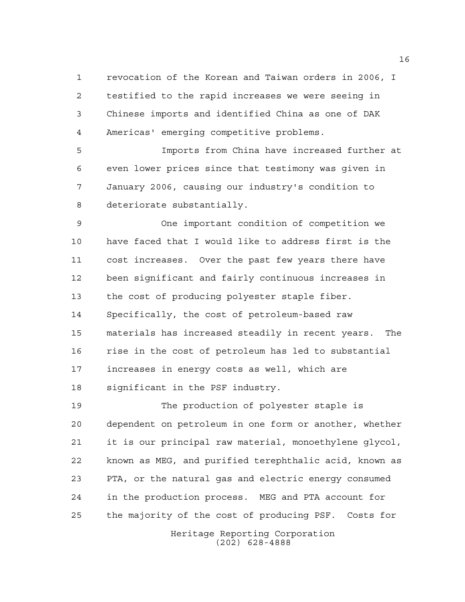revocation of the Korean and Taiwan orders in 2006, I testified to the rapid increases we were seeing in Chinese imports and identified China as one of DAK Americas' emerging competitive problems.

 Imports from China have increased further at even lower prices since that testimony was given in January 2006, causing our industry's condition to deteriorate substantially.

 One important condition of competition we have faced that I would like to address first is the cost increases. Over the past few years there have been significant and fairly continuous increases in the cost of producing polyester staple fiber. Specifically, the cost of petroleum-based raw materials has increased steadily in recent years. The rise in the cost of petroleum has led to substantial increases in energy costs as well, which are significant in the PSF industry.

 The production of polyester staple is dependent on petroleum in one form or another, whether it is our principal raw material, monoethylene glycol, known as MEG, and purified terephthalic acid, known as PTA, or the natural gas and electric energy consumed in the production process. MEG and PTA account for the majority of the cost of producing PSF. Costs for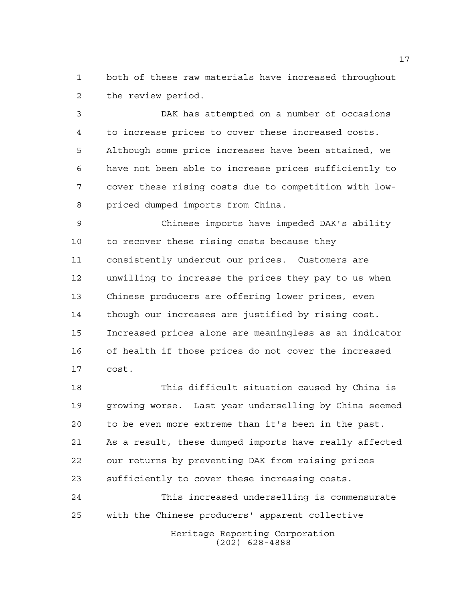both of these raw materials have increased throughout the review period.

 DAK has attempted on a number of occasions to increase prices to cover these increased costs. Although some price increases have been attained, we have not been able to increase prices sufficiently to cover these rising costs due to competition with low-priced dumped imports from China.

 Chinese imports have impeded DAK's ability to recover these rising costs because they consistently undercut our prices. Customers are unwilling to increase the prices they pay to us when Chinese producers are offering lower prices, even though our increases are justified by rising cost. Increased prices alone are meaningless as an indicator of health if those prices do not cover the increased cost.

 This difficult situation caused by China is growing worse. Last year underselling by China seemed to be even more extreme than it's been in the past. As a result, these dumped imports have really affected our returns by preventing DAK from raising prices sufficiently to cover these increasing costs.

Heritage Reporting Corporation (202) 628-4888 This increased underselling is commensurate with the Chinese producers' apparent collective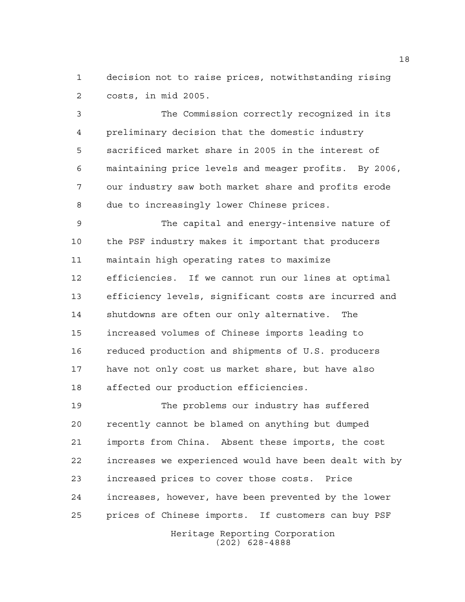decision not to raise prices, notwithstanding rising costs, in mid 2005.

 The Commission correctly recognized in its preliminary decision that the domestic industry sacrificed market share in 2005 in the interest of maintaining price levels and meager profits. By 2006, our industry saw both market share and profits erode due to increasingly lower Chinese prices.

 The capital and energy-intensive nature of the PSF industry makes it important that producers maintain high operating rates to maximize efficiencies. If we cannot run our lines at optimal efficiency levels, significant costs are incurred and shutdowns are often our only alternative. The increased volumes of Chinese imports leading to reduced production and shipments of U.S. producers have not only cost us market share, but have also affected our production efficiencies.

 The problems our industry has suffered recently cannot be blamed on anything but dumped imports from China. Absent these imports, the cost increases we experienced would have been dealt with by increased prices to cover those costs. Price increases, however, have been prevented by the lower prices of Chinese imports. If customers can buy PSF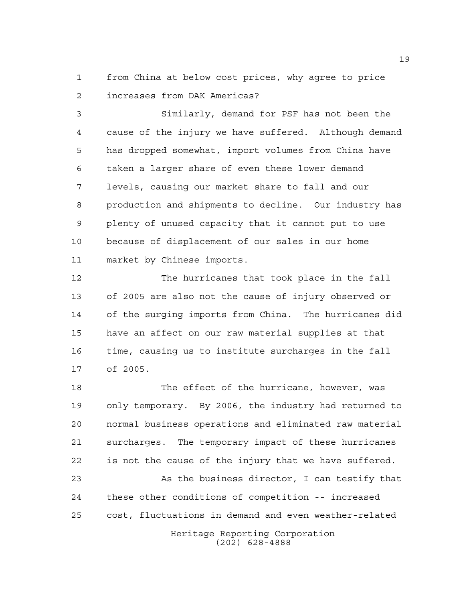from China at below cost prices, why agree to price increases from DAK Americas?

 Similarly, demand for PSF has not been the cause of the injury we have suffered. Although demand has dropped somewhat, import volumes from China have taken a larger share of even these lower demand levels, causing our market share to fall and our production and shipments to decline. Our industry has plenty of unused capacity that it cannot put to use because of displacement of our sales in our home market by Chinese imports.

 The hurricanes that took place in the fall of 2005 are also not the cause of injury observed or of the surging imports from China. The hurricanes did have an affect on our raw material supplies at that time, causing us to institute surcharges in the fall of 2005.

 The effect of the hurricane, however, was only temporary. By 2006, the industry had returned to normal business operations and eliminated raw material surcharges. The temporary impact of these hurricanes is not the cause of the injury that we have suffered.

 As the business director, I can testify that these other conditions of competition -- increased cost, fluctuations in demand and even weather-related

> Heritage Reporting Corporation (202) 628-4888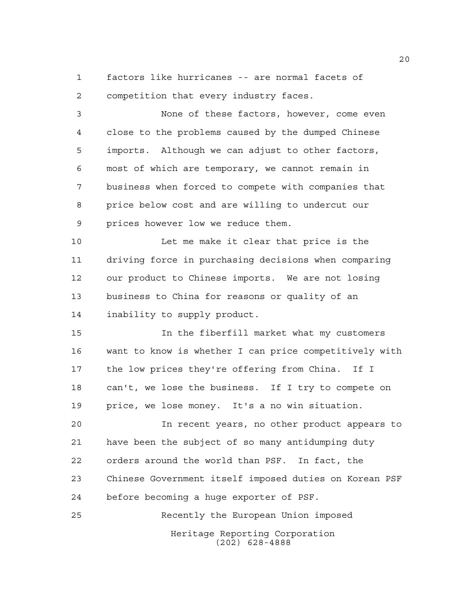factors like hurricanes -- are normal facets of competition that every industry faces.

 None of these factors, however, come even close to the problems caused by the dumped Chinese imports. Although we can adjust to other factors, most of which are temporary, we cannot remain in business when forced to compete with companies that price below cost and are willing to undercut our prices however low we reduce them.

 Let me make it clear that price is the driving force in purchasing decisions when comparing our product to Chinese imports. We are not losing business to China for reasons or quality of an inability to supply product.

 In the fiberfill market what my customers want to know is whether I can price competitively with the low prices they're offering from China. If I can't, we lose the business. If I try to compete on price, we lose money. It's a no win situation.

 In recent years, no other product appears to have been the subject of so many antidumping duty orders around the world than PSF. In fact, the Chinese Government itself imposed duties on Korean PSF before becoming a huge exporter of PSF.

Heritage Reporting Corporation (202) 628-4888 Recently the European Union imposed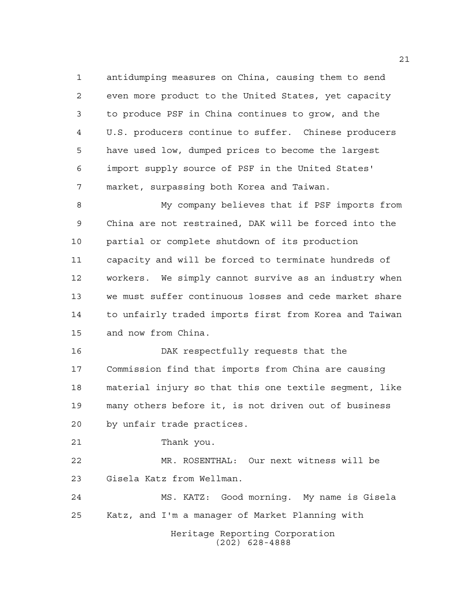antidumping measures on China, causing them to send even more product to the United States, yet capacity to produce PSF in China continues to grow, and the U.S. producers continue to suffer. Chinese producers have used low, dumped prices to become the largest import supply source of PSF in the United States' market, surpassing both Korea and Taiwan.

 My company believes that if PSF imports from China are not restrained, DAK will be forced into the partial or complete shutdown of its production capacity and will be forced to terminate hundreds of workers. We simply cannot survive as an industry when we must suffer continuous losses and cede market share to unfairly traded imports first from Korea and Taiwan and now from China.

 DAK respectfully requests that the Commission find that imports from China are causing material injury so that this one textile segment, like many others before it, is not driven out of business by unfair trade practices.

Thank you.

 MR. ROSENTHAL: Our next witness will be Gisela Katz from Wellman.

 MS. KATZ: Good morning. My name is Gisela Katz, and I'm a manager of Market Planning with

> Heritage Reporting Corporation (202) 628-4888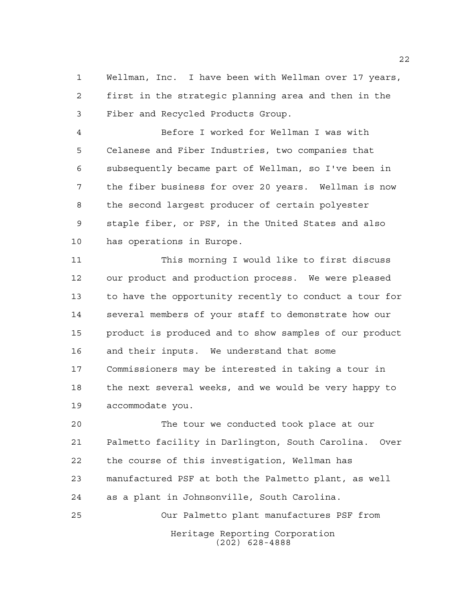Wellman, Inc. I have been with Wellman over 17 years, first in the strategic planning area and then in the Fiber and Recycled Products Group.

 Before I worked for Wellman I was with Celanese and Fiber Industries, two companies that subsequently became part of Wellman, so I've been in the fiber business for over 20 years. Wellman is now the second largest producer of certain polyester staple fiber, or PSF, in the United States and also has operations in Europe.

 This morning I would like to first discuss our product and production process. We were pleased to have the opportunity recently to conduct a tour for several members of your staff to demonstrate how our product is produced and to show samples of our product and their inputs. We understand that some Commissioners may be interested in taking a tour in the next several weeks, and we would be very happy to accommodate you.

 The tour we conducted took place at our Palmetto facility in Darlington, South Carolina. Over the course of this investigation, Wellman has manufactured PSF at both the Palmetto plant, as well as a plant in Johnsonville, South Carolina. Our Palmetto plant manufactures PSF from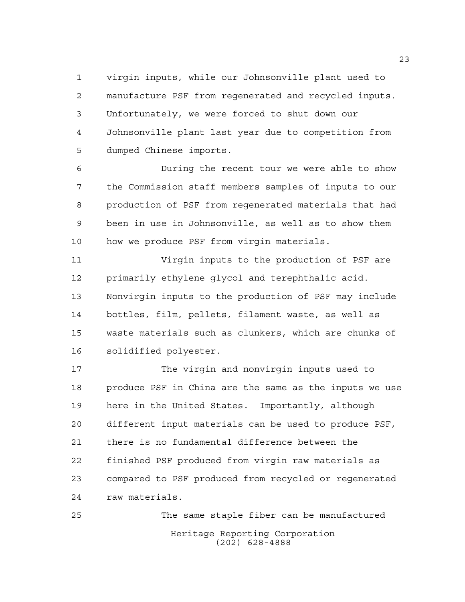virgin inputs, while our Johnsonville plant used to manufacture PSF from regenerated and recycled inputs. Unfortunately, we were forced to shut down our Johnsonville plant last year due to competition from dumped Chinese imports.

 During the recent tour we were able to show the Commission staff members samples of inputs to our production of PSF from regenerated materials that had been in use in Johnsonville, as well as to show them how we produce PSF from virgin materials.

 Virgin inputs to the production of PSF are primarily ethylene glycol and terephthalic acid. Nonvirgin inputs to the production of PSF may include bottles, film, pellets, filament waste, as well as waste materials such as clunkers, which are chunks of solidified polyester.

 The virgin and nonvirgin inputs used to produce PSF in China are the same as the inputs we use here in the United States. Importantly, although different input materials can be used to produce PSF, there is no fundamental difference between the finished PSF produced from virgin raw materials as compared to PSF produced from recycled or regenerated raw materials.

Heritage Reporting Corporation (202) 628-4888 The same staple fiber can be manufactured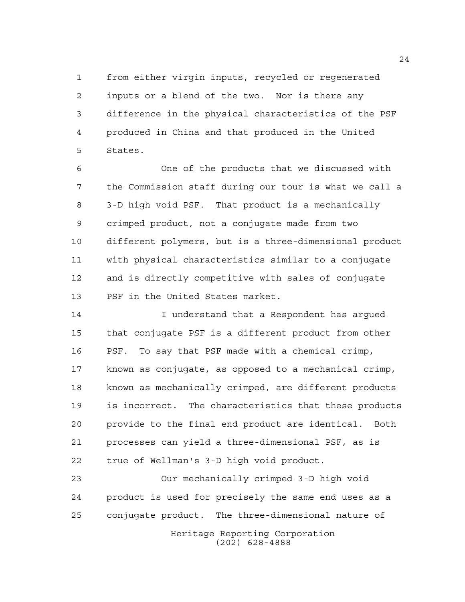from either virgin inputs, recycled or regenerated inputs or a blend of the two. Nor is there any difference in the physical characteristics of the PSF produced in China and that produced in the United States.

 One of the products that we discussed with the Commission staff during our tour is what we call a 3-D high void PSF. That product is a mechanically crimped product, not a conjugate made from two different polymers, but is a three-dimensional product with physical characteristics similar to a conjugate and is directly competitive with sales of conjugate PSF in the United States market.

 I understand that a Respondent has argued that conjugate PSF is a different product from other PSF. To say that PSF made with a chemical crimp, known as conjugate, as opposed to a mechanical crimp, known as mechanically crimped, are different products is incorrect. The characteristics that these products provide to the final end product are identical. Both processes can yield a three-dimensional PSF, as is true of Wellman's 3-D high void product.

Heritage Reporting Corporation (202) 628-4888 Our mechanically crimped 3-D high void product is used for precisely the same end uses as a conjugate product. The three-dimensional nature of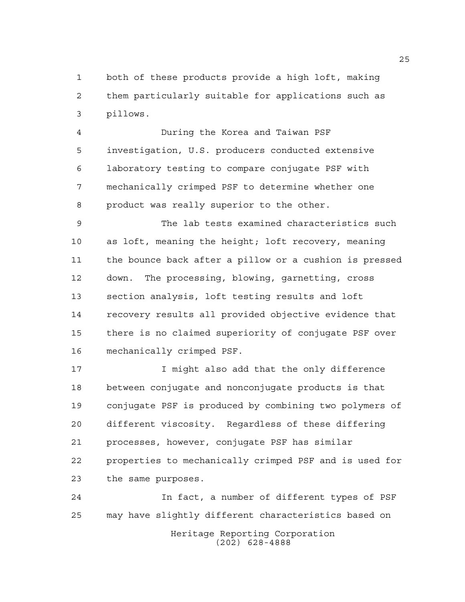both of these products provide a high loft, making them particularly suitable for applications such as pillows.

 During the Korea and Taiwan PSF investigation, U.S. producers conducted extensive laboratory testing to compare conjugate PSF with mechanically crimped PSF to determine whether one product was really superior to the other.

 The lab tests examined characteristics such as loft, meaning the height; loft recovery, meaning the bounce back after a pillow or a cushion is pressed down. The processing, blowing, garnetting, cross section analysis, loft testing results and loft recovery results all provided objective evidence that there is no claimed superiority of conjugate PSF over mechanically crimped PSF.

**I** might also add that the only difference between conjugate and nonconjugate products is that conjugate PSF is produced by combining two polymers of different viscosity. Regardless of these differing processes, however, conjugate PSF has similar properties to mechanically crimped PSF and is used for the same purposes.

Heritage Reporting Corporation (202) 628-4888 In fact, a number of different types of PSF may have slightly different characteristics based on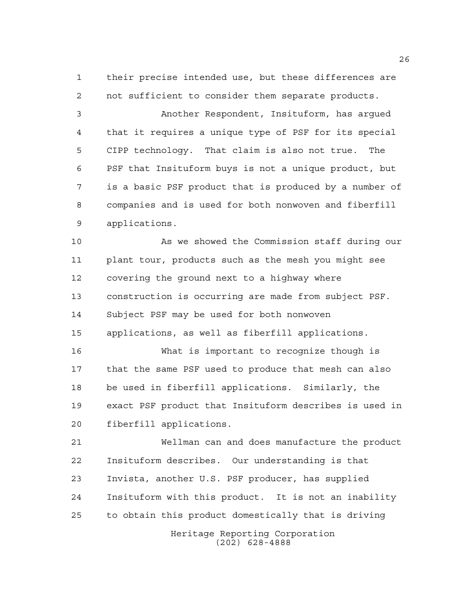their precise intended use, but these differences are not sufficient to consider them separate products.

 Another Respondent, Insituform, has argued that it requires a unique type of PSF for its special CIPP technology. That claim is also not true. The PSF that Insituform buys is not a unique product, but is a basic PSF product that is produced by a number of companies and is used for both nonwoven and fiberfill applications.

 As we showed the Commission staff during our plant tour, products such as the mesh you might see covering the ground next to a highway where construction is occurring are made from subject PSF. Subject PSF may be used for both nonwoven applications, as well as fiberfill applications.

 What is important to recognize though is that the same PSF used to produce that mesh can also be used in fiberfill applications. Similarly, the exact PSF product that Insituform describes is used in fiberfill applications.

 Wellman can and does manufacture the product Insituform describes. Our understanding is that Invista, another U.S. PSF producer, has supplied Insituform with this product. It is not an inability to obtain this product domestically that is driving

> Heritage Reporting Corporation (202) 628-4888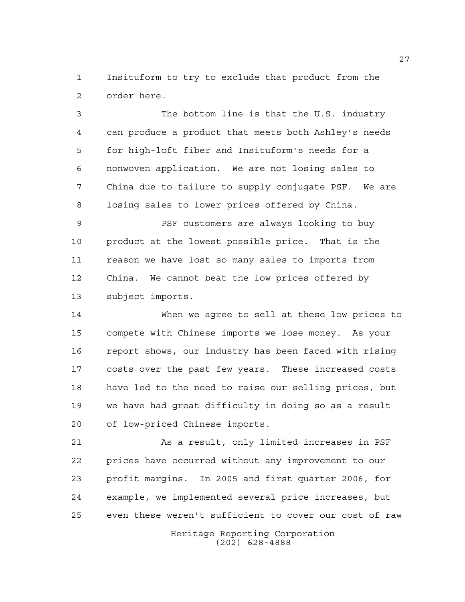Insituform to try to exclude that product from the order here.

 The bottom line is that the U.S. industry can produce a product that meets both Ashley's needs for high-loft fiber and Insituform's needs for a nonwoven application. We are not losing sales to China due to failure to supply conjugate PSF. We are losing sales to lower prices offered by China.

 PSF customers are always looking to buy product at the lowest possible price. That is the reason we have lost so many sales to imports from China. We cannot beat the low prices offered by subject imports.

 When we agree to sell at these low prices to compete with Chinese imports we lose money. As your report shows, our industry has been faced with rising costs over the past few years. These increased costs have led to the need to raise our selling prices, but we have had great difficulty in doing so as a result of low-priced Chinese imports.

 As a result, only limited increases in PSF prices have occurred without any improvement to our profit margins. In 2005 and first quarter 2006, for example, we implemented several price increases, but even these weren't sufficient to cover our cost of raw

> Heritage Reporting Corporation (202) 628-4888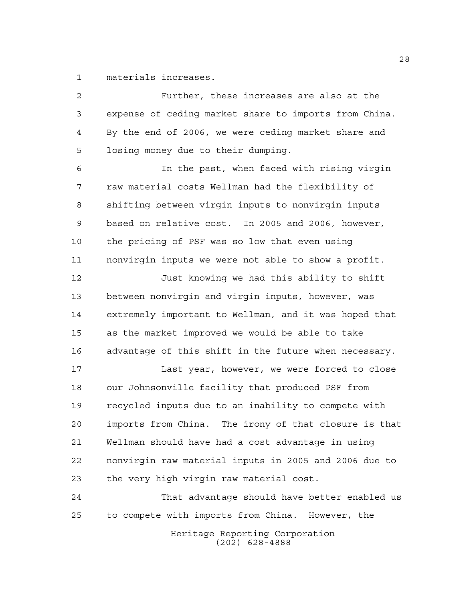materials increases.

 Further, these increases are also at the expense of ceding market share to imports from China. By the end of 2006, we were ceding market share and losing money due to their dumping. In the past, when faced with rising virgin raw material costs Wellman had the flexibility of shifting between virgin inputs to nonvirgin inputs based on relative cost. In 2005 and 2006, however, the pricing of PSF was so low that even using nonvirgin inputs we were not able to show a profit. Just knowing we had this ability to shift between nonvirgin and virgin inputs, however, was extremely important to Wellman, and it was hoped that as the market improved we would be able to take advantage of this shift in the future when necessary. Last year, however, we were forced to close our Johnsonville facility that produced PSF from recycled inputs due to an inability to compete with imports from China. The irony of that closure is that Wellman should have had a cost advantage in using nonvirgin raw material inputs in 2005 and 2006 due to the very high virgin raw material cost. That advantage should have better enabled us to compete with imports from China. However, the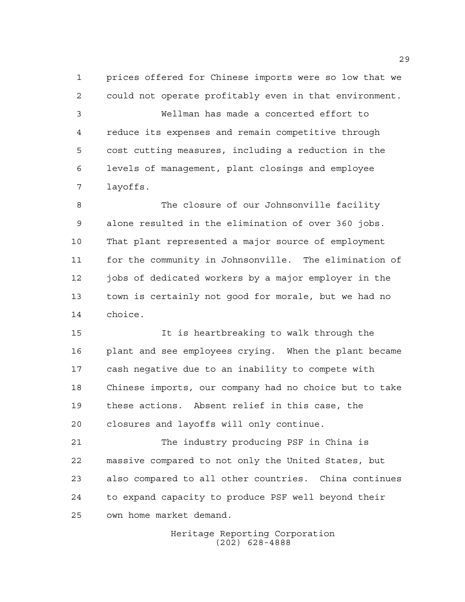prices offered for Chinese imports were so low that we could not operate profitably even in that environment. Wellman has made a concerted effort to reduce its expenses and remain competitive through cost cutting measures, including a reduction in the levels of management, plant closings and employee layoffs.

 The closure of our Johnsonville facility alone resulted in the elimination of over 360 jobs. That plant represented a major source of employment for the community in Johnsonville. The elimination of jobs of dedicated workers by a major employer in the town is certainly not good for morale, but we had no choice.

 It is heartbreaking to walk through the plant and see employees crying. When the plant became cash negative due to an inability to compete with Chinese imports, our company had no choice but to take these actions. Absent relief in this case, the closures and layoffs will only continue.

 The industry producing PSF in China is massive compared to not only the United States, but also compared to all other countries. China continues to expand capacity to produce PSF well beyond their own home market demand.

> Heritage Reporting Corporation (202) 628-4888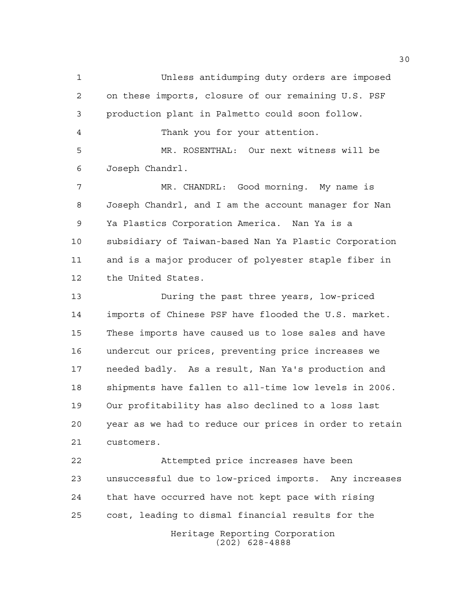Unless antidumping duty orders are imposed on these imports, closure of our remaining U.S. PSF production plant in Palmetto could soon follow. Thank you for your attention. MR. ROSENTHAL: Our next witness will be Joseph Chandrl. MR. CHANDRL: Good morning. My name is Joseph Chandrl, and I am the account manager for Nan Ya Plastics Corporation America. Nan Ya is a subsidiary of Taiwan-based Nan Ya Plastic Corporation and is a major producer of polyester staple fiber in the United States. During the past three years, low-priced imports of Chinese PSF have flooded the U.S. market. These imports have caused us to lose sales and have undercut our prices, preventing price increases we needed badly. As a result, Nan Ya's production and shipments have fallen to all-time low levels in 2006. Our profitability has also declined to a loss last year as we had to reduce our prices in order to retain customers. Attempted price increases have been unsuccessful due to low-priced imports. Any increases that have occurred have not kept pace with rising cost, leading to dismal financial results for the

> Heritage Reporting Corporation (202) 628-4888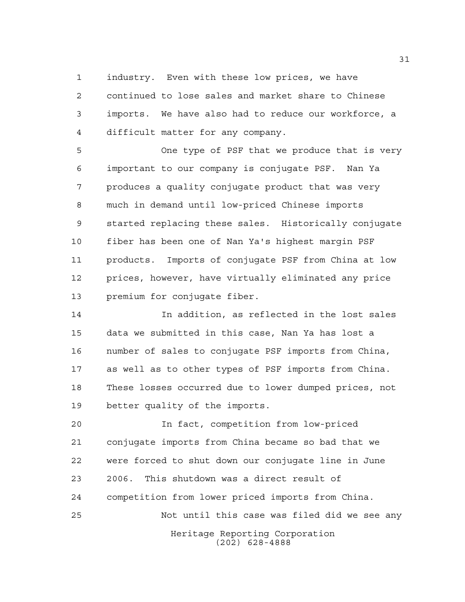industry. Even with these low prices, we have

 continued to lose sales and market share to Chinese imports. We have also had to reduce our workforce, a difficult matter for any company.

 One type of PSF that we produce that is very important to our company is conjugate PSF. Nan Ya produces a quality conjugate product that was very much in demand until low-priced Chinese imports started replacing these sales. Historically conjugate fiber has been one of Nan Ya's highest margin PSF products. Imports of conjugate PSF from China at low prices, however, have virtually eliminated any price premium for conjugate fiber.

 In addition, as reflected in the lost sales data we submitted in this case, Nan Ya has lost a number of sales to conjugate PSF imports from China, as well as to other types of PSF imports from China. These losses occurred due to lower dumped prices, not better quality of the imports.

 In fact, competition from low-priced conjugate imports from China became so bad that we were forced to shut down our conjugate line in June 2006. This shutdown was a direct result of competition from lower priced imports from China. Not until this case was filed did we see any

Heritage Reporting Corporation (202) 628-4888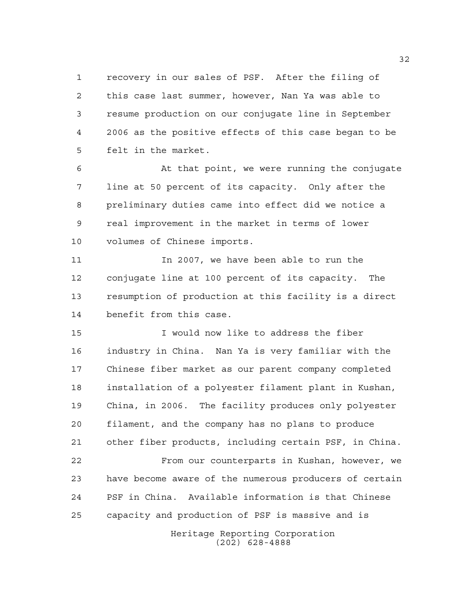recovery in our sales of PSF. After the filing of this case last summer, however, Nan Ya was able to resume production on our conjugate line in September 2006 as the positive effects of this case began to be felt in the market.

6 At that point, we were running the conjugate line at 50 percent of its capacity. Only after the preliminary duties came into effect did we notice a real improvement in the market in terms of lower volumes of Chinese imports.

 In 2007, we have been able to run the conjugate line at 100 percent of its capacity. The resumption of production at this facility is a direct benefit from this case.

 I would now like to address the fiber industry in China. Nan Ya is very familiar with the Chinese fiber market as our parent company completed installation of a polyester filament plant in Kushan, China, in 2006. The facility produces only polyester filament, and the company has no plans to produce other fiber products, including certain PSF, in China. From our counterparts in Kushan, however, we have become aware of the numerous producers of certain PSF in China. Available information is that Chinese capacity and production of PSF is massive and is

> Heritage Reporting Corporation (202) 628-4888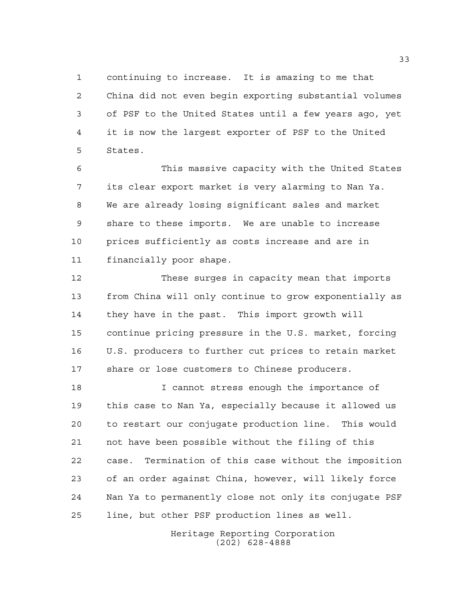continuing to increase. It is amazing to me that China did not even begin exporting substantial volumes of PSF to the United States until a few years ago, yet it is now the largest exporter of PSF to the United States.

 This massive capacity with the United States its clear export market is very alarming to Nan Ya. We are already losing significant sales and market share to these imports. We are unable to increase prices sufficiently as costs increase and are in financially poor shape.

 These surges in capacity mean that imports from China will only continue to grow exponentially as they have in the past. This import growth will continue pricing pressure in the U.S. market, forcing U.S. producers to further cut prices to retain market share or lose customers to Chinese producers.

 I cannot stress enough the importance of this case to Nan Ya, especially because it allowed us to restart our conjugate production line. This would not have been possible without the filing of this case. Termination of this case without the imposition of an order against China, however, will likely force Nan Ya to permanently close not only its conjugate PSF line, but other PSF production lines as well.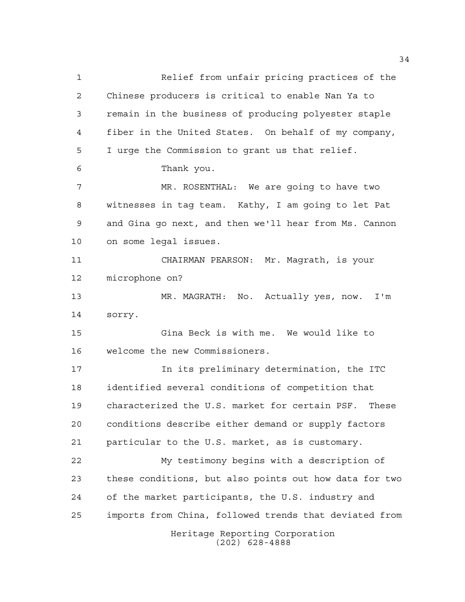Heritage Reporting Corporation (202) 628-4888 Relief from unfair pricing practices of the Chinese producers is critical to enable Nan Ya to remain in the business of producing polyester staple fiber in the United States. On behalf of my company, I urge the Commission to grant us that relief. Thank you. MR. ROSENTHAL: We are going to have two witnesses in tag team. Kathy, I am going to let Pat and Gina go next, and then we'll hear from Ms. Cannon on some legal issues. CHAIRMAN PEARSON: Mr. Magrath, is your microphone on? MR. MAGRATH: No. Actually yes, now. I'm sorry. Gina Beck is with me. We would like to welcome the new Commissioners. In its preliminary determination, the ITC identified several conditions of competition that characterized the U.S. market for certain PSF. These conditions describe either demand or supply factors particular to the U.S. market, as is customary. My testimony begins with a description of these conditions, but also points out how data for two of the market participants, the U.S. industry and imports from China, followed trends that deviated from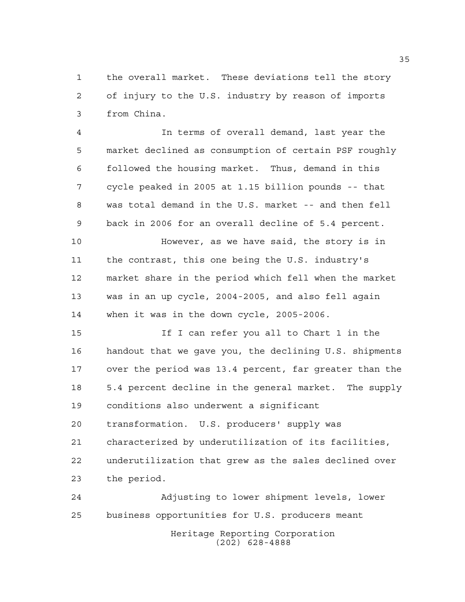the overall market. These deviations tell the story of injury to the U.S. industry by reason of imports from China.

 In terms of overall demand, last year the market declined as consumption of certain PSF roughly followed the housing market. Thus, demand in this cycle peaked in 2005 at 1.15 billion pounds -- that was total demand in the U.S. market -- and then fell back in 2006 for an overall decline of 5.4 percent.

 However, as we have said, the story is in the contrast, this one being the U.S. industry's market share in the period which fell when the market was in an up cycle, 2004-2005, and also fell again when it was in the down cycle, 2005-2006.

 If I can refer you all to Chart 1 in the handout that we gave you, the declining U.S. shipments over the period was 13.4 percent, far greater than the 5.4 percent decline in the general market. The supply conditions also underwent a significant transformation. U.S. producers' supply was characterized by underutilization of its facilities, underutilization that grew as the sales declined over the period.

Heritage Reporting Corporation (202) 628-4888 Adjusting to lower shipment levels, lower business opportunities for U.S. producers meant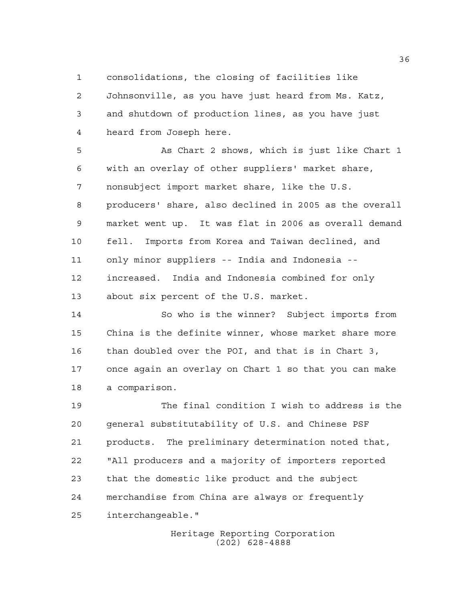consolidations, the closing of facilities like

 Johnsonville, as you have just heard from Ms. Katz, and shutdown of production lines, as you have just heard from Joseph here.

 As Chart 2 shows, which is just like Chart 1 with an overlay of other suppliers' market share, nonsubject import market share, like the U.S. producers' share, also declined in 2005 as the overall market went up. It was flat in 2006 as overall demand fell. Imports from Korea and Taiwan declined, and only minor suppliers -- India and Indonesia -- increased. India and Indonesia combined for only about six percent of the U.S. market.

 So who is the winner? Subject imports from China is the definite winner, whose market share more than doubled over the POI, and that is in Chart 3, once again an overlay on Chart 1 so that you can make a comparison.

 The final condition I wish to address is the general substitutability of U.S. and Chinese PSF products. The preliminary determination noted that, "All producers and a majority of importers reported that the domestic like product and the subject merchandise from China are always or frequently interchangeable."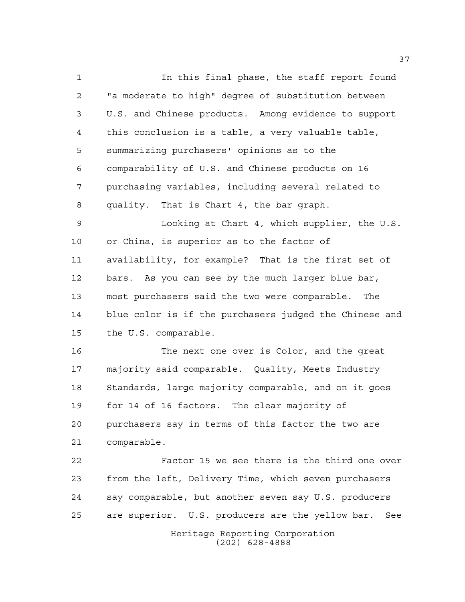In this final phase, the staff report found "a moderate to high" degree of substitution between U.S. and Chinese products. Among evidence to support this conclusion is a table, a very valuable table, summarizing purchasers' opinions as to the comparability of U.S. and Chinese products on 16 purchasing variables, including several related to quality. That is Chart 4, the bar graph.

 Looking at Chart 4, which supplier, the U.S. or China, is superior as to the factor of availability, for example? That is the first set of bars. As you can see by the much larger blue bar, most purchasers said the two were comparable. The blue color is if the purchasers judged the Chinese and the U.S. comparable.

 The next one over is Color, and the great majority said comparable. Quality, Meets Industry Standards, large majority comparable, and on it goes for 14 of 16 factors. The clear majority of purchasers say in terms of this factor the two are comparable.

Heritage Reporting Corporation Factor 15 we see there is the third one over from the left, Delivery Time, which seven purchasers say comparable, but another seven say U.S. producers are superior. U.S. producers are the yellow bar. See

(202) 628-4888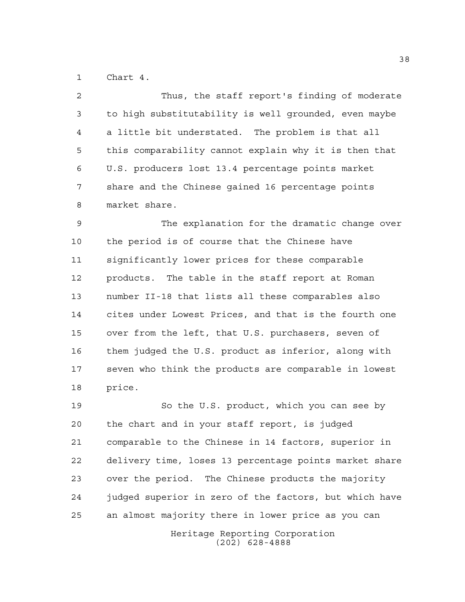Chart 4.

 Thus, the staff report's finding of moderate to high substitutability is well grounded, even maybe a little bit understated. The problem is that all this comparability cannot explain why it is then that U.S. producers lost 13.4 percentage points market share and the Chinese gained 16 percentage points market share.

 The explanation for the dramatic change over the period is of course that the Chinese have significantly lower prices for these comparable products. The table in the staff report at Roman number II-18 that lists all these comparables also cites under Lowest Prices, and that is the fourth one over from the left, that U.S. purchasers, seven of them judged the U.S. product as inferior, along with seven who think the products are comparable in lowest price.

 So the U.S. product, which you can see by the chart and in your staff report, is judged comparable to the Chinese in 14 factors, superior in delivery time, loses 13 percentage points market share over the period. The Chinese products the majority judged superior in zero of the factors, but which have an almost majority there in lower price as you can

> Heritage Reporting Corporation (202) 628-4888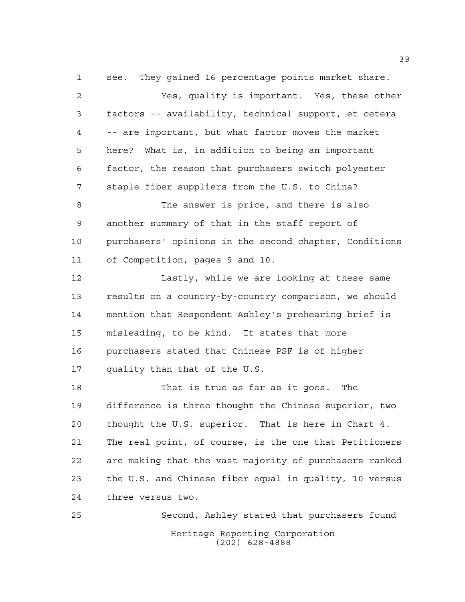see. They gained 16 percentage points market share. Yes, quality is important. Yes, these other factors -- availability, technical support, et cetera -- are important, but what factor moves the market here? What is, in addition to being an important factor, the reason that purchasers switch polyester staple fiber suppliers from the U.S. to China? The answer is price, and there is also another summary of that in the staff report of purchasers' opinions in the second chapter, Conditions of Competition, pages 9 and 10. 12 Lastly, while we are looking at these same results on a country-by-country comparison, we should mention that Respondent Ashley's prehearing brief is misleading, to be kind. It states that more purchasers stated that Chinese PSF is of higher quality than that of the U.S. That is true as far as it goes. The difference is three thought the Chinese superior, two thought the U.S. superior. That is here in Chart 4. The real point, of course, is the one that Petitioners are making that the vast majority of purchasers ranked

 the U.S. and Chinese fiber equal in quality, 10 versus three versus two.

Heritage Reporting Corporation (202) 628-4888 Second, Ashley stated that purchasers found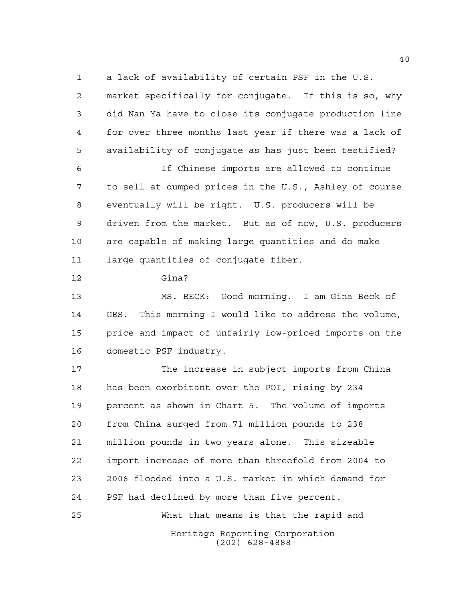a lack of availability of certain PSF in the U.S.

 market specifically for conjugate. If this is so, why did Nan Ya have to close its conjugate production line for over three months last year if there was a lack of availability of conjugate as has just been testified?

 If Chinese imports are allowed to continue to sell at dumped prices in the U.S., Ashley of course eventually will be right. U.S. producers will be driven from the market. But as of now, U.S. producers are capable of making large quantities and do make large quantities of conjugate fiber.

Gina?

 MS. BECK: Good morning. I am Gina Beck of GES. This morning I would like to address the volume, price and impact of unfairly low-priced imports on the domestic PSF industry.

 The increase in subject imports from China has been exorbitant over the POI, rising by 234 percent as shown in Chart 5. The volume of imports from China surged from 71 million pounds to 238 million pounds in two years alone. This sizeable import increase of more than threefold from 2004 to 2006 flooded into a U.S. market in which demand for PSF had declined by more than five percent. What that means is that the rapid and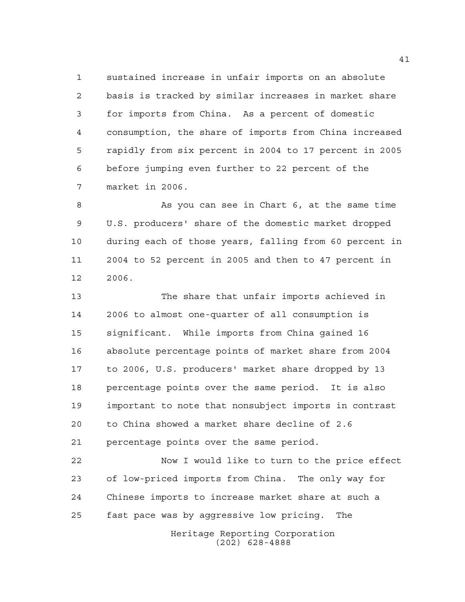sustained increase in unfair imports on an absolute basis is tracked by similar increases in market share for imports from China. As a percent of domestic consumption, the share of imports from China increased rapidly from six percent in 2004 to 17 percent in 2005 before jumping even further to 22 percent of the market in 2006.

 As you can see in Chart 6, at the same time U.S. producers' share of the domestic market dropped during each of those years, falling from 60 percent in 2004 to 52 percent in 2005 and then to 47 percent in 2006.

 The share that unfair imports achieved in 2006 to almost one-quarter of all consumption is significant. While imports from China gained 16 absolute percentage points of market share from 2004 to 2006, U.S. producers' market share dropped by 13 percentage points over the same period. It is also important to note that nonsubject imports in contrast to China showed a market share decline of 2.6 percentage points over the same period.

 Now I would like to turn to the price effect of low-priced imports from China. The only way for Chinese imports to increase market share at such a fast pace was by aggressive low pricing. The

Heritage Reporting Corporation (202) 628-4888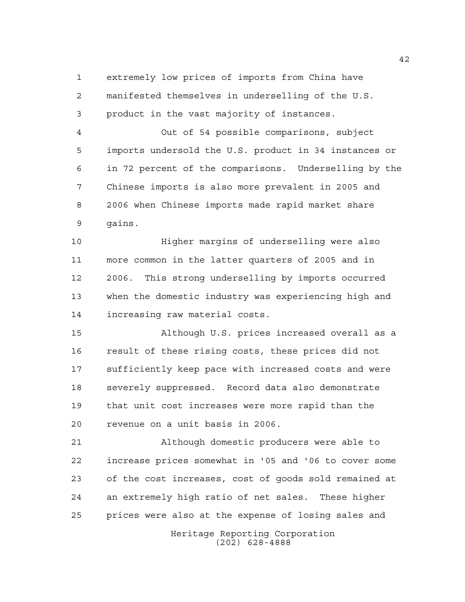extremely low prices of imports from China have manifested themselves in underselling of the U.S. product in the vast majority of instances.

 Out of 54 possible comparisons, subject imports undersold the U.S. product in 34 instances or in 72 percent of the comparisons. Underselling by the Chinese imports is also more prevalent in 2005 and 2006 when Chinese imports made rapid market share gains.

 Higher margins of underselling were also more common in the latter quarters of 2005 and in 2006. This strong underselling by imports occurred when the domestic industry was experiencing high and increasing raw material costs.

 Although U.S. prices increased overall as a result of these rising costs, these prices did not sufficiently keep pace with increased costs and were severely suppressed. Record data also demonstrate that unit cost increases were more rapid than the revenue on a unit basis in 2006.

 Although domestic producers were able to increase prices somewhat in '05 and '06 to cover some of the cost increases, cost of goods sold remained at an extremely high ratio of net sales. These higher prices were also at the expense of losing sales and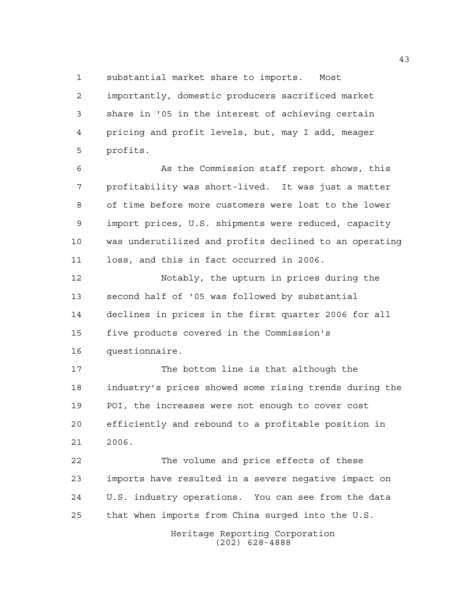substantial market share to imports. Most

 importantly, domestic producers sacrificed market share in '05 in the interest of achieving certain pricing and profit levels, but, may I add, meager profits.

 As the Commission staff report shows, this profitability was short-lived. It was just a matter of time before more customers were lost to the lower import prices, U.S. shipments were reduced, capacity was underutilized and profits declined to an operating loss, and this in fact occurred in 2006.

 Notably, the upturn in prices during the second half of '05 was followed by substantial declines in prices in the first quarter 2006 for all five products covered in the Commission's questionnaire.

 The bottom line is that although the industry's prices showed some rising trends during the POI, the increases were not enough to cover cost efficiently and rebound to a profitable position in 2006.

 The volume and price effects of these imports have resulted in a severe negative impact on U.S. industry operations. You can see from the data that when imports from China surged into the U.S.

> Heritage Reporting Corporation (202) 628-4888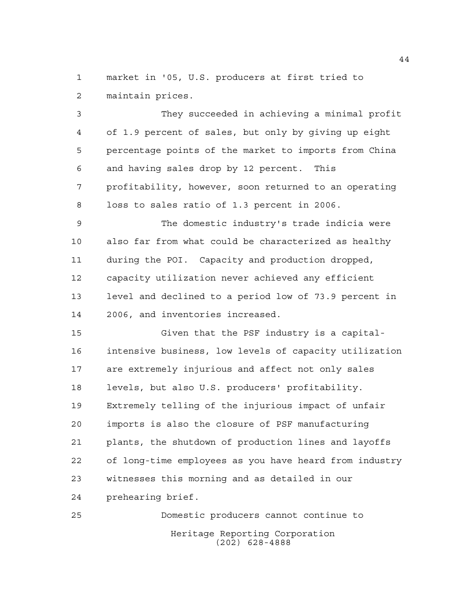market in '05, U.S. producers at first tried to maintain prices.

 They succeeded in achieving a minimal profit of 1.9 percent of sales, but only by giving up eight percentage points of the market to imports from China and having sales drop by 12 percent. This profitability, however, soon returned to an operating loss to sales ratio of 1.3 percent in 2006.

 The domestic industry's trade indicia were also far from what could be characterized as healthy during the POI. Capacity and production dropped, capacity utilization never achieved any efficient level and declined to a period low of 73.9 percent in 2006, and inventories increased.

 Given that the PSF industry is a capital- intensive business, low levels of capacity utilization are extremely injurious and affect not only sales levels, but also U.S. producers' profitability. Extremely telling of the injurious impact of unfair imports is also the closure of PSF manufacturing plants, the shutdown of production lines and layoffs of long-time employees as you have heard from industry witnesses this morning and as detailed in our prehearing brief.

Heritage Reporting Corporation (202) 628-4888 Domestic producers cannot continue to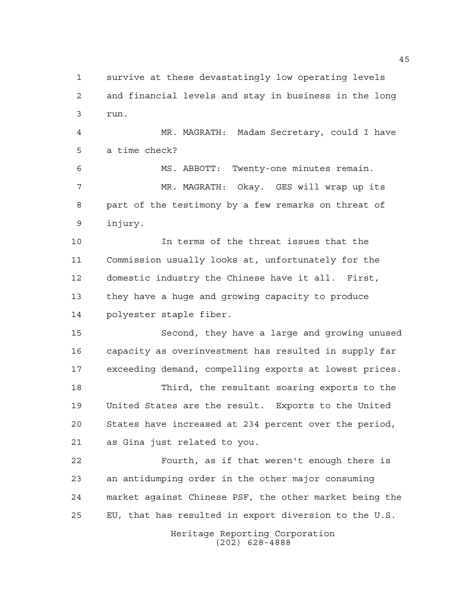survive at these devastatingly low operating levels and financial levels and stay in business in the long run.

 MR. MAGRATH: Madam Secretary, could I have a time check?

 MS. ABBOTT: Twenty-one minutes remain. MR. MAGRATH: Okay. GES will wrap up its part of the testimony by a few remarks on threat of injury.

 In terms of the threat issues that the Commission usually looks at, unfortunately for the domestic industry the Chinese have it all. First, they have a huge and growing capacity to produce polyester staple fiber.

 Second, they have a large and growing unused capacity as overinvestment has resulted in supply far exceeding demand, compelling exports at lowest prices.

 Third, the resultant soaring exports to the United States are the result. Exports to the United States have increased at 234 percent over the period, as Gina just related to you.

 Fourth, as if that weren't enough there is an antidumping order in the other major consuming market against Chinese PSF, the other market being the EU, that has resulted in export diversion to the U.S.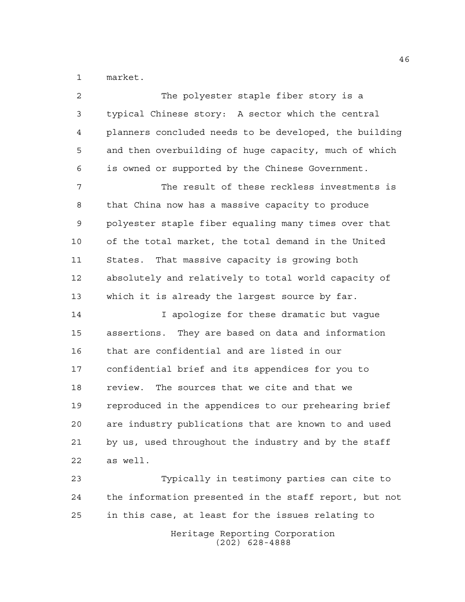market.

| 2  | The polyester staple fiber story is a                  |
|----|--------------------------------------------------------|
| 3  | typical Chinese story: A sector which the central      |
| 4  | planners concluded needs to be developed, the building |
| 5  | and then overbuilding of huge capacity, much of which  |
| 6  | is owned or supported by the Chinese Government.       |
| 7  | The result of these reckless investments is            |
| 8  | that China now has a massive capacity to produce       |
| 9  | polyester staple fiber equaling many times over that   |
| 10 | of the total market, the total demand in the United    |
| 11 | That massive capacity is growing both<br>States.       |
| 12 | absolutely and relatively to total world capacity of   |
| 13 | which it is already the largest source by far.         |
| 14 | I apologize for these dramatic but vague               |
| 15 | assertions. They are based on data and information     |
| 16 | that are confidential and are listed in our            |
| 17 | confidential brief and its appendices for you to       |
| 18 | The sources that we cite and that we<br>review.        |
| 19 | reproduced in the appendices to our prehearing brief   |
| 20 | are industry publications that are known to and used   |
| 21 | by us, used throughout the industry and by the staff   |
| 22 | as well.                                               |
| 23 | Typically in testimony parties can cite to             |
| 24 | the information presented in the staff report, but not |

in this case, at least for the issues relating to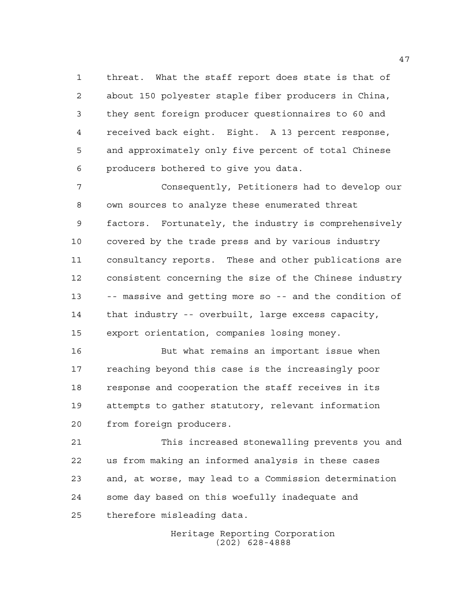threat. What the staff report does state is that of about 150 polyester staple fiber producers in China, they sent foreign producer questionnaires to 60 and received back eight. Eight. A 13 percent response, and approximately only five percent of total Chinese producers bothered to give you data.

 Consequently, Petitioners had to develop our own sources to analyze these enumerated threat factors. Fortunately, the industry is comprehensively covered by the trade press and by various industry consultancy reports. These and other publications are consistent concerning the size of the Chinese industry -- massive and getting more so -- and the condition of that industry -- overbuilt, large excess capacity, export orientation, companies losing money.

 But what remains an important issue when reaching beyond this case is the increasingly poor response and cooperation the staff receives in its attempts to gather statutory, relevant information from foreign producers.

 This increased stonewalling prevents you and us from making an informed analysis in these cases and, at worse, may lead to a Commission determination some day based on this woefully inadequate and therefore misleading data.

> Heritage Reporting Corporation (202) 628-4888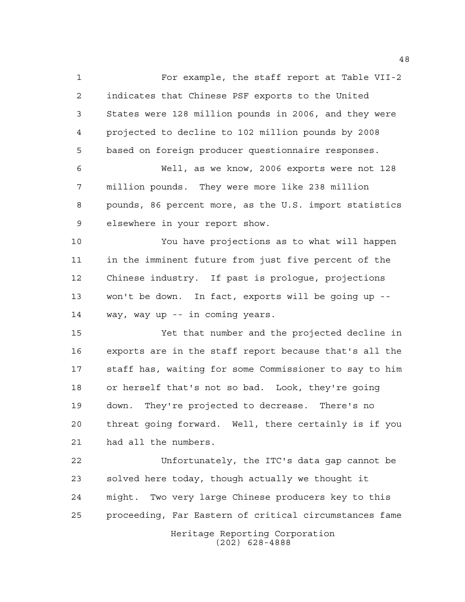For example, the staff report at Table VII-2 indicates that Chinese PSF exports to the United States were 128 million pounds in 2006, and they were projected to decline to 102 million pounds by 2008 based on foreign producer questionnaire responses. Well, as we know, 2006 exports were not 128 million pounds. They were more like 238 million pounds, 86 percent more, as the U.S. import statistics elsewhere in your report show. You have projections as to what will happen in the imminent future from just five percent of the Chinese industry. If past is prologue, projections won't be down. In fact, exports will be going up -- way, way up -- in coming years. Yet that number and the projected decline in exports are in the staff report because that's all the staff has, waiting for some Commissioner to say to him or herself that's not so bad. Look, they're going down. They're projected to decrease. There's no threat going forward. Well, there certainly is if you had all the numbers. Unfortunately, the ITC's data gap cannot be

 solved here today, though actually we thought it might. Two very large Chinese producers key to this proceeding, Far Eastern of critical circumstances fame

Heritage Reporting Corporation (202) 628-4888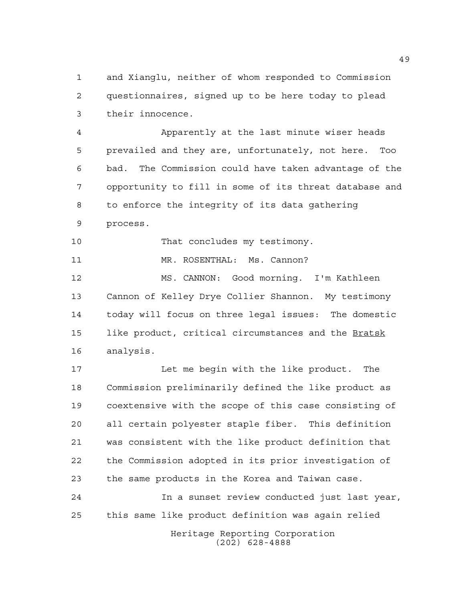and Xianglu, neither of whom responded to Commission questionnaires, signed up to be here today to plead their innocence.

 Apparently at the last minute wiser heads prevailed and they are, unfortunately, not here. Too bad. The Commission could have taken advantage of the opportunity to fill in some of its threat database and to enforce the integrity of its data gathering process.

10 That concludes my testimony.

11 MR. ROSENTHAL: Ms. Cannon?

 MS. CANNON: Good morning. I'm Kathleen Cannon of Kelley Drye Collier Shannon. My testimony today will focus on three legal issues: The domestic like product, critical circumstances and the Bratsk analysis.

 Let me begin with the like product. The Commission preliminarily defined the like product as coextensive with the scope of this case consisting of all certain polyester staple fiber. This definition was consistent with the like product definition that the Commission adopted in its prior investigation of the same products in the Korea and Taiwan case.

 In a sunset review conducted just last year, this same like product definition was again relied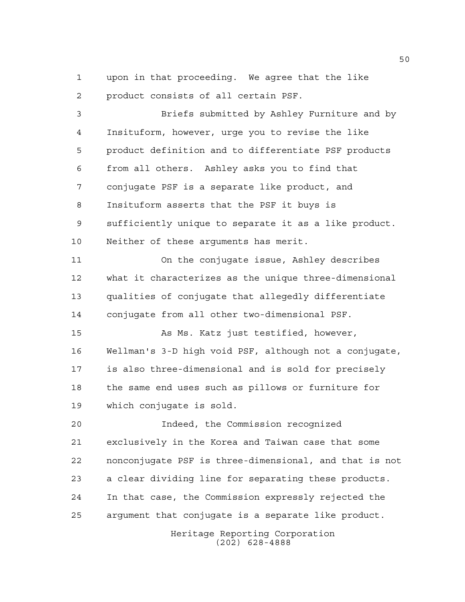upon in that proceeding. We agree that the like product consists of all certain PSF.

 Briefs submitted by Ashley Furniture and by Insituform, however, urge you to revise the like product definition and to differentiate PSF products from all others. Ashley asks you to find that conjugate PSF is a separate like product, and Insituform asserts that the PSF it buys is sufficiently unique to separate it as a like product. Neither of these arguments has merit. On the conjugate issue, Ashley describes

 what it characterizes as the unique three-dimensional qualities of conjugate that allegedly differentiate conjugate from all other two-dimensional PSF.

 As Ms. Katz just testified, however, Wellman's 3-D high void PSF, although not a conjugate, is also three-dimensional and is sold for precisely the same end uses such as pillows or furniture for which conjugate is sold.

 Indeed, the Commission recognized exclusively in the Korea and Taiwan case that some nonconjugate PSF is three-dimensional, and that is not a clear dividing line for separating these products. In that case, the Commission expressly rejected the argument that conjugate is a separate like product.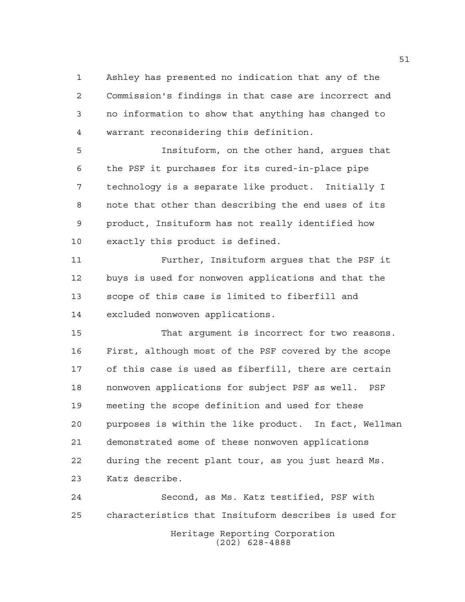Ashley has presented no indication that any of the Commission's findings in that case are incorrect and no information to show that anything has changed to warrant reconsidering this definition.

 Insituform, on the other hand, argues that the PSF it purchases for its cured-in-place pipe technology is a separate like product. Initially I note that other than describing the end uses of its product, Insituform has not really identified how exactly this product is defined.

 Further, Insituform argues that the PSF it buys is used for nonwoven applications and that the scope of this case is limited to fiberfill and excluded nonwoven applications.

 That argument is incorrect for two reasons. First, although most of the PSF covered by the scope of this case is used as fiberfill, there are certain nonwoven applications for subject PSF as well. PSF meeting the scope definition and used for these purposes is within the like product. In fact, Wellman demonstrated some of these nonwoven applications during the recent plant tour, as you just heard Ms. Katz describe.

Heritage Reporting Corporation (202) 628-4888 Second, as Ms. Katz testified, PSF with characteristics that Insituform describes is used for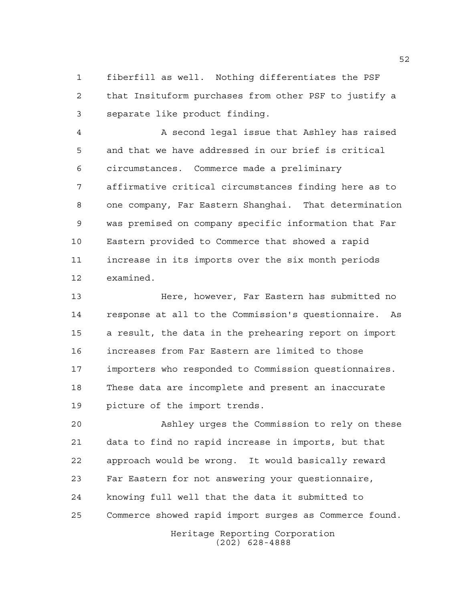fiberfill as well. Nothing differentiates the PSF that Insituform purchases from other PSF to justify a separate like product finding.

 A second legal issue that Ashley has raised and that we have addressed in our brief is critical circumstances. Commerce made a preliminary affirmative critical circumstances finding here as to one company, Far Eastern Shanghai. That determination was premised on company specific information that Far Eastern provided to Commerce that showed a rapid increase in its imports over the six month periods examined.

 Here, however, Far Eastern has submitted no response at all to the Commission's questionnaire. As a result, the data in the prehearing report on import increases from Far Eastern are limited to those importers who responded to Commission questionnaires. These data are incomplete and present an inaccurate picture of the import trends.

 Ashley urges the Commission to rely on these data to find no rapid increase in imports, but that approach would be wrong. It would basically reward Far Eastern for not answering your questionnaire, knowing full well that the data it submitted to Commerce showed rapid import surges as Commerce found.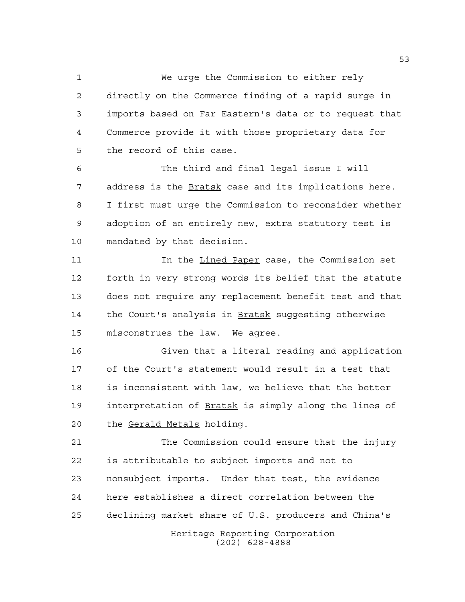We urge the Commission to either rely directly on the Commerce finding of a rapid surge in imports based on Far Eastern's data or to request that Commerce provide it with those proprietary data for the record of this case.

 The third and final legal issue I will address is the Bratsk case and its implications here. I first must urge the Commission to reconsider whether adoption of an entirely new, extra statutory test is mandated by that decision.

 In the Lined Paper case, the Commission set forth in very strong words its belief that the statute does not require any replacement benefit test and that the Court's analysis in Bratsk suggesting otherwise misconstrues the law. We agree.

 Given that a literal reading and application of the Court's statement would result in a test that is inconsistent with law, we believe that the better interpretation of Bratsk is simply along the lines of the Gerald Metals holding.

 The Commission could ensure that the injury is attributable to subject imports and not to nonsubject imports. Under that test, the evidence here establishes a direct correlation between the declining market share of U.S. producers and China's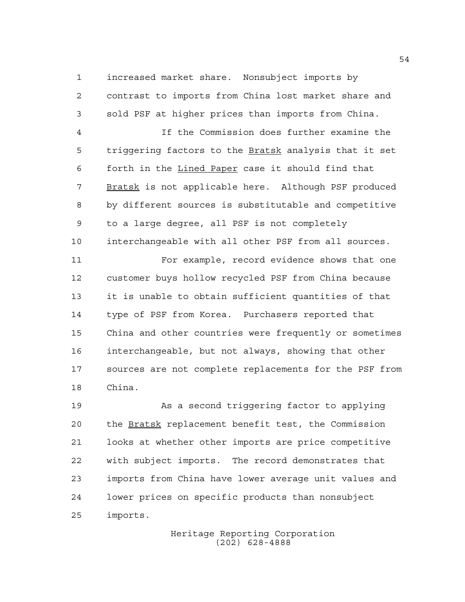increased market share. Nonsubject imports by contrast to imports from China lost market share and sold PSF at higher prices than imports from China.

 If the Commission does further examine the 5 triggering factors to the Bratsk analysis that it set forth in the Lined Paper case it should find that Bratsk is not applicable here. Although PSF produced by different sources is substitutable and competitive to a large degree, all PSF is not completely interchangeable with all other PSF from all sources.

 For example, record evidence shows that one customer buys hollow recycled PSF from China because it is unable to obtain sufficient quantities of that type of PSF from Korea. Purchasers reported that China and other countries were frequently or sometimes interchangeable, but not always, showing that other sources are not complete replacements for the PSF from China.

 As a second triggering factor to applying the Bratsk replacement benefit test, the Commission looks at whether other imports are price competitive with subject imports. The record demonstrates that imports from China have lower average unit values and lower prices on specific products than nonsubject imports.

> Heritage Reporting Corporation (202) 628-4888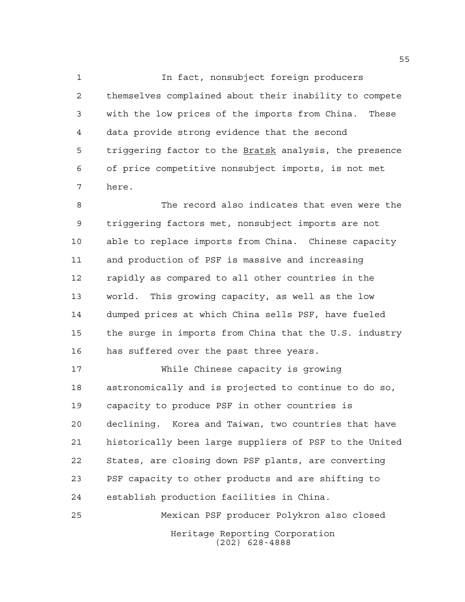In fact, nonsubject foreign producers themselves complained about their inability to compete with the low prices of the imports from China. These data provide strong evidence that the second 5 triggering factor to the **Bratsk** analysis, the presence of price competitive nonsubject imports, is not met here.

 The record also indicates that even were the triggering factors met, nonsubject imports are not able to replace imports from China. Chinese capacity and production of PSF is massive and increasing rapidly as compared to all other countries in the world. This growing capacity, as well as the low dumped prices at which China sells PSF, have fueled the surge in imports from China that the U.S. industry has suffered over the past three years.

 While Chinese capacity is growing astronomically and is projected to continue to do so, capacity to produce PSF in other countries is declining. Korea and Taiwan, two countries that have historically been large suppliers of PSF to the United States, are closing down PSF plants, are converting PSF capacity to other products and are shifting to establish production facilities in China.

Heritage Reporting Corporation (202) 628-4888 Mexican PSF producer Polykron also closed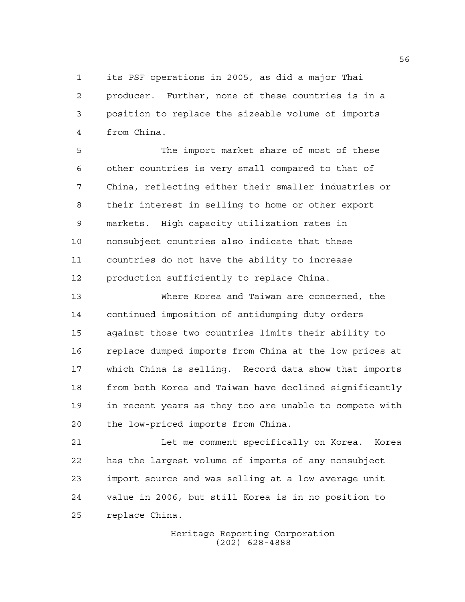its PSF operations in 2005, as did a major Thai producer. Further, none of these countries is in a position to replace the sizeable volume of imports from China.

 The import market share of most of these other countries is very small compared to that of China, reflecting either their smaller industries or their interest in selling to home or other export markets. High capacity utilization rates in nonsubject countries also indicate that these countries do not have the ability to increase production sufficiently to replace China.

 Where Korea and Taiwan are concerned, the continued imposition of antidumping duty orders against those two countries limits their ability to replace dumped imports from China at the low prices at which China is selling. Record data show that imports from both Korea and Taiwan have declined significantly in recent years as they too are unable to compete with the low-priced imports from China.

 Let me comment specifically on Korea. Korea has the largest volume of imports of any nonsubject import source and was selling at a low average unit value in 2006, but still Korea is in no position to replace China.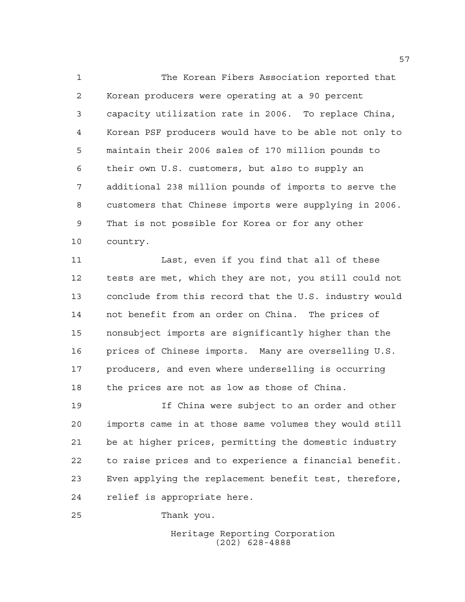The Korean Fibers Association reported that Korean producers were operating at a 90 percent capacity utilization rate in 2006. To replace China, Korean PSF producers would have to be able not only to maintain their 2006 sales of 170 million pounds to their own U.S. customers, but also to supply an additional 238 million pounds of imports to serve the customers that Chinese imports were supplying in 2006. That is not possible for Korea or for any other country.

 Last, even if you find that all of these tests are met, which they are not, you still could not conclude from this record that the U.S. industry would not benefit from an order on China. The prices of nonsubject imports are significantly higher than the prices of Chinese imports. Many are overselling U.S. producers, and even where underselling is occurring the prices are not as low as those of China.

 If China were subject to an order and other imports came in at those same volumes they would still be at higher prices, permitting the domestic industry to raise prices and to experience a financial benefit. Even applying the replacement benefit test, therefore, relief is appropriate here.

Thank you.

Heritage Reporting Corporation (202) 628-4888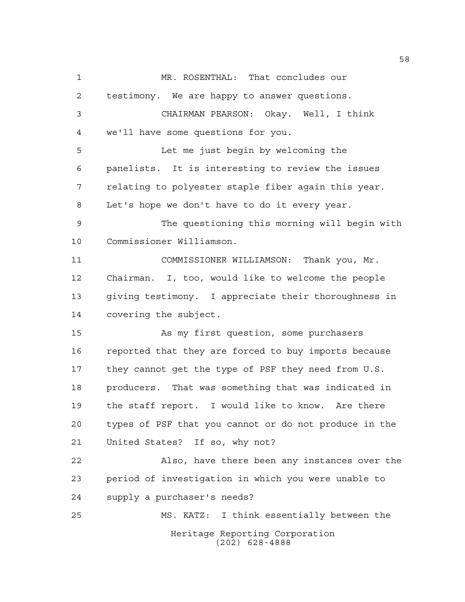Heritage Reporting Corporation (202) 628-4888 MR. ROSENTHAL: That concludes our testimony. We are happy to answer questions. CHAIRMAN PEARSON: Okay. Well, I think we'll have some questions for you. Let me just begin by welcoming the panelists. It is interesting to review the issues relating to polyester staple fiber again this year. Let's hope we don't have to do it every year. The questioning this morning will begin with Commissioner Williamson. COMMISSIONER WILLIAMSON: Thank you, Mr. Chairman. I, too, would like to welcome the people giving testimony. I appreciate their thoroughness in covering the subject. As my first question, some purchasers reported that they are forced to buy imports because they cannot get the type of PSF they need from U.S. producers. That was something that was indicated in the staff report. I would like to know. Are there types of PSF that you cannot or do not produce in the United States? If so, why not? Also, have there been any instances over the period of investigation in which you were unable to supply a purchaser's needs? MS. KATZ: I think essentially between the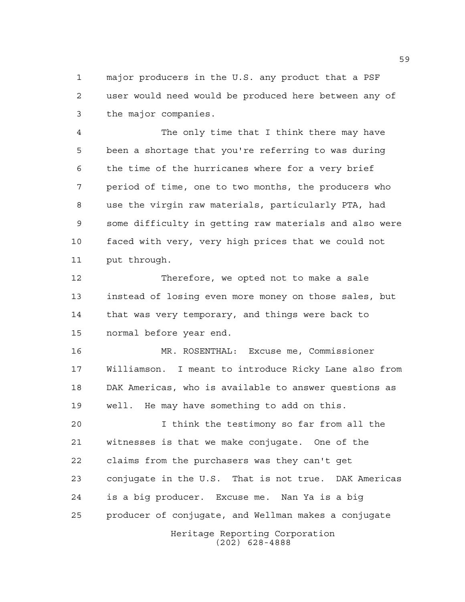major producers in the U.S. any product that a PSF user would need would be produced here between any of the major companies.

 The only time that I think there may have been a shortage that you're referring to was during the time of the hurricanes where for a very brief period of time, one to two months, the producers who use the virgin raw materials, particularly PTA, had some difficulty in getting raw materials and also were faced with very, very high prices that we could not put through.

 Therefore, we opted not to make a sale instead of losing even more money on those sales, but that was very temporary, and things were back to normal before year end.

 MR. ROSENTHAL: Excuse me, Commissioner Williamson. I meant to introduce Ricky Lane also from DAK Americas, who is available to answer questions as well. He may have something to add on this.

Heritage Reporting Corporation I think the testimony so far from all the witnesses is that we make conjugate. One of the claims from the purchasers was they can't get conjugate in the U.S. That is not true. DAK Americas is a big producer. Excuse me. Nan Ya is a big producer of conjugate, and Wellman makes a conjugate

(202) 628-4888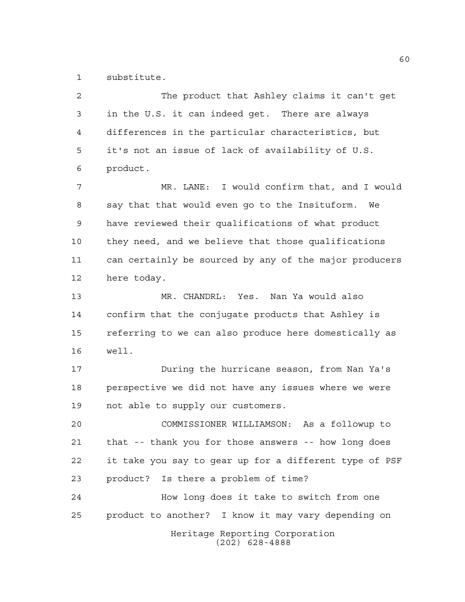substitute.

| $\overline{a}$ | The product that Ashley claims it can't get            |
|----------------|--------------------------------------------------------|
| 3              | in the U.S. it can indeed get. There are always        |
| 4              | differences in the particular characteristics, but     |
| 5              | it's not an issue of lack of availability of U.S.      |
| 6              | product.                                               |
| 7              | MR. LANE: I would confirm that, and I would            |
| 8              | say that that would even go to the Insituform.<br>We   |
| 9              | have reviewed their qualifications of what product     |
| 10             | they need, and we believe that those qualifications    |
| 11             | can certainly be sourced by any of the major producers |
| 12             | here today.                                            |
| 13             | MR. CHANDRL: Yes. Nan Ya would also                    |
| 14             | confirm that the conjugate products that Ashley is     |
| 15             | referring to we can also produce here domestically as  |
| 16             | well.                                                  |
| 17             | During the hurricane season, from Nan Ya's             |
| 18             | perspective we did not have any issues where we were   |
| 19             | not able to supply our customers.                      |
| 20             | COMMISSIONER WILLIAMSON: As a followup to              |
| 21             | that -- thank you for those answers -- how long does   |
| 22             | it take you say to gear up for a different type of PSF |
| 23             | product? Is there a problem of time?                   |
| 24             | How long does it take to switch from one               |
| 25             | product to another? I know it may vary depending on    |
|                | Heritage Reporting Corporation<br>$(202)$ 628-4888     |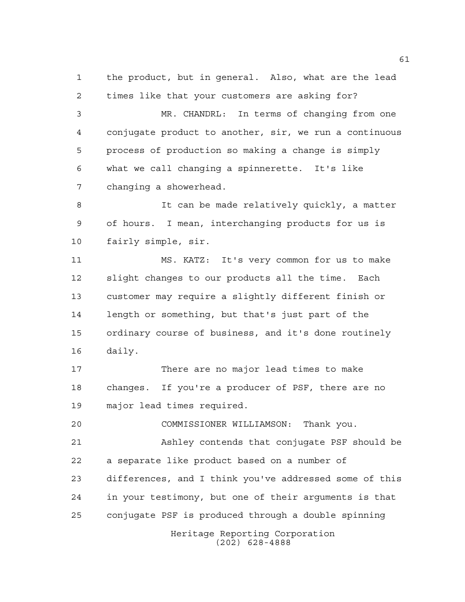the product, but in general. Also, what are the lead times like that your customers are asking for?

 MR. CHANDRL: In terms of changing from one conjugate product to another, sir, we run a continuous process of production so making a change is simply what we call changing a spinnerette. It's like changing a showerhead.

 It can be made relatively quickly, a matter of hours. I mean, interchanging products for us is fairly simple, sir.

 MS. KATZ: It's very common for us to make slight changes to our products all the time. Each customer may require a slightly different finish or length or something, but that's just part of the ordinary course of business, and it's done routinely daily.

 There are no major lead times to make changes. If you're a producer of PSF, there are no major lead times required.

COMMISSIONER WILLIAMSON: Thank you.

 Ashley contends that conjugate PSF should be a separate like product based on a number of differences, and I think you've addressed some of this in your testimony, but one of their arguments is that conjugate PSF is produced through a double spinning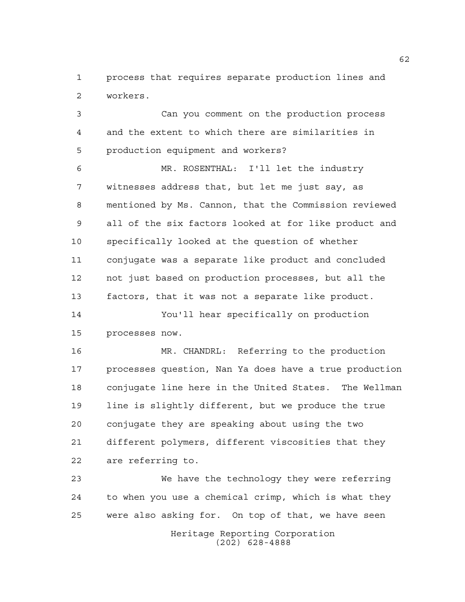process that requires separate production lines and workers.

 Can you comment on the production process and the extent to which there are similarities in production equipment and workers?

 MR. ROSENTHAL: I'll let the industry witnesses address that, but let me just say, as mentioned by Ms. Cannon, that the Commission reviewed all of the six factors looked at for like product and specifically looked at the question of whether conjugate was a separate like product and concluded not just based on production processes, but all the factors, that it was not a separate like product.

 You'll hear specifically on production processes now.

 MR. CHANDRL: Referring to the production processes question, Nan Ya does have a true production conjugate line here in the United States. The Wellman line is slightly different, but we produce the true conjugate they are speaking about using the two different polymers, different viscosities that they are referring to.

 We have the technology they were referring to when you use a chemical crimp, which is what they were also asking for. On top of that, we have seen

> Heritage Reporting Corporation (202) 628-4888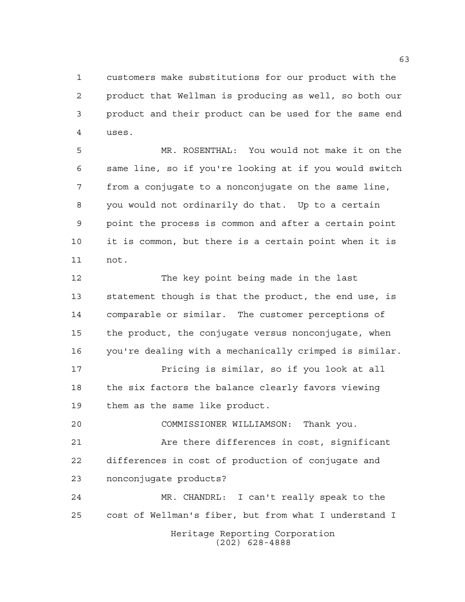customers make substitutions for our product with the product that Wellman is producing as well, so both our product and their product can be used for the same end uses.

 MR. ROSENTHAL: You would not make it on the same line, so if you're looking at if you would switch from a conjugate to a nonconjugate on the same line, you would not ordinarily do that. Up to a certain point the process is common and after a certain point it is common, but there is a certain point when it is not.

 The key point being made in the last statement though is that the product, the end use, is comparable or similar. The customer perceptions of the product, the conjugate versus nonconjugate, when you're dealing with a mechanically crimped is similar.

 Pricing is similar, so if you look at all 18 the six factors the balance clearly favors viewing them as the same like product.

 COMMISSIONER WILLIAMSON: Thank you. 21 Are there differences in cost, significant differences in cost of production of conjugate and nonconjugate products?

Heritage Reporting Corporation (202) 628-4888 MR. CHANDRL: I can't really speak to the cost of Wellman's fiber, but from what I understand I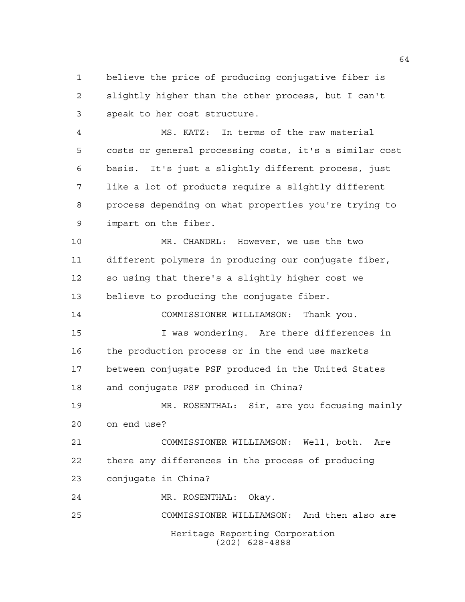believe the price of producing conjugative fiber is slightly higher than the other process, but I can't speak to her cost structure.

 MS. KATZ: In terms of the raw material costs or general processing costs, it's a similar cost basis. It's just a slightly different process, just like a lot of products require a slightly different process depending on what properties you're trying to impart on the fiber.

 MR. CHANDRL: However, we use the two different polymers in producing our conjugate fiber, so using that there's a slightly higher cost we believe to producing the conjugate fiber. COMMISSIONER WILLIAMSON: Thank you.

 I was wondering. Are there differences in the production process or in the end use markets between conjugate PSF produced in the United States and conjugate PSF produced in China?

 MR. ROSENTHAL: Sir, are you focusing mainly on end use?

 COMMISSIONER WILLIAMSON: Well, both. Are there any differences in the process of producing conjugate in China?

MR. ROSENTHAL: Okay.

Heritage Reporting Corporation (202) 628-4888 COMMISSIONER WILLIAMSON: And then also are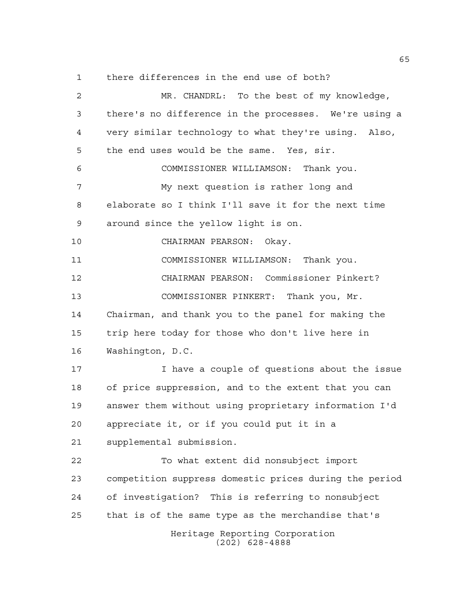there differences in the end use of both?

Heritage Reporting Corporation (202) 628-4888 MR. CHANDRL: To the best of my knowledge, there's no difference in the processes. We're using a very similar technology to what they're using. Also, the end uses would be the same. Yes, sir. COMMISSIONER WILLIAMSON: Thank you. My next question is rather long and elaborate so I think I'll save it for the next time around since the yellow light is on. CHAIRMAN PEARSON: Okay. COMMISSIONER WILLIAMSON: Thank you. CHAIRMAN PEARSON: Commissioner Pinkert? COMMISSIONER PINKERT: Thank you, Mr. Chairman, and thank you to the panel for making the trip here today for those who don't live here in Washington, D.C. I have a couple of questions about the issue of price suppression, and to the extent that you can answer them without using proprietary information I'd appreciate it, or if you could put it in a supplemental submission. To what extent did nonsubject import competition suppress domestic prices during the period of investigation? This is referring to nonsubject that is of the same type as the merchandise that's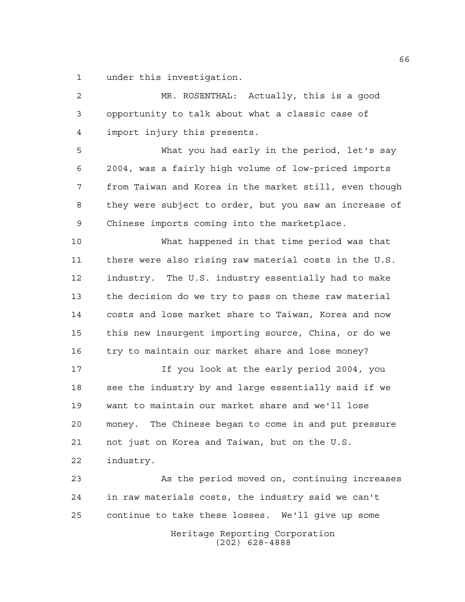under this investigation.

 MR. ROSENTHAL: Actually, this is a good opportunity to talk about what a classic case of import injury this presents.

 What you had early in the period, let's say 2004, was a fairly high volume of low-priced imports from Taiwan and Korea in the market still, even though they were subject to order, but you saw an increase of Chinese imports coming into the marketplace.

 What happened in that time period was that there were also rising raw material costs in the U.S. industry. The U.S. industry essentially had to make the decision do we try to pass on these raw material costs and lose market share to Taiwan, Korea and now this new insurgent importing source, China, or do we try to maintain our market share and lose money?

 If you look at the early period 2004, you 18 see the industry by and large essentially said if we want to maintain our market share and we'll lose money. The Chinese began to come in and put pressure not just on Korea and Taiwan, but on the U.S. industry.

Heritage Reporting Corporation As the period moved on, continuing increases in raw materials costs, the industry said we can't continue to take these losses. We'll give up some

(202) 628-4888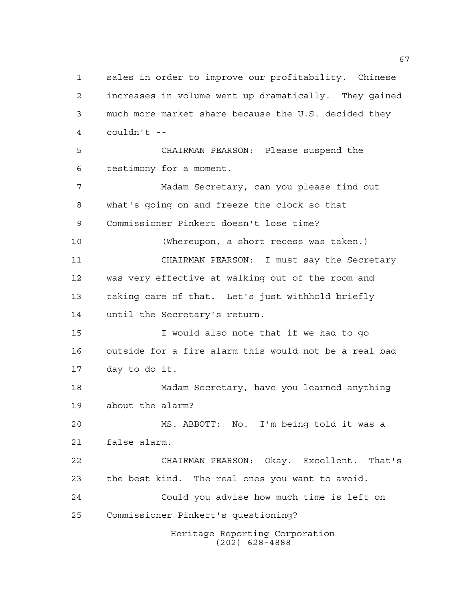Heritage Reporting Corporation (202) 628-4888 sales in order to improve our profitability. Chinese increases in volume went up dramatically. They gained much more market share because the U.S. decided they couldn't -- CHAIRMAN PEARSON: Please suspend the testimony for a moment. Madam Secretary, can you please find out what's going on and freeze the clock so that Commissioner Pinkert doesn't lose time? (Whereupon, a short recess was taken.) CHAIRMAN PEARSON: I must say the Secretary was very effective at walking out of the room and taking care of that. Let's just withhold briefly until the Secretary's return. I would also note that if we had to go outside for a fire alarm this would not be a real bad day to do it. Madam Secretary, have you learned anything about the alarm? MS. ABBOTT: No. I'm being told it was a false alarm. CHAIRMAN PEARSON: Okay. Excellent. That's the best kind. The real ones you want to avoid. Could you advise how much time is left on Commissioner Pinkert's questioning?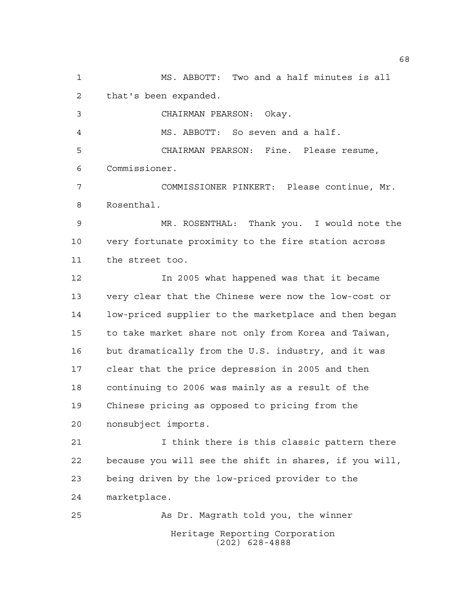Heritage Reporting Corporation (202) 628-4888 MS. ABBOTT: Two and a half minutes is all that's been expanded. CHAIRMAN PEARSON: Okay. MS. ABBOTT: So seven and a half. CHAIRMAN PEARSON: Fine. Please resume, Commissioner. COMMISSIONER PINKERT: Please continue, Mr. Rosenthal. MR. ROSENTHAL: Thank you. I would note the very fortunate proximity to the fire station across the street too. In 2005 what happened was that it became very clear that the Chinese were now the low-cost or low-priced supplier to the marketplace and then began to take market share not only from Korea and Taiwan, but dramatically from the U.S. industry, and it was clear that the price depression in 2005 and then continuing to 2006 was mainly as a result of the Chinese pricing as opposed to pricing from the nonsubject imports. I think there is this classic pattern there because you will see the shift in shares, if you will, being driven by the low-priced provider to the marketplace. As Dr. Magrath told you, the winner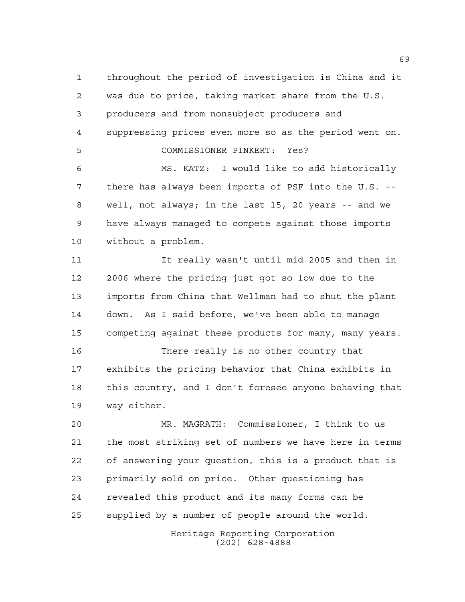throughout the period of investigation is China and it was due to price, taking market share from the U.S. producers and from nonsubject producers and suppressing prices even more so as the period went on. COMMISSIONER PINKERT: Yes? MS. KATZ: I would like to add historically there has always been imports of PSF into the U.S. -- well, not always; in the last 15, 20 years -- and we have always managed to compete against those imports without a problem.

 It really wasn't until mid 2005 and then in 2006 where the pricing just got so low due to the imports from China that Wellman had to shut the plant down. As I said before, we've been able to manage competing against these products for many, many years.

 There really is no other country that exhibits the pricing behavior that China exhibits in this country, and I don't foresee anyone behaving that way either.

 MR. MAGRATH: Commissioner, I think to us the most striking set of numbers we have here in terms of answering your question, this is a product that is primarily sold on price. Other questioning has revealed this product and its many forms can be supplied by a number of people around the world.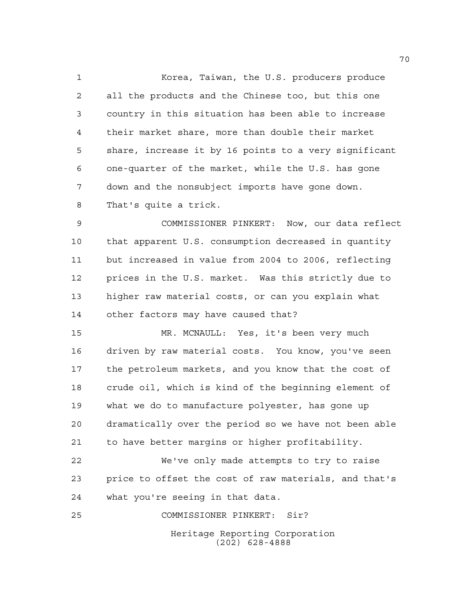Korea, Taiwan, the U.S. producers produce all the products and the Chinese too, but this one country in this situation has been able to increase their market share, more than double their market share, increase it by 16 points to a very significant one-quarter of the market, while the U.S. has gone down and the nonsubject imports have gone down. That's quite a trick.

 COMMISSIONER PINKERT: Now, our data reflect that apparent U.S. consumption decreased in quantity but increased in value from 2004 to 2006, reflecting prices in the U.S. market. Was this strictly due to higher raw material costs, or can you explain what other factors may have caused that?

 MR. MCNAULL: Yes, it's been very much driven by raw material costs. You know, you've seen the petroleum markets, and you know that the cost of crude oil, which is kind of the beginning element of what we do to manufacture polyester, has gone up dramatically over the period so we have not been able to have better margins or higher profitability.

 We've only made attempts to try to raise price to offset the cost of raw materials, and that's what you're seeing in that data.

COMMISSIONER PINKERT: Sir?

Heritage Reporting Corporation (202) 628-4888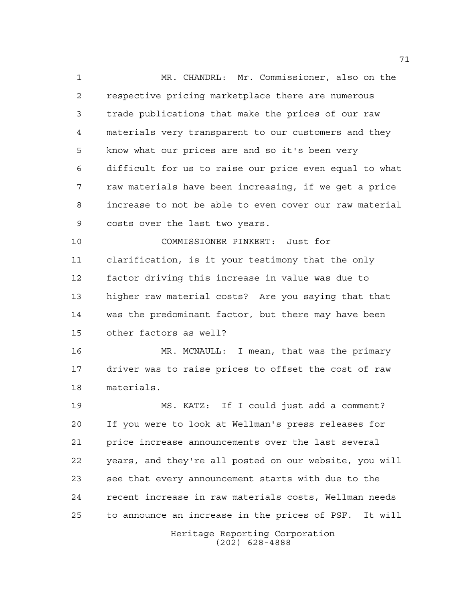MR. CHANDRL: Mr. Commissioner, also on the respective pricing marketplace there are numerous trade publications that make the prices of our raw materials very transparent to our customers and they know what our prices are and so it's been very difficult for us to raise our price even equal to what raw materials have been increasing, if we get a price increase to not be able to even cover our raw material costs over the last two years.

 COMMISSIONER PINKERT: Just for clarification, is it your testimony that the only factor driving this increase in value was due to higher raw material costs? Are you saying that that was the predominant factor, but there may have been other factors as well?

 MR. MCNAULL: I mean, that was the primary driver was to raise prices to offset the cost of raw materials.

 MS. KATZ: If I could just add a comment? If you were to look at Wellman's press releases for price increase announcements over the last several years, and they're all posted on our website, you will see that every announcement starts with due to the recent increase in raw materials costs, Wellman needs to announce an increase in the prices of PSF. It will

> Heritage Reporting Corporation (202) 628-4888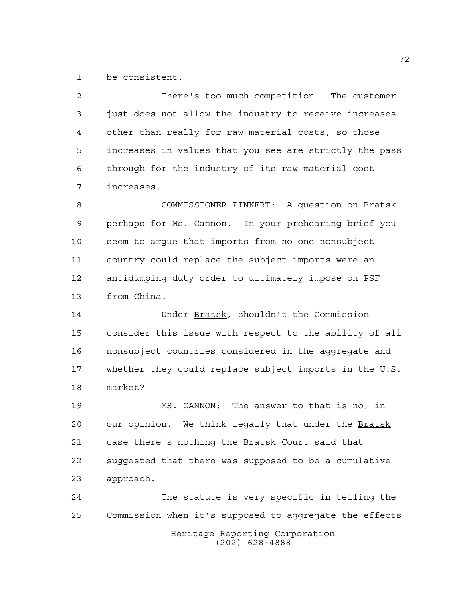be consistent.

 There's too much competition. The customer just does not allow the industry to receive increases other than really for raw material costs, so those increases in values that you see are strictly the pass through for the industry of its raw material cost increases.

 COMMISSIONER PINKERT: A question on Bratsk perhaps for Ms. Cannon. In your prehearing brief you seem to argue that imports from no one nonsubject country could replace the subject imports were an antidumping duty order to ultimately impose on PSF from China.

 Under Bratsk, shouldn't the Commission consider this issue with respect to the ability of all nonsubject countries considered in the aggregate and whether they could replace subject imports in the U.S. market?

 MS. CANNON: The answer to that is no, in 20 our opinion. We think legally that under the Bratsk 21 case there's nothing the **Bratsk** Court said that suggested that there was supposed to be a cumulative approach.

Heritage Reporting Corporation (202) 628-4888 The statute is very specific in telling the Commission when it's supposed to aggregate the effects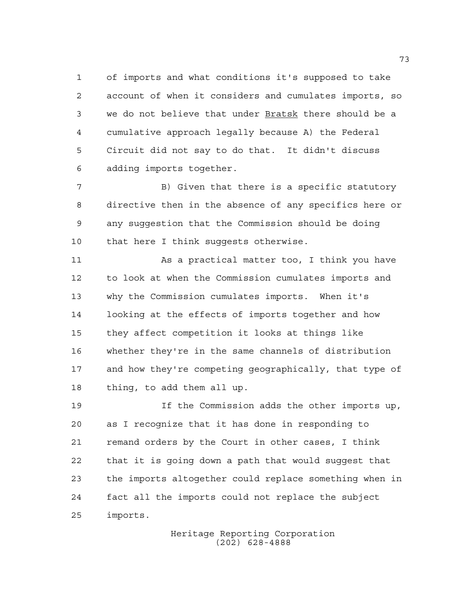of imports and what conditions it's supposed to take account of when it considers and cumulates imports, so we do not believe that under Bratsk there should be a cumulative approach legally because A) the Federal Circuit did not say to do that. It didn't discuss adding imports together.

 B) Given that there is a specific statutory directive then in the absence of any specifics here or any suggestion that the Commission should be doing that here I think suggests otherwise.

 As a practical matter too, I think you have to look at when the Commission cumulates imports and why the Commission cumulates imports. When it's looking at the effects of imports together and how they affect competition it looks at things like whether they're in the same channels of distribution and how they're competing geographically, that type of thing, to add them all up.

 If the Commission adds the other imports up, as I recognize that it has done in responding to remand orders by the Court in other cases, I think that it is going down a path that would suggest that the imports altogether could replace something when in fact all the imports could not replace the subject imports.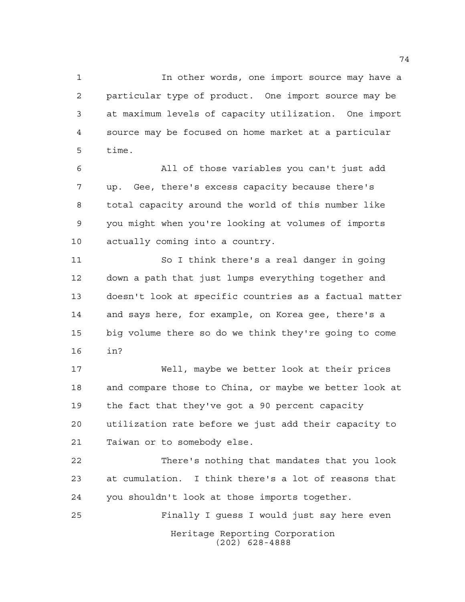In other words, one import source may have a particular type of product. One import source may be at maximum levels of capacity utilization. One import source may be focused on home market at a particular time.

 All of those variables you can't just add up. Gee, there's excess capacity because there's total capacity around the world of this number like you might when you're looking at volumes of imports actually coming into a country.

 So I think there's a real danger in going down a path that just lumps everything together and doesn't look at specific countries as a factual matter and says here, for example, on Korea gee, there's a big volume there so do we think they're going to come in?

 Well, maybe we better look at their prices and compare those to China, or maybe we better look at the fact that they've got a 90 percent capacity utilization rate before we just add their capacity to Taiwan or to somebody else.

 There's nothing that mandates that you look at cumulation. I think there's a lot of reasons that you shouldn't look at those imports together.

Heritage Reporting Corporation (202) 628-4888 Finally I guess I would just say here even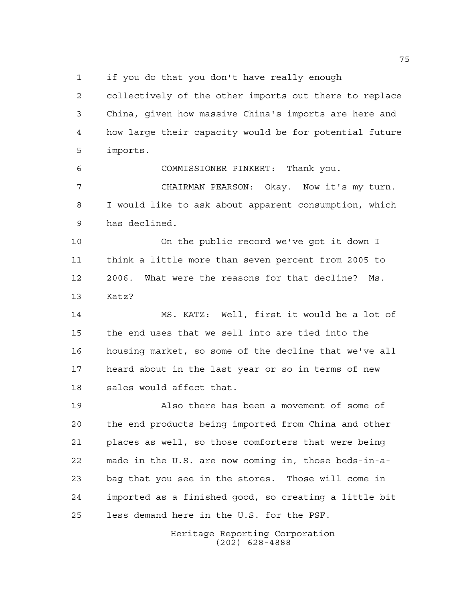if you do that you don't have really enough

 collectively of the other imports out there to replace China, given how massive China's imports are here and how large their capacity would be for potential future imports.

COMMISSIONER PINKERT: Thank you.

 CHAIRMAN PEARSON: Okay. Now it's my turn. I would like to ask about apparent consumption, which has declined.

 On the public record we've got it down I think a little more than seven percent from 2005 to 2006. What were the reasons for that decline? Ms. Katz?

 MS. KATZ: Well, first it would be a lot of the end uses that we sell into are tied into the housing market, so some of the decline that we've all heard about in the last year or so in terms of new sales would affect that.

 Also there has been a movement of some of the end products being imported from China and other places as well, so those comforters that were being made in the U.S. are now coming in, those beds-in-a- bag that you see in the stores. Those will come in imported as a finished good, so creating a little bit less demand here in the U.S. for the PSF.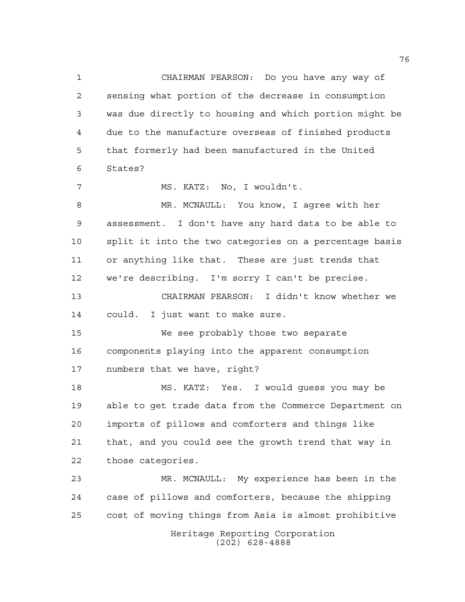Heritage Reporting Corporation (202) 628-4888 CHAIRMAN PEARSON: Do you have any way of sensing what portion of the decrease in consumption was due directly to housing and which portion might be due to the manufacture overseas of finished products that formerly had been manufactured in the United States? MS. KATZ: No, I wouldn't. MR. MCNAULL: You know, I agree with her assessment. I don't have any hard data to be able to split it into the two categories on a percentage basis or anything like that. These are just trends that we're describing. I'm sorry I can't be precise. CHAIRMAN PEARSON: I didn't know whether we could. I just want to make sure. We see probably those two separate components playing into the apparent consumption numbers that we have, right? MS. KATZ: Yes. I would guess you may be able to get trade data from the Commerce Department on imports of pillows and comforters and things like that, and you could see the growth trend that way in those categories. MR. MCNAULL: My experience has been in the case of pillows and comforters, because the shipping cost of moving things from Asia is almost prohibitive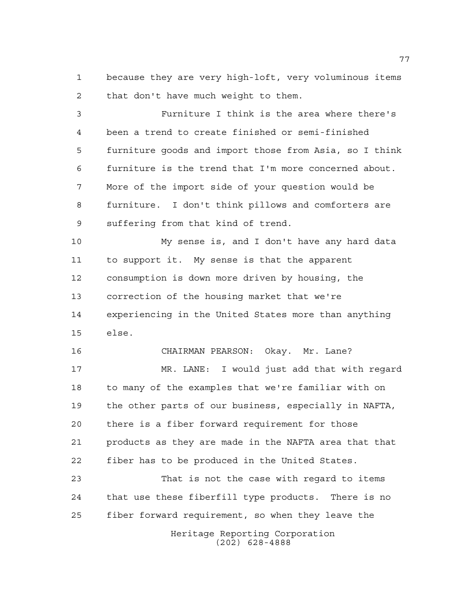because they are very high-loft, very voluminous items that don't have much weight to them.

 Furniture I think is the area where there's been a trend to create finished or semi-finished furniture goods and import those from Asia, so I think furniture is the trend that I'm more concerned about. More of the import side of your question would be furniture. I don't think pillows and comforters are suffering from that kind of trend.

 My sense is, and I don't have any hard data to support it. My sense is that the apparent consumption is down more driven by housing, the correction of the housing market that we're experiencing in the United States more than anything else.

 CHAIRMAN PEARSON: Okay. Mr. Lane? MR. LANE: I would just add that with regard to many of the examples that we're familiar with on the other parts of our business, especially in NAFTA, there is a fiber forward requirement for those products as they are made in the NAFTA area that that fiber has to be produced in the United States.

Heritage Reporting Corporation That is not the case with regard to items that use these fiberfill type products. There is no fiber forward requirement, so when they leave the

(202) 628-4888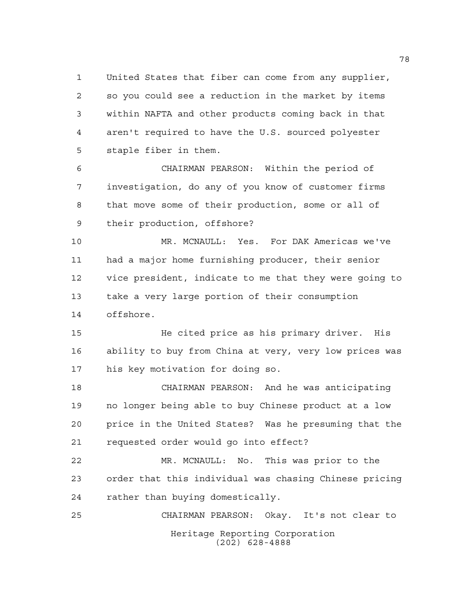United States that fiber can come from any supplier, so you could see a reduction in the market by items within NAFTA and other products coming back in that aren't required to have the U.S. sourced polyester staple fiber in them.

 CHAIRMAN PEARSON: Within the period of investigation, do any of you know of customer firms that move some of their production, some or all of their production, offshore?

 MR. MCNAULL: Yes. For DAK Americas we've had a major home furnishing producer, their senior vice president, indicate to me that they were going to take a very large portion of their consumption offshore.

 He cited price as his primary driver. His ability to buy from China at very, very low prices was his key motivation for doing so.

 CHAIRMAN PEARSON: And he was anticipating no longer being able to buy Chinese product at a low price in the United States? Was he presuming that the requested order would go into effect?

 MR. MCNAULL: No. This was prior to the order that this individual was chasing Chinese pricing rather than buying domestically.

Heritage Reporting Corporation (202) 628-4888 CHAIRMAN PEARSON: Okay. It's not clear to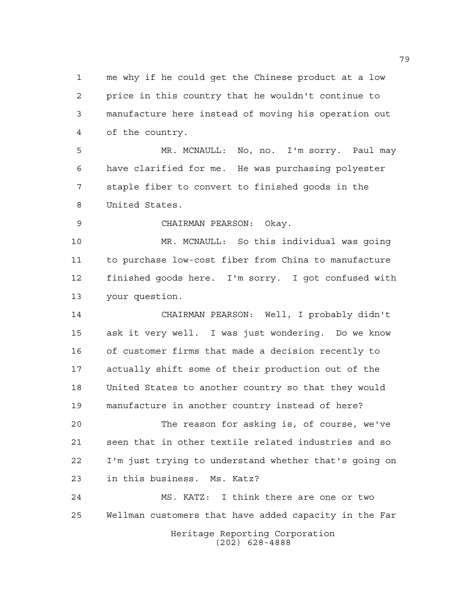me why if he could get the Chinese product at a low price in this country that he wouldn't continue to manufacture here instead of moving his operation out of the country.

 MR. MCNAULL: No, no. I'm sorry. Paul may have clarified for me. He was purchasing polyester staple fiber to convert to finished goods in the United States.

CHAIRMAN PEARSON: Okay.

 MR. MCNAULL: So this individual was going to purchase low-cost fiber from China to manufacture finished goods here. I'm sorry. I got confused with your question.

 CHAIRMAN PEARSON: Well, I probably didn't ask it very well. I was just wondering. Do we know of customer firms that made a decision recently to actually shift some of their production out of the United States to another country so that they would manufacture in another country instead of here?

 The reason for asking is, of course, we've seen that in other textile related industries and so I'm just trying to understand whether that's going on in this business. Ms. Katz?

Heritage Reporting Corporation (202) 628-4888 MS. KATZ: I think there are one or two Wellman customers that have added capacity in the Far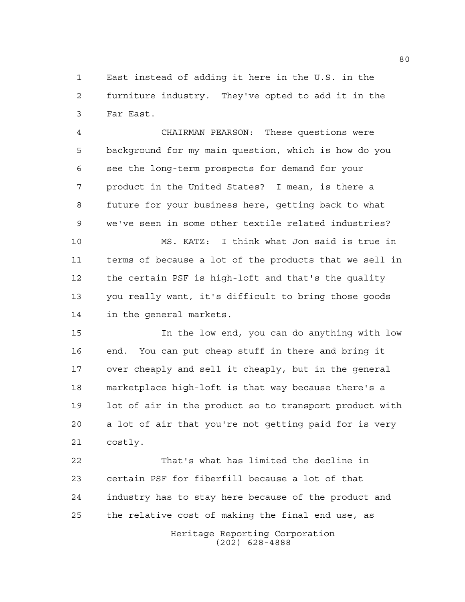East instead of adding it here in the U.S. in the furniture industry. They've opted to add it in the Far East.

 CHAIRMAN PEARSON: These questions were background for my main question, which is how do you see the long-term prospects for demand for your product in the United States? I mean, is there a future for your business here, getting back to what we've seen in some other textile related industries?

 MS. KATZ: I think what Jon said is true in terms of because a lot of the products that we sell in the certain PSF is high-loft and that's the quality you really want, it's difficult to bring those goods in the general markets.

 In the low end, you can do anything with low end. You can put cheap stuff in there and bring it over cheaply and sell it cheaply, but in the general marketplace high-loft is that way because there's a lot of air in the product so to transport product with a lot of air that you're not getting paid for is very costly.

 That's what has limited the decline in certain PSF for fiberfill because a lot of that industry has to stay here because of the product and the relative cost of making the final end use, as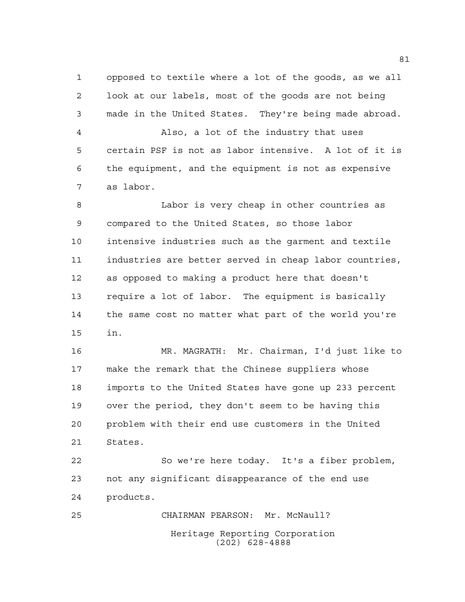opposed to textile where a lot of the goods, as we all look at our labels, most of the goods are not being made in the United States. They're being made abroad.

 Also, a lot of the industry that uses certain PSF is not as labor intensive. A lot of it is the equipment, and the equipment is not as expensive as labor.

 Labor is very cheap in other countries as compared to the United States, so those labor intensive industries such as the garment and textile industries are better served in cheap labor countries, as opposed to making a product here that doesn't require a lot of labor. The equipment is basically the same cost no matter what part of the world you're in.

 MR. MAGRATH: Mr. Chairman, I'd just like to make the remark that the Chinese suppliers whose imports to the United States have gone up 233 percent over the period, they don't seem to be having this problem with their end use customers in the United States.

 So we're here today. It's a fiber problem, not any significant disappearance of the end use products.

Heritage Reporting Corporation (202) 628-4888 CHAIRMAN PEARSON: Mr. McNaull?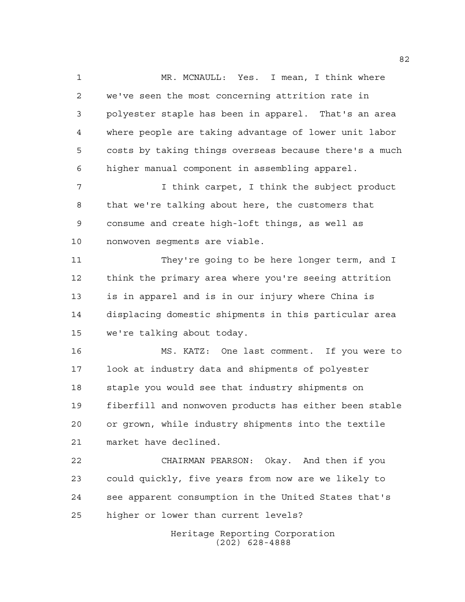MR. MCNAULL: Yes. I mean, I think where we've seen the most concerning attrition rate in polyester staple has been in apparel. That's an area where people are taking advantage of lower unit labor costs by taking things overseas because there's a much higher manual component in assembling apparel.

 I think carpet, I think the subject product that we're talking about here, the customers that consume and create high-loft things, as well as nonwoven segments are viable.

 They're going to be here longer term, and I think the primary area where you're seeing attrition is in apparel and is in our injury where China is displacing domestic shipments in this particular area we're talking about today.

 MS. KATZ: One last comment. If you were to look at industry data and shipments of polyester staple you would see that industry shipments on fiberfill and nonwoven products has either been stable or grown, while industry shipments into the textile market have declined.

 CHAIRMAN PEARSON: Okay. And then if you could quickly, five years from now are we likely to see apparent consumption in the United States that's higher or lower than current levels?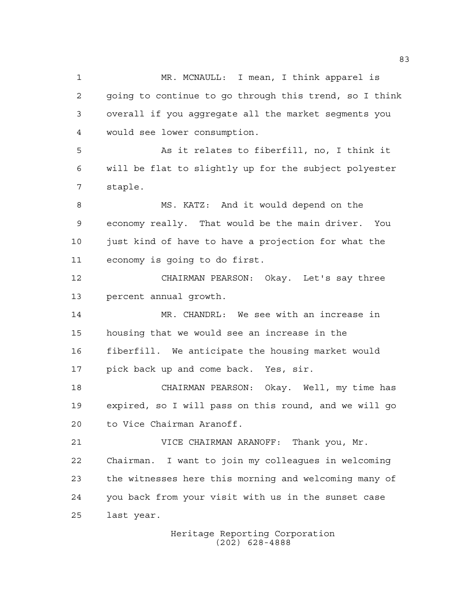MR. MCNAULL: I mean, I think apparel is going to continue to go through this trend, so I think overall if you aggregate all the market segments you would see lower consumption. As it relates to fiberfill, no, I think it will be flat to slightly up for the subject polyester staple. MS. KATZ: And it would depend on the economy really. That would be the main driver. You just kind of have to have a projection for what the economy is going to do first. CHAIRMAN PEARSON: Okay. Let's say three percent annual growth. MR. CHANDRL: We see with an increase in housing that we would see an increase in the fiberfill. We anticipate the housing market would pick back up and come back. Yes, sir. CHAIRMAN PEARSON: Okay. Well, my time has expired, so I will pass on this round, and we will go to Vice Chairman Aranoff. VICE CHAIRMAN ARANOFF: Thank you, Mr. Chairman. I want to join my colleagues in welcoming the witnesses here this morning and welcoming many of you back from your visit with us in the sunset case last year.

> Heritage Reporting Corporation (202) 628-4888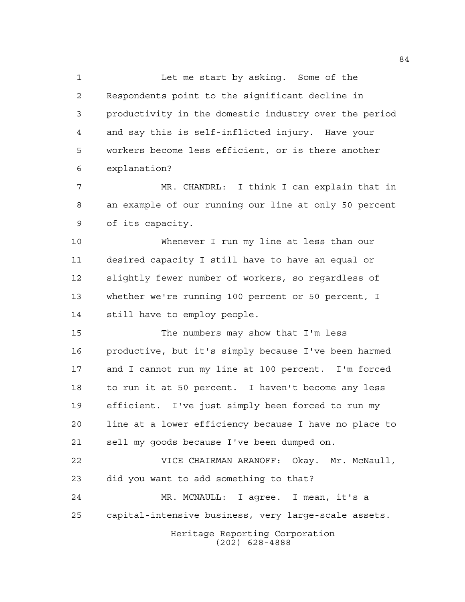1 Let me start by asking. Some of the Respondents point to the significant decline in productivity in the domestic industry over the period and say this is self-inflicted injury. Have your workers become less efficient, or is there another explanation?

 MR. CHANDRL: I think I can explain that in an example of our running our line at only 50 percent of its capacity.

 Whenever I run my line at less than our desired capacity I still have to have an equal or slightly fewer number of workers, so regardless of whether we're running 100 percent or 50 percent, I still have to employ people.

 The numbers may show that I'm less productive, but it's simply because I've been harmed and I cannot run my line at 100 percent. I'm forced to run it at 50 percent. I haven't become any less efficient. I've just simply been forced to run my line at a lower efficiency because I have no place to sell my goods because I've been dumped on.

 VICE CHAIRMAN ARANOFF: Okay. Mr. McNaull, did you want to add something to that? MR. MCNAULL: I agree. I mean, it's a capital-intensive business, very large-scale assets.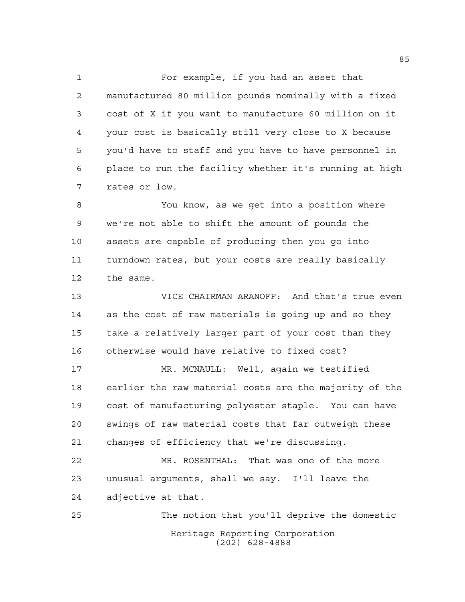For example, if you had an asset that manufactured 80 million pounds nominally with a fixed cost of X if you want to manufacture 60 million on it your cost is basically still very close to X because you'd have to staff and you have to have personnel in place to run the facility whether it's running at high rates or low.

 You know, as we get into a position where we're not able to shift the amount of pounds the assets are capable of producing then you go into turndown rates, but your costs are really basically the same.

 VICE CHAIRMAN ARANOFF: And that's true even as the cost of raw materials is going up and so they take a relatively larger part of your cost than they otherwise would have relative to fixed cost?

 MR. MCNAULL: Well, again we testified earlier the raw material costs are the majority of the cost of manufacturing polyester staple. You can have swings of raw material costs that far outweigh these changes of efficiency that we're discussing.

 MR. ROSENTHAL: That was one of the more unusual arguments, shall we say. I'll leave the adjective at that.

Heritage Reporting Corporation (202) 628-4888 The notion that you'll deprive the domestic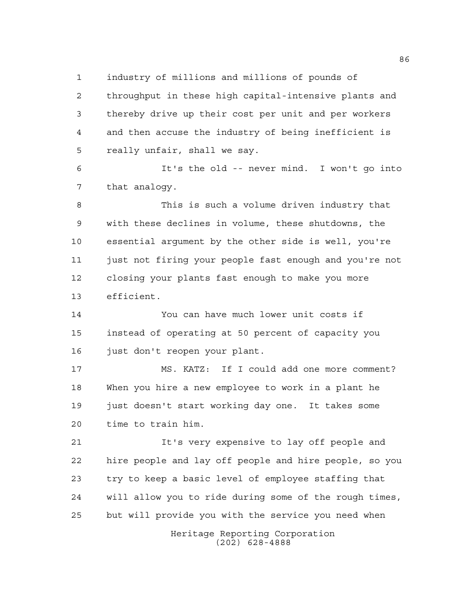industry of millions and millions of pounds of

 throughput in these high capital-intensive plants and thereby drive up their cost per unit and per workers and then accuse the industry of being inefficient is really unfair, shall we say.

 It's the old -- never mind. I won't go into that analogy.

 This is such a volume driven industry that with these declines in volume, these shutdowns, the essential argument by the other side is well, you're 11 just not firing your people fast enough and you're not closing your plants fast enough to make you more efficient.

 You can have much lower unit costs if instead of operating at 50 percent of capacity you just don't reopen your plant.

 MS. KATZ: If I could add one more comment? When you hire a new employee to work in a plant he just doesn't start working day one. It takes some time to train him.

 It's very expensive to lay off people and hire people and lay off people and hire people, so you try to keep a basic level of employee staffing that will allow you to ride during some of the rough times, but will provide you with the service you need when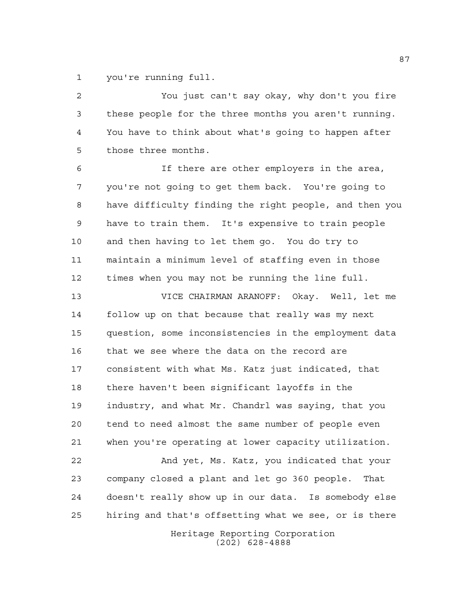you're running full.

 You just can't say okay, why don't you fire these people for the three months you aren't running. You have to think about what's going to happen after those three months.

 If there are other employers in the area, you're not going to get them back. You're going to have difficulty finding the right people, and then you have to train them. It's expensive to train people and then having to let them go. You do try to maintain a minimum level of staffing even in those times when you may not be running the line full.

 VICE CHAIRMAN ARANOFF: Okay. Well, let me follow up on that because that really was my next question, some inconsistencies in the employment data that we see where the data on the record are consistent with what Ms. Katz just indicated, that there haven't been significant layoffs in the industry, and what Mr. Chandrl was saying, that you tend to need almost the same number of people even when you're operating at lower capacity utilization.

 And yet, Ms. Katz, you indicated that your company closed a plant and let go 360 people. That doesn't really show up in our data. Is somebody else hiring and that's offsetting what we see, or is there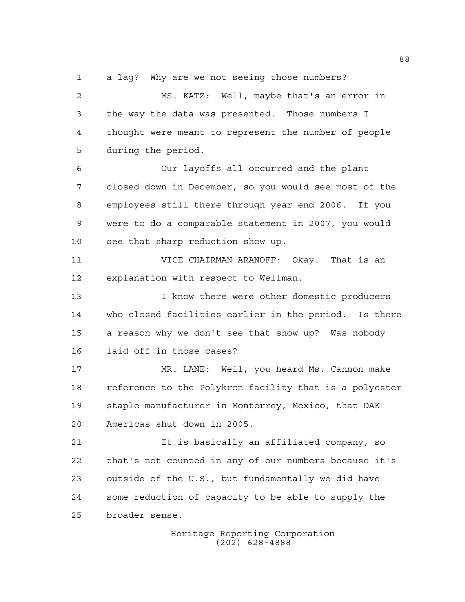a lag? Why are we not seeing those numbers?

 MS. KATZ: Well, maybe that's an error in the way the data was presented. Those numbers I thought were meant to represent the number of people during the period.

 Our layoffs all occurred and the plant closed down in December, so you would see most of the employees still there through year end 2006. If you were to do a comparable statement in 2007, you would see that sharp reduction show up.

 VICE CHAIRMAN ARANOFF: Okay. That is an explanation with respect to Wellman.

13 13 I know there were other domestic producers who closed facilities earlier in the period. Is there a reason why we don't see that show up? Was nobody laid off in those cases?

 MR. LANE: Well, you heard Ms. Cannon make reference to the Polykron facility that is a polyester staple manufacturer in Monterrey, Mexico, that DAK Americas shut down in 2005.

 It is basically an affiliated company, so that's not counted in any of our numbers because it's outside of the U.S., but fundamentally we did have some reduction of capacity to be able to supply the broader sense.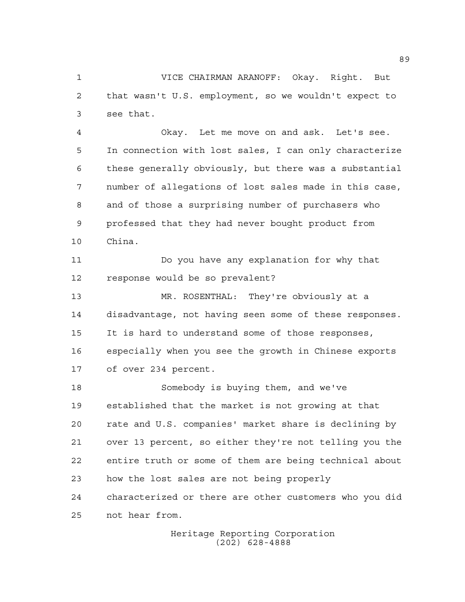VICE CHAIRMAN ARANOFF: Okay. Right. But that wasn't U.S. employment, so we wouldn't expect to see that.

 Okay. Let me move on and ask. Let's see. In connection with lost sales, I can only characterize these generally obviously, but there was a substantial number of allegations of lost sales made in this case, and of those a surprising number of purchasers who professed that they had never bought product from China.

 Do you have any explanation for why that response would be so prevalent?

 MR. ROSENTHAL: They're obviously at a disadvantage, not having seen some of these responses. It is hard to understand some of those responses, especially when you see the growth in Chinese exports of over 234 percent.

 Somebody is buying them, and we've established that the market is not growing at that rate and U.S. companies' market share is declining by over 13 percent, so either they're not telling you the entire truth or some of them are being technical about how the lost sales are not being properly characterized or there are other customers who you did not hear from.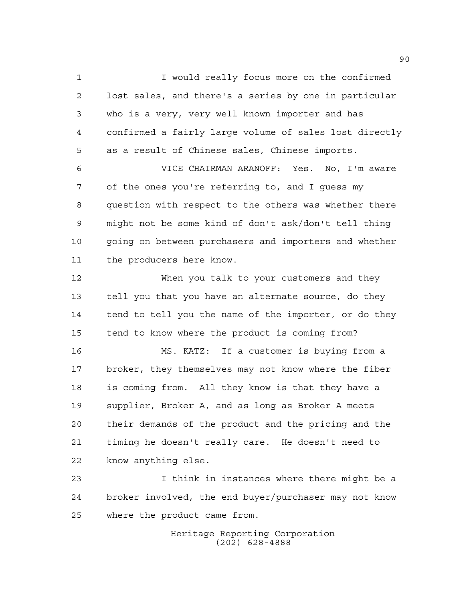I would really focus more on the confirmed lost sales, and there's a series by one in particular who is a very, very well known importer and has confirmed a fairly large volume of sales lost directly as a result of Chinese sales, Chinese imports.

 VICE CHAIRMAN ARANOFF: Yes. No, I'm aware of the ones you're referring to, and I guess my question with respect to the others was whether there might not be some kind of don't ask/don't tell thing going on between purchasers and importers and whether the producers here know.

 When you talk to your customers and they tell you that you have an alternate source, do they 14 tend to tell you the name of the importer, or do they tend to know where the product is coming from?

 MS. KATZ: If a customer is buying from a broker, they themselves may not know where the fiber is coming from. All they know is that they have a supplier, Broker A, and as long as Broker A meets their demands of the product and the pricing and the timing he doesn't really care. He doesn't need to know anything else.

 I think in instances where there might be a broker involved, the end buyer/purchaser may not know where the product came from.

> Heritage Reporting Corporation (202) 628-4888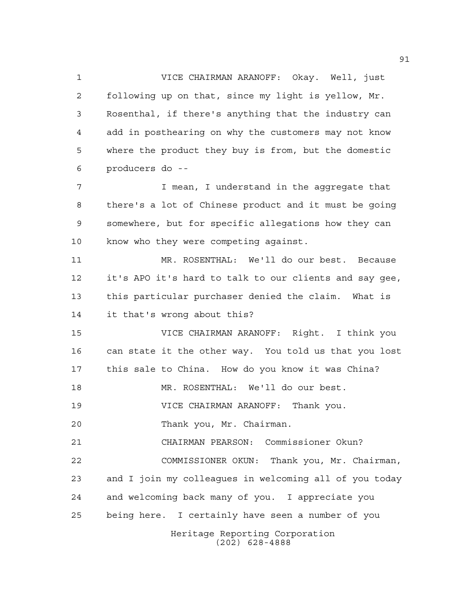VICE CHAIRMAN ARANOFF: Okay. Well, just following up on that, since my light is yellow, Mr. Rosenthal, if there's anything that the industry can add in posthearing on why the customers may not know where the product they buy is from, but the domestic producers do --

 I mean, I understand in the aggregate that there's a lot of Chinese product and it must be going somewhere, but for specific allegations how they can know who they were competing against.

 MR. ROSENTHAL: We'll do our best. Because it's APO it's hard to talk to our clients and say gee, this particular purchaser denied the claim. What is it that's wrong about this?

 VICE CHAIRMAN ARANOFF: Right. I think you can state it the other way. You told us that you lost this sale to China. How do you know it was China?

MR. ROSENTHAL: We'll do our best.

VICE CHAIRMAN ARANOFF: Thank you.

Thank you, Mr. Chairman.

 CHAIRMAN PEARSON: Commissioner Okun? COMMISSIONER OKUN: Thank you, Mr. Chairman, and I join my colleagues in welcoming all of you today and welcoming back many of you. I appreciate you being here. I certainly have seen a number of you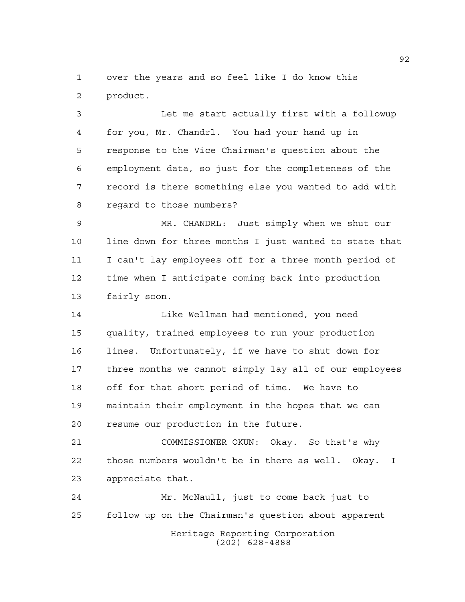over the years and so feel like I do know this product.

 Let me start actually first with a followup for you, Mr. Chandrl. You had your hand up in response to the Vice Chairman's question about the employment data, so just for the completeness of the record is there something else you wanted to add with regard to those numbers?

 MR. CHANDRL: Just simply when we shut our line down for three months I just wanted to state that I can't lay employees off for a three month period of time when I anticipate coming back into production fairly soon.

 Like Wellman had mentioned, you need quality, trained employees to run your production lines. Unfortunately, if we have to shut down for three months we cannot simply lay all of our employees off for that short period of time. We have to maintain their employment in the hopes that we can resume our production in the future.

 COMMISSIONER OKUN: Okay. So that's why those numbers wouldn't be in there as well. Okay. I appreciate that.

Heritage Reporting Corporation (202) 628-4888 Mr. McNaull, just to come back just to follow up on the Chairman's question about apparent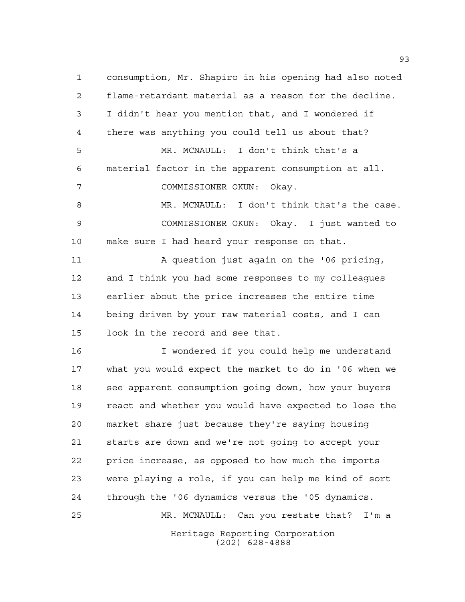consumption, Mr. Shapiro in his opening had also noted flame-retardant material as a reason for the decline. I didn't hear you mention that, and I wondered if there was anything you could tell us about that? MR. MCNAULL: I don't think that's a material factor in the apparent consumption at all. COMMISSIONER OKUN: Okay. MR. MCNAULL: I don't think that's the case. COMMISSIONER OKUN: Okay. I just wanted to make sure I had heard your response on that. 11 A question just again on the '06 pricing, and I think you had some responses to my colleagues earlier about the price increases the entire time being driven by your raw material costs, and I can look in the record and see that. I wondered if you could help me understand what you would expect the market to do in '06 when we see apparent consumption going down, how your buyers react and whether you would have expected to lose the market share just because they're saying housing starts are down and we're not going to accept your price increase, as opposed to how much the imports were playing a role, if you can help me kind of sort

Heritage Reporting Corporation (202) 628-4888 MR. MCNAULL: Can you restate that? I'm a

through the '06 dynamics versus the '05 dynamics.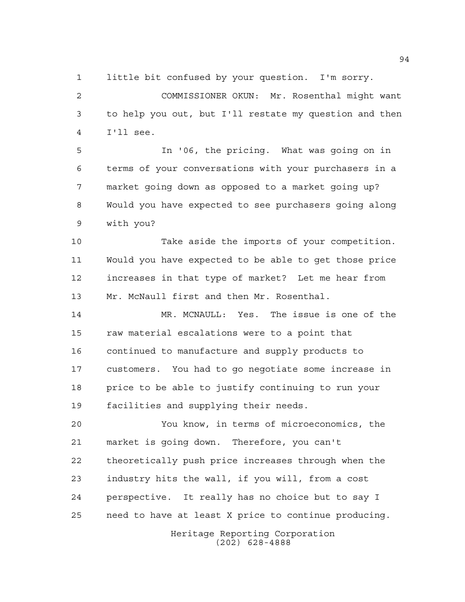little bit confused by your question. I'm sorry.

 COMMISSIONER OKUN: Mr. Rosenthal might want to help you out, but I'll restate my question and then I'll see.

 In '06, the pricing. What was going on in terms of your conversations with your purchasers in a market going down as opposed to a market going up? Would you have expected to see purchasers going along with you?

 Take aside the imports of your competition. Would you have expected to be able to get those price increases in that type of market? Let me hear from Mr. McNaull first and then Mr. Rosenthal.

 MR. MCNAULL: Yes. The issue is one of the raw material escalations were to a point that continued to manufacture and supply products to customers. You had to go negotiate some increase in price to be able to justify continuing to run your facilities and supplying their needs.

 You know, in terms of microeconomics, the market is going down. Therefore, you can't theoretically push price increases through when the industry hits the wall, if you will, from a cost perspective. It really has no choice but to say I need to have at least X price to continue producing.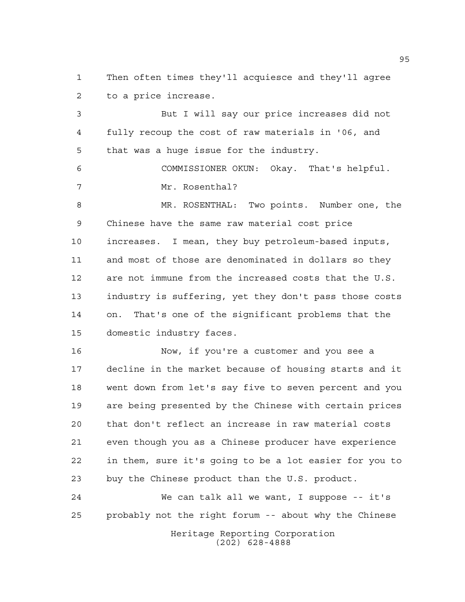Then often times they'll acquiesce and they'll agree to a price increase.

 But I will say our price increases did not fully recoup the cost of raw materials in '06, and that was a huge issue for the industry.

 COMMISSIONER OKUN: Okay. That's helpful. Mr. Rosenthal?

 MR. ROSENTHAL: Two points. Number one, the Chinese have the same raw material cost price increases. I mean, they buy petroleum-based inputs, and most of those are denominated in dollars so they are not immune from the increased costs that the U.S. industry is suffering, yet they don't pass those costs on. That's one of the significant problems that the domestic industry faces.

 Now, if you're a customer and you see a decline in the market because of housing starts and it went down from let's say five to seven percent and you are being presented by the Chinese with certain prices that don't reflect an increase in raw material costs even though you as a Chinese producer have experience in them, sure it's going to be a lot easier for you to buy the Chinese product than the U.S. product.

 We can talk all we want, I suppose -- it's probably not the right forum -- about why the Chinese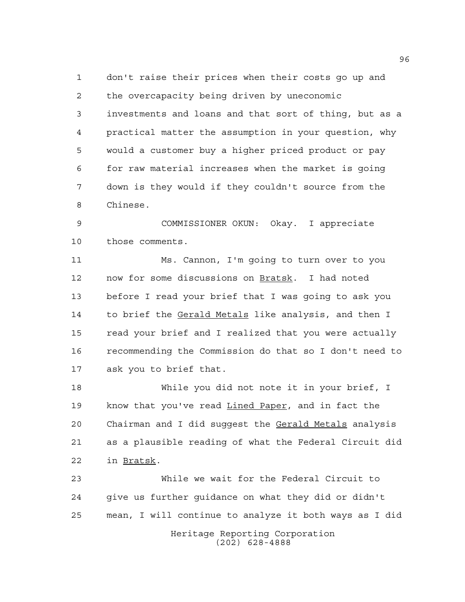don't raise their prices when their costs go up and the overcapacity being driven by uneconomic investments and loans and that sort of thing, but as a practical matter the assumption in your question, why would a customer buy a higher priced product or pay for raw material increases when the market is going down is they would if they couldn't source from the Chinese.

 COMMISSIONER OKUN: Okay. I appreciate those comments.

 Ms. Cannon, I'm going to turn over to you now for some discussions on Bratsk. I had noted before I read your brief that I was going to ask you to brief the Gerald Metals like analysis, and then I read your brief and I realized that you were actually recommending the Commission do that so I don't need to ask you to brief that.

 While you did not note it in your brief, I know that you've read Lined Paper, and in fact the Chairman and I did suggest the Gerald Metals analysis as a plausible reading of what the Federal Circuit did in Bratsk.

Heritage Reporting Corporation (202) 628-4888 While we wait for the Federal Circuit to give us further guidance on what they did or didn't mean, I will continue to analyze it both ways as I did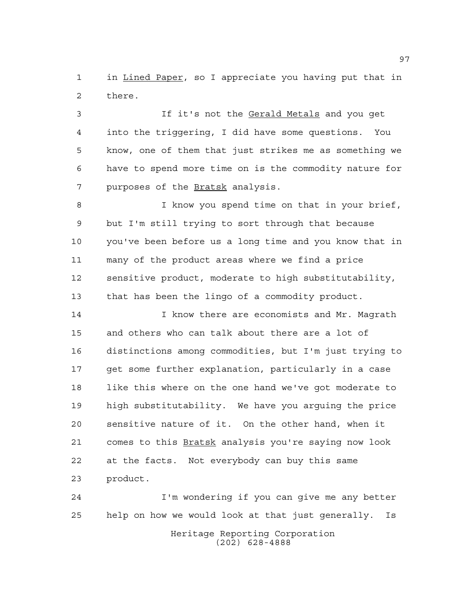in Lined Paper, so I appreciate you having put that in there.

 If it's not the Gerald Metals and you get into the triggering, I did have some questions. You know, one of them that just strikes me as something we have to spend more time on is the commodity nature for 7 purposes of the **Bratsk** analysis.

 I know you spend time on that in your brief, but I'm still trying to sort through that because you've been before us a long time and you know that in many of the product areas where we find a price sensitive product, moderate to high substitutability, that has been the lingo of a commodity product.

 I know there are economists and Mr. Magrath and others who can talk about there are a lot of distinctions among commodities, but I'm just trying to get some further explanation, particularly in a case 18 like this where on the one hand we've got moderate to high substitutability. We have you arguing the price sensitive nature of it. On the other hand, when it 21 comes to this Bratsk analysis you're saying now look at the facts. Not everybody can buy this same product.

Heritage Reporting Corporation (202) 628-4888 I'm wondering if you can give me any better help on how we would look at that just generally. Is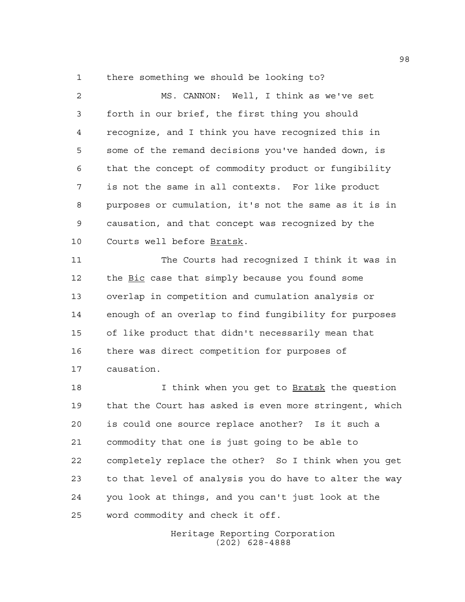there something we should be looking to?

 MS. CANNON: Well, I think as we've set forth in our brief, the first thing you should recognize, and I think you have recognized this in some of the remand decisions you've handed down, is that the concept of commodity product or fungibility is not the same in all contexts. For like product purposes or cumulation, it's not the same as it is in causation, and that concept was recognized by the Courts well before Bratsk.

 The Courts had recognized I think it was in the Bic case that simply because you found some overlap in competition and cumulation analysis or enough of an overlap to find fungibility for purposes of like product that didn't necessarily mean that there was direct competition for purposes of causation.

18 18 I think when you get to Bratsk the question that the Court has asked is even more stringent, which is could one source replace another? Is it such a commodity that one is just going to be able to completely replace the other? So I think when you get to that level of analysis you do have to alter the way you look at things, and you can't just look at the word commodity and check it off.

> Heritage Reporting Corporation (202) 628-4888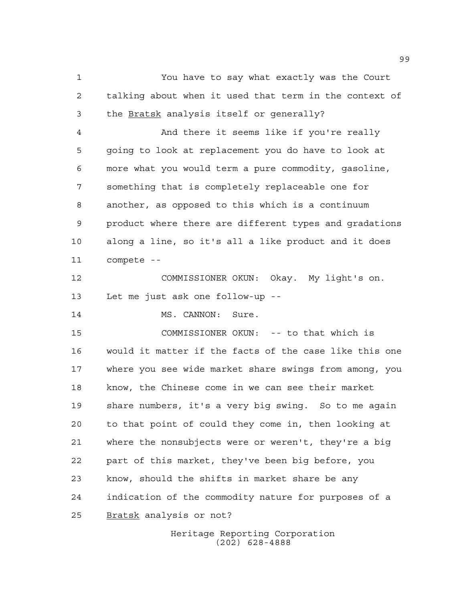You have to say what exactly was the Court talking about when it used that term in the context of the Bratsk analysis itself or generally? And there it seems like if you're really going to look at replacement you do have to look at more what you would term a pure commodity, gasoline, something that is completely replaceable one for another, as opposed to this which is a continuum product where there are different types and gradations along a line, so it's all a like product and it does compete -- COMMISSIONER OKUN: Okay. My light's on. Let me just ask one follow-up -- 14 MS. CANNON: Sure. COMMISSIONER OKUN: -- to that which is would it matter if the facts of the case like this one where you see wide market share swings from among, you know, the Chinese come in we can see their market share numbers, it's a very big swing. So to me again to that point of could they come in, then looking at where the nonsubjects were or weren't, they're a big part of this market, they've been big before, you know, should the shifts in market share be any indication of the commodity nature for purposes of a Bratsk analysis or not?

> Heritage Reporting Corporation (202) 628-4888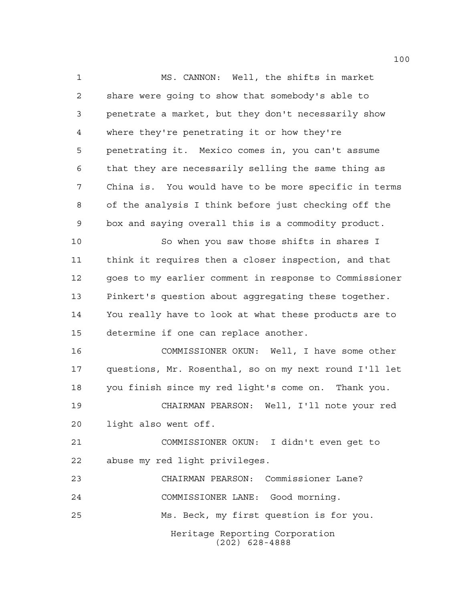MS. CANNON: Well, the shifts in market share were going to show that somebody's able to penetrate a market, but they don't necessarily show where they're penetrating it or how they're penetrating it. Mexico comes in, you can't assume that they are necessarily selling the same thing as China is. You would have to be more specific in terms of the analysis I think before just checking off the box and saying overall this is a commodity product.

 So when you saw those shifts in shares I think it requires then a closer inspection, and that goes to my earlier comment in response to Commissioner Pinkert's question about aggregating these together. You really have to look at what these products are to determine if one can replace another.

 COMMISSIONER OKUN: Well, I have some other questions, Mr. Rosenthal, so on my next round I'll let you finish since my red light's come on. Thank you. CHAIRMAN PEARSON: Well, I'll note your red

light also went off.

 COMMISSIONER OKUN: I didn't even get to abuse my red light privileges.

Heritage Reporting Corporation (202) 628-4888 CHAIRMAN PEARSON: Commissioner Lane? COMMISSIONER LANE: Good morning. Ms. Beck, my first question is for you.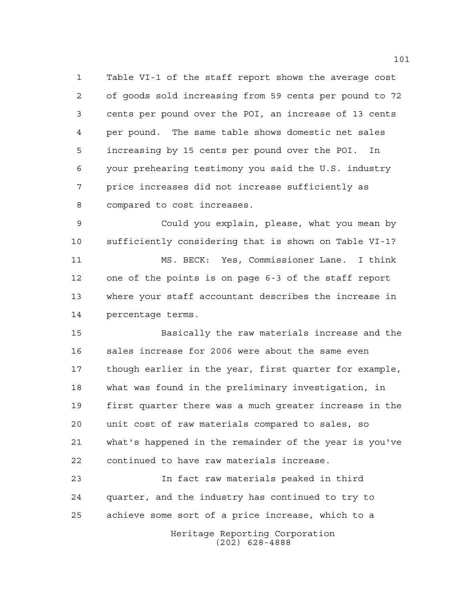Table VI-1 of the staff report shows the average cost of goods sold increasing from 59 cents per pound to 72 cents per pound over the POI, an increase of 13 cents per pound. The same table shows domestic net sales increasing by 15 cents per pound over the POI. In your prehearing testimony you said the U.S. industry price increases did not increase sufficiently as compared to cost increases.

 Could you explain, please, what you mean by sufficiently considering that is shown on Table VI-1? MS. BECK: Yes, Commissioner Lane. I think one of the points is on page 6-3 of the staff report where your staff accountant describes the increase in percentage terms.

 Basically the raw materials increase and the sales increase for 2006 were about the same even though earlier in the year, first quarter for example, what was found in the preliminary investigation, in first quarter there was a much greater increase in the unit cost of raw materials compared to sales, so what's happened in the remainder of the year is you've continued to have raw materials increase.

Heritage Reporting Corporation (202) 628-4888 In fact raw materials peaked in third quarter, and the industry has continued to try to achieve some sort of a price increase, which to a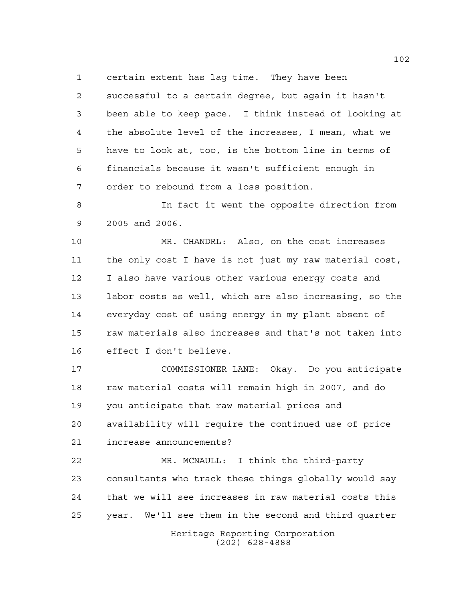certain extent has lag time. They have been

 successful to a certain degree, but again it hasn't been able to keep pace. I think instead of looking at the absolute level of the increases, I mean, what we have to look at, too, is the bottom line in terms of financials because it wasn't sufficient enough in order to rebound from a loss position.

 In fact it went the opposite direction from 2005 and 2006.

 MR. CHANDRL: Also, on the cost increases the only cost I have is not just my raw material cost, I also have various other various energy costs and labor costs as well, which are also increasing, so the everyday cost of using energy in my plant absent of raw materials also increases and that's not taken into effect I don't believe.

 COMMISSIONER LANE: Okay. Do you anticipate raw material costs will remain high in 2007, and do you anticipate that raw material prices and availability will require the continued use of price increase announcements?

 MR. MCNAULL: I think the third-party consultants who track these things globally would say that we will see increases in raw material costs this year. We'll see them in the second and third quarter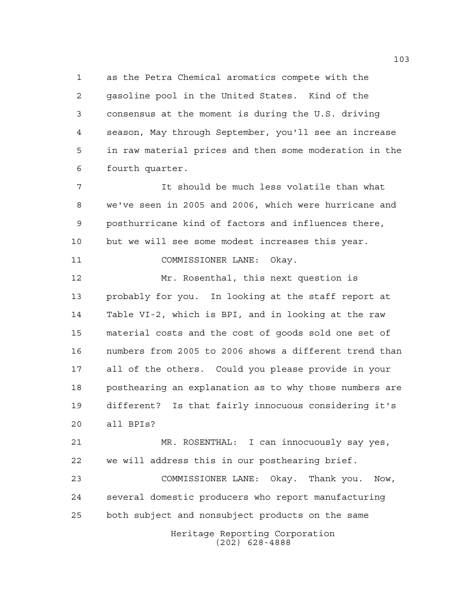as the Petra Chemical aromatics compete with the gasoline pool in the United States. Kind of the consensus at the moment is during the U.S. driving season, May through September, you'll see an increase in raw material prices and then some moderation in the fourth quarter.

 It should be much less volatile than what we've seen in 2005 and 2006, which were hurricane and posthurricane kind of factors and influences there, but we will see some modest increases this year. COMMISSIONER LANE: Okay.

 Mr. Rosenthal, this next question is probably for you. In looking at the staff report at Table VI-2, which is BPI, and in looking at the raw material costs and the cost of goods sold one set of numbers from 2005 to 2006 shows a different trend than all of the others. Could you please provide in your posthearing an explanation as to why those numbers are different? Is that fairly innocuous considering it's all BPIs?

 MR. ROSENTHAL: I can innocuously say yes, we will address this in our posthearing brief.

Heritage Reporting Corporation COMMISSIONER LANE: Okay. Thank you. Now, several domestic producers who report manufacturing both subject and nonsubject products on the same

(202) 628-4888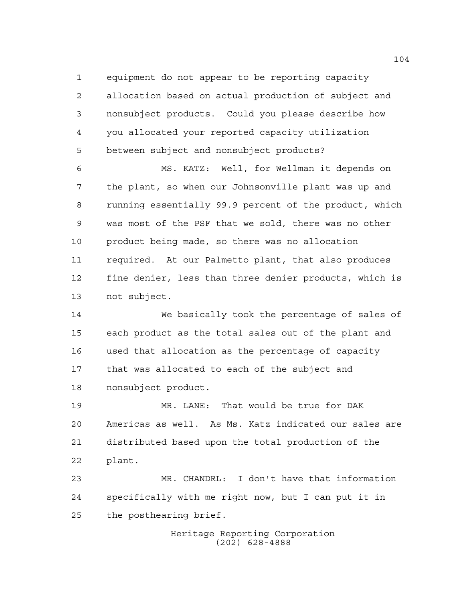equipment do not appear to be reporting capacity allocation based on actual production of subject and nonsubject products. Could you please describe how you allocated your reported capacity utilization between subject and nonsubject products?

 MS. KATZ: Well, for Wellman it depends on the plant, so when our Johnsonville plant was up and running essentially 99.9 percent of the product, which was most of the PSF that we sold, there was no other product being made, so there was no allocation required. At our Palmetto plant, that also produces fine denier, less than three denier products, which is not subject.

 We basically took the percentage of sales of each product as the total sales out of the plant and used that allocation as the percentage of capacity that was allocated to each of the subject and nonsubject product.

 MR. LANE: That would be true for DAK Americas as well. As Ms. Katz indicated our sales are distributed based upon the total production of the plant.

 MR. CHANDRL: I don't have that information specifically with me right now, but I can put it in the posthearing brief.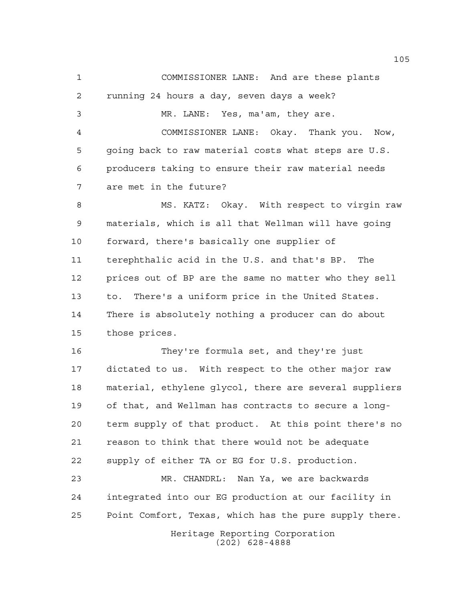COMMISSIONER LANE: And are these plants running 24 hours a day, seven days a week? MR. LANE: Yes, ma'am, they are. COMMISSIONER LANE: Okay. Thank you. Now, going back to raw material costs what steps are U.S. producers taking to ensure their raw material needs are met in the future? 8 MS. KATZ: Okay. With respect to virgin raw materials, which is all that Wellman will have going forward, there's basically one supplier of terephthalic acid in the U.S. and that's BP. The prices out of BP are the same no matter who they sell to. There's a uniform price in the United States. There is absolutely nothing a producer can do about those prices. They're formula set, and they're just dictated to us. With respect to the other major raw material, ethylene glycol, there are several suppliers of that, and Wellman has contracts to secure a long- term supply of that product. At this point there's no reason to think that there would not be adequate supply of either TA or EG for U.S. production. MR. CHANDRL: Nan Ya, we are backwards integrated into our EG production at our facility in Point Comfort, Texas, which has the pure supply there.

> Heritage Reporting Corporation (202) 628-4888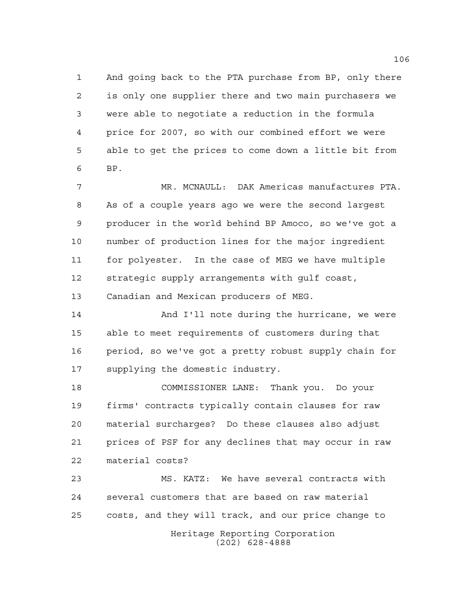And going back to the PTA purchase from BP, only there is only one supplier there and two main purchasers we were able to negotiate a reduction in the formula price for 2007, so with our combined effort we were able to get the prices to come down a little bit from BP.

 MR. MCNAULL: DAK Americas manufactures PTA. As of a couple years ago we were the second largest producer in the world behind BP Amoco, so we've got a number of production lines for the major ingredient for polyester. In the case of MEG we have multiple strategic supply arrangements with gulf coast, Canadian and Mexican producers of MEG.

 And I'll note during the hurricane, we were able to meet requirements of customers during that period, so we've got a pretty robust supply chain for supplying the domestic industry.

 COMMISSIONER LANE: Thank you. Do your firms' contracts typically contain clauses for raw material surcharges? Do these clauses also adjust prices of PSF for any declines that may occur in raw material costs?

Heritage Reporting Corporation MS. KATZ: We have several contracts with several customers that are based on raw material costs, and they will track, and our price change to

(202) 628-4888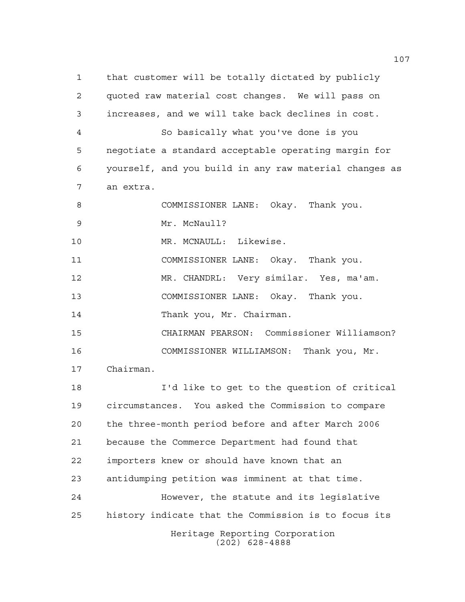Heritage Reporting Corporation (202) 628-4888 that customer will be totally dictated by publicly quoted raw material cost changes. We will pass on increases, and we will take back declines in cost. So basically what you've done is you negotiate a standard acceptable operating margin for yourself, and you build in any raw material changes as an extra. COMMISSIONER LANE: Okay. Thank you. Mr. McNaull? MR. MCNAULL: Likewise. COMMISSIONER LANE: Okay. Thank you. MR. CHANDRL: Very similar. Yes, ma'am. COMMISSIONER LANE: Okay. Thank you. 14 Thank you, Mr. Chairman. CHAIRMAN PEARSON: Commissioner Williamson? COMMISSIONER WILLIAMSON: Thank you, Mr. Chairman. I'd like to get to the question of critical circumstances. You asked the Commission to compare the three-month period before and after March 2006 because the Commerce Department had found that importers knew or should have known that an antidumping petition was imminent at that time. However, the statute and its legislative history indicate that the Commission is to focus its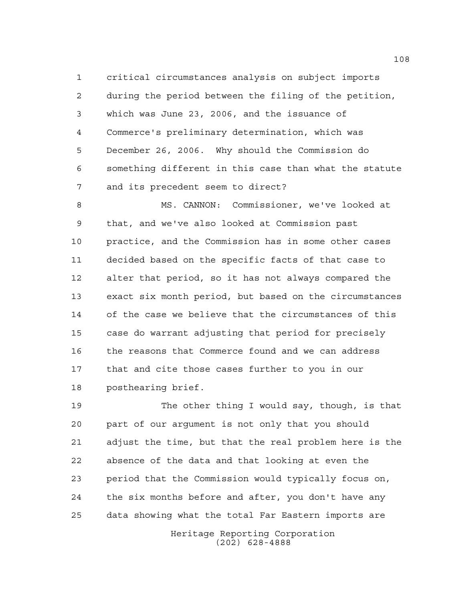critical circumstances analysis on subject imports during the period between the filing of the petition, which was June 23, 2006, and the issuance of Commerce's preliminary determination, which was December 26, 2006. Why should the Commission do something different in this case than what the statute and its precedent seem to direct?

 MS. CANNON: Commissioner, we've looked at that, and we've also looked at Commission past practice, and the Commission has in some other cases decided based on the specific facts of that case to alter that period, so it has not always compared the exact six month period, but based on the circumstances of the case we believe that the circumstances of this case do warrant adjusting that period for precisely the reasons that Commerce found and we can address that and cite those cases further to you in our posthearing brief.

 The other thing I would say, though, is that part of our argument is not only that you should adjust the time, but that the real problem here is the absence of the data and that looking at even the period that the Commission would typically focus on, the six months before and after, you don't have any data showing what the total Far Eastern imports are

> Heritage Reporting Corporation (202) 628-4888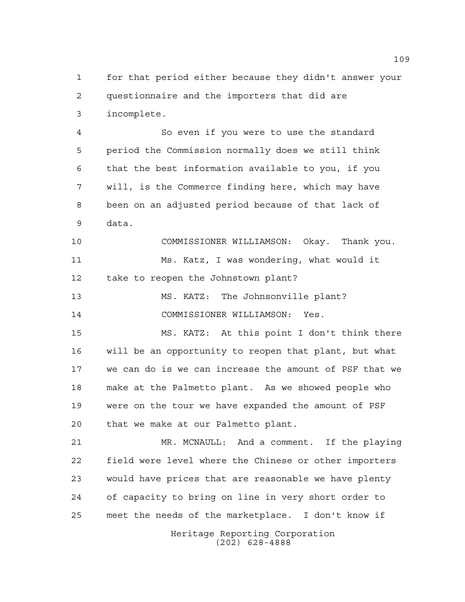for that period either because they didn't answer your questionnaire and the importers that did are incomplete.

 So even if you were to use the standard period the Commission normally does we still think that the best information available to you, if you will, is the Commerce finding here, which may have been on an adjusted period because of that lack of data.

 COMMISSIONER WILLIAMSON: Okay. Thank you. Ms. Katz, I was wondering, what would it take to reopen the Johnstown plant?

 MS. KATZ: The Johnsonville plant? COMMISSIONER WILLIAMSON: Yes.

 MS. KATZ: At this point I don't think there will be an opportunity to reopen that plant, but what we can do is we can increase the amount of PSF that we make at the Palmetto plant. As we showed people who were on the tour we have expanded the amount of PSF that we make at our Palmetto plant.

 MR. MCNAULL: And a comment. If the playing field were level where the Chinese or other importers would have prices that are reasonable we have plenty of capacity to bring on line in very short order to meet the needs of the marketplace. I don't know if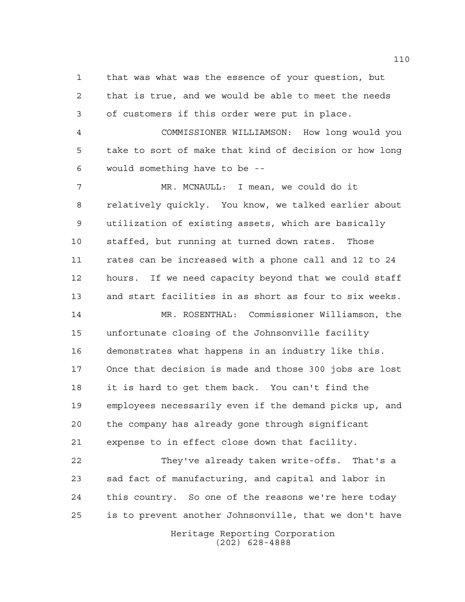that was what was the essence of your question, but that is true, and we would be able to meet the needs of customers if this order were put in place.

 COMMISSIONER WILLIAMSON: How long would you take to sort of make that kind of decision or how long would something have to be --

 MR. MCNAULL: I mean, we could do it relatively quickly. You know, we talked earlier about utilization of existing assets, which are basically staffed, but running at turned down rates. Those rates can be increased with a phone call and 12 to 24 hours. If we need capacity beyond that we could staff and start facilities in as short as four to six weeks.

 MR. ROSENTHAL: Commissioner Williamson, the unfortunate closing of the Johnsonville facility demonstrates what happens in an industry like this. Once that decision is made and those 300 jobs are lost it is hard to get them back. You can't find the employees necessarily even if the demand picks up, and the company has already gone through significant expense to in effect close down that facility.

 They've already taken write-offs. That's a sad fact of manufacturing, and capital and labor in this country. So one of the reasons we're here today is to prevent another Johnsonville, that we don't have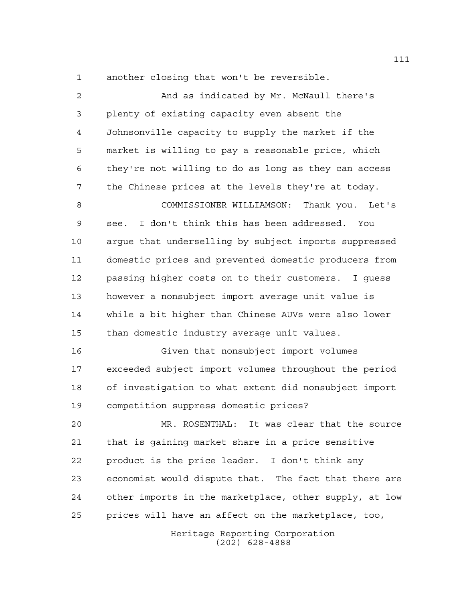another closing that won't be reversible.

| 2  | And as indicated by Mr. McNaull there's                |
|----|--------------------------------------------------------|
| 3  | plenty of existing capacity even absent the            |
| 4  | Johnsonville capacity to supply the market if the      |
| 5  | market is willing to pay a reasonable price, which     |
| 6  | they're not willing to do as long as they can access   |
| 7  | the Chinese prices at the levels they're at today.     |
| 8  | COMMISSIONER WILLIAMSON: Thank you. Let's              |
| 9  | I don't think this has been addressed. You<br>see.     |
| 10 | argue that underselling by subject imports suppressed  |
| 11 | domestic prices and prevented domestic producers from  |
| 12 | passing higher costs on to their customers. I guess    |
| 13 | however a nonsubject import average unit value is      |
| 14 | while a bit higher than Chinese AUVs were also lower   |
| 15 | than domestic industry average unit values.            |
| 16 | Given that nonsubject import volumes                   |
| 17 | exceeded subject import volumes throughout the period  |
| 18 | of investigation to what extent did nonsubject import  |
| 19 | competition suppress domestic prices?                  |
| 20 | It was clear that the source<br>MR. ROSENTHAL:         |
| 21 | that is gaining market share in a price sensitive      |
| 22 | product is the price leader. I don't think any         |
| 23 | economist would dispute that. The fact that there are  |
| 24 | other imports in the marketplace, other supply, at low |
| 25 | prices will have an affect on the marketplace, too,    |
|    | Heritage Reporting Corporation<br>$(202)$ 628-4888     |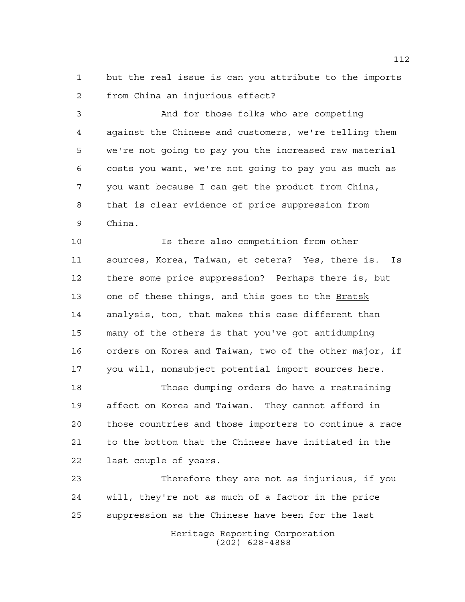but the real issue is can you attribute to the imports from China an injurious effect?

 And for those folks who are competing against the Chinese and customers, we're telling them we're not going to pay you the increased raw material costs you want, we're not going to pay you as much as you want because I can get the product from China, that is clear evidence of price suppression from China.

 Is there also competition from other sources, Korea, Taiwan, et cetera? Yes, there is. Is there some price suppression? Perhaps there is, but 13 one of these things, and this goes to the Bratsk analysis, too, that makes this case different than many of the others is that you've got antidumping orders on Korea and Taiwan, two of the other major, if you will, nonsubject potential import sources here.

 Those dumping orders do have a restraining affect on Korea and Taiwan. They cannot afford in those countries and those importers to continue a race to the bottom that the Chinese have initiated in the last couple of years.

 Therefore they are not as injurious, if you will, they're not as much of a factor in the price suppression as the Chinese have been for the last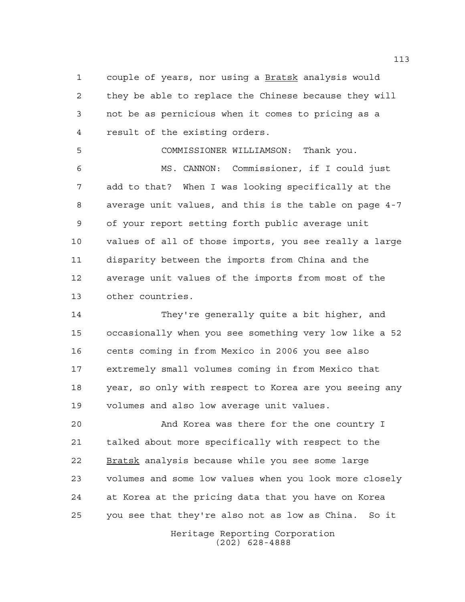couple of years, nor using a Bratsk analysis would they be able to replace the Chinese because they will not be as pernicious when it comes to pricing as a result of the existing orders.

 COMMISSIONER WILLIAMSON: Thank you. MS. CANNON: Commissioner, if I could just add to that? When I was looking specifically at the average unit values, and this is the table on page 4-7 of your report setting forth public average unit values of all of those imports, you see really a large disparity between the imports from China and the average unit values of the imports from most of the other countries.

 They're generally quite a bit higher, and occasionally when you see something very low like a 52 cents coming in from Mexico in 2006 you see also extremely small volumes coming in from Mexico that year, so only with respect to Korea are you seeing any volumes and also low average unit values.

 And Korea was there for the one country I talked about more specifically with respect to the Bratsk analysis because while you see some large volumes and some low values when you look more closely at Korea at the pricing data that you have on Korea you see that they're also not as low as China. So it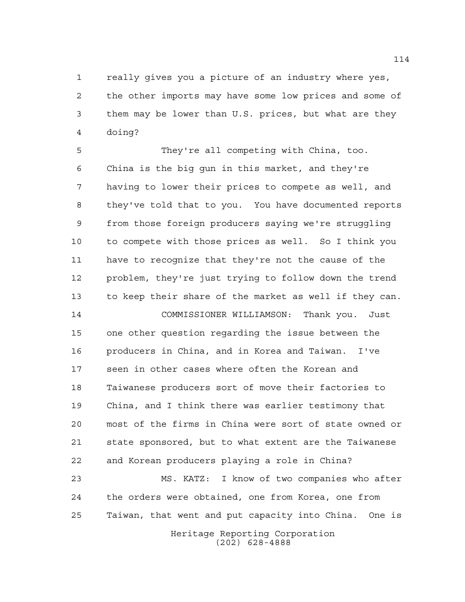really gives you a picture of an industry where yes, the other imports may have some low prices and some of them may be lower than U.S. prices, but what are they doing?

 They're all competing with China, too. China is the big gun in this market, and they're having to lower their prices to compete as well, and they've told that to you. You have documented reports from those foreign producers saying we're struggling to compete with those prices as well. So I think you have to recognize that they're not the cause of the problem, they're just trying to follow down the trend to keep their share of the market as well if they can.

 COMMISSIONER WILLIAMSON: Thank you. Just one other question regarding the issue between the producers in China, and in Korea and Taiwan. I've seen in other cases where often the Korean and Taiwanese producers sort of move their factories to China, and I think there was earlier testimony that most of the firms in China were sort of state owned or state sponsored, but to what extent are the Taiwanese and Korean producers playing a role in China?

 MS. KATZ: I know of two companies who after the orders were obtained, one from Korea, one from Taiwan, that went and put capacity into China. One is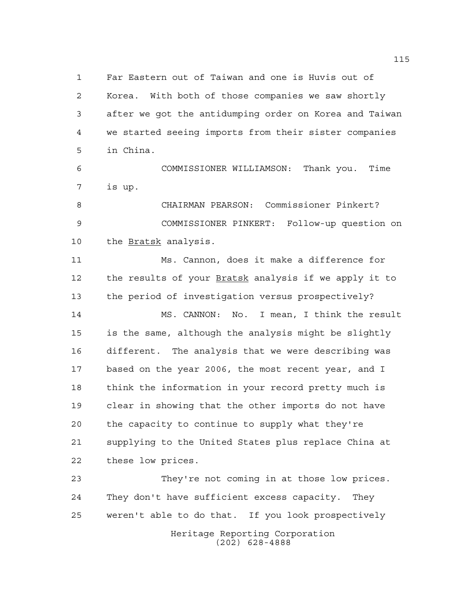Far Eastern out of Taiwan and one is Huvis out of Korea. With both of those companies we saw shortly after we got the antidumping order on Korea and Taiwan we started seeing imports from their sister companies in China.

 COMMISSIONER WILLIAMSON: Thank you. Time is up.

 CHAIRMAN PEARSON: Commissioner Pinkert? COMMISSIONER PINKERT: Follow-up question on 10 the Bratsk analysis.

 Ms. Cannon, does it make a difference for 12 the results of your **Bratsk** analysis if we apply it to the period of investigation versus prospectively?

 MS. CANNON: No. I mean, I think the result is the same, although the analysis might be slightly different. The analysis that we were describing was based on the year 2006, the most recent year, and I think the information in your record pretty much is clear in showing that the other imports do not have the capacity to continue to supply what they're supplying to the United States plus replace China at these low prices.

Heritage Reporting Corporation (202) 628-4888 They're not coming in at those low prices. They don't have sufficient excess capacity. They weren't able to do that. If you look prospectively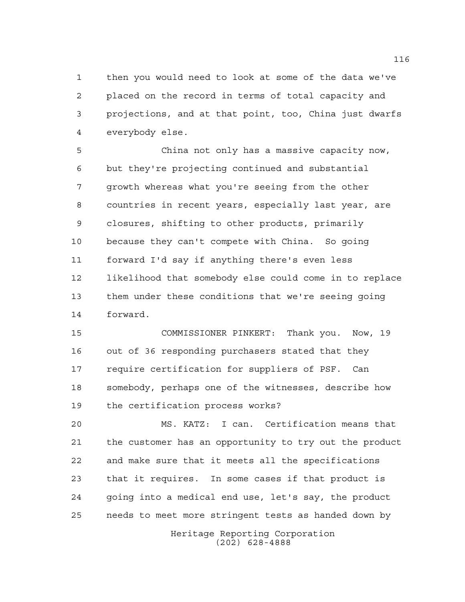then you would need to look at some of the data we've placed on the record in terms of total capacity and projections, and at that point, too, China just dwarfs everybody else.

 China not only has a massive capacity now, but they're projecting continued and substantial growth whereas what you're seeing from the other countries in recent years, especially last year, are closures, shifting to other products, primarily because they can't compete with China. So going forward I'd say if anything there's even less likelihood that somebody else could come in to replace them under these conditions that we're seeing going forward.

 COMMISSIONER PINKERT: Thank you. Now, 19 out of 36 responding purchasers stated that they require certification for suppliers of PSF. Can somebody, perhaps one of the witnesses, describe how the certification process works?

 MS. KATZ: I can. Certification means that the customer has an opportunity to try out the product and make sure that it meets all the specifications that it requires. In some cases if that product is going into a medical end use, let's say, the product needs to meet more stringent tests as handed down by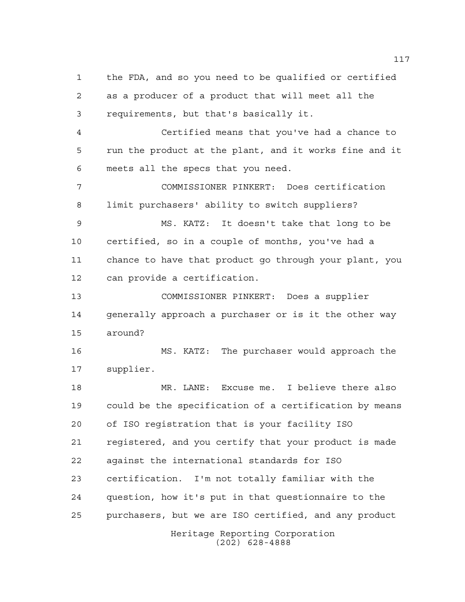Heritage Reporting Corporation the FDA, and so you need to be qualified or certified as a producer of a product that will meet all the requirements, but that's basically it. Certified means that you've had a chance to run the product at the plant, and it works fine and it meets all the specs that you need. COMMISSIONER PINKERT: Does certification limit purchasers' ability to switch suppliers? MS. KATZ: It doesn't take that long to be certified, so in a couple of months, you've had a chance to have that product go through your plant, you can provide a certification. COMMISSIONER PINKERT: Does a supplier 14 generally approach a purchaser or is it the other way around? MS. KATZ: The purchaser would approach the supplier. MR. LANE: Excuse me. I believe there also could be the specification of a certification by means of ISO registration that is your facility ISO registered, and you certify that your product is made against the international standards for ISO certification. I'm not totally familiar with the question, how it's put in that questionnaire to the purchasers, but we are ISO certified, and any product

(202) 628-4888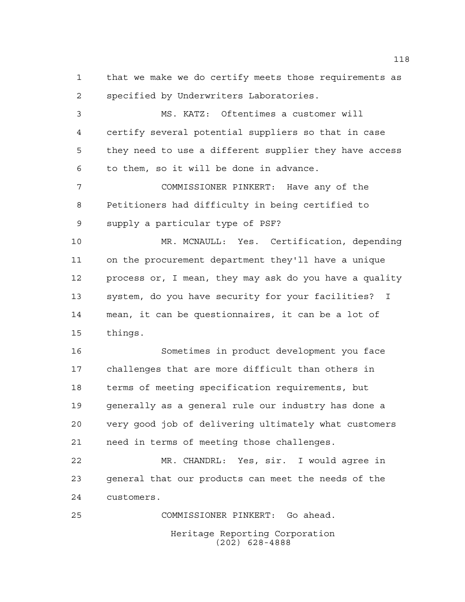that we make we do certify meets those requirements as specified by Underwriters Laboratories.

 MS. KATZ: Oftentimes a customer will certify several potential suppliers so that in case they need to use a different supplier they have access to them, so it will be done in advance.

 COMMISSIONER PINKERT: Have any of the Petitioners had difficulty in being certified to supply a particular type of PSF?

 MR. MCNAULL: Yes. Certification, depending on the procurement department they'll have a unique process or, I mean, they may ask do you have a quality system, do you have security for your facilities? I mean, it can be questionnaires, it can be a lot of things.

 Sometimes in product development you face challenges that are more difficult than others in terms of meeting specification requirements, but generally as a general rule our industry has done a very good job of delivering ultimately what customers need in terms of meeting those challenges.

 MR. CHANDRL: Yes, sir. I would agree in general that our products can meet the needs of the customers.

Heritage Reporting Corporation (202) 628-4888 COMMISSIONER PINKERT: Go ahead.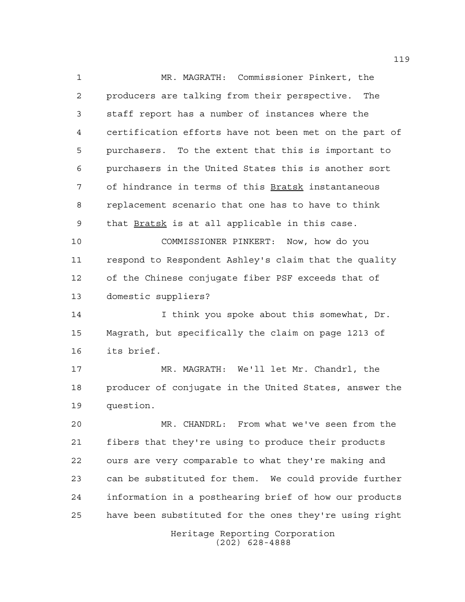MR. MAGRATH: Commissioner Pinkert, the producers are talking from their perspective. The staff report has a number of instances where the certification efforts have not been met on the part of purchasers. To the extent that this is important to purchasers in the United States this is another sort of hindrance in terms of this Bratsk instantaneous replacement scenario that one has to have to think 9 that Bratsk is at all applicable in this case.

 COMMISSIONER PINKERT: Now, how do you respond to Respondent Ashley's claim that the quality of the Chinese conjugate fiber PSF exceeds that of domestic suppliers?

 I think you spoke about this somewhat, Dr. Magrath, but specifically the claim on page 1213 of its brief.

 MR. MAGRATH: We'll let Mr. Chandrl, the producer of conjugate in the United States, answer the question.

 MR. CHANDRL: From what we've seen from the fibers that they're using to produce their products ours are very comparable to what they're making and can be substituted for them. We could provide further information in a posthearing brief of how our products have been substituted for the ones they're using right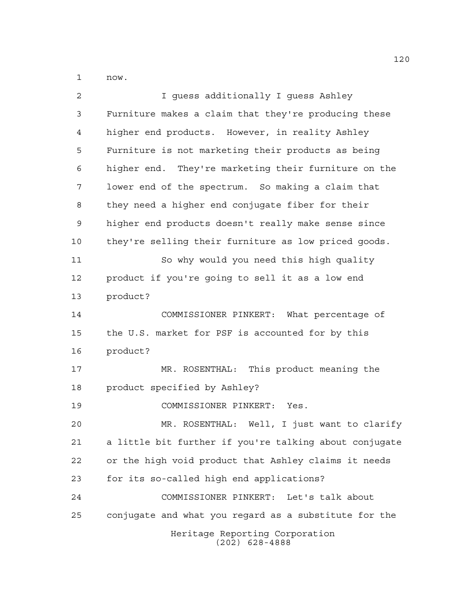now.

| $\overline{2}$ | I quess additionally I quess Ashley                    |
|----------------|--------------------------------------------------------|
| 3              | Furniture makes a claim that they're producing these   |
| 4              | higher end products. However, in reality Ashley        |
| 5              | Furniture is not marketing their products as being     |
| 6              | higher end. They're marketing their furniture on the   |
| 7              | lower end of the spectrum. So making a claim that      |
| 8              | they need a higher end conjugate fiber for their       |
| 9              | higher end products doesn't really make sense since    |
| 10             | they're selling their furniture as low priced goods.   |
| 11             | So why would you need this high quality                |
| 12             | product if you're going to sell it as a low end        |
| 13             | product?                                               |
| 14             | COMMISSIONER PINKERT: What percentage of               |
| 15             | the U.S. market for PSF is accounted for by this       |
| 16             | product?                                               |
| 17             | MR. ROSENTHAL: This product meaning the                |
| 18             | product specified by Ashley?                           |
| 19             | COMMISSIONER PINKERT: Yes.                             |
| 20             | MR. ROSENTHAL: Well, I just want to clarify            |
| 21             | a little bit further if you're talking about conjugate |
| 22             | or the high void product that Ashley claims it needs   |
| 23             | for its so-called high end applications?               |
| 24             | COMMISSIONER PINKERT: Let's talk about                 |
| 25             | conjugate and what you regard as a substitute for the  |
|                | Heritage Reporting Corporation<br>$(202)$ 628-4888     |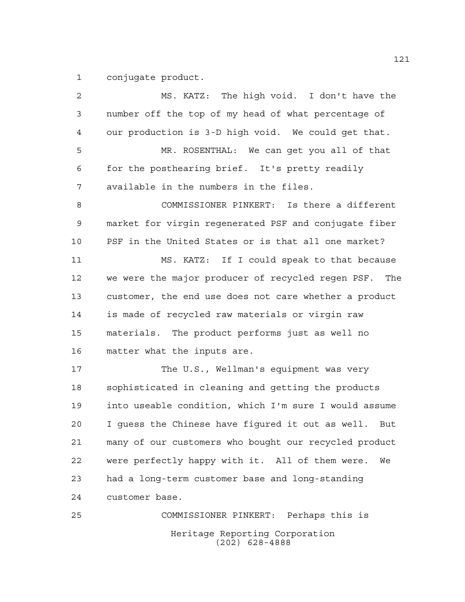conjugate product.

Heritage Reporting Corporation (202) 628-4888 MS. KATZ: The high void. I don't have the number off the top of my head of what percentage of our production is 3-D high void. We could get that. MR. ROSENTHAL: We can get you all of that for the posthearing brief. It's pretty readily available in the numbers in the files. COMMISSIONER PINKERT: Is there a different market for virgin regenerated PSF and conjugate fiber PSF in the United States or is that all one market? MS. KATZ: If I could speak to that because we were the major producer of recycled regen PSF. The customer, the end use does not care whether a product is made of recycled raw materials or virgin raw materials. The product performs just as well no matter what the inputs are. The U.S., Wellman's equipment was very sophisticated in cleaning and getting the products into useable condition, which I'm sure I would assume I guess the Chinese have figured it out as well. But many of our customers who bought our recycled product were perfectly happy with it. All of them were. We had a long-term customer base and long-standing customer base. COMMISSIONER PINKERT: Perhaps this is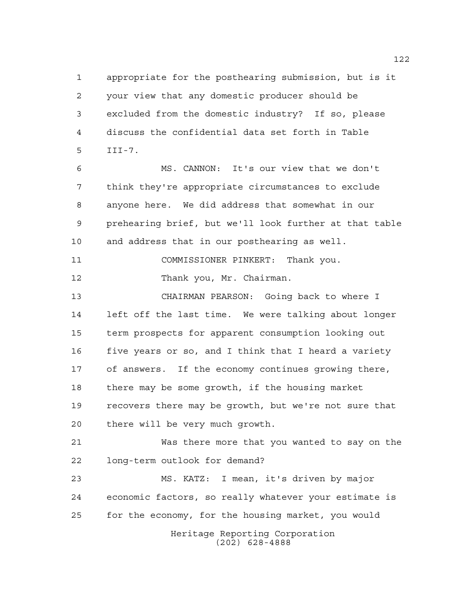appropriate for the posthearing submission, but is it your view that any domestic producer should be excluded from the domestic industry? If so, please discuss the confidential data set forth in Table III-7.

 MS. CANNON: It's our view that we don't think they're appropriate circumstances to exclude anyone here. We did address that somewhat in our prehearing brief, but we'll look further at that table and address that in our posthearing as well.

COMMISSIONER PINKERT: Thank you.

12 Thank you, Mr. Chairman.

 CHAIRMAN PEARSON: Going back to where I left off the last time. We were talking about longer term prospects for apparent consumption looking out 16 five years or so, and I think that I heard a variety of answers. If the economy continues growing there, there may be some growth, if the housing market recovers there may be growth, but we're not sure that there will be very much growth.

 Was there more that you wanted to say on the long-term outlook for demand?

 MS. KATZ: I mean, it's driven by major economic factors, so really whatever your estimate is for the economy, for the housing market, you would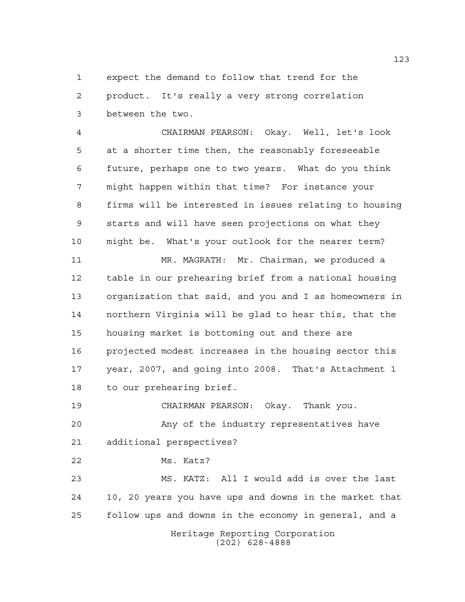expect the demand to follow that trend for the product. It's really a very strong correlation between the two.

 CHAIRMAN PEARSON: Okay. Well, let's look at a shorter time then, the reasonably foreseeable future, perhaps one to two years. What do you think might happen within that time? For instance your firms will be interested in issues relating to housing starts and will have seen projections on what they might be. What's your outlook for the nearer term?

 MR. MAGRATH: Mr. Chairman, we produced a table in our prehearing brief from a national housing organization that said, and you and I as homeowners in northern Virginia will be glad to hear this, that the housing market is bottoming out and there are projected modest increases in the housing sector this year, 2007, and going into 2008. That's Attachment 1 to our prehearing brief.

 CHAIRMAN PEARSON: Okay. Thank you. Any of the industry representatives have

additional perspectives?

Ms. Katz?

 MS. KATZ: All I would add is over the last 10, 20 years you have ups and downs in the market that follow ups and downs in the economy in general, and a

Heritage Reporting Corporation (202) 628-4888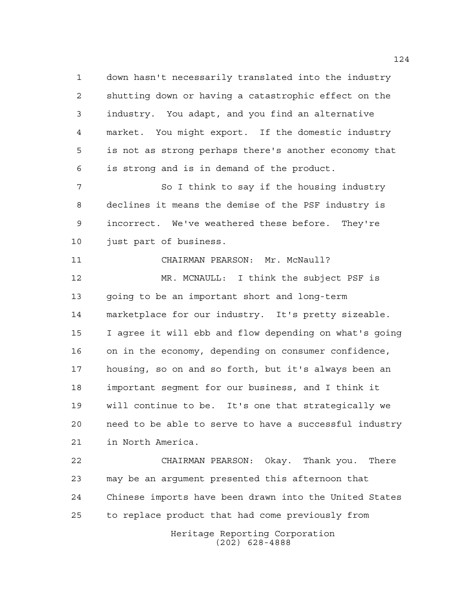down hasn't necessarily translated into the industry shutting down or having a catastrophic effect on the industry. You adapt, and you find an alternative market. You might export. If the domestic industry is not as strong perhaps there's another economy that is strong and is in demand of the product.

7 So I think to say if the housing industry declines it means the demise of the PSF industry is incorrect. We've weathered these before. They're just part of business.

CHAIRMAN PEARSON: Mr. McNaull?

 MR. MCNAULL: I think the subject PSF is going to be an important short and long-term marketplace for our industry. It's pretty sizeable. I agree it will ebb and flow depending on what's going on in the economy, depending on consumer confidence, housing, so on and so forth, but it's always been an important segment for our business, and I think it will continue to be. It's one that strategically we need to be able to serve to have a successful industry in North America.

 CHAIRMAN PEARSON: Okay. Thank you. There may be an argument presented this afternoon that Chinese imports have been drawn into the United States to replace product that had come previously from

Heritage Reporting Corporation (202) 628-4888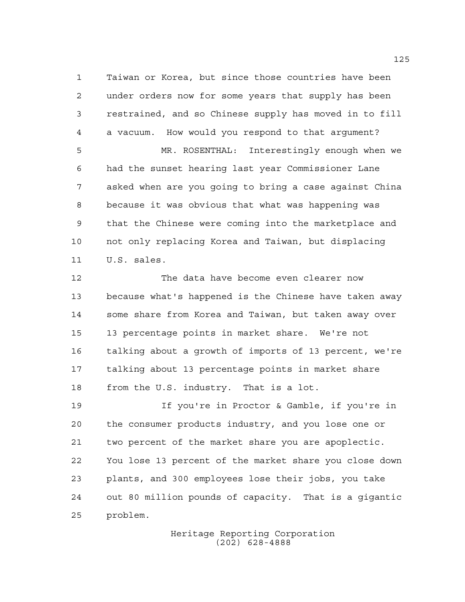Taiwan or Korea, but since those countries have been under orders now for some years that supply has been restrained, and so Chinese supply has moved in to fill a vacuum. How would you respond to that argument? MR. ROSENTHAL: Interestingly enough when we had the sunset hearing last year Commissioner Lane asked when are you going to bring a case against China because it was obvious that what was happening was that the Chinese were coming into the marketplace and not only replacing Korea and Taiwan, but displacing

U.S. sales.

 The data have become even clearer now because what's happened is the Chinese have taken away some share from Korea and Taiwan, but taken away over 13 percentage points in market share. We're not talking about a growth of imports of 13 percent, we're talking about 13 percentage points in market share from the U.S. industry. That is a lot.

 If you're in Proctor & Gamble, if you're in the consumer products industry, and you lose one or two percent of the market share you are apoplectic. You lose 13 percent of the market share you close down plants, and 300 employees lose their jobs, you take out 80 million pounds of capacity. That is a gigantic problem.

> Heritage Reporting Corporation (202) 628-4888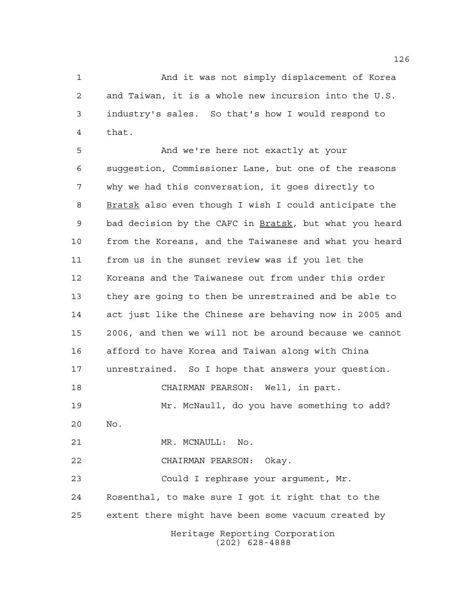And it was not simply displacement of Korea and Taiwan, it is a whole new incursion into the U.S. industry's sales. So that's how I would respond to that.

Heritage Reporting Corporation And we're here not exactly at your suggestion, Commissioner Lane, but one of the reasons why we had this conversation, it goes directly to Bratsk also even though I wish I could anticipate the 9 bad decision by the CAFC in Bratsk, but what you heard from the Koreans, and the Taiwanese and what you heard from us in the sunset review was if you let the Koreans and the Taiwanese out from under this order they are going to then be unrestrained and be able to act just like the Chinese are behaving now in 2005 and 2006, and then we will not be around because we cannot afford to have Korea and Taiwan along with China unrestrained. So I hope that answers your question. CHAIRMAN PEARSON: Well, in part. Mr. McNaull, do you have something to add? No. 21 MR. MCNAULL: No. CHAIRMAN PEARSON: Okay. Could I rephrase your argument, Mr. Rosenthal, to make sure I got it right that to the extent there might have been some vacuum created by

(202) 628-4888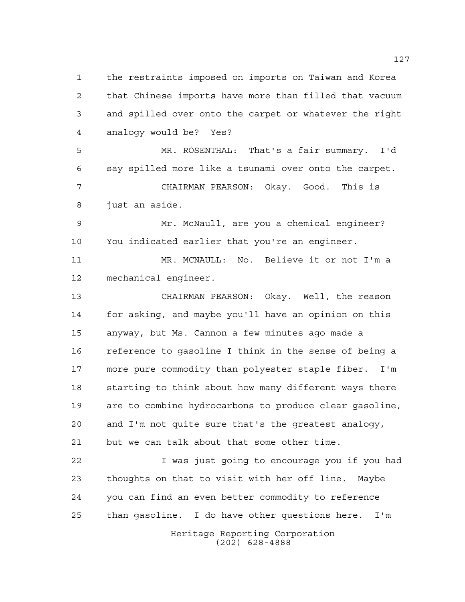the restraints imposed on imports on Taiwan and Korea that Chinese imports have more than filled that vacuum and spilled over onto the carpet or whatever the right analogy would be? Yes? MR. ROSENTHAL: That's a fair summary. I'd

 say spilled more like a tsunami over onto the carpet. CHAIRMAN PEARSON: Okay. Good. This is just an aside.

 Mr. McNaull, are you a chemical engineer? You indicated earlier that you're an engineer.

 MR. MCNAULL: No. Believe it or not I'm a mechanical engineer.

 CHAIRMAN PEARSON: Okay. Well, the reason for asking, and maybe you'll have an opinion on this anyway, but Ms. Cannon a few minutes ago made a reference to gasoline I think in the sense of being a more pure commodity than polyester staple fiber. I'm starting to think about how many different ways there are to combine hydrocarbons to produce clear gasoline, and I'm not quite sure that's the greatest analogy, but we can talk about that some other time.

 I was just going to encourage you if you had thoughts on that to visit with her off line. Maybe you can find an even better commodity to reference than gasoline. I do have other questions here. I'm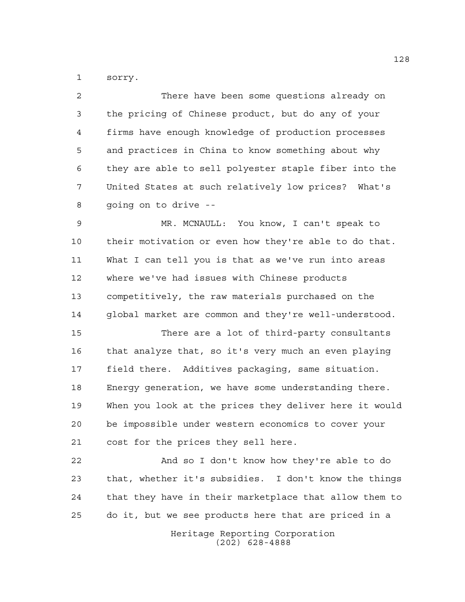sorry.

 There have been some questions already on the pricing of Chinese product, but do any of your firms have enough knowledge of production processes and practices in China to know something about why they are able to sell polyester staple fiber into the United States at such relatively low prices? What's going on to drive --

 MR. MCNAULL: You know, I can't speak to their motivation or even how they're able to do that. What I can tell you is that as we've run into areas where we've had issues with Chinese products competitively, the raw materials purchased on the global market are common and they're well-understood.

 There are a lot of third-party consultants that analyze that, so it's very much an even playing field there. Additives packaging, same situation. Energy generation, we have some understanding there. When you look at the prices they deliver here it would be impossible under western economics to cover your cost for the prices they sell here.

 And so I don't know how they're able to do that, whether it's subsidies. I don't know the things that they have in their marketplace that allow them to do it, but we see products here that are priced in a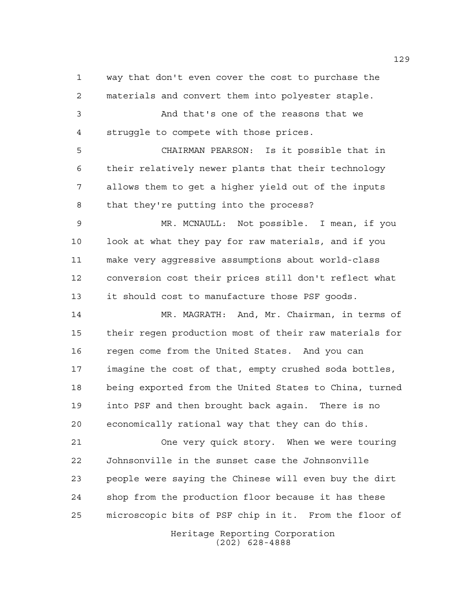way that don't even cover the cost to purchase the materials and convert them into polyester staple.

 And that's one of the reasons that we struggle to compete with those prices.

 CHAIRMAN PEARSON: Is it possible that in their relatively newer plants that their technology allows them to get a higher yield out of the inputs that they're putting into the process?

 MR. MCNAULL: Not possible. I mean, if you look at what they pay for raw materials, and if you make very aggressive assumptions about world-class conversion cost their prices still don't reflect what it should cost to manufacture those PSF goods.

 MR. MAGRATH: And, Mr. Chairman, in terms of their regen production most of their raw materials for regen come from the United States. And you can imagine the cost of that, empty crushed soda bottles, being exported from the United States to China, turned into PSF and then brought back again. There is no economically rational way that they can do this.

 One very quick story. When we were touring Johnsonville in the sunset case the Johnsonville people were saying the Chinese will even buy the dirt shop from the production floor because it has these microscopic bits of PSF chip in it. From the floor of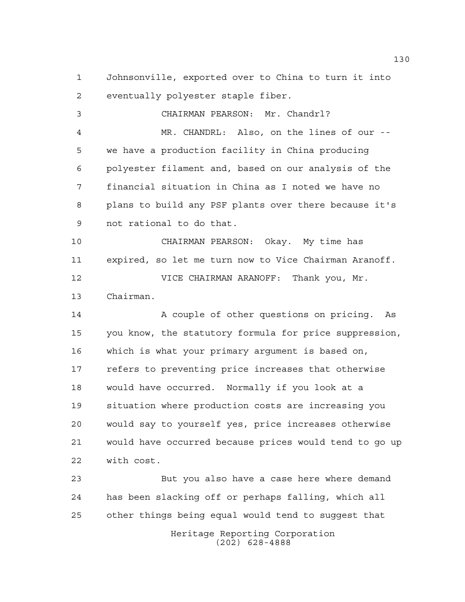Johnsonville, exported over to China to turn it into eventually polyester staple fiber.

 CHAIRMAN PEARSON: Mr. Chandrl? MR. CHANDRL: Also, on the lines of our -- we have a production facility in China producing polyester filament and, based on our analysis of the financial situation in China as I noted we have no plans to build any PSF plants over there because it's not rational to do that. CHAIRMAN PEARSON: Okay. My time has expired, so let me turn now to Vice Chairman Aranoff. VICE CHAIRMAN ARANOFF: Thank you, Mr. Chairman. 14 A couple of other questions on pricing. As you know, the statutory formula for price suppression, which is what your primary argument is based on, refers to preventing price increases that otherwise would have occurred. Normally if you look at a situation where production costs are increasing you would say to yourself yes, price increases otherwise

 would have occurred because prices would tend to go up with cost.

Heritage Reporting Corporation But you also have a case here where demand has been slacking off or perhaps falling, which all other things being equal would tend to suggest that

(202) 628-4888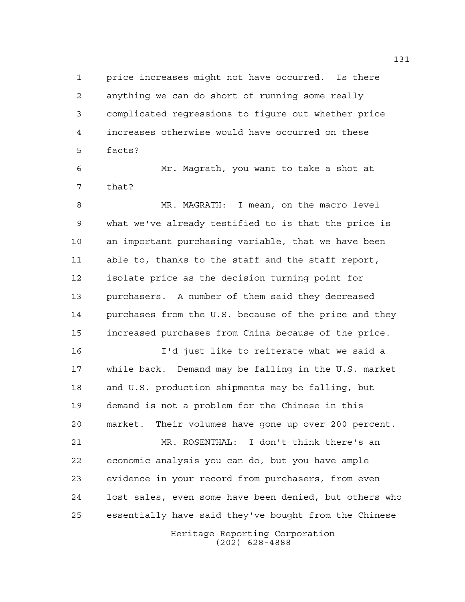price increases might not have occurred. Is there anything we can do short of running some really complicated regressions to figure out whether price increases otherwise would have occurred on these facts?

 Mr. Magrath, you want to take a shot at that?

 MR. MAGRATH: I mean, on the macro level what we've already testified to is that the price is an important purchasing variable, that we have been able to, thanks to the staff and the staff report, isolate price as the decision turning point for purchasers. A number of them said they decreased purchases from the U.S. because of the price and they increased purchases from China because of the price.

 I'd just like to reiterate what we said a while back. Demand may be falling in the U.S. market and U.S. production shipments may be falling, but demand is not a problem for the Chinese in this market. Their volumes have gone up over 200 percent. MR. ROSENTHAL: I don't think there's an

 economic analysis you can do, but you have ample evidence in your record from purchasers, from even lost sales, even some have been denied, but others who essentially have said they've bought from the Chinese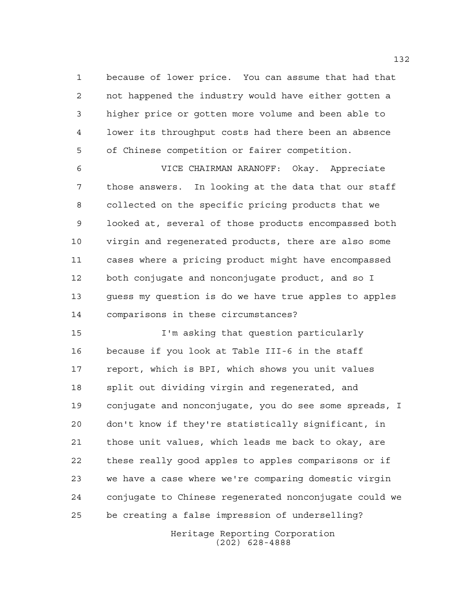because of lower price. You can assume that had that not happened the industry would have either gotten a higher price or gotten more volume and been able to lower its throughput costs had there been an absence of Chinese competition or fairer competition.

 VICE CHAIRMAN ARANOFF: Okay. Appreciate those answers. In looking at the data that our staff collected on the specific pricing products that we looked at, several of those products encompassed both virgin and regenerated products, there are also some cases where a pricing product might have encompassed both conjugate and nonconjugate product, and so I guess my question is do we have true apples to apples comparisons in these circumstances?

 I'm asking that question particularly because if you look at Table III-6 in the staff report, which is BPI, which shows you unit values split out dividing virgin and regenerated, and conjugate and nonconjugate, you do see some spreads, I don't know if they're statistically significant, in those unit values, which leads me back to okay, are these really good apples to apples comparisons or if we have a case where we're comparing domestic virgin conjugate to Chinese regenerated nonconjugate could we be creating a false impression of underselling?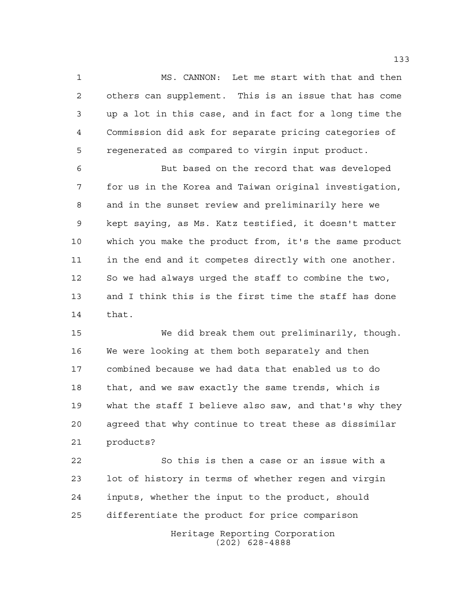MS. CANNON: Let me start with that and then others can supplement. This is an issue that has come up a lot in this case, and in fact for a long time the Commission did ask for separate pricing categories of regenerated as compared to virgin input product.

 But based on the record that was developed for us in the Korea and Taiwan original investigation, and in the sunset review and preliminarily here we kept saying, as Ms. Katz testified, it doesn't matter which you make the product from, it's the same product in the end and it competes directly with one another. So we had always urged the staff to combine the two, and I think this is the first time the staff has done that.

 We did break them out preliminarily, though. We were looking at them both separately and then combined because we had data that enabled us to do that, and we saw exactly the same trends, which is what the staff I believe also saw, and that's why they agreed that why continue to treat these as dissimilar products?

Heritage Reporting Corporation So this is then a case or an issue with a lot of history in terms of whether regen and virgin inputs, whether the input to the product, should differentiate the product for price comparison

(202) 628-4888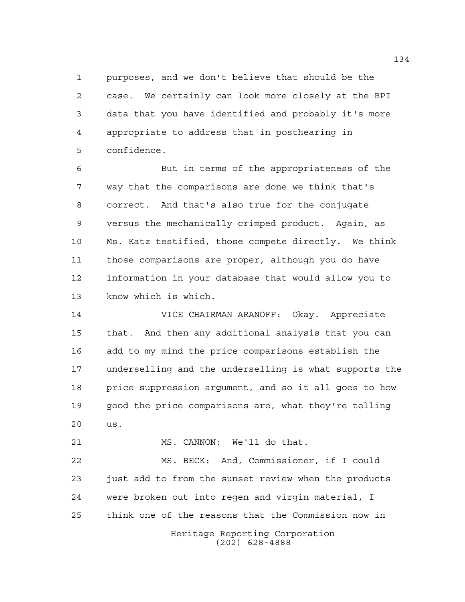purposes, and we don't believe that should be the case. We certainly can look more closely at the BPI data that you have identified and probably it's more appropriate to address that in posthearing in confidence.

 But in terms of the appropriateness of the way that the comparisons are done we think that's correct. And that's also true for the conjugate versus the mechanically crimped product. Again, as Ms. Katz testified, those compete directly. We think those comparisons are proper, although you do have information in your database that would allow you to know which is which.

 VICE CHAIRMAN ARANOFF: Okay. Appreciate that. And then any additional analysis that you can add to my mind the price comparisons establish the underselling and the underselling is what supports the price suppression argument, and so it all goes to how good the price comparisons are, what they're telling us.

MS. CANNON: We'll do that.

 MS. BECK: And, Commissioner, if I could just add to from the sunset review when the products were broken out into regen and virgin material, I think one of the reasons that the Commission now in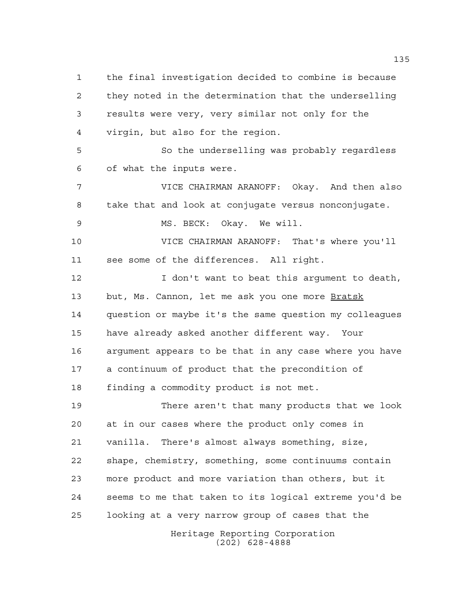the final investigation decided to combine is because they noted in the determination that the underselling results were very, very similar not only for the virgin, but also for the region. So the underselling was probably regardless of what the inputs were. VICE CHAIRMAN ARANOFF: Okay. And then also take that and look at conjugate versus nonconjugate. MS. BECK: Okay. We will. VICE CHAIRMAN ARANOFF: That's where you'll see some of the differences. All right. **I** don't want to beat this argument to death, 13 but, Ms. Cannon, let me ask you one more Bratsk question or maybe it's the same question my colleagues have already asked another different way. Your argument appears to be that in any case where you have a continuum of product that the precondition of finding a commodity product is not met. There aren't that many products that we look at in our cases where the product only comes in vanilla. There's almost always something, size, shape, chemistry, something, some continuums contain more product and more variation than others, but it seems to me that taken to its logical extreme you'd be looking at a very narrow group of cases that the

Heritage Reporting Corporation (202) 628-4888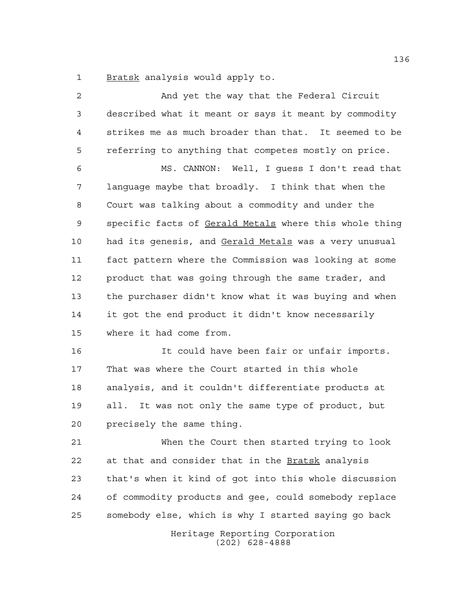Bratsk analysis would apply to.

 And yet the way that the Federal Circuit described what it meant or says it meant by commodity strikes me as much broader than that. It seemed to be referring to anything that competes mostly on price. MS. CANNON: Well, I guess I don't read that language maybe that broadly. I think that when the Court was talking about a commodity and under the specific facts of Gerald Metals where this whole thing 10 had its genesis, and Gerald Metals was a very unusual fact pattern where the Commission was looking at some product that was going through the same trader, and the purchaser didn't know what it was buying and when it got the end product it didn't know necessarily where it had come from. It could have been fair or unfair imports. That was where the Court started in this whole analysis, and it couldn't differentiate products at all. It was not only the same type of product, but precisely the same thing. When the Court then started trying to look at that and consider that in the Bratsk analysis that's when it kind of got into this whole discussion of commodity products and gee, could somebody replace somebody else, which is why I started saying go back

> Heritage Reporting Corporation (202) 628-4888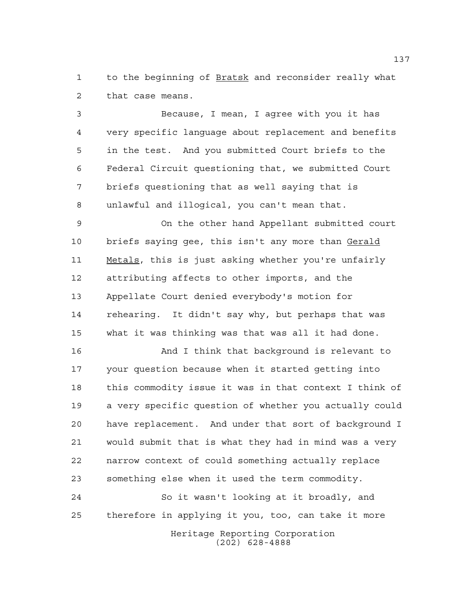to the beginning of Bratsk and reconsider really what that case means.

 Because, I mean, I agree with you it has very specific language about replacement and benefits in the test. And you submitted Court briefs to the Federal Circuit questioning that, we submitted Court briefs questioning that as well saying that is unlawful and illogical, you can't mean that.

 On the other hand Appellant submitted court 10 briefs saying gee, this isn't any more than Gerald Metals, this is just asking whether you're unfairly attributing affects to other imports, and the Appellate Court denied everybody's motion for rehearing. It didn't say why, but perhaps that was what it was thinking was that was all it had done.

16 And I think that background is relevant to your question because when it started getting into this commodity issue it was in that context I think of a very specific question of whether you actually could have replacement. And under that sort of background I would submit that is what they had in mind was a very narrow context of could something actually replace something else when it used the term commodity.

 So it wasn't looking at it broadly, and therefore in applying it you, too, can take it more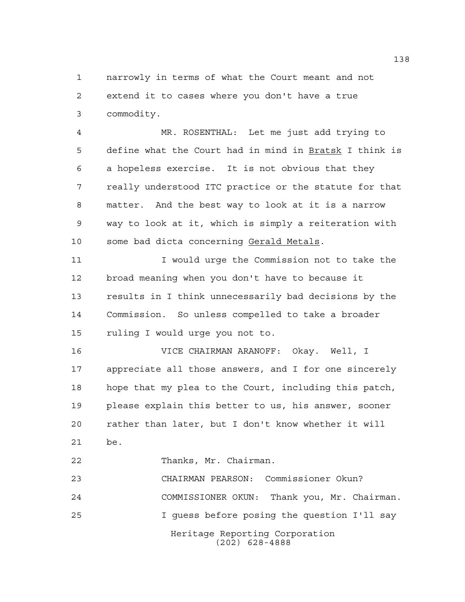narrowly in terms of what the Court meant and not extend it to cases where you don't have a true commodity.

 MR. ROSENTHAL: Let me just add trying to define what the Court had in mind in Bratsk I think is a hopeless exercise. It is not obvious that they really understood ITC practice or the statute for that matter. And the best way to look at it is a narrow way to look at it, which is simply a reiteration with some bad dicta concerning Gerald Metals.

 I would urge the Commission not to take the broad meaning when you don't have to because it results in I think unnecessarily bad decisions by the Commission. So unless compelled to take a broader ruling I would urge you not to.

 VICE CHAIRMAN ARANOFF: Okay. Well, I appreciate all those answers, and I for one sincerely hope that my plea to the Court, including this patch, please explain this better to us, his answer, sooner rather than later, but I don't know whether it will be.

Thanks, Mr. Chairman.

Heritage Reporting Corporation (202) 628-4888 CHAIRMAN PEARSON: Commissioner Okun? COMMISSIONER OKUN: Thank you, Mr. Chairman. I guess before posing the question I'll say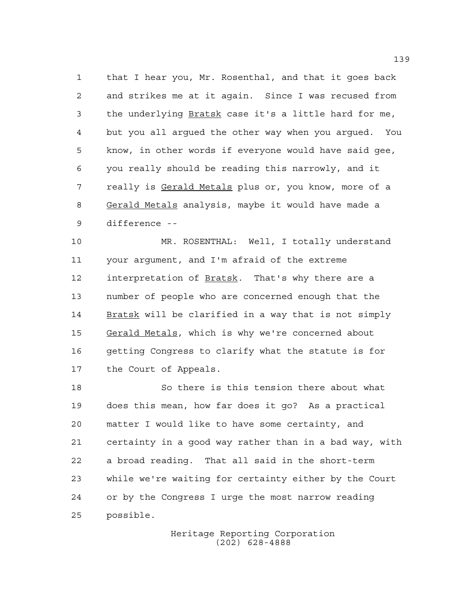that I hear you, Mr. Rosenthal, and that it goes back and strikes me at it again. Since I was recused from the underlying Bratsk case it's a little hard for me, but you all argued the other way when you argued. You know, in other words if everyone would have said gee, you really should be reading this narrowly, and it 7 really is Gerald Metals plus or, you know, more of a Gerald Metals analysis, maybe it would have made a difference --

 MR. ROSENTHAL: Well, I totally understand your argument, and I'm afraid of the extreme interpretation of Bratsk. That's why there are a number of people who are concerned enough that the Bratsk will be clarified in a way that is not simply Gerald Metals, which is why we're concerned about getting Congress to clarify what the statute is for the Court of Appeals.

 So there is this tension there about what does this mean, how far does it go? As a practical matter I would like to have some certainty, and certainty in a good way rather than in a bad way, with a broad reading. That all said in the short-term while we're waiting for certainty either by the Court or by the Congress I urge the most narrow reading possible.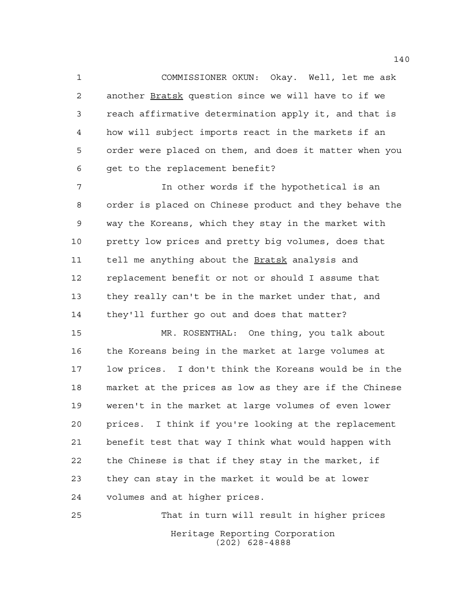COMMISSIONER OKUN: Okay. Well, let me ask 2 another Bratsk question since we will have to if we reach affirmative determination apply it, and that is how will subject imports react in the markets if an order were placed on them, and does it matter when you get to the replacement benefit?

 In other words if the hypothetical is an order is placed on Chinese product and they behave the way the Koreans, which they stay in the market with pretty low prices and pretty big volumes, does that tell me anything about the Bratsk analysis and replacement benefit or not or should I assume that they really can't be in the market under that, and they'll further go out and does that matter?

 MR. ROSENTHAL: One thing, you talk about the Koreans being in the market at large volumes at low prices. I don't think the Koreans would be in the market at the prices as low as they are if the Chinese weren't in the market at large volumes of even lower prices. I think if you're looking at the replacement benefit test that way I think what would happen with the Chinese is that if they stay in the market, if they can stay in the market it would be at lower volumes and at higher prices.

Heritage Reporting Corporation (202) 628-4888 That in turn will result in higher prices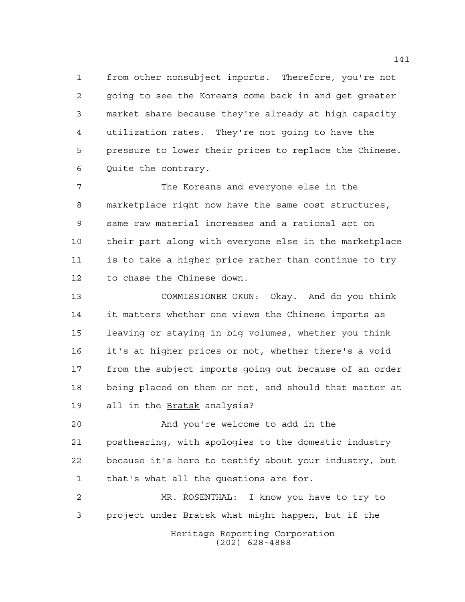from other nonsubject imports. Therefore, you're not going to see the Koreans come back in and get greater market share because they're already at high capacity utilization rates. They're not going to have the pressure to lower their prices to replace the Chinese. Quite the contrary.

 The Koreans and everyone else in the marketplace right now have the same cost structures, same raw material increases and a rational act on their part along with everyone else in the marketplace is to take a higher price rather than continue to try to chase the Chinese down.

 COMMISSIONER OKUN: Okay. And do you think it matters whether one views the Chinese imports as leaving or staying in big volumes, whether you think it's at higher prices or not, whether there's a void from the subject imports going out because of an order being placed on them or not, and should that matter at all in the Bratsk analysis?

 And you're welcome to add in the posthearing, with apologies to the domestic industry because it's here to testify about your industry, but that's what all the questions are for.

Heritage Reporting Corporation (202) 628-4888 MR. ROSENTHAL: I know you have to try to 3 project under Bratsk what might happen, but if the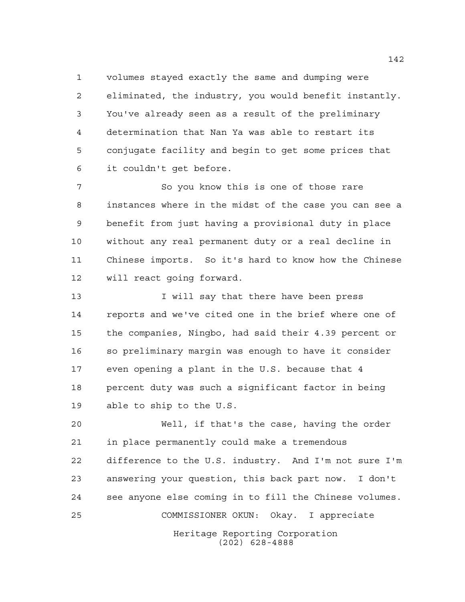volumes stayed exactly the same and dumping were eliminated, the industry, you would benefit instantly. You've already seen as a result of the preliminary determination that Nan Ya was able to restart its conjugate facility and begin to get some prices that it couldn't get before.

 So you know this is one of those rare instances where in the midst of the case you can see a benefit from just having a provisional duty in place without any real permanent duty or a real decline in Chinese imports. So it's hard to know how the Chinese will react going forward.

**I** will say that there have been press reports and we've cited one in the brief where one of the companies, Ningbo, had said their 4.39 percent or so preliminary margin was enough to have it consider even opening a plant in the U.S. because that 4 percent duty was such a significant factor in being able to ship to the U.S.

Heritage Reporting Corporation (202) 628-4888 Well, if that's the case, having the order in place permanently could make a tremendous difference to the U.S. industry. And I'm not sure I'm answering your question, this back part now. I don't see anyone else coming in to fill the Chinese volumes. COMMISSIONER OKUN: Okay. I appreciate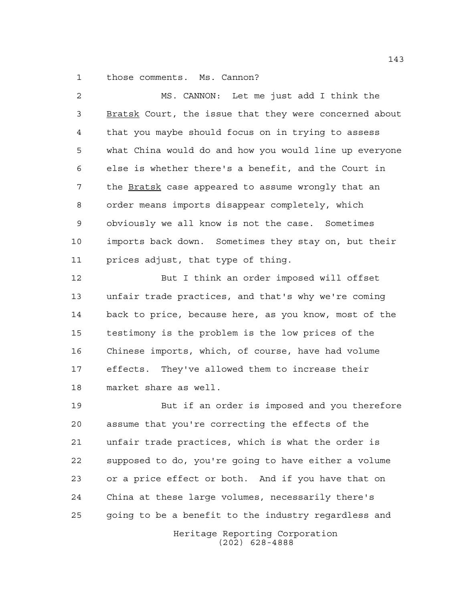those comments. Ms. Cannon?

 MS. CANNON: Let me just add I think the Bratsk Court, the issue that they were concerned about that you maybe should focus on in trying to assess what China would do and how you would line up everyone else is whether there's a benefit, and the Court in 7 the Bratsk case appeared to assume wrongly that an order means imports disappear completely, which obviously we all know is not the case. Sometimes imports back down. Sometimes they stay on, but their prices adjust, that type of thing. But I think an order imposed will offset unfair trade practices, and that's why we're coming

 back to price, because here, as you know, most of the testimony is the problem is the low prices of the Chinese imports, which, of course, have had volume effects. They've allowed them to increase their market share as well.

 But if an order is imposed and you therefore assume that you're correcting the effects of the unfair trade practices, which is what the order is supposed to do, you're going to have either a volume or a price effect or both. And if you have that on China at these large volumes, necessarily there's going to be a benefit to the industry regardless and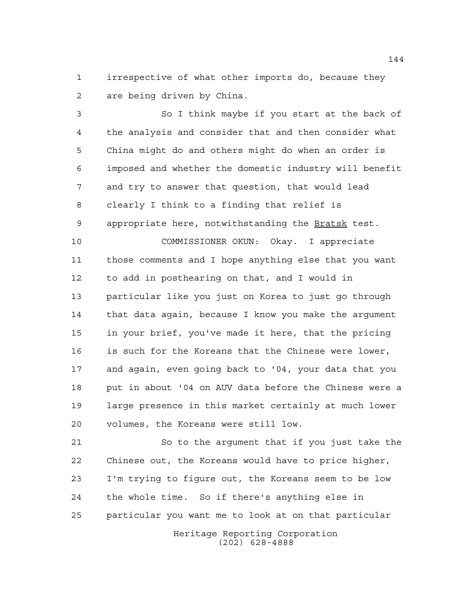irrespective of what other imports do, because they are being driven by China.

 So I think maybe if you start at the back of the analysis and consider that and then consider what China might do and others might do when an order is imposed and whether the domestic industry will benefit and try to answer that question, that would lead clearly I think to a finding that relief is 9 appropriate here, notwithstanding the Bratsk test. COMMISSIONER OKUN: Okay. I appreciate those comments and I hope anything else that you want to add in posthearing on that, and I would in particular like you just on Korea to just go through

 that data again, because I know you make the argument in your brief, you've made it here, that the pricing is such for the Koreans that the Chinese were lower, and again, even going back to '04, your data that you put in about '04 on AUV data before the Chinese were a large presence in this market certainly at much lower volumes, the Koreans were still low.

 So to the argument that if you just take the Chinese out, the Koreans would have to price higher, I'm trying to figure out, the Koreans seem to be low the whole time. So if there's anything else in particular you want me to look at on that particular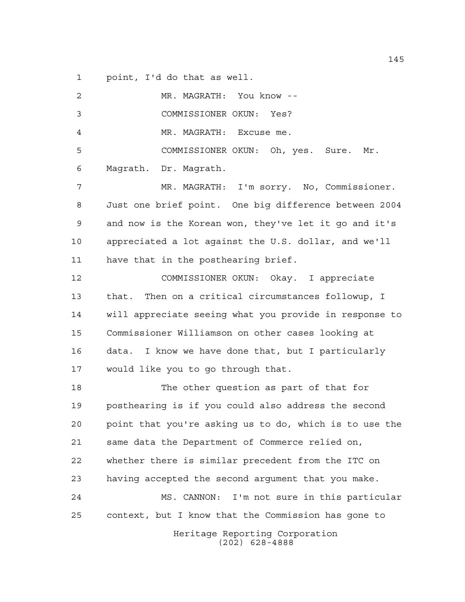point, I'd do that as well.

| $\overline{a}$ | MR. MAGRATH: You know --                               |
|----------------|--------------------------------------------------------|
| 3              | COMMISSIONER OKUN: Yes?                                |
| 4              | MR. MAGRATH: Excuse me.                                |
| 5              | COMMISSIONER OKUN: Oh, yes. Sure. Mr.                  |
| 6              | Magrath. Dr. Magrath.                                  |
| 7              | MR. MAGRATH: I'm sorry. No, Commissioner.              |
| 8              | Just one brief point. One big difference between 2004  |
| 9              | and now is the Korean won, they've let it go and it's  |
| 10             | appreciated a lot against the U.S. dollar, and we'll   |
| 11             | have that in the posthearing brief.                    |
| 12             | COMMISSIONER OKUN: Okay. I appreciate                  |
| 13             | that. Then on a critical circumstances followup, I     |
| 14             | will appreciate seeing what you provide in response to |
| 15             | Commissioner Williamson on other cases looking at      |
| 16             | data. I know we have done that, but I particularly     |
| 17             | would like you to go through that.                     |
| 18             | The other question as part of that for                 |
| 19             | posthearing is if you could also address the second    |
| 20             | point that you're asking us to do, which is to use the |
| 21             | same data the Department of Commerce relied on,        |
| 22             | whether there is similar precedent from the ITC on     |
| 23             | having accepted the second argument that you make.     |
| 24             | MS. CANNON: I'm not sure in this particular            |
| 25             | context, but I know that the Commission has gone to    |
|                | Heritage Reporting Corporation<br>$(202)$ 628-4888     |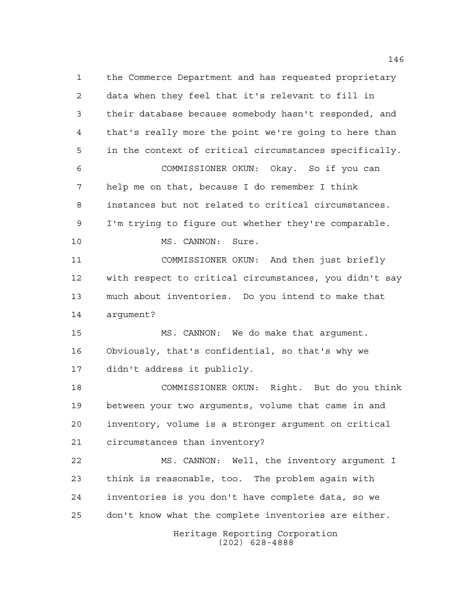Heritage Reporting Corporation (202) 628-4888 the Commerce Department and has requested proprietary data when they feel that it's relevant to fill in their database because somebody hasn't responded, and that's really more the point we're going to here than in the context of critical circumstances specifically. COMMISSIONER OKUN: Okay. So if you can help me on that, because I do remember I think instances but not related to critical circumstances. I'm trying to figure out whether they're comparable. 10 MS. CANNON: Sure. COMMISSIONER OKUN: And then just briefly with respect to critical circumstances, you didn't say much about inventories. Do you intend to make that argument? MS. CANNON: We do make that argument. Obviously, that's confidential, so that's why we didn't address it publicly. COMMISSIONER OKUN: Right. But do you think between your two arguments, volume that came in and inventory, volume is a stronger argument on critical circumstances than inventory? MS. CANNON: Well, the inventory argument I think is reasonable, too. The problem again with inventories is you don't have complete data, so we don't know what the complete inventories are either.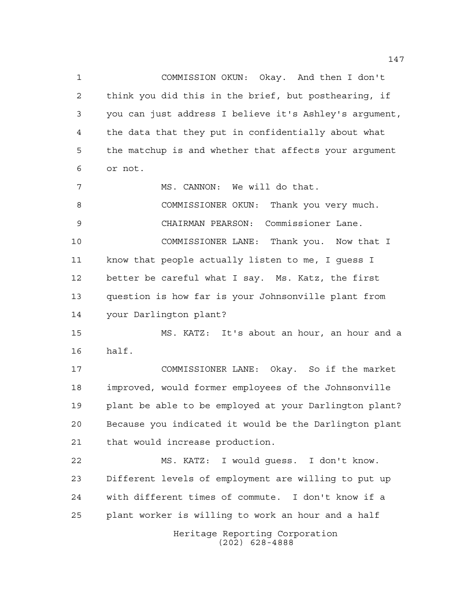COMMISSION OKUN: Okay. And then I don't think you did this in the brief, but posthearing, if you can just address I believe it's Ashley's argument, the data that they put in confidentially about what the matchup is and whether that affects your argument or not. 7 MS. CANNON: We will do that. COMMISSIONER OKUN: Thank you very much. CHAIRMAN PEARSON: Commissioner Lane. COMMISSIONER LANE: Thank you. Now that I know that people actually listen to me, I guess I better be careful what I say. Ms. Katz, the first question is how far is your Johnsonville plant from your Darlington plant? MS. KATZ: It's about an hour, an hour and a half.

 COMMISSIONER LANE: Okay. So if the market improved, would former employees of the Johnsonville plant be able to be employed at your Darlington plant? Because you indicated it would be the Darlington plant that would increase production.

Heritage Reporting Corporation MS. KATZ: I would guess. I don't know. Different levels of employment are willing to put up with different times of commute. I don't know if a plant worker is willing to work an hour and a half

(202) 628-4888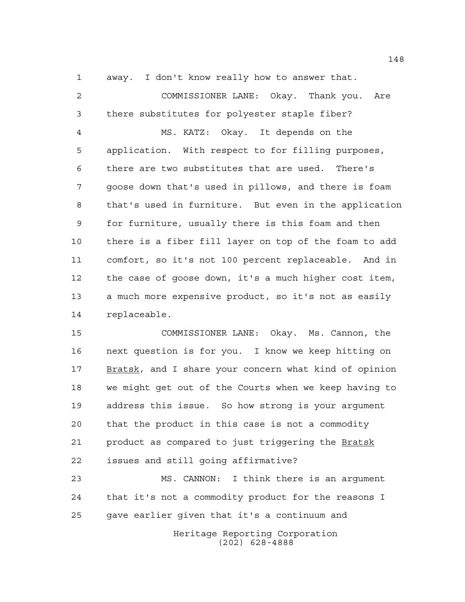away. I don't know really how to answer that.

 COMMISSIONER LANE: Okay. Thank you. Are there substitutes for polyester staple fiber? MS. KATZ: Okay. It depends on the application. With respect to for filling purposes, there are two substitutes that are used. There's goose down that's used in pillows, and there is foam that's used in furniture. But even in the application for furniture, usually there is this foam and then there is a fiber fill layer on top of the foam to add comfort, so it's not 100 percent replaceable. And in the case of goose down, it's a much higher cost item, a much more expensive product, so it's not as easily replaceable.

 COMMISSIONER LANE: Okay. Ms. Cannon, the next question is for you. I know we keep hitting on Bratsk, and I share your concern what kind of opinion we might get out of the Courts when we keep having to address this issue. So how strong is your argument that the product in this case is not a commodity 21 product as compared to just triggering the Bratsk issues and still going affirmative?

 MS. CANNON: I think there is an argument that it's not a commodity product for the reasons I gave earlier given that it's a continuum and

> Heritage Reporting Corporation (202) 628-4888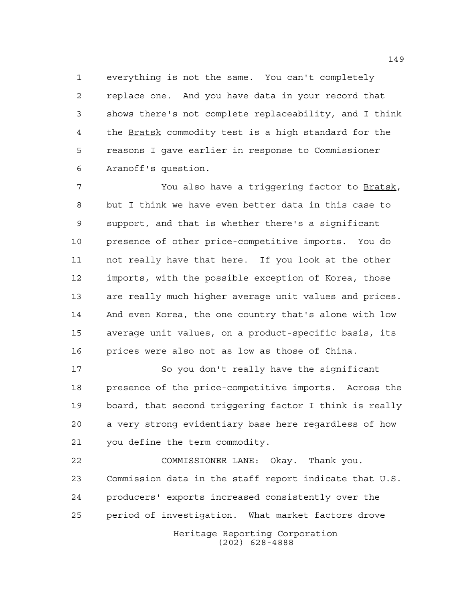everything is not the same. You can't completely replace one. And you have data in your record that shows there's not complete replaceability, and I think the Bratsk commodity test is a high standard for the reasons I gave earlier in response to Commissioner Aranoff's question.

 You also have a triggering factor to Bratsk, but I think we have even better data in this case to support, and that is whether there's a significant presence of other price-competitive imports. You do not really have that here. If you look at the other imports, with the possible exception of Korea, those are really much higher average unit values and prices. And even Korea, the one country that's alone with low average unit values, on a product-specific basis, its prices were also not as low as those of China.

 So you don't really have the significant presence of the price-competitive imports. Across the board, that second triggering factor I think is really a very strong evidentiary base here regardless of how you define the term commodity.

Heritage Reporting Corporation COMMISSIONER LANE: Okay. Thank you. Commission data in the staff report indicate that U.S. producers' exports increased consistently over the period of investigation. What market factors drove

(202) 628-4888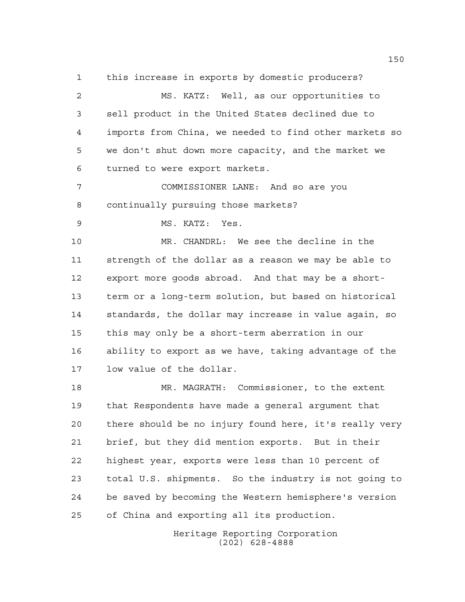this increase in exports by domestic producers?

 MS. KATZ: Well, as our opportunities to sell product in the United States declined due to imports from China, we needed to find other markets so we don't shut down more capacity, and the market we turned to were export markets.

 COMMISSIONER LANE: And so are you continually pursuing those markets?

MS. KATZ: Yes.

 MR. CHANDRL: We see the decline in the strength of the dollar as a reason we may be able to export more goods abroad. And that may be a short- term or a long-term solution, but based on historical standards, the dollar may increase in value again, so this may only be a short-term aberration in our ability to export as we have, taking advantage of the low value of the dollar.

 MR. MAGRATH: Commissioner, to the extent that Respondents have made a general argument that there should be no injury found here, it's really very brief, but they did mention exports. But in their highest year, exports were less than 10 percent of total U.S. shipments. So the industry is not going to be saved by becoming the Western hemisphere's version of China and exporting all its production.

> Heritage Reporting Corporation (202) 628-4888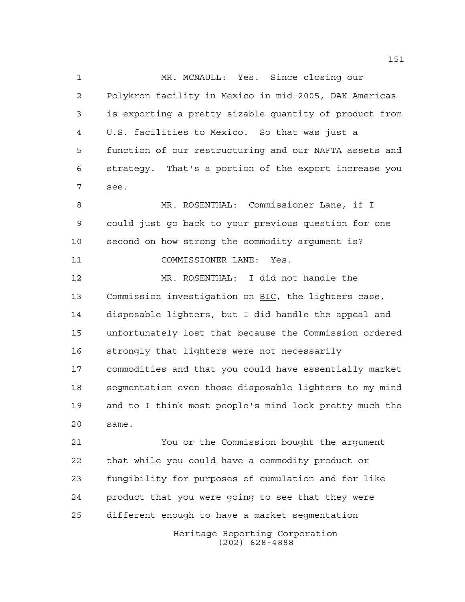MR. MCNAULL: Yes. Since closing our Polykron facility in Mexico in mid-2005, DAK Americas is exporting a pretty sizable quantity of product from U.S. facilities to Mexico. So that was just a function of our restructuring and our NAFTA assets and strategy. That's a portion of the export increase you see.

 MR. ROSENTHAL: Commissioner Lane, if I could just go back to your previous question for one second on how strong the commodity argument is? 11 COMMISSIONER LANE: Yes.

 MR. ROSENTHAL: I did not handle the 13 Commission investigation on BIC, the lighters case, disposable lighters, but I did handle the appeal and unfortunately lost that because the Commission ordered strongly that lighters were not necessarily commodities and that you could have essentially market segmentation even those disposable lighters to my mind and to I think most people's mind look pretty much the same.

 You or the Commission bought the argument that while you could have a commodity product or fungibility for purposes of cumulation and for like product that you were going to see that they were different enough to have a market segmentation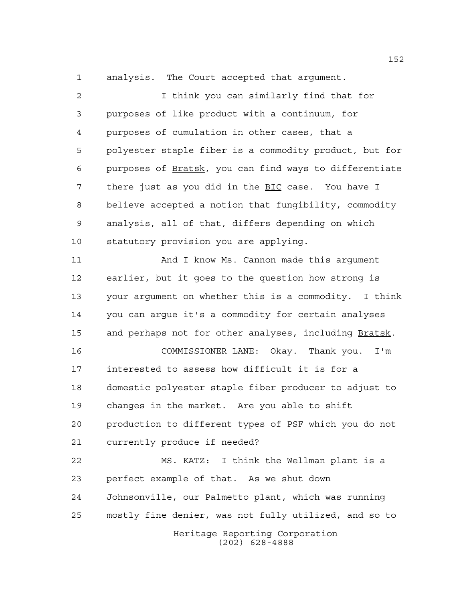analysis. The Court accepted that argument.

 I think you can similarly find that for purposes of like product with a continuum, for purposes of cumulation in other cases, that a polyester staple fiber is a commodity product, but for purposes of Bratsk, you can find ways to differentiate there just as you did in the BIC case. You have I believe accepted a notion that fungibility, commodity analysis, all of that, differs depending on which statutory provision you are applying.

 And I know Ms. Cannon made this argument earlier, but it goes to the question how strong is your argument on whether this is a commodity. I think you can argue it's a commodity for certain analyses and perhaps not for other analyses, including Bratsk.

 COMMISSIONER LANE: Okay. Thank you. I'm interested to assess how difficult it is for a domestic polyester staple fiber producer to adjust to changes in the market. Are you able to shift production to different types of PSF which you do not currently produce if needed?

Heritage Reporting Corporation MS. KATZ: I think the Wellman plant is a perfect example of that. As we shut down Johnsonville, our Palmetto plant, which was running mostly fine denier, was not fully utilized, and so to

(202) 628-4888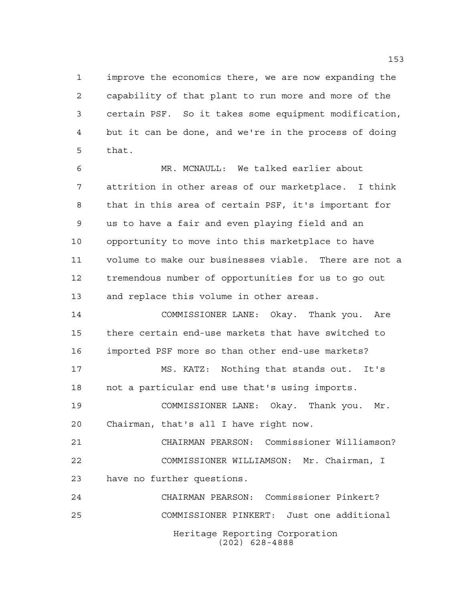improve the economics there, we are now expanding the capability of that plant to run more and more of the certain PSF. So it takes some equipment modification, but it can be done, and we're in the process of doing that.

 MR. MCNAULL: We talked earlier about attrition in other areas of our marketplace. I think that in this area of certain PSF, it's important for us to have a fair and even playing field and an opportunity to move into this marketplace to have volume to make our businesses viable. There are not a tremendous number of opportunities for us to go out and replace this volume in other areas.

 COMMISSIONER LANE: Okay. Thank you. Are there certain end-use markets that have switched to imported PSF more so than other end-use markets?

 MS. KATZ: Nothing that stands out. It's not a particular end use that's using imports.

 COMMISSIONER LANE: Okay. Thank you. Mr. Chairman, that's all I have right now.

 CHAIRMAN PEARSON: Commissioner Williamson? COMMISSIONER WILLIAMSON: Mr. Chairman, I have no further questions.

Heritage Reporting Corporation (202) 628-4888 CHAIRMAN PEARSON: Commissioner Pinkert? COMMISSIONER PINKERT: Just one additional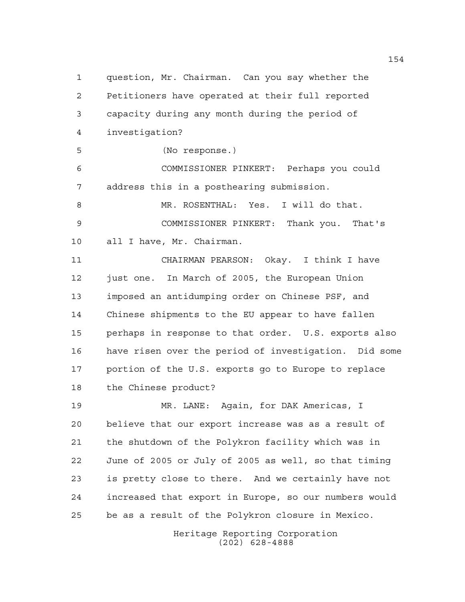question, Mr. Chairman. Can you say whether the Petitioners have operated at their full reported capacity during any month during the period of investigation? (No response.) COMMISSIONER PINKERT: Perhaps you could address this in a posthearing submission. MR. ROSENTHAL: Yes. I will do that. COMMISSIONER PINKERT: Thank you. That's all I have, Mr. Chairman. CHAIRMAN PEARSON: Okay. I think I have just one. In March of 2005, the European Union imposed an antidumping order on Chinese PSF, and Chinese shipments to the EU appear to have fallen perhaps in response to that order. U.S. exports also have risen over the period of investigation. Did some portion of the U.S. exports go to Europe to replace the Chinese product? MR. LANE: Again, for DAK Americas, I believe that our export increase was as a result of the shutdown of the Polykron facility which was in June of 2005 or July of 2005 as well, so that timing is pretty close to there. And we certainly have not increased that export in Europe, so our numbers would be as a result of the Polykron closure in Mexico.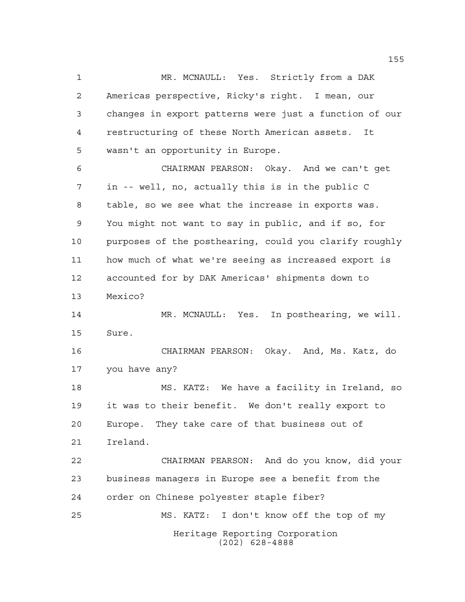Heritage Reporting Corporation (202) 628-4888 MR. MCNAULL: Yes. Strictly from a DAK Americas perspective, Ricky's right. I mean, our changes in export patterns were just a function of our restructuring of these North American assets. It wasn't an opportunity in Europe. CHAIRMAN PEARSON: Okay. And we can't get in -- well, no, actually this is in the public C table, so we see what the increase in exports was. You might not want to say in public, and if so, for purposes of the posthearing, could you clarify roughly how much of what we're seeing as increased export is accounted for by DAK Americas' shipments down to Mexico? MR. MCNAULL: Yes. In posthearing, we will. Sure. CHAIRMAN PEARSON: Okay. And, Ms. Katz, do you have any? MS. KATZ: We have a facility in Ireland, so it was to their benefit. We don't really export to Europe. They take care of that business out of Ireland. CHAIRMAN PEARSON: And do you know, did your business managers in Europe see a benefit from the order on Chinese polyester staple fiber? MS. KATZ: I don't know off the top of my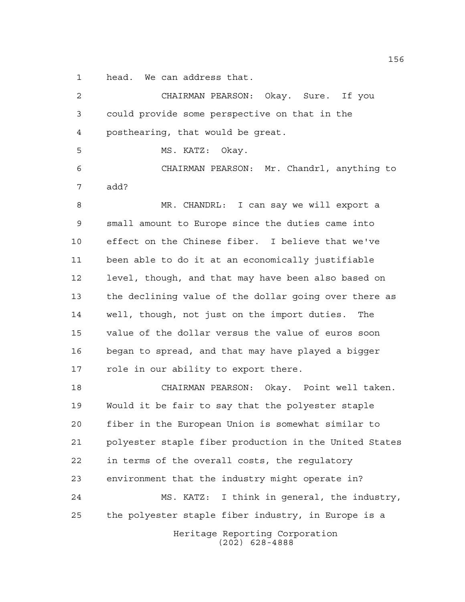head. We can address that.

| 2  | CHAIRMAN PEARSON: Okay. Sure. If you                   |
|----|--------------------------------------------------------|
| 3  | could provide some perspective on that in the          |
| 4  | posthearing, that would be great.                      |
| 5  | MS. KATZ:<br>Okay.                                     |
| 6  | CHAIRMAN PEARSON: Mr. Chandrl, anything to             |
| 7  | add?                                                   |
| 8  | MR. CHANDRL: I can say we will export a                |
| 9  | small amount to Europe since the duties came into      |
| 10 | effect on the Chinese fiber. I believe that we've      |
| 11 | been able to do it at an economically justifiable      |
| 12 | level, though, and that may have been also based on    |
| 13 | the declining value of the dollar going over there as  |
| 14 | well, though, not just on the import duties. The       |
| 15 | value of the dollar versus the value of euros soon     |
| 16 | began to spread, and that may have played a bigger     |
| 17 | role in our ability to export there.                   |
| 18 | CHAIRMAN PEARSON: Okay. Point well taken.              |
| 19 | Would it be fair to say that the polyester staple      |
| 20 | fiber in the European Union is somewhat similar to     |
| 21 | polyester staple fiber production in the United States |
| 22 | in terms of the overall costs, the requlatory          |
| 23 | environment that the industry might operate in?        |
| 24 | MS. KATZ:<br>I think in general, the industry,         |
| 25 | the polyester staple fiber industry, in Europe is a    |
|    | Heritage Reporting Corporation<br>$(202)$ 628-4888     |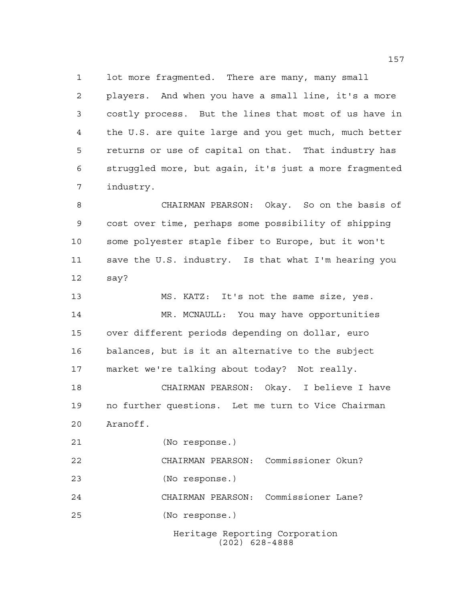lot more fragmented. There are many, many small players. And when you have a small line, it's a more costly process. But the lines that most of us have in the U.S. are quite large and you get much, much better returns or use of capital on that. That industry has struggled more, but again, it's just a more fragmented industry.

 CHAIRMAN PEARSON: Okay. So on the basis of cost over time, perhaps some possibility of shipping some polyester staple fiber to Europe, but it won't save the U.S. industry. Is that what I'm hearing you say?

 MS. KATZ: It's not the same size, yes. MR. MCNAULL: You may have opportunities over different periods depending on dollar, euro balances, but is it an alternative to the subject market we're talking about today? Not really. CHAIRMAN PEARSON: Okay. I believe I have no further questions. Let me turn to Vice Chairman Aranoff. (No response.)

 CHAIRMAN PEARSON: Commissioner Okun? (No response.) CHAIRMAN PEARSON: Commissioner Lane?

(No response.)

Heritage Reporting Corporation (202) 628-4888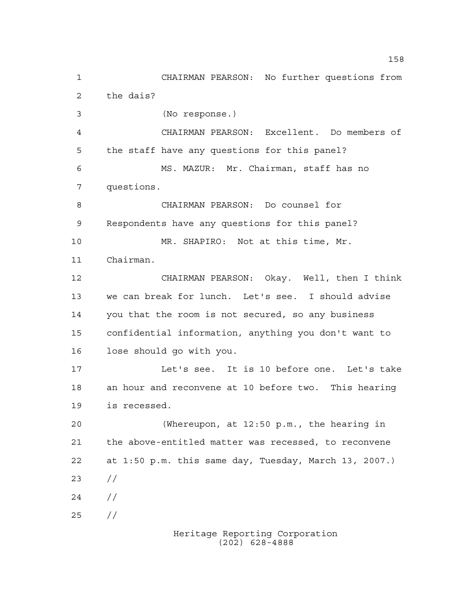Heritage Reporting Corporation CHAIRMAN PEARSON: No further questions from the dais? (No response.) CHAIRMAN PEARSON: Excellent. Do members of the staff have any questions for this panel? MS. MAZUR: Mr. Chairman, staff has no questions. CHAIRMAN PEARSON: Do counsel for Respondents have any questions for this panel? MR. SHAPIRO: Not at this time, Mr. Chairman. CHAIRMAN PEARSON: Okay. Well, then I think we can break for lunch. Let's see. I should advise you that the room is not secured, so any business confidential information, anything you don't want to lose should go with you. Let's see. It is 10 before one. Let's take an hour and reconvene at 10 before two. This hearing is recessed. (Whereupon, at 12:50 p.m., the hearing in the above-entitled matter was recessed, to reconvene at 1:50 p.m. this same day, Tuesday, March 13, 2007.)  $23 / /$  $24 /$ //

(202) 628-4888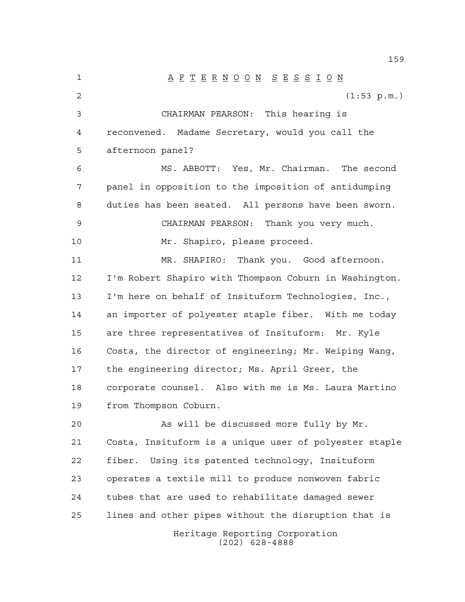A F T E R N O O N S E S S I O N (1:53 p.m.) CHAIRMAN PEARSON: This hearing is reconvened. Madame Secretary, would you call the afternoon panel? MS. ABBOTT: Yes, Mr. Chairman. The second panel in opposition to the imposition of antidumping duties has been seated. All persons have been sworn. CHAIRMAN PEARSON: Thank you very much. Mr. Shapiro, please proceed. MR. SHAPIRO: Thank you. Good afternoon. I'm Robert Shapiro with Thompson Coburn in Washington. I'm here on behalf of Insituform Technologies, Inc., an importer of polyester staple fiber. With me today are three representatives of Insituform: Mr. Kyle Costa, the director of engineering; Mr. Weiping Wang, the engineering director; Ms. April Greer, the corporate counsel. Also with me is Ms. Laura Martino from Thompson Coburn. As will be discussed more fully by Mr. Costa, Insituform is a unique user of polyester staple fiber. Using its patented technology, Insituform operates a textile mill to produce nonwoven fabric tubes that are used to rehabilitate damaged sewer lines and other pipes without the disruption that is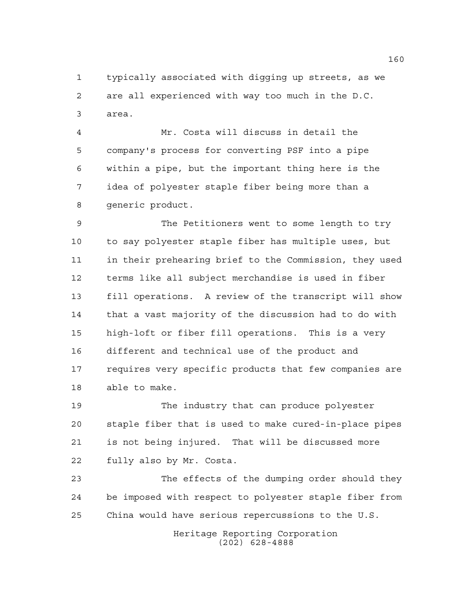typically associated with digging up streets, as we are all experienced with way too much in the D.C. area.

 Mr. Costa will discuss in detail the company's process for converting PSF into a pipe within a pipe, but the important thing here is the idea of polyester staple fiber being more than a generic product.

 The Petitioners went to some length to try to say polyester staple fiber has multiple uses, but in their prehearing brief to the Commission, they used terms like all subject merchandise is used in fiber fill operations. A review of the transcript will show that a vast majority of the discussion had to do with high-loft or fiber fill operations. This is a very different and technical use of the product and requires very specific products that few companies are able to make.

 The industry that can produce polyester staple fiber that is used to make cured-in-place pipes is not being injured. That will be discussed more fully also by Mr. Costa.

 The effects of the dumping order should they be imposed with respect to polyester staple fiber from China would have serious repercussions to the U.S.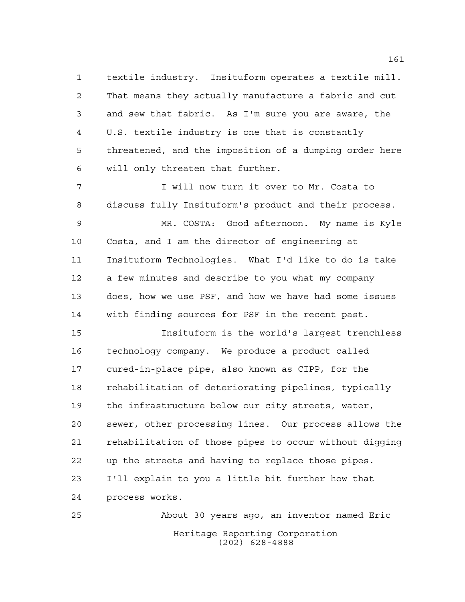textile industry. Insituform operates a textile mill. That means they actually manufacture a fabric and cut and sew that fabric. As I'm sure you are aware, the U.S. textile industry is one that is constantly threatened, and the imposition of a dumping order here will only threaten that further.

 I will now turn it over to Mr. Costa to discuss fully Insituform's product and their process.

 MR. COSTA: Good afternoon. My name is Kyle Costa, and I am the director of engineering at Insituform Technologies. What I'd like to do is take a few minutes and describe to you what my company does, how we use PSF, and how we have had some issues with finding sources for PSF in the recent past.

 Insituform is the world's largest trenchless technology company. We produce a product called cured-in-place pipe, also known as CIPP, for the rehabilitation of deteriorating pipelines, typically the infrastructure below our city streets, water, sewer, other processing lines. Our process allows the rehabilitation of those pipes to occur without digging up the streets and having to replace those pipes. I'll explain to you a little bit further how that process works.

Heritage Reporting Corporation (202) 628-4888 About 30 years ago, an inventor named Eric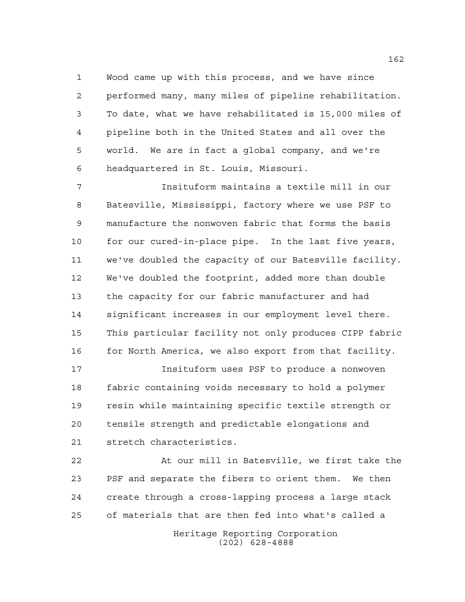Wood came up with this process, and we have since performed many, many miles of pipeline rehabilitation. To date, what we have rehabilitated is 15,000 miles of pipeline both in the United States and all over the world. We are in fact a global company, and we're headquartered in St. Louis, Missouri.

 Insituform maintains a textile mill in our Batesville, Mississippi, factory where we use PSF to manufacture the nonwoven fabric that forms the basis for our cured-in-place pipe. In the last five years, we've doubled the capacity of our Batesville facility. We've doubled the footprint, added more than double the capacity for our fabric manufacturer and had significant increases in our employment level there. This particular facility not only produces CIPP fabric 16 for North America, we also export from that facility.

 Insituform uses PSF to produce a nonwoven fabric containing voids necessary to hold a polymer resin while maintaining specific textile strength or tensile strength and predictable elongations and stretch characteristics.

 At our mill in Batesville, we first take the PSF and separate the fibers to orient them. We then create through a cross-lapping process a large stack of materials that are then fed into what's called a

Heritage Reporting Corporation (202) 628-4888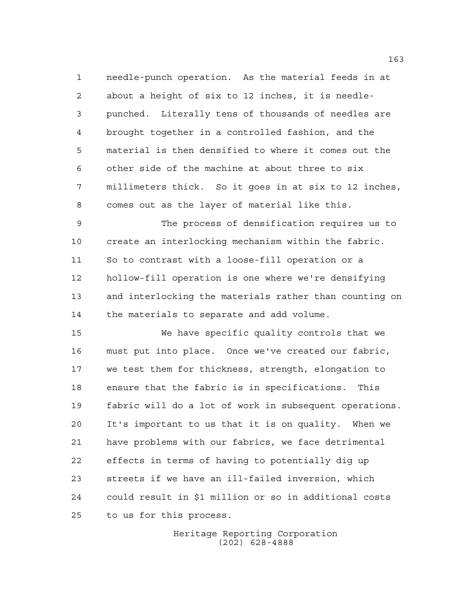needle-punch operation. As the material feeds in at about a height of six to 12 inches, it is needle- punched. Literally tens of thousands of needles are brought together in a controlled fashion, and the material is then densified to where it comes out the other side of the machine at about three to six millimeters thick. So it goes in at six to 12 inches, comes out as the layer of material like this.

 The process of densification requires us to create an interlocking mechanism within the fabric. So to contrast with a loose-fill operation or a hollow-fill operation is one where we're densifying and interlocking the materials rather than counting on the materials to separate and add volume.

 We have specific quality controls that we must put into place. Once we've created our fabric, we test them for thickness, strength, elongation to ensure that the fabric is in specifications. This fabric will do a lot of work in subsequent operations. It's important to us that it is on quality. When we have problems with our fabrics, we face detrimental effects in terms of having to potentially dig up streets if we have an ill-failed inversion, which could result in \$1 million or so in additional costs to us for this process.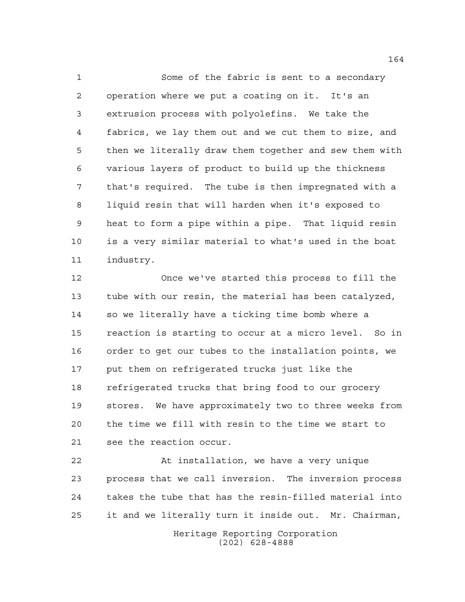Some of the fabric is sent to a secondary operation where we put a coating on it. It's an extrusion process with polyolefins. We take the fabrics, we lay them out and we cut them to size, and then we literally draw them together and sew them with various layers of product to build up the thickness that's required. The tube is then impregnated with a liquid resin that will harden when it's exposed to heat to form a pipe within a pipe. That liquid resin is a very similar material to what's used in the boat industry.

 Once we've started this process to fill the tube with our resin, the material has been catalyzed, so we literally have a ticking time bomb where a reaction is starting to occur at a micro level. So in order to get our tubes to the installation points, we put them on refrigerated trucks just like the refrigerated trucks that bring food to our grocery stores. We have approximately two to three weeks from the time we fill with resin to the time we start to see the reaction occur.

 At installation, we have a very unique process that we call inversion. The inversion process takes the tube that has the resin-filled material into it and we literally turn it inside out. Mr. Chairman,

> Heritage Reporting Corporation (202) 628-4888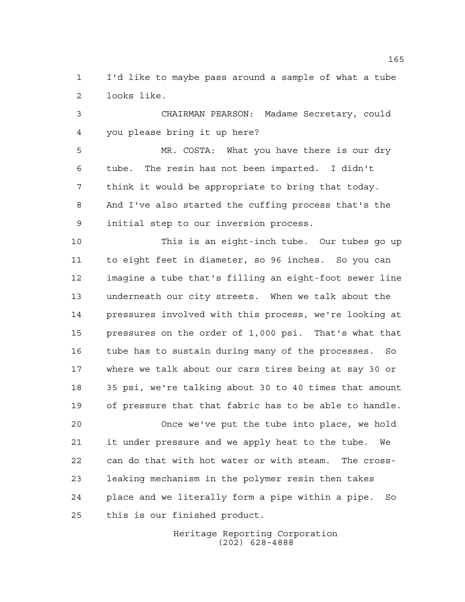I'd like to maybe pass around a sample of what a tube looks like.

 CHAIRMAN PEARSON: Madame Secretary, could you please bring it up here?

 MR. COSTA: What you have there is our dry tube. The resin has not been imparted. I didn't think it would be appropriate to bring that today. And I've also started the cuffing process that's the initial step to our inversion process.

 This is an eight-inch tube. Our tubes go up to eight feet in diameter, so 96 inches. So you can imagine a tube that's filling an eight-foot sewer line underneath our city streets. When we talk about the pressures involved with this process, we're looking at pressures on the order of 1,000 psi. That's what that tube has to sustain during many of the processes. So where we talk about our cars tires being at say 30 or 35 psi, we're talking about 30 to 40 times that amount of pressure that that fabric has to be able to handle.

 Once we've put the tube into place, we hold it under pressure and we apply heat to the tube. We can do that with hot water or with steam. The cross- leaking mechanism in the polymer resin then takes place and we literally form a pipe within a pipe. So this is our finished product.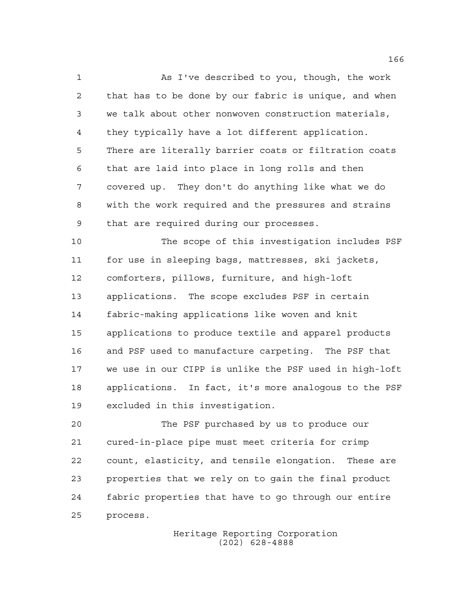As I've described to you, though, the work that has to be done by our fabric is unique, and when we talk about other nonwoven construction materials, they typically have a lot different application. There are literally barrier coats or filtration coats that are laid into place in long rolls and then covered up. They don't do anything like what we do with the work required and the pressures and strains that are required during our processes.

 The scope of this investigation includes PSF for use in sleeping bags, mattresses, ski jackets, comforters, pillows, furniture, and high-loft applications. The scope excludes PSF in certain fabric-making applications like woven and knit applications to produce textile and apparel products and PSF used to manufacture carpeting. The PSF that we use in our CIPP is unlike the PSF used in high-loft applications. In fact, it's more analogous to the PSF excluded in this investigation.

 The PSF purchased by us to produce our cured-in-place pipe must meet criteria for crimp count, elasticity, and tensile elongation. These are properties that we rely on to gain the final product fabric properties that have to go through our entire process.

> Heritage Reporting Corporation (202) 628-4888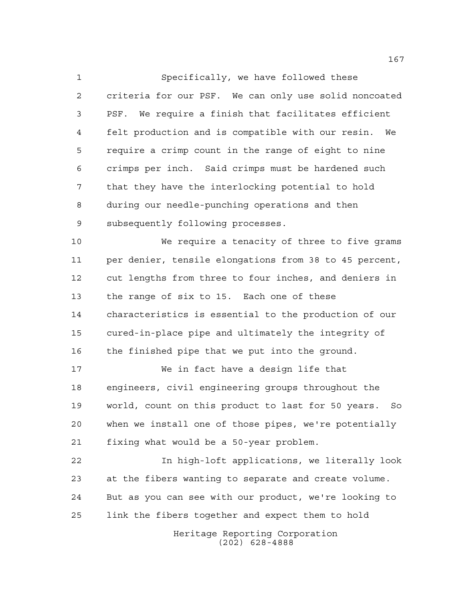Specifically, we have followed these criteria for our PSF. We can only use solid noncoated PSF. We require a finish that facilitates efficient felt production and is compatible with our resin. We require a crimp count in the range of eight to nine crimps per inch. Said crimps must be hardened such that they have the interlocking potential to hold during our needle-punching operations and then subsequently following processes.

 We require a tenacity of three to five grams per denier, tensile elongations from 38 to 45 percent, cut lengths from three to four inches, and deniers in the range of six to 15. Each one of these characteristics is essential to the production of our cured-in-place pipe and ultimately the integrity of the finished pipe that we put into the ground.

 We in fact have a design life that engineers, civil engineering groups throughout the world, count on this product to last for 50 years. So when we install one of those pipes, we're potentially fixing what would be a 50-year problem.

 In high-loft applications, we literally look at the fibers wanting to separate and create volume. But as you can see with our product, we're looking to link the fibers together and expect them to hold

> Heritage Reporting Corporation (202) 628-4888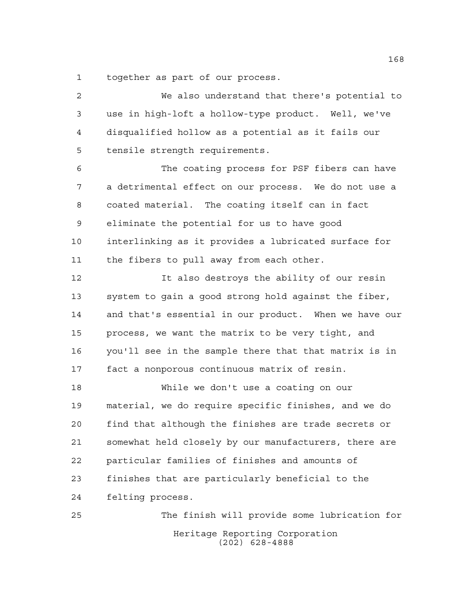together as part of our process.

 We also understand that there's potential to use in high-loft a hollow-type product. Well, we've disqualified hollow as a potential as it fails our tensile strength requirements. The coating process for PSF fibers can have a detrimental effect on our process. We do not use a coated material. The coating itself can in fact eliminate the potential for us to have good interlinking as it provides a lubricated surface for 11 the fibers to pull away from each other. It also destroys the ability of our resin system to gain a good strong hold against the fiber, and that's essential in our product. When we have our process, we want the matrix to be very tight, and you'll see in the sample there that that matrix is in fact a nonporous continuous matrix of resin. While we don't use a coating on our material, we do require specific finishes, and we do find that although the finishes are trade secrets or somewhat held closely by our manufacturers, there are particular families of finishes and amounts of finishes that are particularly beneficial to the felting process. The finish will provide some lubrication for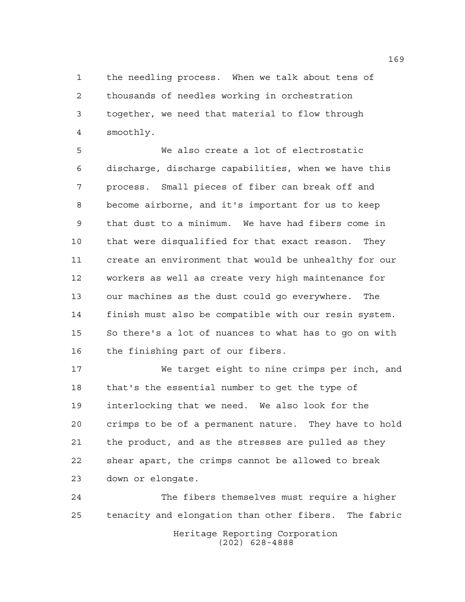the needling process. When we talk about tens of thousands of needles working in orchestration together, we need that material to flow through smoothly.

 We also create a lot of electrostatic discharge, discharge capabilities, when we have this process. Small pieces of fiber can break off and become airborne, and it's important for us to keep that dust to a minimum. We have had fibers come in that were disqualified for that exact reason. They create an environment that would be unhealthy for our workers as well as create very high maintenance for our machines as the dust could go everywhere. The finish must also be compatible with our resin system. So there's a lot of nuances to what has to go on with the finishing part of our fibers.

 We target eight to nine crimps per inch, and that's the essential number to get the type of interlocking that we need. We also look for the crimps to be of a permanent nature. They have to hold the product, and as the stresses are pulled as they shear apart, the crimps cannot be allowed to break down or elongate.

Heritage Reporting Corporation (202) 628-4888 The fibers themselves must require a higher tenacity and elongation than other fibers. The fabric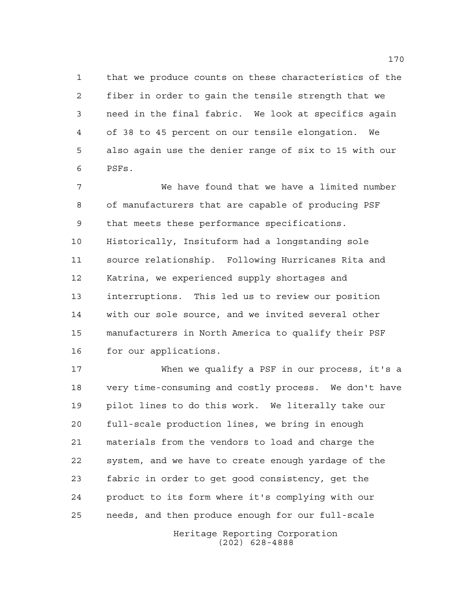that we produce counts on these characteristics of the fiber in order to gain the tensile strength that we need in the final fabric. We look at specifics again of 38 to 45 percent on our tensile elongation. We also again use the denier range of six to 15 with our PSFs.

 We have found that we have a limited number of manufacturers that are capable of producing PSF that meets these performance specifications. Historically, Insituform had a longstanding sole source relationship. Following Hurricanes Rita and Katrina, we experienced supply shortages and interruptions. This led us to review our position with our sole source, and we invited several other manufacturers in North America to qualify their PSF for our applications.

 When we qualify a PSF in our process, it's a very time-consuming and costly process. We don't have pilot lines to do this work. We literally take our full-scale production lines, we bring in enough materials from the vendors to load and charge the system, and we have to create enough yardage of the fabric in order to get good consistency, get the product to its form where it's complying with our needs, and then produce enough for our full-scale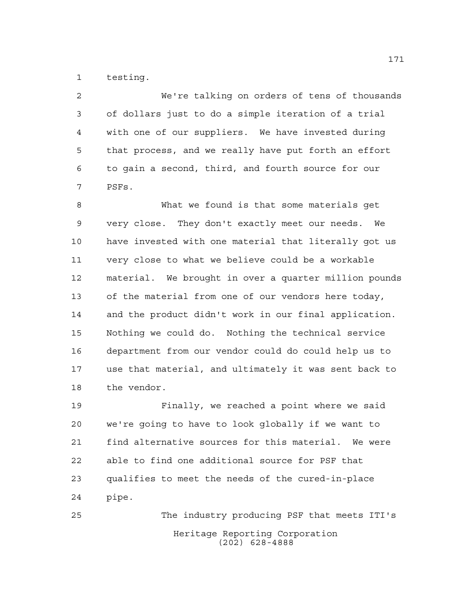testing.

 We're talking on orders of tens of thousands of dollars just to do a simple iteration of a trial with one of our suppliers. We have invested during that process, and we really have put forth an effort to gain a second, third, and fourth source for our PSFs.

 What we found is that some materials get very close. They don't exactly meet our needs. We have invested with one material that literally got us very close to what we believe could be a workable material. We brought in over a quarter million pounds of the material from one of our vendors here today, and the product didn't work in our final application. Nothing we could do. Nothing the technical service department from our vendor could do could help us to use that material, and ultimately it was sent back to the vendor.

 Finally, we reached a point where we said we're going to have to look globally if we want to find alternative sources for this material. We were able to find one additional source for PSF that qualifies to meet the needs of the cured-in-place pipe.

Heritage Reporting Corporation (202) 628-4888 The industry producing PSF that meets ITI's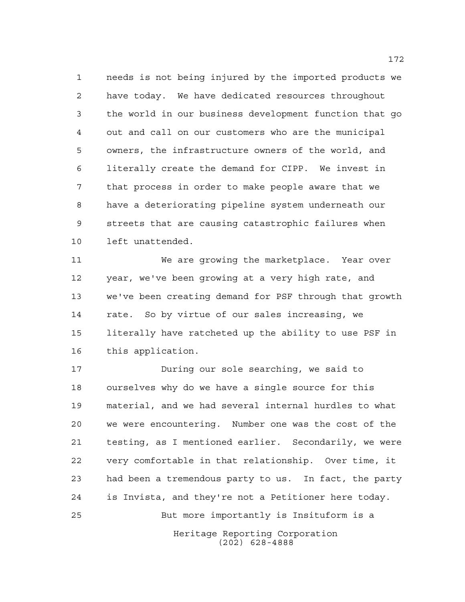needs is not being injured by the imported products we have today. We have dedicated resources throughout the world in our business development function that go out and call on our customers who are the municipal owners, the infrastructure owners of the world, and literally create the demand for CIPP. We invest in that process in order to make people aware that we have a deteriorating pipeline system underneath our streets that are causing catastrophic failures when left unattended.

 We are growing the marketplace. Year over year, we've been growing at a very high rate, and we've been creating demand for PSF through that growth rate. So by virtue of our sales increasing, we literally have ratcheted up the ability to use PSF in this application.

Heritage Reporting Corporation During our sole searching, we said to ourselves why do we have a single source for this material, and we had several internal hurdles to what we were encountering. Number one was the cost of the testing, as I mentioned earlier. Secondarily, we were very comfortable in that relationship. Over time, it had been a tremendous party to us. In fact, the party is Invista, and they're not a Petitioner here today. But more importantly is Insituform is a

(202) 628-4888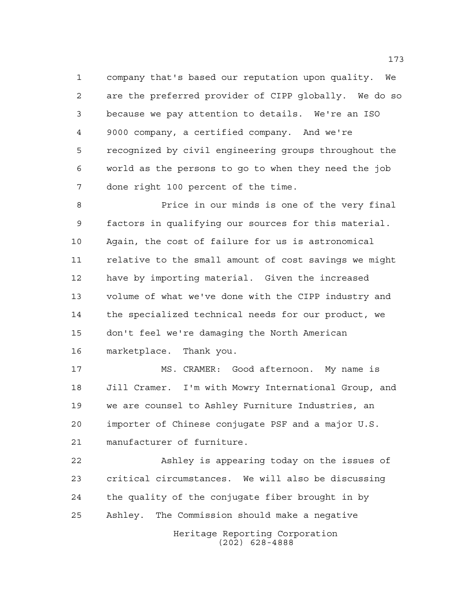company that's based our reputation upon quality. We are the preferred provider of CIPP globally. We do so because we pay attention to details. We're an ISO 9000 company, a certified company. And we're recognized by civil engineering groups throughout the world as the persons to go to when they need the job done right 100 percent of the time.

 Price in our minds is one of the very final factors in qualifying our sources for this material. Again, the cost of failure for us is astronomical relative to the small amount of cost savings we might have by importing material. Given the increased volume of what we've done with the CIPP industry and the specialized technical needs for our product, we don't feel we're damaging the North American marketplace. Thank you.

 MS. CRAMER: Good afternoon. My name is Jill Cramer. I'm with Mowry International Group, and we are counsel to Ashley Furniture Industries, an importer of Chinese conjugate PSF and a major U.S. manufacturer of furniture.

 Ashley is appearing today on the issues of critical circumstances. We will also be discussing the quality of the conjugate fiber brought in by Ashley. The Commission should make a negative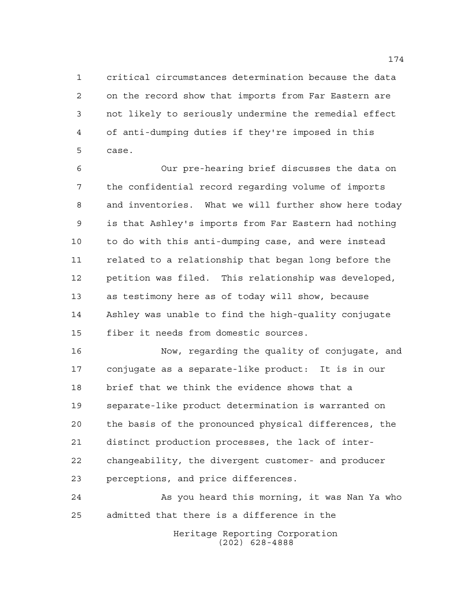critical circumstances determination because the data on the record show that imports from Far Eastern are not likely to seriously undermine the remedial effect of anti-dumping duties if they're imposed in this case.

 Our pre-hearing brief discusses the data on the confidential record regarding volume of imports and inventories. What we will further show here today is that Ashley's imports from Far Eastern had nothing to do with this anti-dumping case, and were instead related to a relationship that began long before the petition was filed. This relationship was developed, as testimony here as of today will show, because Ashley was unable to find the high-quality conjugate fiber it needs from domestic sources.

 Now, regarding the quality of conjugate, and conjugate as a separate-like product: It is in our brief that we think the evidence shows that a separate-like product determination is warranted on the basis of the pronounced physical differences, the distinct production processes, the lack of inter- changeability, the divergent customer- and producer perceptions, and price differences.

 As you heard this morning, it was Nan Ya who admitted that there is a difference in the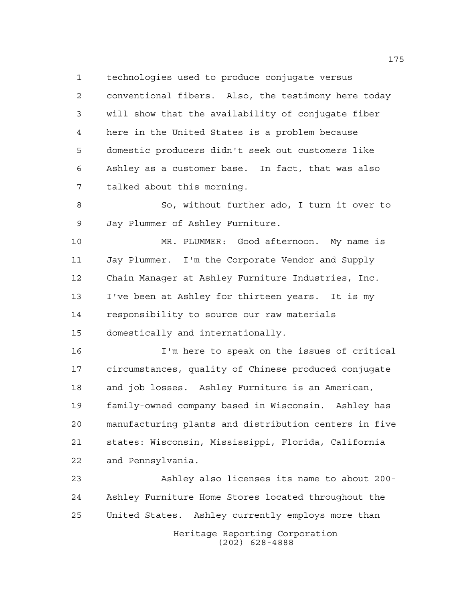technologies used to produce conjugate versus conventional fibers. Also, the testimony here today will show that the availability of conjugate fiber here in the United States is a problem because domestic producers didn't seek out customers like Ashley as a customer base. In fact, that was also talked about this morning.

 So, without further ado, I turn it over to Jay Plummer of Ashley Furniture.

 MR. PLUMMER: Good afternoon. My name is Jay Plummer. I'm the Corporate Vendor and Supply Chain Manager at Ashley Furniture Industries, Inc. I've been at Ashley for thirteen years. It is my responsibility to source our raw materials domestically and internationally.

 I'm here to speak on the issues of critical circumstances, quality of Chinese produced conjugate and job losses. Ashley Furniture is an American, family-owned company based in Wisconsin. Ashley has manufacturing plants and distribution centers in five states: Wisconsin, Mississippi, Florida, California and Pennsylvania.

Heritage Reporting Corporation (202) 628-4888 Ashley also licenses its name to about 200- Ashley Furniture Home Stores located throughout the United States. Ashley currently employs more than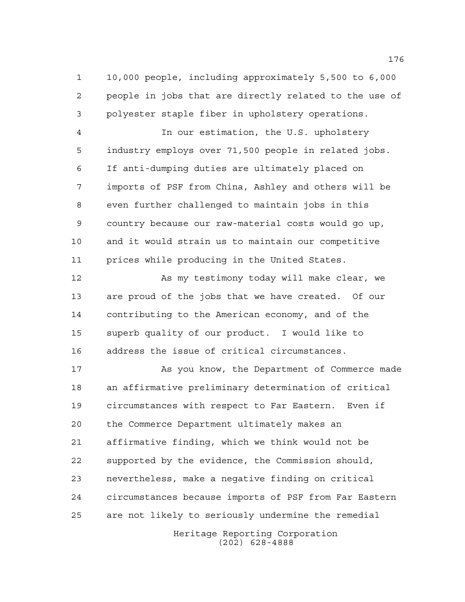10,000 people, including approximately 5,500 to 6,000 people in jobs that are directly related to the use of polyester staple fiber in upholstery operations.

 In our estimation, the U.S. upholstery industry employs over 71,500 people in related jobs. If anti-dumping duties are ultimately placed on imports of PSF from China, Ashley and others will be even further challenged to maintain jobs in this country because our raw-material costs would go up, and it would strain us to maintain our competitive prices while producing in the United States.

 As my testimony today will make clear, we are proud of the jobs that we have created. Of our contributing to the American economy, and of the superb quality of our product. I would like to address the issue of critical circumstances.

 As you know, the Department of Commerce made an affirmative preliminary determination of critical circumstances with respect to Far Eastern. Even if the Commerce Department ultimately makes an affirmative finding, which we think would not be supported by the evidence, the Commission should, nevertheless, make a negative finding on critical circumstances because imports of PSF from Far Eastern are not likely to seriously undermine the remedial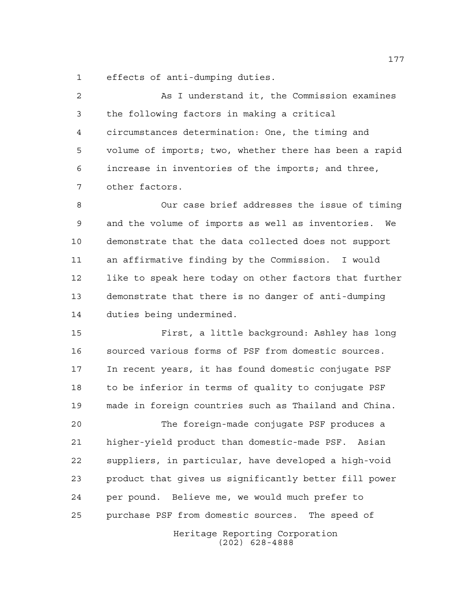effects of anti-dumping duties.

 As I understand it, the Commission examines the following factors in making a critical circumstances determination: One, the timing and volume of imports; two, whether there has been a rapid increase in inventories of the imports; and three, other factors.

 Our case brief addresses the issue of timing and the volume of imports as well as inventories. We demonstrate that the data collected does not support an affirmative finding by the Commission. I would like to speak here today on other factors that further demonstrate that there is no danger of anti-dumping duties being undermined.

 First, a little background: Ashley has long sourced various forms of PSF from domestic sources. In recent years, it has found domestic conjugate PSF to be inferior in terms of quality to conjugate PSF made in foreign countries such as Thailand and China.

 The foreign-made conjugate PSF produces a higher-yield product than domestic-made PSF. Asian suppliers, in particular, have developed a high-void product that gives us significantly better fill power per pound. Believe me, we would much prefer to purchase PSF from domestic sources. The speed of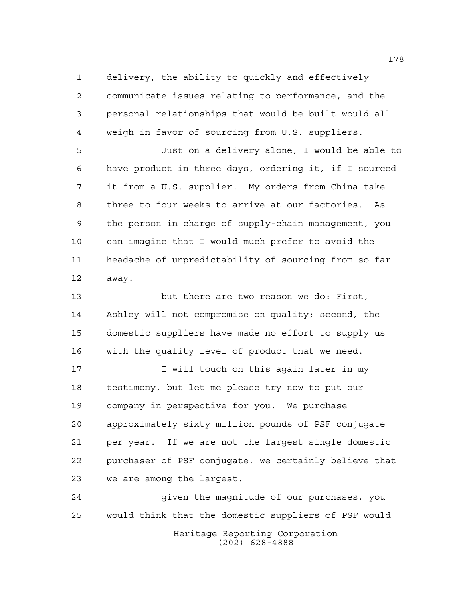delivery, the ability to quickly and effectively communicate issues relating to performance, and the personal relationships that would be built would all weigh in favor of sourcing from U.S. suppliers.

 Just on a delivery alone, I would be able to have product in three days, ordering it, if I sourced it from a U.S. supplier. My orders from China take three to four weeks to arrive at our factories. As the person in charge of supply-chain management, you can imagine that I would much prefer to avoid the headache of unpredictability of sourcing from so far away.

 but there are two reason we do: First, Ashley will not compromise on quality; second, the domestic suppliers have made no effort to supply us with the quality level of product that we need.

17 17 I will touch on this again later in my testimony, but let me please try now to put our company in perspective for you. We purchase approximately sixty million pounds of PSF conjugate per year. If we are not the largest single domestic purchaser of PSF conjugate, we certainly believe that we are among the largest.

Heritage Reporting Corporation (202) 628-4888 given the magnitude of our purchases, you would think that the domestic suppliers of PSF would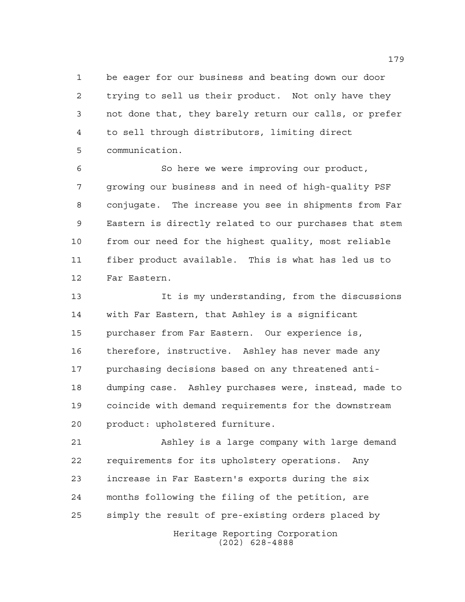be eager for our business and beating down our door trying to sell us their product. Not only have they not done that, they barely return our calls, or prefer to sell through distributors, limiting direct communication.

 So here we were improving our product, growing our business and in need of high-quality PSF conjugate. The increase you see in shipments from Far Eastern is directly related to our purchases that stem from our need for the highest quality, most reliable fiber product available. This is what has led us to Far Eastern.

 It is my understanding, from the discussions with Far Eastern, that Ashley is a significant purchaser from Far Eastern. Our experience is, therefore, instructive. Ashley has never made any purchasing decisions based on any threatened anti- dumping case. Ashley purchases were, instead, made to coincide with demand requirements for the downstream product: upholstered furniture.

 Ashley is a large company with large demand requirements for its upholstery operations. Any increase in Far Eastern's exports during the six months following the filing of the petition, are simply the result of pre-existing orders placed by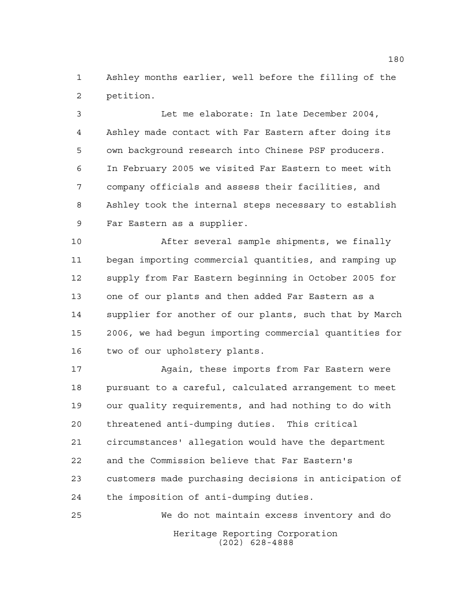Ashley months earlier, well before the filling of the petition.

 Let me elaborate: In late December 2004, Ashley made contact with Far Eastern after doing its own background research into Chinese PSF producers. In February 2005 we visited Far Eastern to meet with company officials and assess their facilities, and Ashley took the internal steps necessary to establish Far Eastern as a supplier.

 After several sample shipments, we finally began importing commercial quantities, and ramping up supply from Far Eastern beginning in October 2005 for one of our plants and then added Far Eastern as a supplier for another of our plants, such that by March 2006, we had begun importing commercial quantities for two of our upholstery plants.

 Again, these imports from Far Eastern were pursuant to a careful, calculated arrangement to meet our quality requirements, and had nothing to do with threatened anti-dumping duties. This critical circumstances' allegation would have the department and the Commission believe that Far Eastern's customers made purchasing decisions in anticipation of the imposition of anti-dumping duties.

Heritage Reporting Corporation (202) 628-4888 We do not maintain excess inventory and do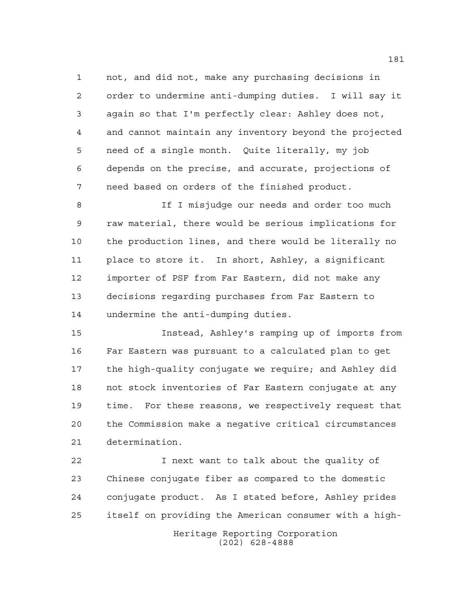not, and did not, make any purchasing decisions in order to undermine anti-dumping duties. I will say it again so that I'm perfectly clear: Ashley does not, and cannot maintain any inventory beyond the projected need of a single month. Quite literally, my job depends on the precise, and accurate, projections of need based on orders of the finished product.

8 1 If I misjudge our needs and order too much raw material, there would be serious implications for the production lines, and there would be literally no place to store it. In short, Ashley, a significant importer of PSF from Far Eastern, did not make any decisions regarding purchases from Far Eastern to undermine the anti-dumping duties.

 Instead, Ashley's ramping up of imports from Far Eastern was pursuant to a calculated plan to get the high-quality conjugate we require; and Ashley did not stock inventories of Far Eastern conjugate at any time. For these reasons, we respectively request that the Commission make a negative critical circumstances determination.

 I next want to talk about the quality of Chinese conjugate fiber as compared to the domestic conjugate product. As I stated before, Ashley prides itself on providing the American consumer with a high-

> Heritage Reporting Corporation (202) 628-4888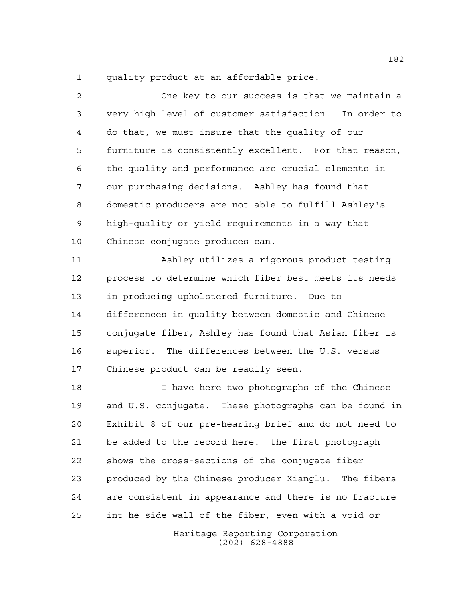quality product at an affordable price.

 One key to our success is that we maintain a very high level of customer satisfaction. In order to do that, we must insure that the quality of our furniture is consistently excellent. For that reason, the quality and performance are crucial elements in our purchasing decisions. Ashley has found that domestic producers are not able to fulfill Ashley's high-quality or yield requirements in a way that Chinese conjugate produces can. Ashley utilizes a rigorous product testing process to determine which fiber best meets its needs in producing upholstered furniture. Due to differences in quality between domestic and Chinese conjugate fiber, Ashley has found that Asian fiber is superior. The differences between the U.S. versus Chinese product can be readily seen. I have here two photographs of the Chinese and U.S. conjugate. These photographs can be found in Exhibit 8 of our pre-hearing brief and do not need to be added to the record here. the first photograph shows the cross-sections of the conjugate fiber produced by the Chinese producer Xianglu. The fibers are consistent in appearance and there is no fracture

int he side wall of the fiber, even with a void or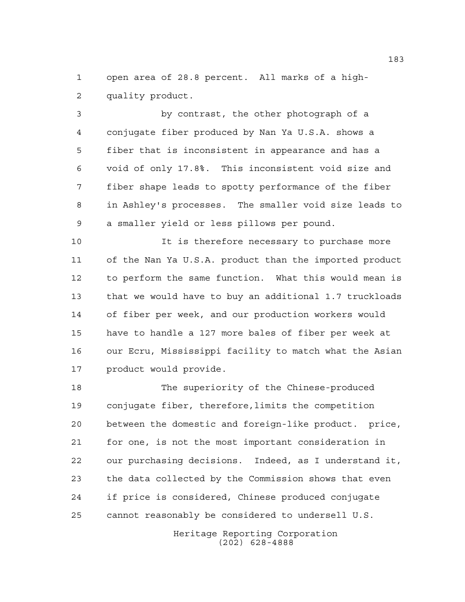open area of 28.8 percent. All marks of a high-quality product.

 by contrast, the other photograph of a conjugate fiber produced by Nan Ya U.S.A. shows a fiber that is inconsistent in appearance and has a void of only 17.8%. This inconsistent void size and fiber shape leads to spotty performance of the fiber in Ashley's processes. The smaller void size leads to a smaller yield or less pillows per pound.

 It is therefore necessary to purchase more of the Nan Ya U.S.A. product than the imported product to perform the same function. What this would mean is that we would have to buy an additional 1.7 truckloads of fiber per week, and our production workers would have to handle a 127 more bales of fiber per week at our Ecru, Mississippi facility to match what the Asian product would provide.

 The superiority of the Chinese-produced conjugate fiber, therefore,limits the competition between the domestic and foreign-like product. price, for one, is not the most important consideration in our purchasing decisions. Indeed, as I understand it, the data collected by the Commission shows that even if price is considered, Chinese produced conjugate cannot reasonably be considered to undersell U.S.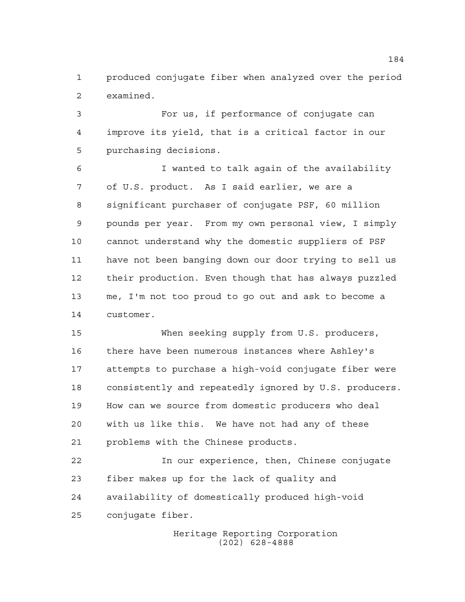produced conjugate fiber when analyzed over the period examined.

 For us, if performance of conjugate can improve its yield, that is a critical factor in our purchasing decisions.

 I wanted to talk again of the availability of U.S. product. As I said earlier, we are a significant purchaser of conjugate PSF, 60 million pounds per year. From my own personal view, I simply cannot understand why the domestic suppliers of PSF have not been banging down our door trying to sell us their production. Even though that has always puzzled me, I'm not too proud to go out and ask to become a customer.

 When seeking supply from U.S. producers, there have been numerous instances where Ashley's attempts to purchase a high-void conjugate fiber were consistently and repeatedly ignored by U.S. producers. How can we source from domestic producers who deal with us like this. We have not had any of these problems with the Chinese products.

 In our experience, then, Chinese conjugate fiber makes up for the lack of quality and availability of domestically produced high-void conjugate fiber.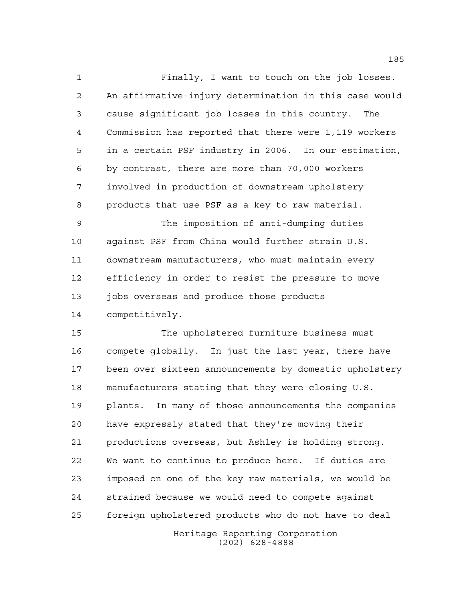Finally, I want to touch on the job losses. An affirmative-injury determination in this case would cause significant job losses in this country. The Commission has reported that there were 1,119 workers in a certain PSF industry in 2006. In our estimation, by contrast, there are more than 70,000 workers involved in production of downstream upholstery products that use PSF as a key to raw material.

 The imposition of anti-dumping duties against PSF from China would further strain U.S. downstream manufacturers, who must maintain every efficiency in order to resist the pressure to move 13 jobs overseas and produce those products competitively.

 The upholstered furniture business must compete globally. In just the last year, there have been over sixteen announcements by domestic upholstery manufacturers stating that they were closing U.S. plants. In many of those announcements the companies have expressly stated that they're moving their productions overseas, but Ashley is holding strong. We want to continue to produce here. If duties are imposed on one of the key raw materials, we would be strained because we would need to compete against foreign upholstered products who do not have to deal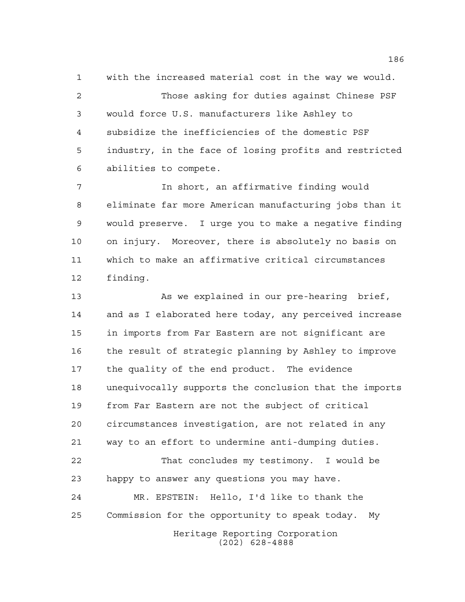with the increased material cost in the way we would. Those asking for duties against Chinese PSF would force U.S. manufacturers like Ashley to subsidize the inefficiencies of the domestic PSF industry, in the face of losing profits and restricted abilities to compete.

 In short, an affirmative finding would eliminate far more American manufacturing jobs than it would preserve. I urge you to make a negative finding on injury. Moreover, there is absolutely no basis on which to make an affirmative critical circumstances finding.

Heritage Reporting Corporation (202) 628-4888 13 As we explained in our pre-hearing brief, and as I elaborated here today, any perceived increase in imports from Far Eastern are not significant are the result of strategic planning by Ashley to improve the quality of the end product. The evidence unequivocally supports the conclusion that the imports from Far Eastern are not the subject of critical circumstances investigation, are not related in any way to an effort to undermine anti-dumping duties. That concludes my testimony. I would be happy to answer any questions you may have. MR. EPSTEIN: Hello, I'd like to thank the Commission for the opportunity to speak today. My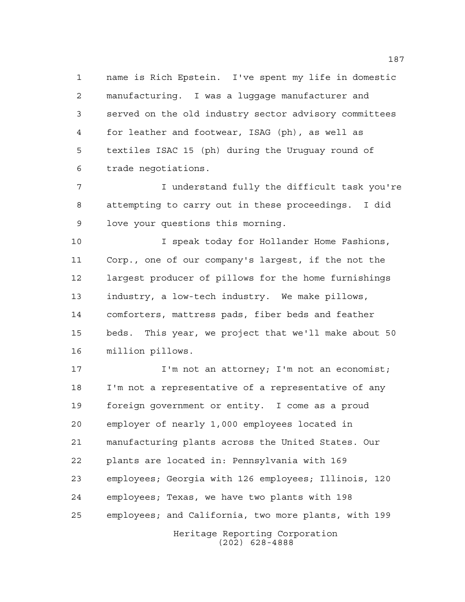name is Rich Epstein. I've spent my life in domestic manufacturing. I was a luggage manufacturer and served on the old industry sector advisory committees for leather and footwear, ISAG (ph), as well as textiles ISAC 15 (ph) during the Uruguay round of trade negotiations.

 I understand fully the difficult task you're attempting to carry out in these proceedings. I did love your questions this morning.

 I speak today for Hollander Home Fashions, Corp., one of our company's largest, if the not the largest producer of pillows for the home furnishings industry, a low-tech industry. We make pillows, comforters, mattress pads, fiber beds and feather beds. This year, we project that we'll make about 50 million pillows.

17 I'm not an attorney; I'm not an economist; I'm not a representative of a representative of any foreign government or entity. I come as a proud employer of nearly 1,000 employees located in manufacturing plants across the United States. Our plants are located in: Pennsylvania with 169 employees; Georgia with 126 employees; Illinois, 120 employees; Texas, we have two plants with 198 employees; and California, two more plants, with 199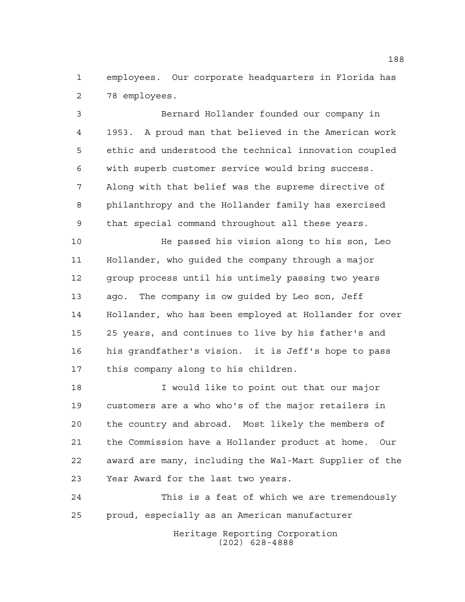employees. Our corporate headquarters in Florida has 78 employees.

 Bernard Hollander founded our company in 1953. A proud man that believed in the American work ethic and understood the technical innovation coupled with superb customer service would bring success. Along with that belief was the supreme directive of philanthropy and the Hollander family has exercised that special command throughout all these years.

 He passed his vision along to his son, Leo Hollander, who guided the company through a major group process until his untimely passing two years ago. The company is ow guided by Leo son, Jeff Hollander, who has been employed at Hollander for over 25 years, and continues to live by his father's and his grandfather's vision. it is Jeff's hope to pass this company along to his children.

 I would like to point out that our major customers are a who who's of the major retailers in the country and abroad. Most likely the members of the Commission have a Hollander product at home. Our award are many, including the Wal-Mart Supplier of the Year Award for the last two years.

 This is a feat of which we are tremendously proud, especially as an American manufacturer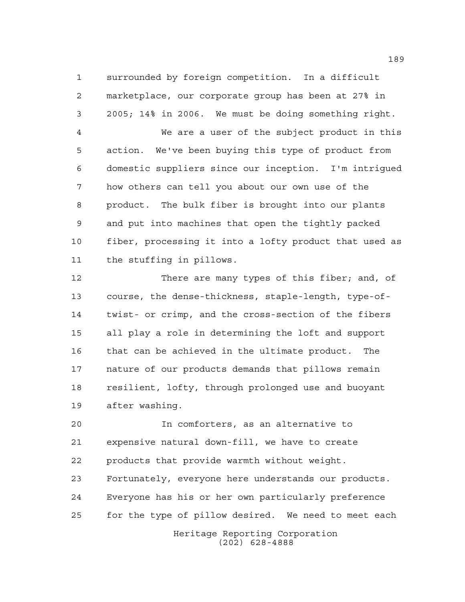surrounded by foreign competition. In a difficult marketplace, our corporate group has been at 27% in 2005; 14% in 2006. We must be doing something right.

 We are a user of the subject product in this action. We've been buying this type of product from domestic suppliers since our inception. I'm intrigued how others can tell you about our own use of the product. The bulk fiber is brought into our plants and put into machines that open the tightly packed fiber, processing it into a lofty product that used as the stuffing in pillows.

 There are many types of this fiber; and, of course, the dense-thickness, staple-length, type-of- twist- or crimp, and the cross-section of the fibers all play a role in determining the loft and support that can be achieved in the ultimate product. The nature of our products demands that pillows remain resilient, lofty, through prolonged use and buoyant after washing.

 In comforters, as an alternative to expensive natural down-fill, we have to create products that provide warmth without weight. Fortunately, everyone here understands our products. Everyone has his or her own particularly preference for the type of pillow desired. We need to meet each

Heritage Reporting Corporation (202) 628-4888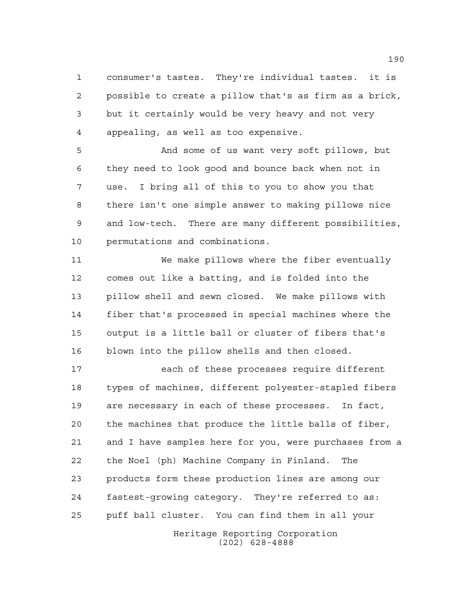consumer's tastes. They're individual tastes. it is possible to create a pillow that's as firm as a brick, but it certainly would be very heavy and not very appealing, as well as too expensive.

 And some of us want very soft pillows, but they need to look good and bounce back when not in use. I bring all of this to you to show you that there isn't one simple answer to making pillows nice and low-tech. There are many different possibilities, permutations and combinations.

 We make pillows where the fiber eventually comes out like a batting, and is folded into the pillow shell and sewn closed. We make pillows with fiber that's processed in special machines where the output is a little ball or cluster of fibers that's blown into the pillow shells and then closed.

Heritage Reporting Corporation each of these processes require different types of machines, different polyester-stapled fibers are necessary in each of these processes. In fact, the machines that produce the little balls of fiber, and I have samples here for you, were purchases from a the Noel (ph) Machine Company in Finland. The products form these production lines are among our fastest-growing category. They're referred to as: puff ball cluster. You can find them in all your

(202) 628-4888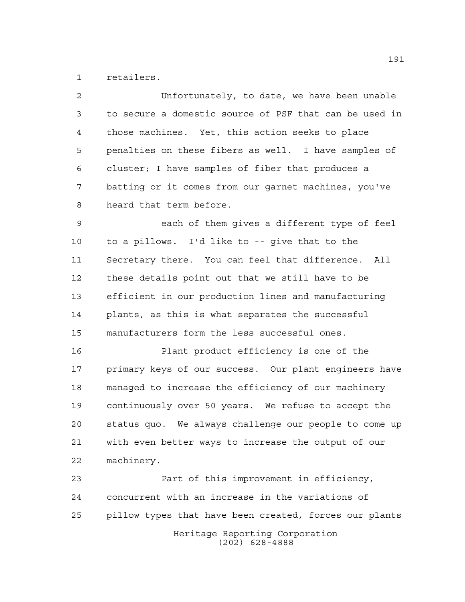retailers.

 Unfortunately, to date, we have been unable to secure a domestic source of PSF that can be used in those machines. Yet, this action seeks to place penalties on these fibers as well. I have samples of cluster; I have samples of fiber that produces a batting or it comes from our garnet machines, you've heard that term before. each of them gives a different type of feel to a pillows. I'd like to -- give that to the Secretary there. You can feel that difference. All

 these details point out that we still have to be efficient in our production lines and manufacturing plants, as this is what separates the successful manufacturers form the less successful ones.

 Plant product efficiency is one of the primary keys of our success. Our plant engineers have managed to increase the efficiency of our machinery continuously over 50 years. We refuse to accept the status quo. We always challenge our people to come up with even better ways to increase the output of our machinery.

Heritage Reporting Corporation (202) 628-4888 Part of this improvement in efficiency, concurrent with an increase in the variations of pillow types that have been created, forces our plants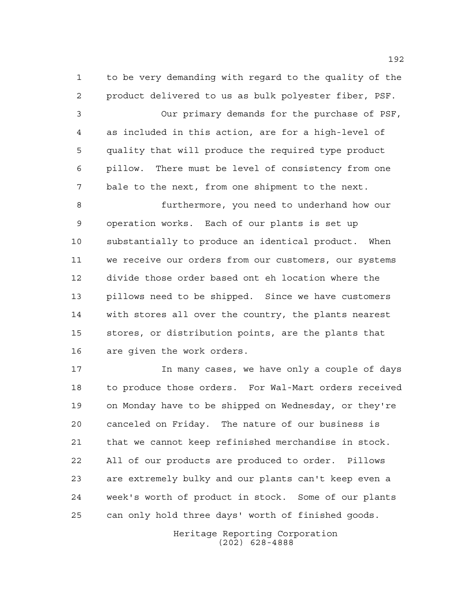to be very demanding with regard to the quality of the product delivered to us as bulk polyester fiber, PSF.

 Our primary demands for the purchase of PSF, as included in this action, are for a high-level of quality that will produce the required type product pillow. There must be level of consistency from one bale to the next, from one shipment to the next.

 furthermore, you need to underhand how our operation works. Each of our plants is set up substantially to produce an identical product. When we receive our orders from our customers, our systems divide those order based ont eh location where the pillows need to be shipped. Since we have customers with stores all over the country, the plants nearest stores, or distribution points, are the plants that are given the work orders.

 In many cases, we have only a couple of days to produce those orders. For Wal-Mart orders received on Monday have to be shipped on Wednesday, or they're canceled on Friday. The nature of our business is that we cannot keep refinished merchandise in stock. All of our products are produced to order. Pillows are extremely bulky and our plants can't keep even a week's worth of product in stock. Some of our plants can only hold three days' worth of finished goods.

> Heritage Reporting Corporation (202) 628-4888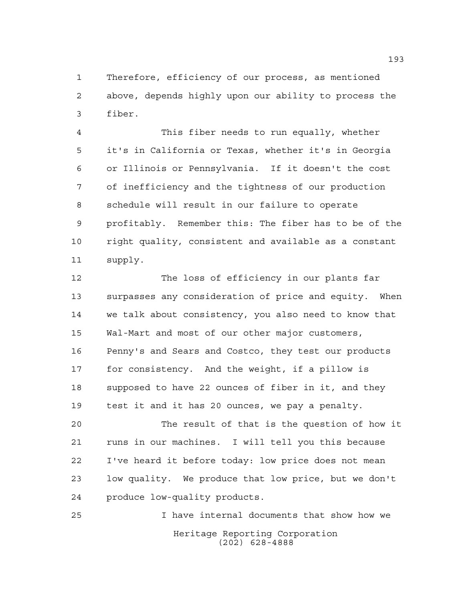Therefore, efficiency of our process, as mentioned above, depends highly upon our ability to process the fiber.

 This fiber needs to run equally, whether it's in California or Texas, whether it's in Georgia or Illinois or Pennsylvania. If it doesn't the cost of inefficiency and the tightness of our production schedule will result in our failure to operate profitably. Remember this: The fiber has to be of the right quality, consistent and available as a constant supply.

 The loss of efficiency in our plants far surpasses any consideration of price and equity. When we talk about consistency, you also need to know that Wal-Mart and most of our other major customers, Penny's and Sears and Costco, they test our products for consistency. And the weight, if a pillow is supposed to have 22 ounces of fiber in it, and they test it and it has 20 ounces, we pay a penalty.

 The result of that is the question of how it runs in our machines. I will tell you this because I've heard it before today: low price does not mean low quality. We produce that low price, but we don't produce low-quality products.

Heritage Reporting Corporation (202) 628-4888 I have internal documents that show how we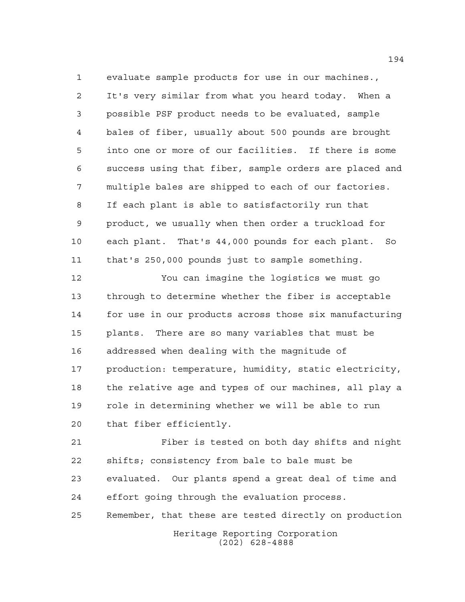evaluate sample products for use in our machines., It's very similar from what you heard today. When a possible PSF product needs to be evaluated, sample bales of fiber, usually about 500 pounds are brought into one or more of our facilities. If there is some success using that fiber, sample orders are placed and multiple bales are shipped to each of our factories. If each plant is able to satisfactorily run that product, we usually when then order a truckload for each plant. That's 44,000 pounds for each plant. So that's 250,000 pounds just to sample something.

 You can imagine the logistics we must go through to determine whether the fiber is acceptable for use in our products across those six manufacturing plants. There are so many variables that must be addressed when dealing with the magnitude of production: temperature, humidity, static electricity, the relative age and types of our machines, all play a role in determining whether we will be able to run that fiber efficiently.

 Fiber is tested on both day shifts and night shifts; consistency from bale to bale must be evaluated. Our plants spend a great deal of time and effort going through the evaluation process. Remember, that these are tested directly on production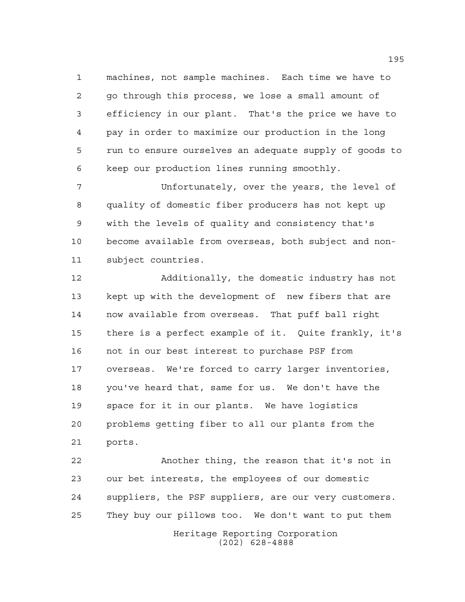machines, not sample machines. Each time we have to go through this process, we lose a small amount of efficiency in our plant. That's the price we have to pay in order to maximize our production in the long run to ensure ourselves an adequate supply of goods to keep our production lines running smoothly.

 Unfortunately, over the years, the level of quality of domestic fiber producers has not kept up with the levels of quality and consistency that's become available from overseas, both subject and non-subject countries.

 Additionally, the domestic industry has not kept up with the development of new fibers that are now available from overseas. That puff ball right there is a perfect example of it. Quite frankly, it's not in our best interest to purchase PSF from overseas. We're forced to carry larger inventories, you've heard that, same for us. We don't have the space for it in our plants. We have logistics problems getting fiber to all our plants from the ports.

Heritage Reporting Corporation (202) 628-4888 Another thing, the reason that it's not in our bet interests, the employees of our domestic suppliers, the PSF suppliers, are our very customers. They buy our pillows too. We don't want to put them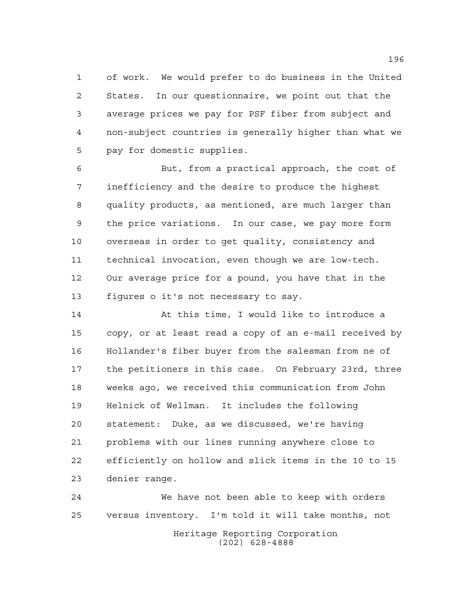of work. We would prefer to do business in the United States. In our questionnaire, we point out that the average prices we pay for PSF fiber from subject and non-subject countries is generally higher than what we pay for domestic supplies.

 But, from a practical approach, the cost of inefficiency and the desire to produce the highest quality products, as mentioned, are much larger than the price variations. In our case, we pay more form overseas in order to get quality, consistency and technical invocation, even though we are low-tech. Our average price for a pound, you have that in the figures o it's not necessary to say.

 At this time, I would like to introduce a copy, or at least read a copy of an e-mail received by Hollander's fiber buyer from the salesman from ne of the petitioners in this case. On February 23rd, three weeks ago, we received this communication from John Helnick of Wellman. It includes the following statement: Duke, as we discussed, we're having problems with our lines running anywhere close to efficiently on hollow and slick items in the 10 to 15 denier range.

Heritage Reporting Corporation (202) 628-4888 We have not been able to keep with orders versus inventory. I'm told it will take months, not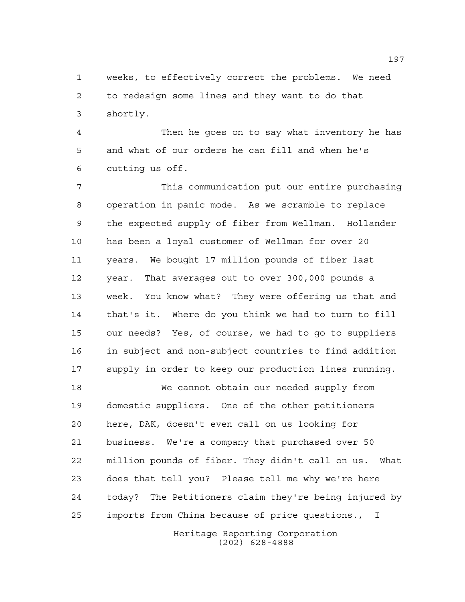weeks, to effectively correct the problems. We need to redesign some lines and they want to do that shortly.

 Then he goes on to say what inventory he has and what of our orders he can fill and when he's cutting us off.

 This communication put our entire purchasing operation in panic mode. As we scramble to replace the expected supply of fiber from Wellman. Hollander has been a loyal customer of Wellman for over 20 years. We bought 17 million pounds of fiber last year. That averages out to over 300,000 pounds a week. You know what? They were offering us that and that's it. Where do you think we had to turn to fill our needs? Yes, of course, we had to go to suppliers in subject and non-subject countries to find addition supply in order to keep our production lines running.

 We cannot obtain our needed supply from domestic suppliers. One of the other petitioners here, DAK, doesn't even call on us looking for business. We're a company that purchased over 50 million pounds of fiber. They didn't call on us. What does that tell you? Please tell me why we're here today? The Petitioners claim they're being injured by imports from China because of price questions., I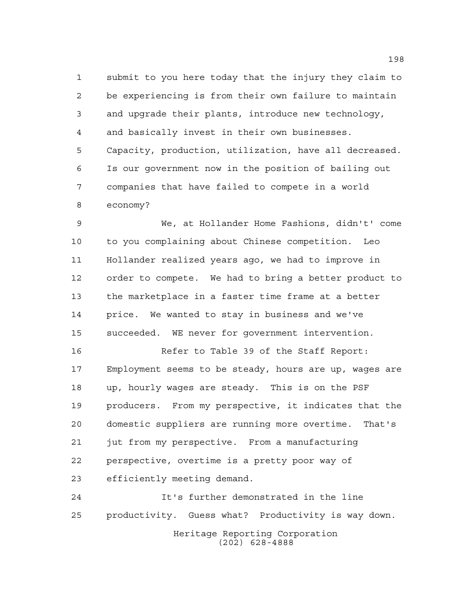submit to you here today that the injury they claim to be experiencing is from their own failure to maintain and upgrade their plants, introduce new technology, and basically invest in their own businesses. Capacity, production, utilization, have all decreased. Is our government now in the position of bailing out companies that have failed to compete in a world economy?

 We, at Hollander Home Fashions, didn't' come to you complaining about Chinese competition. Leo Hollander realized years ago, we had to improve in order to compete. We had to bring a better product to the marketplace in a faster time frame at a better price. We wanted to stay in business and we've succeeded. WE never for government intervention.

 Refer to Table 39 of the Staff Report: Employment seems to be steady, hours are up, wages are up, hourly wages are steady. This is on the PSF producers. From my perspective, it indicates that the domestic suppliers are running more overtime. That's jut from my perspective. From a manufacturing perspective, overtime is a pretty poor way of efficiently meeting demand.

Heritage Reporting Corporation (202) 628-4888 It's further demonstrated in the line productivity. Guess what? Productivity is way down.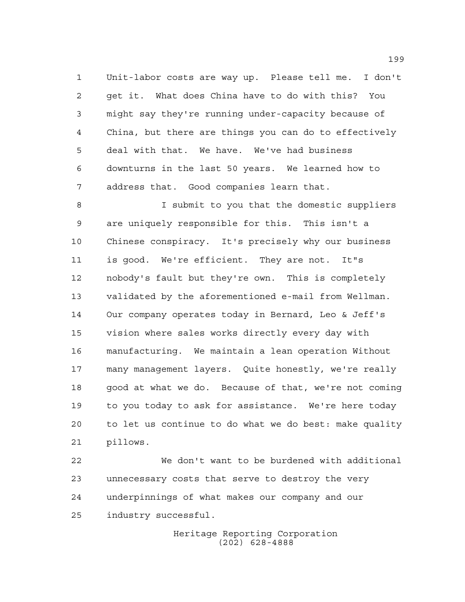Unit-labor costs are way up. Please tell me. I don't get it. What does China have to do with this? You might say they're running under-capacity because of China, but there are things you can do to effectively deal with that. We have. We've had business downturns in the last 50 years. We learned how to address that. Good companies learn that.

 I submit to you that the domestic suppliers are uniquely responsible for this. This isn't a Chinese conspiracy. It's precisely why our business is good. We're efficient. They are not. It"s nobody's fault but they're own. This is completely validated by the aforementioned e-mail from Wellman. Our company operates today in Bernard, Leo & Jeff's vision where sales works directly every day with manufacturing. We maintain a lean operation Without many management layers. Quite honestly, we're really good at what we do. Because of that, we're not coming to you today to ask for assistance. We're here today to let us continue to do what we do best: make quality pillows.

 We don't want to be burdened with additional unnecessary costs that serve to destroy the very underpinnings of what makes our company and our industry successful.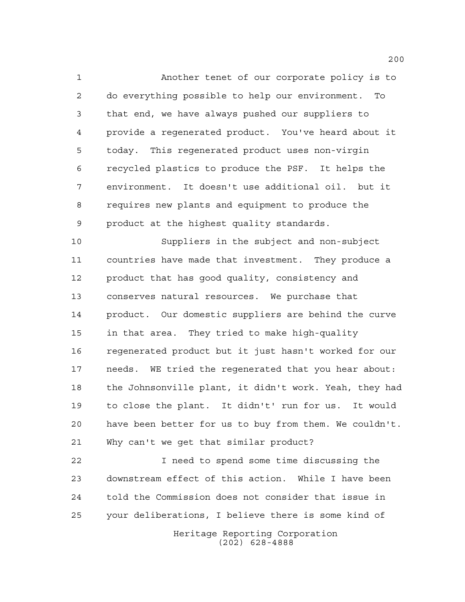Another tenet of our corporate policy is to do everything possible to help our environment. To that end, we have always pushed our suppliers to provide a regenerated product. You've heard about it today. This regenerated product uses non-virgin recycled plastics to produce the PSF. It helps the environment. It doesn't use additional oil. but it requires new plants and equipment to produce the product at the highest quality standards.

 Suppliers in the subject and non-subject countries have made that investment. They produce a product that has good quality, consistency and conserves natural resources. We purchase that product. Our domestic suppliers are behind the curve in that area. They tried to make high-quality regenerated product but it just hasn't worked for our needs. WE tried the regenerated that you hear about: the Johnsonville plant, it didn't work. Yeah, they had to close the plant. It didn't' run for us. It would have been better for us to buy from them. We couldn't. Why can't we get that similar product?

 I need to spend some time discussing the downstream effect of this action. While I have been told the Commission does not consider that issue in your deliberations, I believe there is some kind of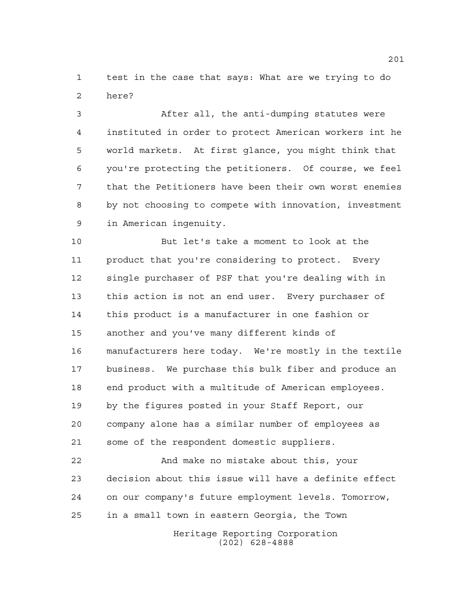test in the case that says: What are we trying to do here?

 After all, the anti-dumping statutes were instituted in order to protect American workers int he world markets. At first glance, you might think that you're protecting the petitioners. Of course, we feel that the Petitioners have been their own worst enemies by not choosing to compete with innovation, investment in American ingenuity.

 But let's take a moment to look at the product that you're considering to protect. Every single purchaser of PSF that you're dealing with in this action is not an end user. Every purchaser of this product is a manufacturer in one fashion or another and you've many different kinds of manufacturers here today. We're mostly in the textile business. We purchase this bulk fiber and produce an end product with a multitude of American employees. by the figures posted in your Staff Report, our company alone has a similar number of employees as some of the respondent domestic suppliers.

 And make no mistake about this, your decision about this issue will have a definite effect on our company's future employment levels. Tomorrow, in a small town in eastern Georgia, the Town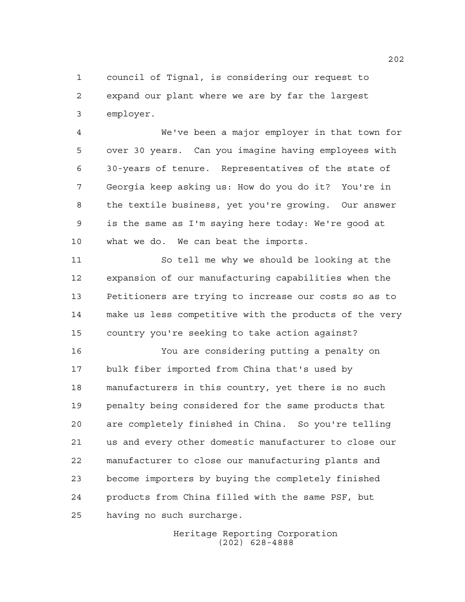council of Tignal, is considering our request to expand our plant where we are by far the largest employer.

 We've been a major employer in that town for over 30 years. Can you imagine having employees with 30-years of tenure. Representatives of the state of Georgia keep asking us: How do you do it? You're in the textile business, yet you're growing. Our answer is the same as I'm saying here today: We're good at what we do. We can beat the imports.

 So tell me why we should be looking at the expansion of our manufacturing capabilities when the Petitioners are trying to increase our costs so as to make us less competitive with the products of the very country you're seeking to take action against?

 You are considering putting a penalty on bulk fiber imported from China that's used by manufacturers in this country, yet there is no such penalty being considered for the same products that are completely finished in China. So you're telling us and every other domestic manufacturer to close our manufacturer to close our manufacturing plants and become importers by buying the completely finished products from China filled with the same PSF, but having no such surcharge.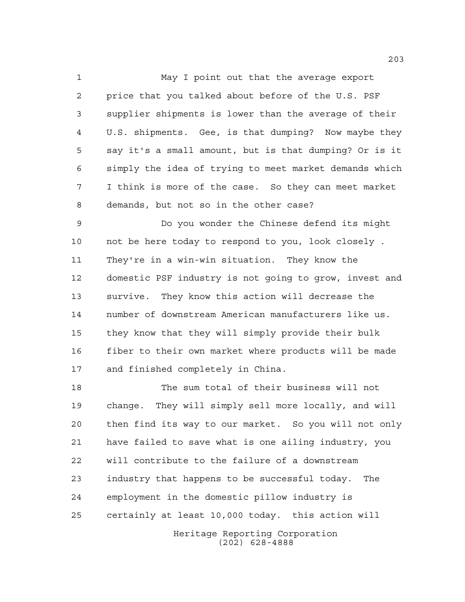May I point out that the average export price that you talked about before of the U.S. PSF supplier shipments is lower than the average of their U.S. shipments. Gee, is that dumping? Now maybe they say it's a small amount, but is that dumping? Or is it simply the idea of trying to meet market demands which I think is more of the case. So they can meet market demands, but not so in the other case?

 Do you wonder the Chinese defend its might not be here today to respond to you, look closely . They're in a win-win situation. They know the domestic PSF industry is not going to grow, invest and survive. They know this action will decrease the number of downstream American manufacturers like us. they know that they will simply provide their bulk fiber to their own market where products will be made and finished completely in China.

 The sum total of their business will not change. They will simply sell more locally, and will then find its way to our market. So you will not only have failed to save what is one ailing industry, you will contribute to the failure of a downstream industry that happens to be successful today. The employment in the domestic pillow industry is certainly at least 10,000 today. this action will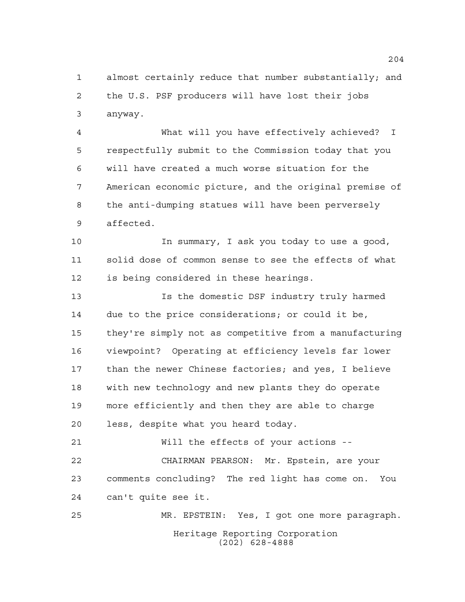almost certainly reduce that number substantially; and the U.S. PSF producers will have lost their jobs anyway.

 What will you have effectively achieved? I respectfully submit to the Commission today that you will have created a much worse situation for the American economic picture, and the original premise of the anti-dumping statues will have been perversely affected.

 In summary, I ask you today to use a good, solid dose of common sense to see the effects of what is being considered in these hearings.

 Is the domestic DSF industry truly harmed due to the price considerations; or could it be, they're simply not as competitive from a manufacturing viewpoint? Operating at efficiency levels far lower than the newer Chinese factories; and yes, I believe with new technology and new plants they do operate more efficiently and then they are able to charge less, despite what you heard today.

 Will the effects of your actions -- CHAIRMAN PEARSON: Mr. Epstein, are your comments concluding? The red light has come on. You can't quite see it.

Heritage Reporting Corporation (202) 628-4888 MR. EPSTEIN: Yes, I got one more paragraph.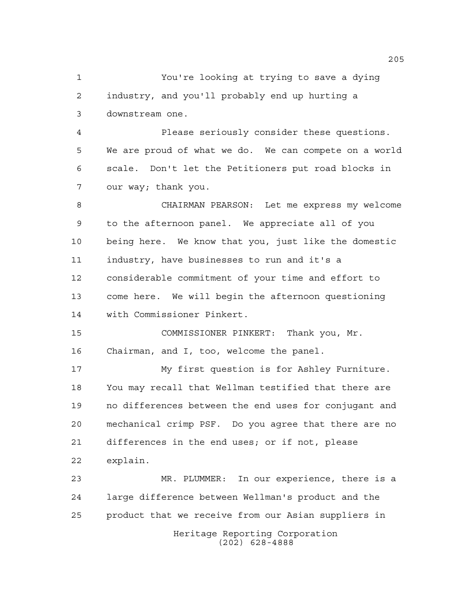You're looking at trying to save a dying industry, and you'll probably end up hurting a downstream one.

 Please seriously consider these questions. We are proud of what we do. We can compete on a world scale. Don't let the Petitioners put road blocks in our way; thank you.

 CHAIRMAN PEARSON: Let me express my welcome to the afternoon panel. We appreciate all of you being here. We know that you, just like the domestic industry, have businesses to run and it's a considerable commitment of your time and effort to come here. We will begin the afternoon questioning with Commissioner Pinkert.

 COMMISSIONER PINKERT: Thank you, Mr. Chairman, and I, too, welcome the panel.

 My first question is for Ashley Furniture. You may recall that Wellman testified that there are no differences between the end uses for conjugant and mechanical crimp PSF. Do you agree that there are no differences in the end uses; or if not, please explain.

 MR. PLUMMER: In our experience, there is a large difference between Wellman's product and the product that we receive from our Asian suppliers in

> Heritage Reporting Corporation (202) 628-4888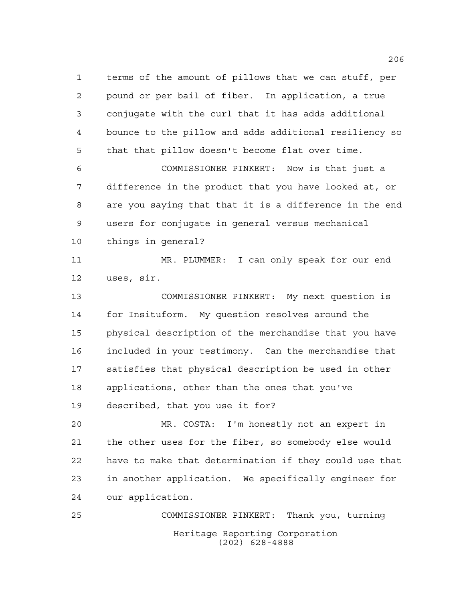terms of the amount of pillows that we can stuff, per pound or per bail of fiber. In application, a true conjugate with the curl that it has adds additional bounce to the pillow and adds additional resiliency so that that pillow doesn't become flat over time.

 COMMISSIONER PINKERT: Now is that just a difference in the product that you have looked at, or are you saying that that it is a difference in the end users for conjugate in general versus mechanical things in general?

 MR. PLUMMER: I can only speak for our end uses, sir.

 COMMISSIONER PINKERT: My next question is for Insituform. My question resolves around the physical description of the merchandise that you have included in your testimony. Can the merchandise that satisfies that physical description be used in other applications, other than the ones that you've described, that you use it for?

 MR. COSTA: I'm honestly not an expert in the other uses for the fiber, so somebody else would have to make that determination if they could use that in another application. We specifically engineer for our application.

Heritage Reporting Corporation (202) 628-4888 COMMISSIONER PINKERT: Thank you, turning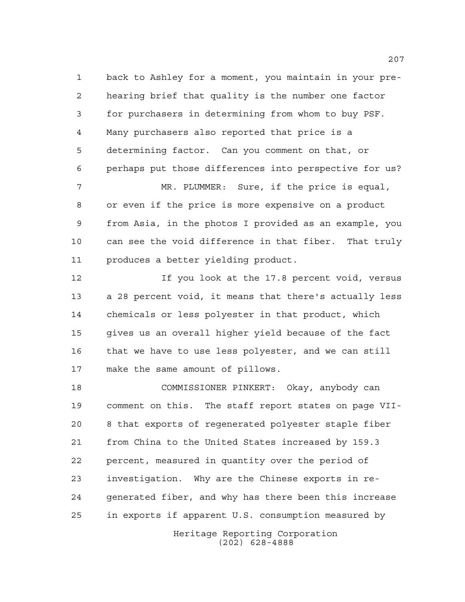back to Ashley for a moment, you maintain in your pre- hearing brief that quality is the number one factor for purchasers in determining from whom to buy PSF. Many purchasers also reported that price is a determining factor. Can you comment on that, or perhaps put those differences into perspective for us? MR. PLUMMER: Sure, if the price is equal,

 or even if the price is more expensive on a product from Asia, in the photos I provided as an example, you can see the void difference in that fiber. That truly produces a better yielding product.

 If you look at the 17.8 percent void, versus a 28 percent void, it means that there's actually less chemicals or less polyester in that product, which gives us an overall higher yield because of the fact that we have to use less polyester, and we can still make the same amount of pillows.

 COMMISSIONER PINKERT: Okay, anybody can comment on this. The staff report states on page VII- 8 that exports of regenerated polyester staple fiber from China to the United States increased by 159.3 percent, measured in quantity over the period of investigation. Why are the Chinese exports in re- generated fiber, and why has there been this increase in exports if apparent U.S. consumption measured by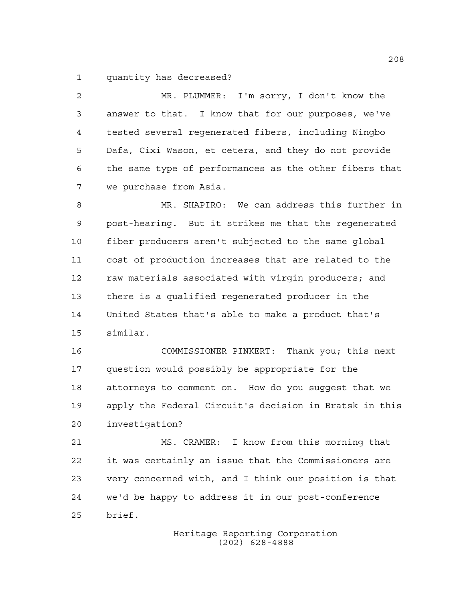quantity has decreased?

 MR. PLUMMER: I'm sorry, I don't know the answer to that. I know that for our purposes, we've tested several regenerated fibers, including Ningbo Dafa, Cixi Wason, et cetera, and they do not provide the same type of performances as the other fibers that we purchase from Asia.

 MR. SHAPIRO: We can address this further in post-hearing. But it strikes me that the regenerated fiber producers aren't subjected to the same global cost of production increases that are related to the 12 raw materials associated with virgin producers; and there is a qualified regenerated producer in the United States that's able to make a product that's similar.

 COMMISSIONER PINKERT: Thank you; this next question would possibly be appropriate for the attorneys to comment on. How do you suggest that we apply the Federal Circuit's decision in Bratsk in this investigation?

 MS. CRAMER: I know from this morning that it was certainly an issue that the Commissioners are very concerned with, and I think our position is that we'd be happy to address it in our post-conference brief.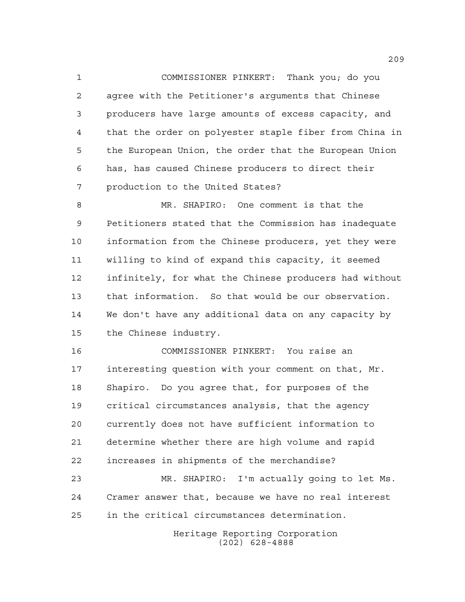COMMISSIONER PINKERT: Thank you; do you agree with the Petitioner's arguments that Chinese producers have large amounts of excess capacity, and that the order on polyester staple fiber from China in the European Union, the order that the European Union has, has caused Chinese producers to direct their production to the United States?

 MR. SHAPIRO: One comment is that the Petitioners stated that the Commission has inadequate information from the Chinese producers, yet they were willing to kind of expand this capacity, it seemed infinitely, for what the Chinese producers had without that information. So that would be our observation. We don't have any additional data on any capacity by the Chinese industry.

 COMMISSIONER PINKERT: You raise an interesting question with your comment on that, Mr. Shapiro. Do you agree that, for purposes of the critical circumstances analysis, that the agency currently does not have sufficient information to determine whether there are high volume and rapid increases in shipments of the merchandise?

 MR. SHAPIRO: I'm actually going to let Ms. Cramer answer that, because we have no real interest in the critical circumstances determination.

> Heritage Reporting Corporation (202) 628-4888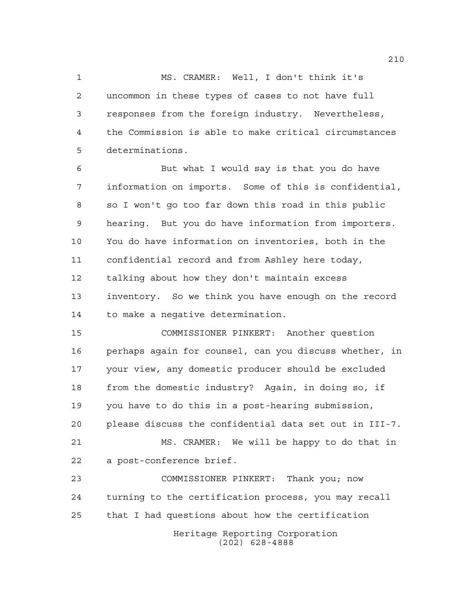MS. CRAMER: Well, I don't think it's uncommon in these types of cases to not have full responses from the foreign industry. Nevertheless, the Commission is able to make critical circumstances determinations.

 But what I would say is that you do have information on imports. Some of this is confidential, so I won't go too far down this road in this public hearing. But you do have information from importers. You do have information on inventories, both in the confidential record and from Ashley here today, talking about how they don't maintain excess inventory. So we think you have enough on the record to make a negative determination.

 COMMISSIONER PINKERT: Another question perhaps again for counsel, can you discuss whether, in your view, any domestic producer should be excluded from the domestic industry? Again, in doing so, if you have to do this in a post-hearing submission, please discuss the confidential data set out in III-7. MS. CRAMER: We will be happy to do that in a post-conference brief.

Heritage Reporting Corporation (202) 628-4888 COMMISSIONER PINKERT: Thank you; now turning to the certification process, you may recall that I had questions about how the certification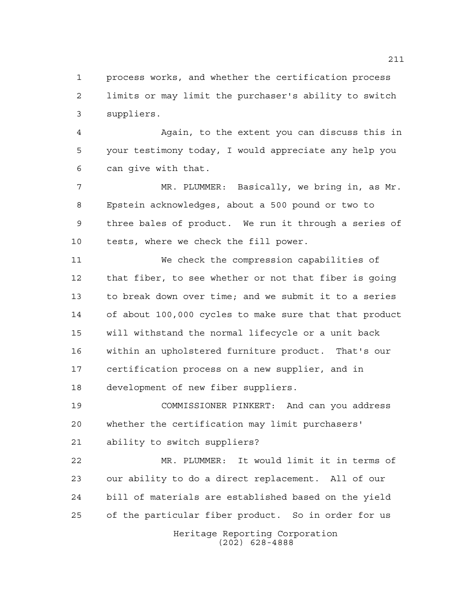process works, and whether the certification process limits or may limit the purchaser's ability to switch suppliers.

 Again, to the extent you can discuss this in your testimony today, I would appreciate any help you can give with that.

 MR. PLUMMER: Basically, we bring in, as Mr. Epstein acknowledges, about a 500 pound or two to three bales of product. We run it through a series of tests, where we check the fill power.

 We check the compression capabilities of that fiber, to see whether or not that fiber is going to break down over time; and we submit it to a series of about 100,000 cycles to make sure that that product will withstand the normal lifecycle or a unit back within an upholstered furniture product. That's our certification process on a new supplier, and in development of new fiber suppliers.

 COMMISSIONER PINKERT: And can you address whether the certification may limit purchasers' ability to switch suppliers?

 MR. PLUMMER: It would limit it in terms of our ability to do a direct replacement. All of our bill of materials are established based on the yield of the particular fiber product. So in order for us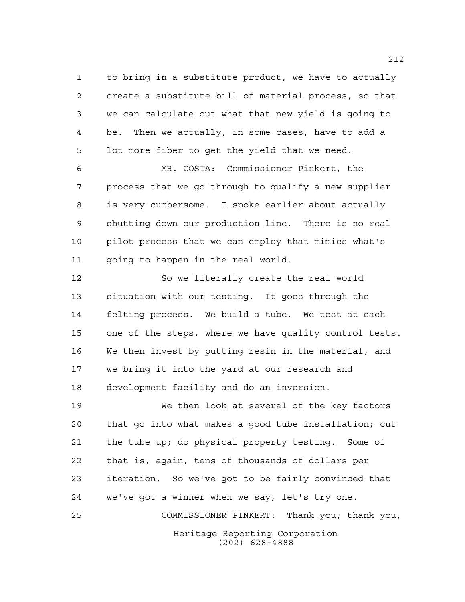to bring in a substitute product, we have to actually create a substitute bill of material process, so that we can calculate out what that new yield is going to be. Then we actually, in some cases, have to add a lot more fiber to get the yield that we need.

 MR. COSTA: Commissioner Pinkert, the process that we go through to qualify a new supplier is very cumbersome. I spoke earlier about actually shutting down our production line. There is no real pilot process that we can employ that mimics what's 11 going to happen in the real world.

 So we literally create the real world situation with our testing. It goes through the felting process. We build a tube. We test at each one of the steps, where we have quality control tests. We then invest by putting resin in the material, and we bring it into the yard at our research and development facility and do an inversion.

Heritage Reporting Corporation (202) 628-4888 We then look at several of the key factors that go into what makes a good tube installation; cut the tube up; do physical property testing. Some of that is, again, tens of thousands of dollars per iteration. So we've got to be fairly convinced that we've got a winner when we say, let's try one. COMMISSIONER PINKERT: Thank you; thank you,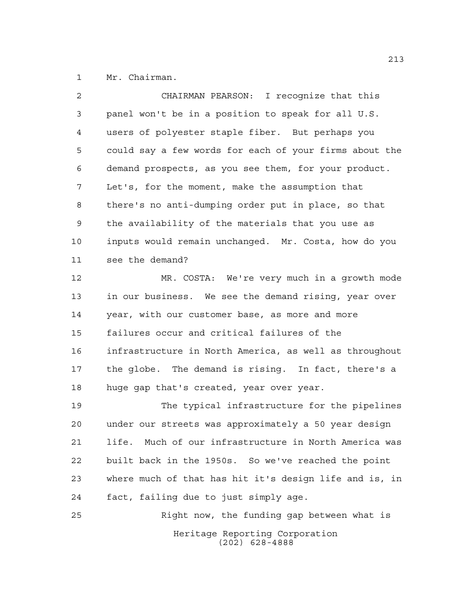Mr. Chairman.

| $\overline{2}$ | CHAIRMAN PEARSON: I recognize that this                |
|----------------|--------------------------------------------------------|
| 3              | panel won't be in a position to speak for all U.S.     |
| 4              | users of polyester staple fiber. But perhaps you       |
| 5              | could say a few words for each of your firms about the |
| 6              | demand prospects, as you see them, for your product.   |
| 7              | Let's, for the moment, make the assumption that        |
| $\,8\,$        | there's no anti-dumping order put in place, so that    |
| 9              | the availability of the materials that you use as      |
| 10             | inputs would remain unchanged. Mr. Costa, how do you   |
| 11             | see the demand?                                        |
| 12             | MR. COSTA: We're very much in a growth mode            |
| 13             | in our business. We see the demand rising, year over   |
| 14             | year, with our customer base, as more and more         |
| 15             | failures occur and critical failures of the            |
| 16             | infrastructure in North America, as well as throughout |
| 17             | the globe. The demand is rising. In fact, there's a    |

huge gap that's created, year over year.

 The typical infrastructure for the pipelines under our streets was approximately a 50 year design life. Much of our infrastructure in North America was built back in the 1950s. So we've reached the point where much of that has hit it's design life and is, in fact, failing due to just simply age.

Heritage Reporting Corporation (202) 628-4888 Right now, the funding gap between what is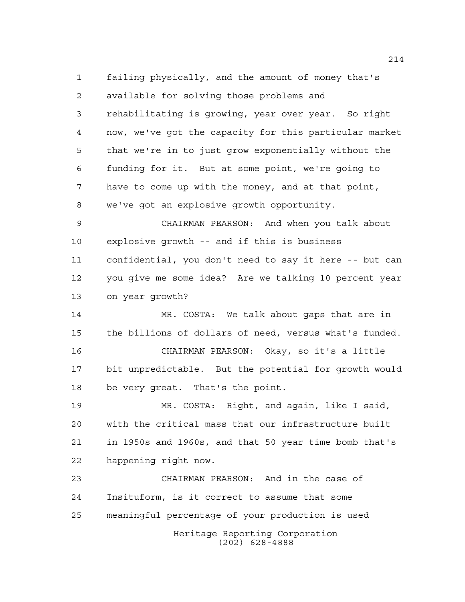failing physically, and the amount of money that's available for solving those problems and rehabilitating is growing, year over year. So right now, we've got the capacity for this particular market that we're in to just grow exponentially without the funding for it. But at some point, we're going to have to come up with the money, and at that point, we've got an explosive growth opportunity.

 CHAIRMAN PEARSON: And when you talk about explosive growth -- and if this is business confidential, you don't need to say it here -- but can you give me some idea? Are we talking 10 percent year on year growth?

 MR. COSTA: We talk about gaps that are in the billions of dollars of need, versus what's funded.

 CHAIRMAN PEARSON: Okay, so it's a little bit unpredictable. But the potential for growth would be very great. That's the point.

 MR. COSTA: Right, and again, like I said, with the critical mass that our infrastructure built in 1950s and 1960s, and that 50 year time bomb that's happening right now.

Heritage Reporting Corporation (202) 628-4888 CHAIRMAN PEARSON: And in the case of Insituform, is it correct to assume that some meaningful percentage of your production is used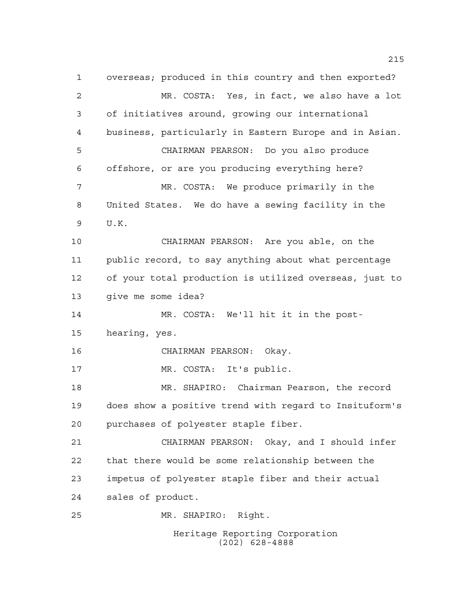Heritage Reporting Corporation overseas; produced in this country and then exported? MR. COSTA: Yes, in fact, we also have a lot of initiatives around, growing our international business, particularly in Eastern Europe and in Asian. CHAIRMAN PEARSON: Do you also produce offshore, or are you producing everything here? MR. COSTA: We produce primarily in the United States. We do have a sewing facility in the U.K. CHAIRMAN PEARSON: Are you able, on the public record, to say anything about what percentage of your total production is utilized overseas, just to give me some idea? MR. COSTA: We'll hit it in the post- hearing, yes. CHAIRMAN PEARSON: Okay. MR. COSTA: It's public. MR. SHAPIRO: Chairman Pearson, the record does show a positive trend with regard to Insituform's purchases of polyester staple fiber. CHAIRMAN PEARSON: Okay, and I should infer that there would be some relationship between the impetus of polyester staple fiber and their actual sales of product. MR. SHAPIRO: Right.

(202) 628-4888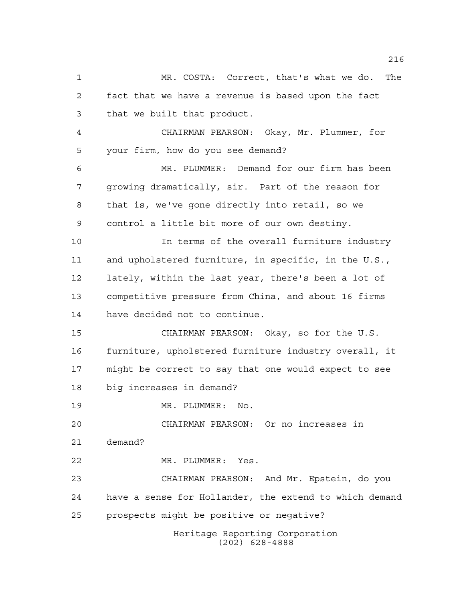Heritage Reporting Corporation MR. COSTA: Correct, that's what we do. The fact that we have a revenue is based upon the fact that we built that product. CHAIRMAN PEARSON: Okay, Mr. Plummer, for your firm, how do you see demand? MR. PLUMMER: Demand for our firm has been growing dramatically, sir. Part of the reason for that is, we've gone directly into retail, so we control a little bit more of our own destiny. In terms of the overall furniture industry and upholstered furniture, in specific, in the U.S., lately, within the last year, there's been a lot of competitive pressure from China, and about 16 firms have decided not to continue. CHAIRMAN PEARSON: Okay, so for the U.S. furniture, upholstered furniture industry overall, it might be correct to say that one would expect to see big increases in demand? MR. PLUMMER: No. CHAIRMAN PEARSON: Or no increases in demand? MR. PLUMMER: Yes. CHAIRMAN PEARSON: And Mr. Epstein, do you have a sense for Hollander, the extend to which demand prospects might be positive or negative?

(202) 628-4888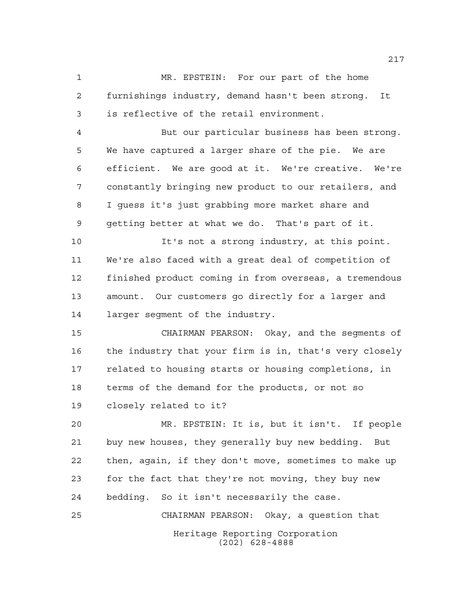MR. EPSTEIN: For our part of the home furnishings industry, demand hasn't been strong. It is reflective of the retail environment.

 But our particular business has been strong. We have captured a larger share of the pie. We are efficient. We are good at it. We're creative. We're constantly bringing new product to our retailers, and I guess it's just grabbing more market share and getting better at what we do. That's part of it.

 It's not a strong industry, at this point. We're also faced with a great deal of competition of finished product coming in from overseas, a tremendous amount. Our customers go directly for a larger and larger segment of the industry.

 CHAIRMAN PEARSON: Okay, and the segments of the industry that your firm is in, that's very closely related to housing starts or housing completions, in terms of the demand for the products, or not so closely related to it?

 MR. EPSTEIN: It is, but it isn't. If people buy new houses, they generally buy new bedding. But then, again, if they don't move, sometimes to make up for the fact that they're not moving, they buy new bedding. So it isn't necessarily the case. CHAIRMAN PEARSON: Okay, a question that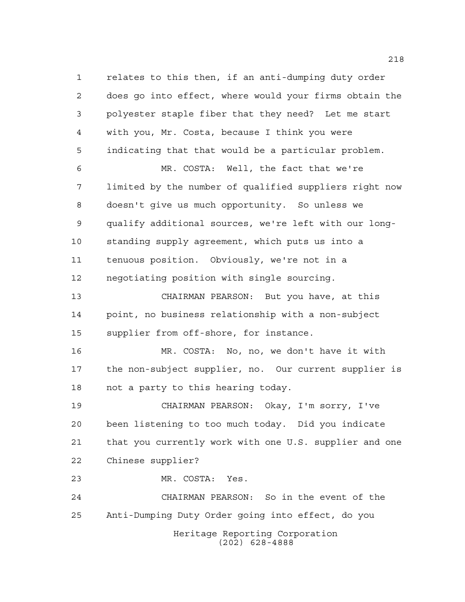relates to this then, if an anti-dumping duty order does go into effect, where would your firms obtain the polyester staple fiber that they need? Let me start with you, Mr. Costa, because I think you were indicating that that would be a particular problem. MR. COSTA: Well, the fact that we're

 limited by the number of qualified suppliers right now doesn't give us much opportunity. So unless we qualify additional sources, we're left with our long- standing supply agreement, which puts us into a tenuous position. Obviously, we're not in a negotiating position with single sourcing.

 CHAIRMAN PEARSON: But you have, at this point, no business relationship with a non-subject supplier from off-shore, for instance.

 MR. COSTA: No, no, we don't have it with the non-subject supplier, no. Our current supplier is not a party to this hearing today.

 CHAIRMAN PEARSON: Okay, I'm sorry, I've been listening to too much today. Did you indicate that you currently work with one U.S. supplier and one Chinese supplier?

MR. COSTA: Yes.

Heritage Reporting Corporation (202) 628-4888 CHAIRMAN PEARSON: So in the event of the Anti-Dumping Duty Order going into effect, do you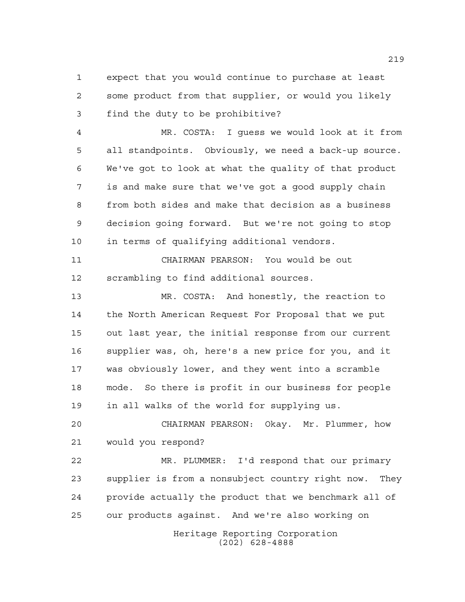expect that you would continue to purchase at least some product from that supplier, or would you likely find the duty to be prohibitive?

 MR. COSTA: I guess we would look at it from all standpoints. Obviously, we need a back-up source. We've got to look at what the quality of that product is and make sure that we've got a good supply chain from both sides and make that decision as a business decision going forward. But we're not going to stop in terms of qualifying additional vendors.

 CHAIRMAN PEARSON: You would be out scrambling to find additional sources.

 MR. COSTA: And honestly, the reaction to the North American Request For Proposal that we put out last year, the initial response from our current supplier was, oh, here's a new price for you, and it was obviously lower, and they went into a scramble mode. So there is profit in our business for people in all walks of the world for supplying us.

 CHAIRMAN PEARSON: Okay. Mr. Plummer, how would you respond?

Heritage Reporting Corporation MR. PLUMMER: I'd respond that our primary supplier is from a nonsubject country right now. They provide actually the product that we benchmark all of our products against. And we're also working on

(202) 628-4888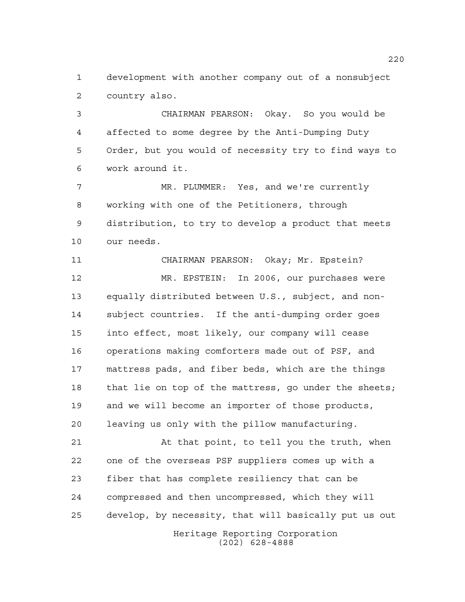development with another company out of a nonsubject country also.

 CHAIRMAN PEARSON: Okay. So you would be affected to some degree by the Anti-Dumping Duty Order, but you would of necessity try to find ways to work around it.

 MR. PLUMMER: Yes, and we're currently working with one of the Petitioners, through distribution, to try to develop a product that meets our needs.

 CHAIRMAN PEARSON: Okay; Mr. Epstein? MR. EPSTEIN: In 2006, our purchases were equally distributed between U.S., subject, and non- subject countries. If the anti-dumping order goes into effect, most likely, our company will cease operations making comforters made out of PSF, and mattress pads, and fiber beds, which are the things that lie on top of the mattress, go under the sheets; and we will become an importer of those products, leaving us only with the pillow manufacturing.

 At that point, to tell you the truth, when one of the overseas PSF suppliers comes up with a fiber that has complete resiliency that can be compressed and then uncompressed, which they will develop, by necessity, that will basically put us out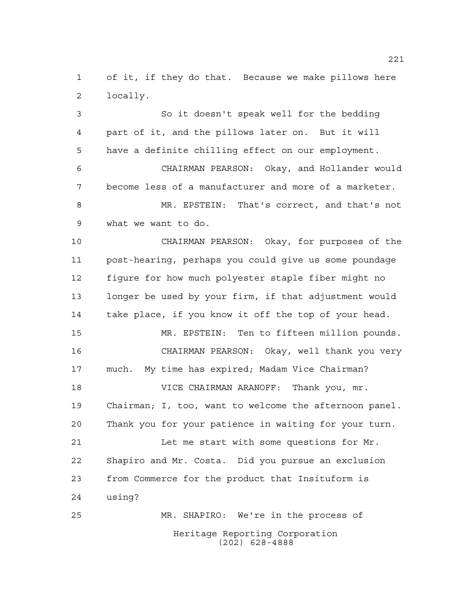of it, if they do that. Because we make pillows here locally.

 So it doesn't speak well for the bedding part of it, and the pillows later on. But it will have a definite chilling effect on our employment. CHAIRMAN PEARSON: Okay, and Hollander would become less of a manufacturer and more of a marketer. MR. EPSTEIN: That's correct, and that's not what we want to do. CHAIRMAN PEARSON: Okay, for purposes of the post-hearing, perhaps you could give us some poundage figure for how much polyester staple fiber might no

 longer be used by your firm, if that adjustment would take place, if you know it off the top of your head. MR. EPSTEIN: Ten to fifteen million pounds. CHAIRMAN PEARSON: Okay, well thank you very much. My time has expired; Madam Vice Chairman? VICE CHAIRMAN ARANOFF: Thank you, mr. Chairman; I, too, want to welcome the afternoon panel. Thank you for your patience in waiting for your turn. Let me start with some questions for Mr. Shapiro and Mr. Costa. Did you pursue an exclusion from Commerce for the product that Insituform is using?

Heritage Reporting Corporation (202) 628-4888 MR. SHAPIRO: We're in the process of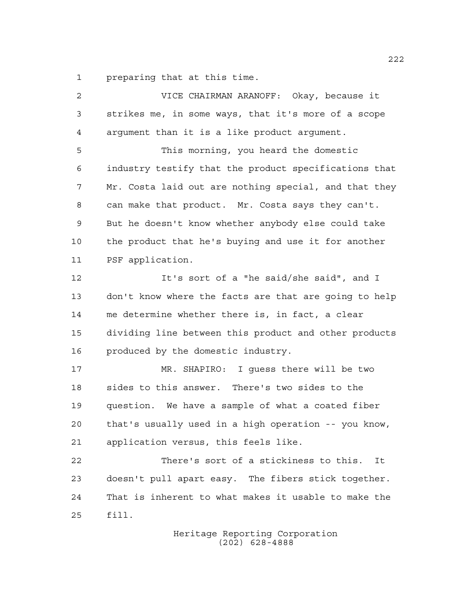preparing that at this time.

| 2  | VICE CHAIRMAN ARANOFF: Okay, because it               |
|----|-------------------------------------------------------|
| 3  | strikes me, in some ways, that it's more of a scope   |
| 4  | argument than it is a like product argument.          |
| 5  | This morning, you heard the domestic                  |
| 6  | industry testify that the product specifications that |
| 7  | Mr. Costa laid out are nothing special, and that they |
| 8  | can make that product. Mr. Costa says they can't.     |
| 9  | But he doesn't know whether anybody else could take   |
| 10 | the product that he's buying and use it for another   |
| 11 | PSF application.                                      |
| 12 | It's sort of a "he said/she said", and I              |
| 13 | don't know where the facts are that are going to help |
| 14 | me determine whether there is, in fact, a clear       |
| 15 | dividing line between this product and other products |
| 16 | produced by the domestic industry.                    |
| 17 | MR. SHAPIRO: I guess there will be two                |
| 18 | sides to this answer. There's two sides to the        |
| 19 | question. We have a sample of what a coated fiber     |
| 20 | that's usually used in a high operation -- you know,  |
| 21 | application versus, this feels like.                  |
| 22 | There's sort of a stickiness to this.<br>It           |
| 23 | doesn't pull apart easy. The fibers stick together.   |
| 24 | That is inherent to what makes it usable to make the  |
| 25 | fill.                                                 |
|    |                                                       |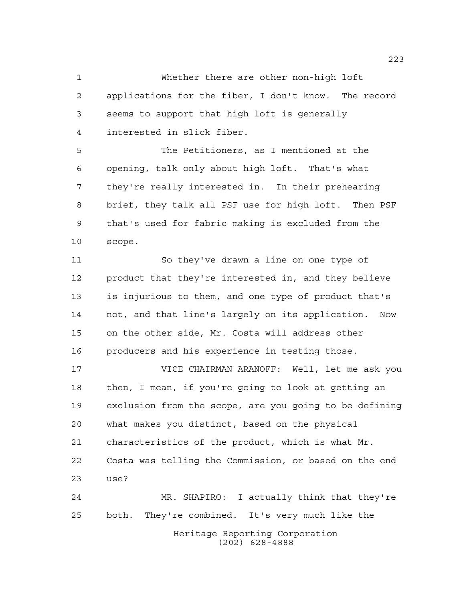Whether there are other non-high loft applications for the fiber, I don't know. The record seems to support that high loft is generally interested in slick fiber.

 The Petitioners, as I mentioned at the opening, talk only about high loft. That's what they're really interested in. In their prehearing brief, they talk all PSF use for high loft. Then PSF that's used for fabric making is excluded from the scope.

 So they've drawn a line on one type of product that they're interested in, and they believe is injurious to them, and one type of product that's not, and that line's largely on its application. Now on the other side, Mr. Costa will address other producers and his experience in testing those.

 VICE CHAIRMAN ARANOFF: Well, let me ask you then, I mean, if you're going to look at getting an exclusion from the scope, are you going to be defining what makes you distinct, based on the physical characteristics of the product, which is what Mr. Costa was telling the Commission, or based on the end use? MR. SHAPIRO: I actually think that they're

Heritage Reporting Corporation (202) 628-4888 both. They're combined. It's very much like the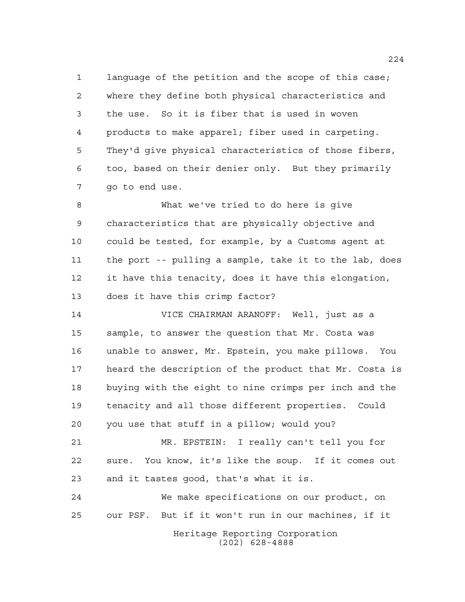language of the petition and the scope of this case; where they define both physical characteristics and the use. So it is fiber that is used in woven products to make apparel; fiber used in carpeting. They'd give physical characteristics of those fibers, too, based on their denier only. But they primarily go to end use.

 What we've tried to do here is give characteristics that are physically objective and could be tested, for example, by a Customs agent at the port -- pulling a sample, take it to the lab, does it have this tenacity, does it have this elongation, does it have this crimp factor?

 VICE CHAIRMAN ARANOFF: Well, just as a sample, to answer the question that Mr. Costa was unable to answer, Mr. Epstein, you make pillows. You heard the description of the product that Mr. Costa is buying with the eight to nine crimps per inch and the tenacity and all those different properties. Could you use that stuff in a pillow; would you? MR. EPSTEIN: I really can't tell you for

 sure. You know, it's like the soup. If it comes out and it tastes good, that's what it is.

Heritage Reporting Corporation We make specifications on our product, on our PSF. But if it won't run in our machines, if it

(202) 628-4888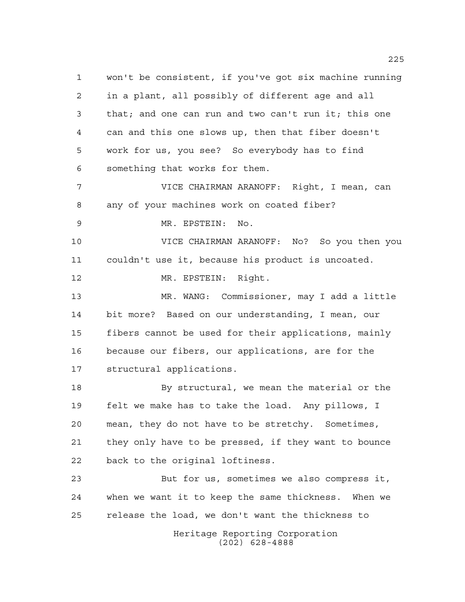Heritage Reporting Corporation won't be consistent, if you've got six machine running in a plant, all possibly of different age and all that; and one can run and two can't run it; this one can and this one slows up, then that fiber doesn't work for us, you see? So everybody has to find something that works for them. VICE CHAIRMAN ARANOFF: Right, I mean, can any of your machines work on coated fiber? MR. EPSTEIN: No. VICE CHAIRMAN ARANOFF: No? So you then you couldn't use it, because his product is uncoated. MR. EPSTEIN: Right. MR. WANG: Commissioner, may I add a little bit more? Based on our understanding, I mean, our fibers cannot be used for their applications, mainly because our fibers, our applications, are for the structural applications. 18 By structural, we mean the material or the felt we make has to take the load. Any pillows, I mean, they do not have to be stretchy. Sometimes, they only have to be pressed, if they want to bounce back to the original loftiness. But for us, sometimes we also compress it, when we want it to keep the same thickness. When we release the load, we don't want the thickness to

(202) 628-4888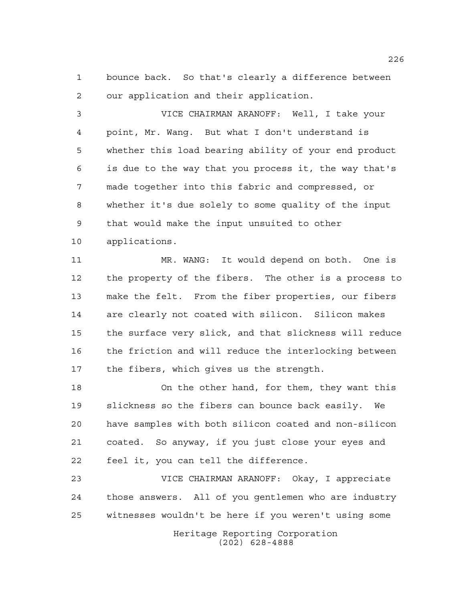bounce back. So that's clearly a difference between our application and their application.

 VICE CHAIRMAN ARANOFF: Well, I take your point, Mr. Wang. But what I don't understand is whether this load bearing ability of your end product is due to the way that you process it, the way that's made together into this fabric and compressed, or whether it's due solely to some quality of the input that would make the input unsuited to other applications.

 MR. WANG: It would depend on both. One is the property of the fibers. The other is a process to make the felt. From the fiber properties, our fibers are clearly not coated with silicon. Silicon makes the surface very slick, and that slickness will reduce the friction and will reduce the interlocking between the fibers, which gives us the strength.

 On the other hand, for them, they want this slickness so the fibers can bounce back easily. We have samples with both silicon coated and non-silicon coated. So anyway, if you just close your eyes and feel it, you can tell the difference.

 VICE CHAIRMAN ARANOFF: Okay, I appreciate those answers. All of you gentlemen who are industry witnesses wouldn't be here if you weren't using some

> Heritage Reporting Corporation (202) 628-4888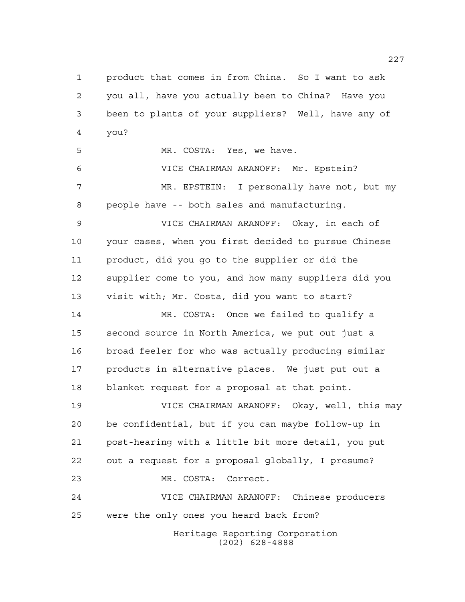Heritage Reporting Corporation (202) 628-4888 product that comes in from China. So I want to ask you all, have you actually been to China? Have you been to plants of your suppliers? Well, have any of you? MR. COSTA: Yes, we have. VICE CHAIRMAN ARANOFF: Mr. Epstein? MR. EPSTEIN: I personally have not, but my people have -- both sales and manufacturing. VICE CHAIRMAN ARANOFF: Okay, in each of your cases, when you first decided to pursue Chinese product, did you go to the supplier or did the supplier come to you, and how many suppliers did you visit with; Mr. Costa, did you want to start? MR. COSTA: Once we failed to qualify a second source in North America, we put out just a broad feeler for who was actually producing similar products in alternative places. We just put out a blanket request for a proposal at that point. VICE CHAIRMAN ARANOFF: Okay, well, this may be confidential, but if you can maybe follow-up in post-hearing with a little bit more detail, you put out a request for a proposal globally, I presume? MR. COSTA: Correct. VICE CHAIRMAN ARANOFF: Chinese producers were the only ones you heard back from?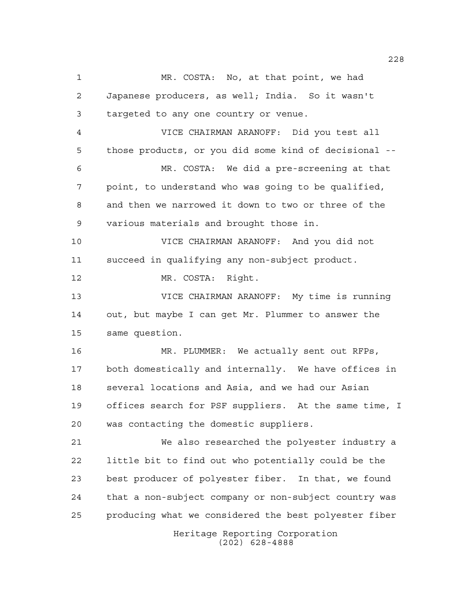Heritage Reporting Corporation (202) 628-4888 MR. COSTA: No, at that point, we had Japanese producers, as well; India. So it wasn't targeted to any one country or venue. VICE CHAIRMAN ARANOFF: Did you test all those products, or you did some kind of decisional -- MR. COSTA: We did a pre-screening at that point, to understand who was going to be qualified, and then we narrowed it down to two or three of the various materials and brought those in. VICE CHAIRMAN ARANOFF: And you did not succeed in qualifying any non-subject product. MR. COSTA: Right. VICE CHAIRMAN ARANOFF: My time is running out, but maybe I can get Mr. Plummer to answer the same question. MR. PLUMMER: We actually sent out RFPs, both domestically and internally. We have offices in several locations and Asia, and we had our Asian offices search for PSF suppliers. At the same time, I was contacting the domestic suppliers. We also researched the polyester industry a little bit to find out who potentially could be the best producer of polyester fiber. In that, we found that a non-subject company or non-subject country was producing what we considered the best polyester fiber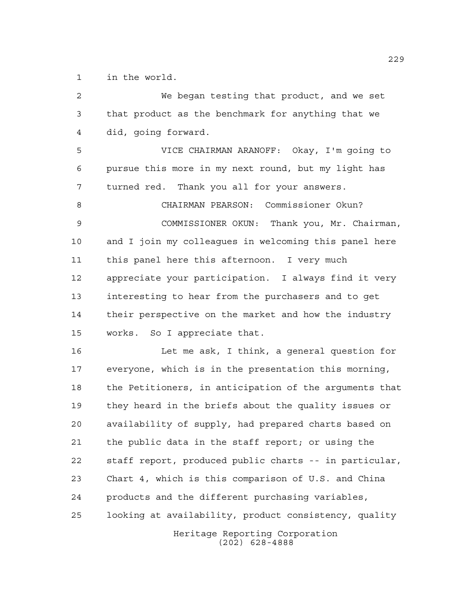in the world.

 We began testing that product, and we set that product as the benchmark for anything that we did, going forward. VICE CHAIRMAN ARANOFF: Okay, I'm going to pursue this more in my next round, but my light has turned red. Thank you all for your answers. CHAIRMAN PEARSON: Commissioner Okun? COMMISSIONER OKUN: Thank you, Mr. Chairman, and I join my colleagues in welcoming this panel here this panel here this afternoon. I very much appreciate your participation. I always find it very interesting to hear from the purchasers and to get their perspective on the market and how the industry works. So I appreciate that. Let me ask, I think, a general question for everyone, which is in the presentation this morning, the Petitioners, in anticipation of the arguments that they heard in the briefs about the quality issues or availability of supply, had prepared charts based on the public data in the staff report; or using the staff report, produced public charts -- in particular, Chart 4, which is this comparison of U.S. and China

looking at availability, product consistency, quality

products and the different purchasing variables,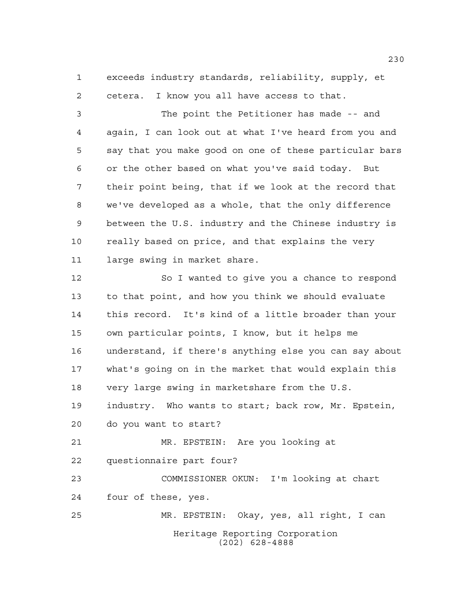exceeds industry standards, reliability, supply, et cetera. I know you all have access to that.

 The point the Petitioner has made -- and again, I can look out at what I've heard from you and say that you make good on one of these particular bars or the other based on what you've said today. But their point being, that if we look at the record that we've developed as a whole, that the only difference between the U.S. industry and the Chinese industry is really based on price, and that explains the very large swing in market share.

Heritage Reporting Corporation (202) 628-4888 So I wanted to give you a chance to respond to that point, and how you think we should evaluate this record. It's kind of a little broader than your own particular points, I know, but it helps me understand, if there's anything else you can say about what's going on in the market that would explain this very large swing in marketshare from the U.S. industry. Who wants to start; back row, Mr. Epstein, do you want to start? MR. EPSTEIN: Are you looking at questionnaire part four? COMMISSIONER OKUN: I'm looking at chart four of these, yes. MR. EPSTEIN: Okay, yes, all right, I can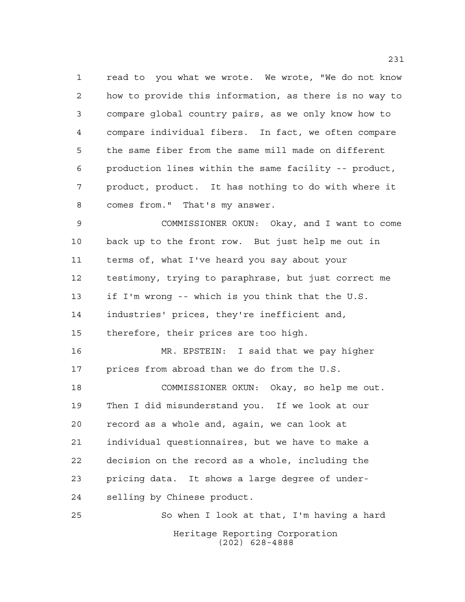read to you what we wrote. We wrote, "We do not know how to provide this information, as there is no way to compare global country pairs, as we only know how to compare individual fibers. In fact, we often compare the same fiber from the same mill made on different production lines within the same facility -- product, product, product. It has nothing to do with where it comes from." That's my answer.

 COMMISSIONER OKUN: Okay, and I want to come back up to the front row. But just help me out in terms of, what I've heard you say about your testimony, trying to paraphrase, but just correct me if I'm wrong -- which is you think that the U.S. industries' prices, they're inefficient and, therefore, their prices are too high.

 MR. EPSTEIN: I said that we pay higher prices from abroad than we do from the U.S.

 COMMISSIONER OKUN: Okay, so help me out. Then I did misunderstand you. If we look at our record as a whole and, again, we can look at individual questionnaires, but we have to make a decision on the record as a whole, including the pricing data. It shows a large degree of under-selling by Chinese product.

Heritage Reporting Corporation (202) 628-4888 So when I look at that, I'm having a hard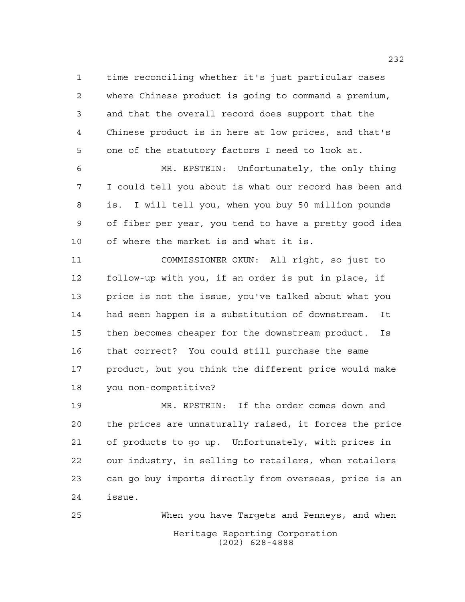time reconciling whether it's just particular cases where Chinese product is going to command a premium, and that the overall record does support that the Chinese product is in here at low prices, and that's one of the statutory factors I need to look at.

 MR. EPSTEIN: Unfortunately, the only thing I could tell you about is what our record has been and is. I will tell you, when you buy 50 million pounds of fiber per year, you tend to have a pretty good idea of where the market is and what it is.

 COMMISSIONER OKUN: All right, so just to follow-up with you, if an order is put in place, if price is not the issue, you've talked about what you had seen happen is a substitution of downstream. It then becomes cheaper for the downstream product. Is that correct? You could still purchase the same product, but you think the different price would make you non-competitive?

 MR. EPSTEIN: If the order comes down and the prices are unnaturally raised, it forces the price of products to go up. Unfortunately, with prices in our industry, in selling to retailers, when retailers can go buy imports directly from overseas, price is an issue.

Heritage Reporting Corporation (202) 628-4888 When you have Targets and Penneys, and when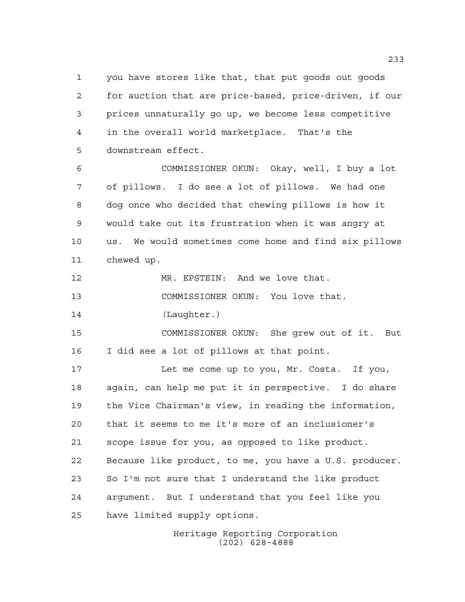you have stores like that, that put goods out goods for auction that are price-based, price-driven, if our prices unnaturally go up, we become less competitive in the overall world marketplace. That's the downstream effect.

 COMMISSIONER OKUN: Okay, well, I buy a lot of pillows. I do see a lot of pillows. We had one dog once who decided that chewing pillows is how it would take out its frustration when it was angry at us. We would sometimes come home and find six pillows chewed up.

MR. EPSTEIN: And we love that.

COMMISSIONER OKUN: You love that.

(Laughter.)

 COMMISSIONER OKUN: She grew out of it. But I did see a lot of pillows at that point.

 Let me come up to you, Mr. Costa. If you, again, can help me put it in perspective. I do share the Vice Chairman's view, in reading the information, that it seems to me it's more of an inclusioner's scope issue for you, as opposed to like product. Because like product, to me, you have a U.S. producer. So I'm not sure that I understand the like product argument. But I understand that you feel like you have limited supply options.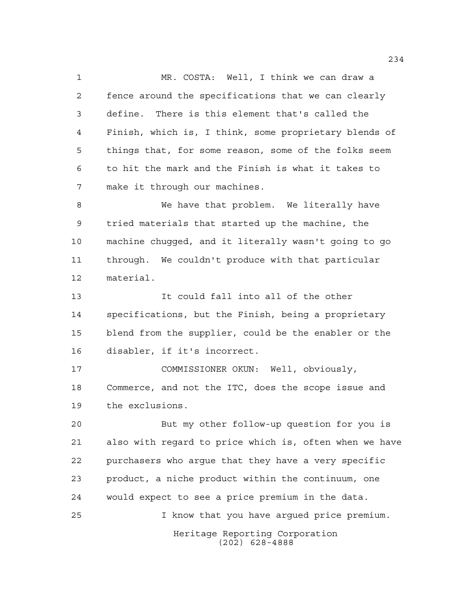MR. COSTA: Well, I think we can draw a fence around the specifications that we can clearly define. There is this element that's called the Finish, which is, I think, some proprietary blends of things that, for some reason, some of the folks seem to hit the mark and the Finish is what it takes to make it through our machines.

 We have that problem. We literally have tried materials that started up the machine, the machine chugged, and it literally wasn't going to go through. We couldn't produce with that particular material.

 It could fall into all of the other specifications, but the Finish, being a proprietary blend from the supplier, could be the enabler or the disabler, if it's incorrect.

 COMMISSIONER OKUN: Well, obviously, Commerce, and not the ITC, does the scope issue and the exclusions.

 But my other follow-up question for you is also with regard to price which is, often when we have purchasers who argue that they have a very specific product, a niche product within the continuum, one would expect to see a price premium in the data. I know that you have argued price premium.

> Heritage Reporting Corporation (202) 628-4888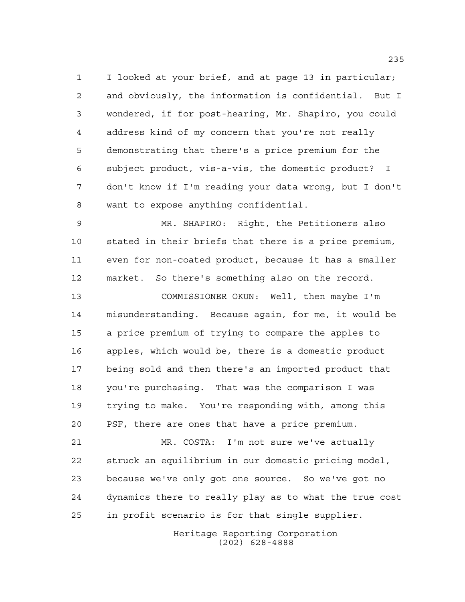I looked at your brief, and at page 13 in particular; and obviously, the information is confidential. But I wondered, if for post-hearing, Mr. Shapiro, you could address kind of my concern that you're not really demonstrating that there's a price premium for the subject product, vis-a-vis, the domestic product? I don't know if I'm reading your data wrong, but I don't want to expose anything confidential.

 MR. SHAPIRO: Right, the Petitioners also stated in their briefs that there is a price premium, even for non-coated product, because it has a smaller market. So there's something also on the record.

 COMMISSIONER OKUN: Well, then maybe I'm misunderstanding. Because again, for me, it would be a price premium of trying to compare the apples to apples, which would be, there is a domestic product being sold and then there's an imported product that you're purchasing. That was the comparison I was trying to make. You're responding with, among this PSF, there are ones that have a price premium.

 MR. COSTA: I'm not sure we've actually struck an equilibrium in our domestic pricing model, because we've only got one source. So we've got no dynamics there to really play as to what the true cost in profit scenario is for that single supplier.

> Heritage Reporting Corporation (202) 628-4888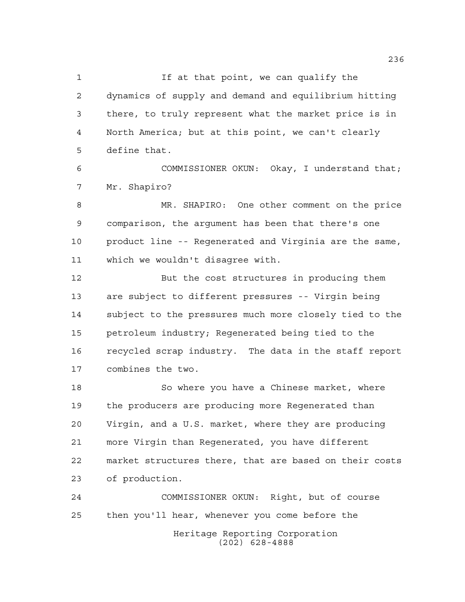1 If at that point, we can qualify the dynamics of supply and demand and equilibrium hitting there, to truly represent what the market price is in North America; but at this point, we can't clearly define that.

 COMMISSIONER OKUN: Okay, I understand that; Mr. Shapiro?

 MR. SHAPIRO: One other comment on the price comparison, the argument has been that there's one product line -- Regenerated and Virginia are the same, which we wouldn't disagree with.

 But the cost structures in producing them are subject to different pressures -- Virgin being subject to the pressures much more closely tied to the petroleum industry; Regenerated being tied to the recycled scrap industry. The data in the staff report combines the two.

 So where you have a Chinese market, where the producers are producing more Regenerated than Virgin, and a U.S. market, where they are producing more Virgin than Regenerated, you have different market structures there, that are based on their costs of production.

Heritage Reporting Corporation (202) 628-4888 COMMISSIONER OKUN: Right, but of course then you'll hear, whenever you come before the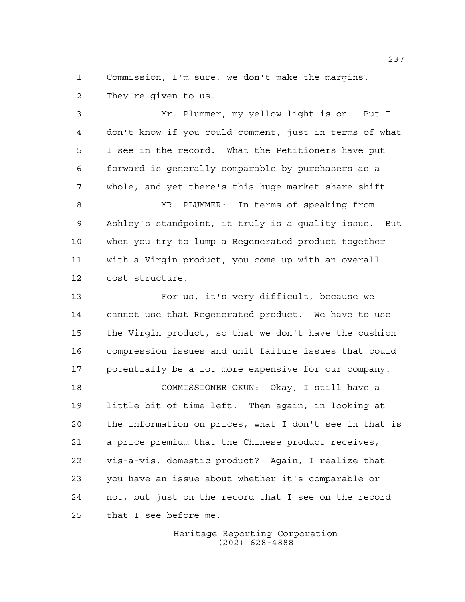Commission, I'm sure, we don't make the margins. They're given to us.

 Mr. Plummer, my yellow light is on. But I don't know if you could comment, just in terms of what I see in the record. What the Petitioners have put forward is generally comparable by purchasers as a whole, and yet there's this huge market share shift. MR. PLUMMER: In terms of speaking from Ashley's standpoint, it truly is a quality issue. But when you try to lump a Regenerated product together with a Virgin product, you come up with an overall cost structure. For us, it's very difficult, because we

 cannot use that Regenerated product. We have to use the Virgin product, so that we don't have the cushion compression issues and unit failure issues that could potentially be a lot more expensive for our company.

 COMMISSIONER OKUN: Okay, I still have a little bit of time left. Then again, in looking at the information on prices, what I don't see in that is a price premium that the Chinese product receives, vis-a-vis, domestic product? Again, I realize that you have an issue about whether it's comparable or not, but just on the record that I see on the record that I see before me.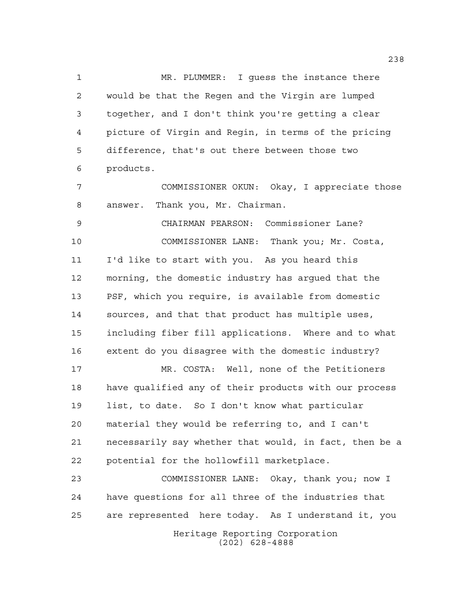MR. PLUMMER: I guess the instance there would be that the Regen and the Virgin are lumped together, and I don't think you're getting a clear picture of Virgin and Regin, in terms of the pricing difference, that's out there between those two products.

 COMMISSIONER OKUN: Okay, I appreciate those answer. Thank you, Mr. Chairman.

 CHAIRMAN PEARSON: Commissioner Lane? COMMISSIONER LANE: Thank you; Mr. Costa, I'd like to start with you. As you heard this morning, the domestic industry has argued that the PSF, which you require, is available from domestic sources, and that that product has multiple uses, including fiber fill applications. Where and to what extent do you disagree with the domestic industry?

 MR. COSTA: Well, none of the Petitioners have qualified any of their products with our process list, to date. So I don't know what particular material they would be referring to, and I can't necessarily say whether that would, in fact, then be a potential for the hollowfill marketplace.

Heritage Reporting Corporation (202) 628-4888 COMMISSIONER LANE: Okay, thank you; now I have questions for all three of the industries that are represented here today. As I understand it, you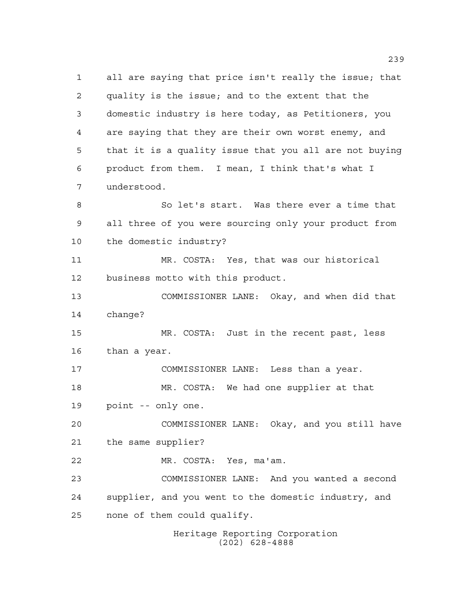Heritage Reporting Corporation (202) 628-4888 all are saying that price isn't really the issue; that quality is the issue; and to the extent that the domestic industry is here today, as Petitioners, you are saying that they are their own worst enemy, and that it is a quality issue that you all are not buying product from them. I mean, I think that's what I understood. So let's start. Was there ever a time that all three of you were sourcing only your product from the domestic industry? MR. COSTA: Yes, that was our historical business motto with this product. COMMISSIONER LANE: Okay, and when did that change? MR. COSTA: Just in the recent past, less than a year. COMMISSIONER LANE: Less than a year. MR. COSTA: We had one supplier at that point -- only one. COMMISSIONER LANE: Okay, and you still have the same supplier? MR. COSTA: Yes, ma'am. COMMISSIONER LANE: And you wanted a second supplier, and you went to the domestic industry, and none of them could qualify.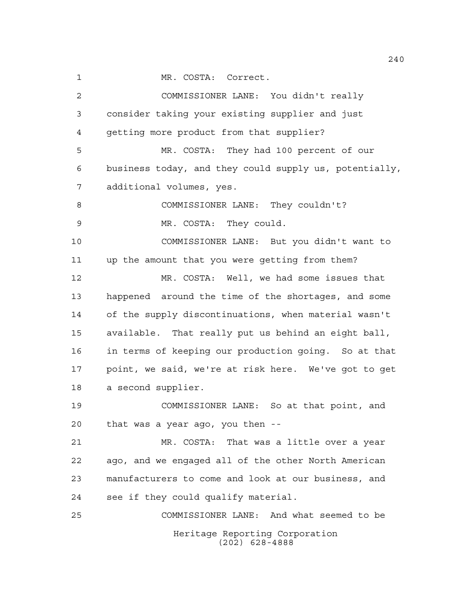MR. COSTA: Correct.

Heritage Reporting Corporation (202) 628-4888 COMMISSIONER LANE: You didn't really consider taking your existing supplier and just getting more product from that supplier? MR. COSTA: They had 100 percent of our business today, and they could supply us, potentially, additional volumes, yes. 8 COMMISSIONER LANE: They couldn't? MR. COSTA: They could. COMMISSIONER LANE: But you didn't want to up the amount that you were getting from them? MR. COSTA: Well, we had some issues that happened around the time of the shortages, and some of the supply discontinuations, when material wasn't available. That really put us behind an eight ball, in terms of keeping our production going. So at that point, we said, we're at risk here. We've got to get a second supplier. COMMISSIONER LANE: So at that point, and that was a year ago, you then -- MR. COSTA: That was a little over a year ago, and we engaged all of the other North American manufacturers to come and look at our business, and see if they could qualify material. COMMISSIONER LANE: And what seemed to be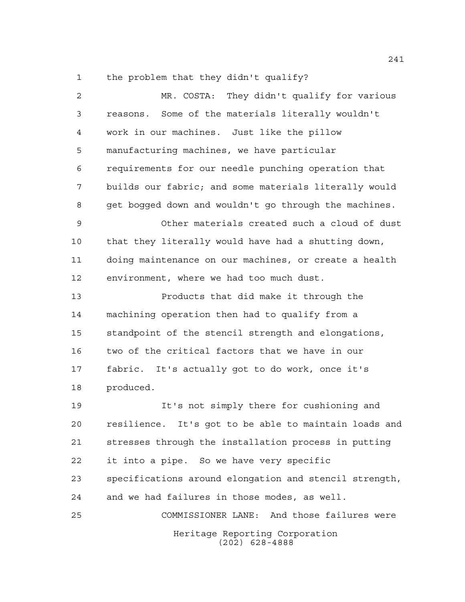the problem that they didn't qualify?

| $\overline{a}$ | MR. COSTA: They didn't qualify for various               |
|----------------|----------------------------------------------------------|
| 3              | reasons. Some of the materials literally wouldn't        |
| 4              | work in our machines. Just like the pillow               |
| 5              | manufacturing machines, we have particular               |
| 6              | requirements for our needle punching operation that      |
| 7              | builds our fabric; and some materials literally would    |
| 8              | get bogged down and wouldn't go through the machines.    |
| $\mathsf 9$    | Other materials created such a cloud of dust             |
| 10             | that they literally would have had a shutting down,      |
| 11             | doing maintenance on our machines, or create a health    |
| 12             | environment, where we had too much dust.                 |
| 13             | Products that did make it through the                    |
| 14             | machining operation then had to qualify from a           |
| 15             | standpoint of the stencil strength and elongations,      |
| 16             | two of the critical factors that we have in our          |
| 17             | fabric. It's actually got to do work, once it's          |
| 18             | produced.                                                |
| 19             | It's not simply there for cushioning and                 |
| 20             | It's got to be able to maintain loads and<br>resilience. |
| 21             | stresses through the installation process in putting     |
| 22             | it into a pipe. So we have very specific                 |
| 23             | specifications around elongation and stencil strength,   |
| 24             | and we had failures in those modes, as well.             |
| 25             | COMMISSIONER LANE: And those failures were               |
|                | Heritage Reporting Corporation<br>$(202)$ 628-4888       |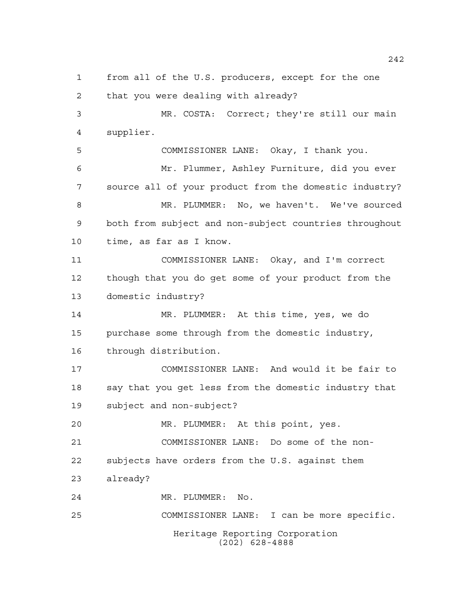Heritage Reporting Corporation (202) 628-4888 from all of the U.S. producers, except for the one that you were dealing with already? MR. COSTA: Correct; they're still our main supplier. COMMISSIONER LANE: Okay, I thank you. Mr. Plummer, Ashley Furniture, did you ever source all of your product from the domestic industry? MR. PLUMMER: No, we haven't. We've sourced both from subject and non-subject countries throughout time, as far as I know. COMMISSIONER LANE: Okay, and I'm correct though that you do get some of your product from the domestic industry? MR. PLUMMER: At this time, yes, we do purchase some through from the domestic industry, through distribution. COMMISSIONER LANE: And would it be fair to say that you get less from the domestic industry that subject and non-subject? MR. PLUMMER: At this point, yes. COMMISSIONER LANE: Do some of the non- subjects have orders from the U.S. against them already? MR. PLUMMER: No. COMMISSIONER LANE: I can be more specific.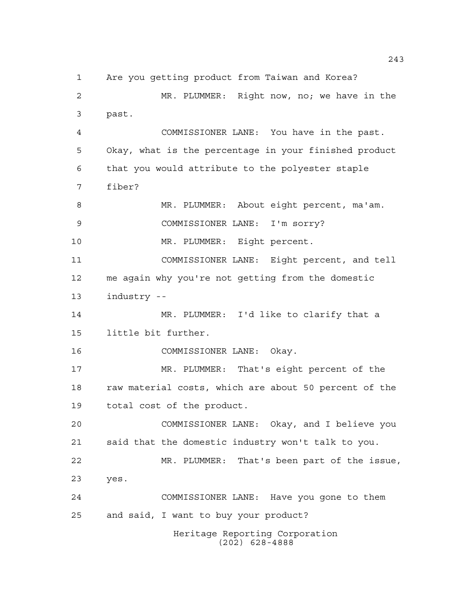Heritage Reporting Corporation (202) 628-4888 Are you getting product from Taiwan and Korea? MR. PLUMMER: Right now, no; we have in the past. COMMISSIONER LANE: You have in the past. Okay, what is the percentage in your finished product that you would attribute to the polyester staple fiber? MR. PLUMMER: About eight percent, ma'am. COMMISSIONER LANE: I'm sorry? MR. PLUMMER: Eight percent. COMMISSIONER LANE: Eight percent, and tell me again why you're not getting from the domestic industry -- MR. PLUMMER: I'd like to clarify that a little bit further. COMMISSIONER LANE: Okay. MR. PLUMMER: That's eight percent of the 18 raw material costs, which are about 50 percent of the total cost of the product. COMMISSIONER LANE: Okay, and I believe you said that the domestic industry won't talk to you. MR. PLUMMER: That's been part of the issue, yes. COMMISSIONER LANE: Have you gone to them and said, I want to buy your product?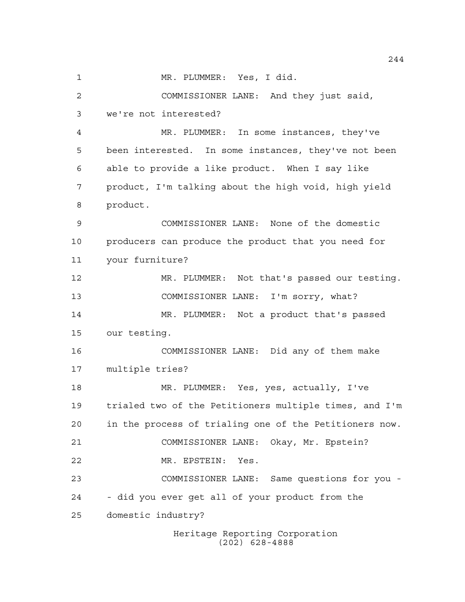1 MR. PLUMMER: Yes, I did. COMMISSIONER LANE: And they just said, we're not interested? MR. PLUMMER: In some instances, they've been interested. In some instances, they've not been able to provide a like product. When I say like product, I'm talking about the high void, high yield product. COMMISSIONER LANE: None of the domestic producers can produce the product that you need for your furniture? MR. PLUMMER: Not that's passed our testing. COMMISSIONER LANE: I'm sorry, what? MR. PLUMMER: Not a product that's passed our testing. COMMISSIONER LANE: Did any of them make multiple tries? MR. PLUMMER: Yes, yes, actually, I've trialed two of the Petitioners multiple times, and I'm in the process of trialing one of the Petitioners now. COMMISSIONER LANE: Okay, Mr. Epstein? MR. EPSTEIN: Yes. COMMISSIONER LANE: Same questions for you - - did you ever get all of your product from the domestic industry?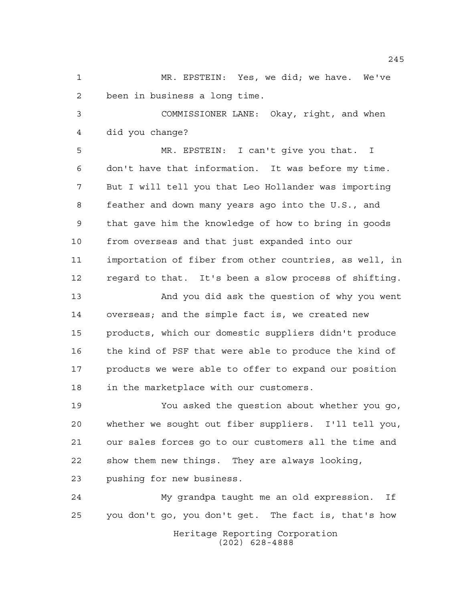MR. EPSTEIN: Yes, we did; we have. We've been in business a long time.

 COMMISSIONER LANE: Okay, right, and when did you change?

 MR. EPSTEIN: I can't give you that. I don't have that information. It was before my time. But I will tell you that Leo Hollander was importing feather and down many years ago into the U.S., and that gave him the knowledge of how to bring in goods from overseas and that just expanded into our importation of fiber from other countries, as well, in regard to that. It's been a slow process of shifting.

 And you did ask the question of why you went overseas; and the simple fact is, we created new products, which our domestic suppliers didn't produce the kind of PSF that were able to produce the kind of products we were able to offer to expand our position in the marketplace with our customers.

 You asked the question about whether you go, whether we sought out fiber suppliers. I'll tell you, our sales forces go to our customers all the time and show them new things. They are always looking,

pushing for new business.

Heritage Reporting Corporation (202) 628-4888 My grandpa taught me an old expression. If you don't go, you don't get. The fact is, that's how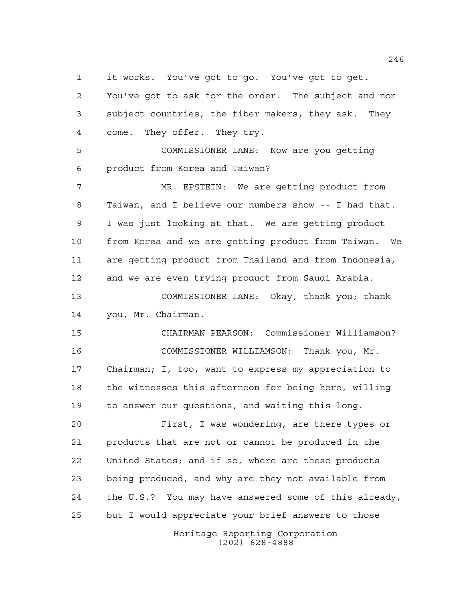it works. You've got to go. You've got to get.

Heritage Reporting Corporation You've got to ask for the order. The subject and non- subject countries, the fiber makers, they ask. They come. They offer. They try. COMMISSIONER LANE: Now are you getting product from Korea and Taiwan? MR. EPSTEIN: We are getting product from Taiwan, and I believe our numbers show -- I had that. I was just looking at that. We are getting product from Korea and we are getting product from Taiwan. We are getting product from Thailand and from Indonesia, and we are even trying product from Saudi Arabia. COMMISSIONER LANE: Okay, thank you; thank you, Mr. Chairman. CHAIRMAN PEARSON: Commissioner Williamson? COMMISSIONER WILLIAMSON: Thank you, Mr. Chairman; I, too, want to express my appreciation to the witnesses this afternoon for being here, willing to answer our questions, and waiting this long. First, I was wondering, are there types or products that are not or cannot be produced in the United States; and if so, where are these products being produced, and why are they not available from the U.S.? You may have answered some of this already, but I would appreciate your brief answers to those

(202) 628-4888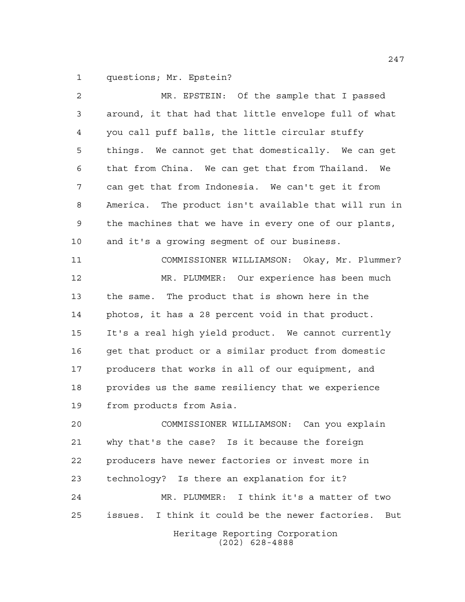questions; Mr. Epstein?

Heritage Reporting Corporation (202) 628-4888 MR. EPSTEIN: Of the sample that I passed around, it that had that little envelope full of what you call puff balls, the little circular stuffy things. We cannot get that domestically. We can get that from China. We can get that from Thailand. We can get that from Indonesia. We can't get it from America. The product isn't available that will run in the machines that we have in every one of our plants, and it's a growing segment of our business. COMMISSIONER WILLIAMSON: Okay, Mr. Plummer? MR. PLUMMER: Our experience has been much the same. The product that is shown here in the photos, it has a 28 percent void in that product. It's a real high yield product. We cannot currently get that product or a similar product from domestic producers that works in all of our equipment, and provides us the same resiliency that we experience from products from Asia. COMMISSIONER WILLIAMSON: Can you explain why that's the case? Is it because the foreign producers have newer factories or invest more in technology? Is there an explanation for it? MR. PLUMMER: I think it's a matter of two issues. I think it could be the newer factories. But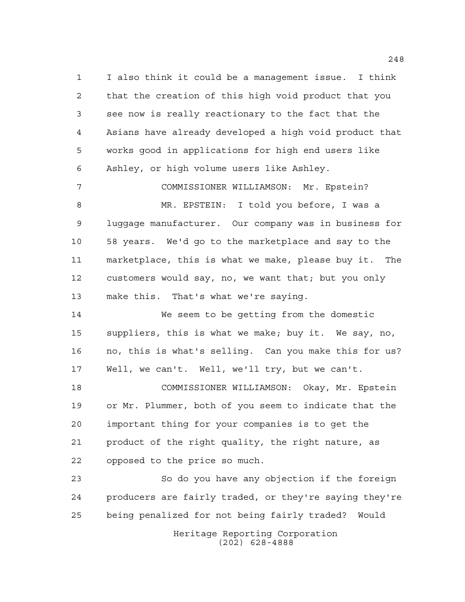I also think it could be a management issue. I think that the creation of this high void product that you see now is really reactionary to the fact that the Asians have already developed a high void product that works good in applications for high end users like Ashley, or high volume users like Ashley.

 COMMISSIONER WILLIAMSON: Mr. Epstein? MR. EPSTEIN: I told you before, I was a luggage manufacturer. Our company was in business for 58 years. We'd go to the marketplace and say to the marketplace, this is what we make, please buy it. The customers would say, no, we want that; but you only make this. That's what we're saying.

 We seem to be getting from the domestic suppliers, this is what we make; buy it. We say, no, no, this is what's selling. Can you make this for us? Well, we can't. Well, we'll try, but we can't.

 COMMISSIONER WILLIAMSON: Okay, Mr. Epstein or Mr. Plummer, both of you seem to indicate that the important thing for your companies is to get the product of the right quality, the right nature, as opposed to the price so much.

 So do you have any objection if the foreign producers are fairly traded, or they're saying they're being penalized for not being fairly traded? Would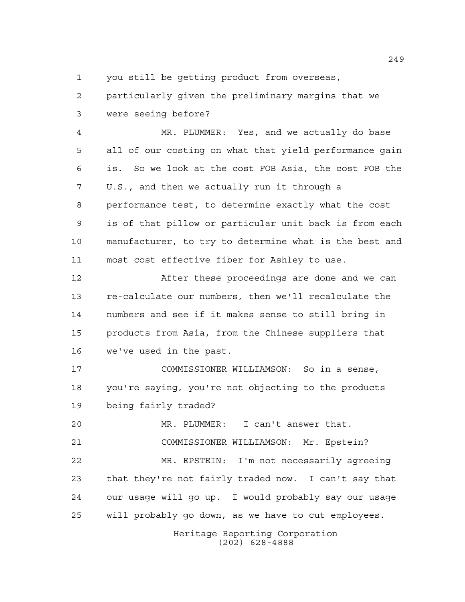you still be getting product from overseas,

 particularly given the preliminary margins that we were seeing before?

 MR. PLUMMER: Yes, and we actually do base all of our costing on what that yield performance gain is. So we look at the cost FOB Asia, the cost FOB the U.S., and then we actually run it through a performance test, to determine exactly what the cost is of that pillow or particular unit back is from each manufacturer, to try to determine what is the best and most cost effective fiber for Ashley to use.

 After these proceedings are done and we can re-calculate our numbers, then we'll recalculate the numbers and see if it makes sense to still bring in products from Asia, from the Chinese suppliers that we've used in the past.

 COMMISSIONER WILLIAMSON: So in a sense, you're saying, you're not objecting to the products being fairly traded?

 MR. PLUMMER: I can't answer that. COMMISSIONER WILLIAMSON: Mr. Epstein?

 MR. EPSTEIN: I'm not necessarily agreeing that they're not fairly traded now. I can't say that our usage will go up. I would probably say our usage will probably go down, as we have to cut employees.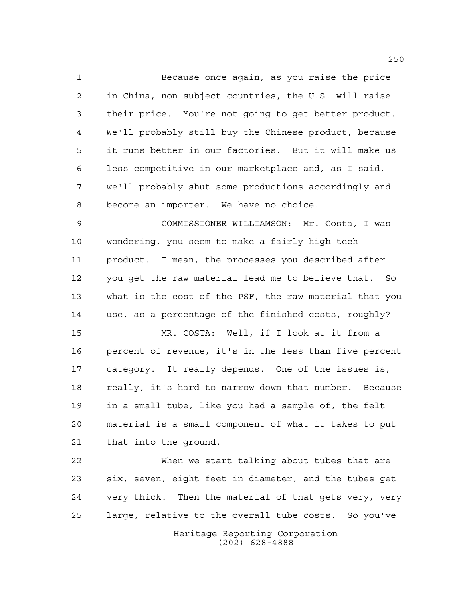Because once again, as you raise the price in China, non-subject countries, the U.S. will raise their price. You're not going to get better product. We'll probably still buy the Chinese product, because it runs better in our factories. But it will make us less competitive in our marketplace and, as I said, we'll probably shut some productions accordingly and become an importer. We have no choice.

 COMMISSIONER WILLIAMSON: Mr. Costa, I was wondering, you seem to make a fairly high tech product. I mean, the processes you described after you get the raw material lead me to believe that. So what is the cost of the PSF, the raw material that you use, as a percentage of the finished costs, roughly?

 MR. COSTA: Well, if I look at it from a percent of revenue, it's in the less than five percent category. It really depends. One of the issues is, really, it's hard to narrow down that number. Because in a small tube, like you had a sample of, the felt material is a small component of what it takes to put that into the ground.

 When we start talking about tubes that are six, seven, eight feet in diameter, and the tubes get very thick. Then the material of that gets very, very large, relative to the overall tube costs. So you've

> Heritage Reporting Corporation (202) 628-4888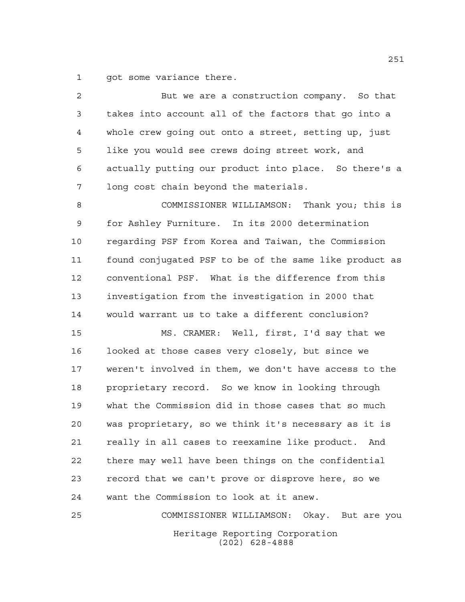got some variance there.

| 2  | But we are a construction company. So that             |
|----|--------------------------------------------------------|
| 3  | takes into account all of the factors that go into a   |
| 4  | whole crew going out onto a street, setting up, just   |
| 5  | like you would see crews doing street work, and        |
| 6  | actually putting our product into place. So there's a  |
| 7  | long cost chain beyond the materials.                  |
| 8  | COMMISSIONER WILLIAMSON: Thank you; this is            |
| 9  | for Ashley Furniture. In its 2000 determination        |
| 10 | regarding PSF from Korea and Taiwan, the Commission    |
| 11 | found conjugated PSF to be of the same like product as |
| 12 | conventional PSF. What is the difference from this     |
| 13 | investigation from the investigation in 2000 that      |
| 14 | would warrant us to take a different conclusion?       |
| 15 | MS. CRAMER: Well, first, I'd say that we               |
| 16 | looked at those cases very closely, but since we       |
| 17 | weren't involved in them, we don't have access to the  |
| 18 | proprietary record. So we know in looking through      |
| 19 | what the Commission did in those cases that so much    |
| 20 | was proprietary, so we think it's necessary as it is   |
| 21 | really in all cases to reexamine like product. And     |
| 22 | there may well have been things on the confidential    |
| 23 | record that we can't prove or disprove here, so we     |
| 24 | want the Commission to look at it anew.                |
| 25 | COMMISSIONER WILLIAMSON:<br>Okay. But are you          |
|    | Heritage Reporting Corporation<br>$(202)$ 628-4888     |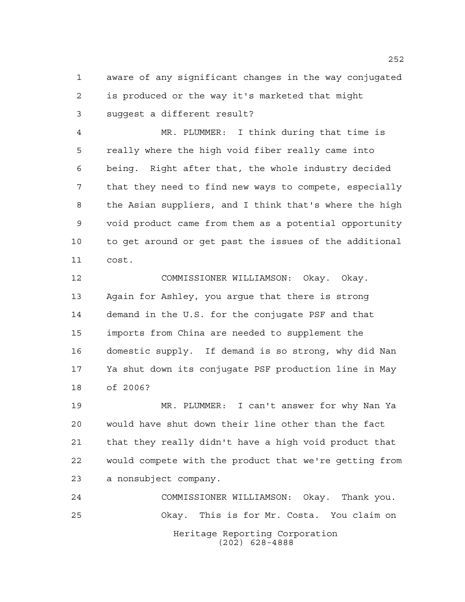aware of any significant changes in the way conjugated is produced or the way it's marketed that might suggest a different result?

 MR. PLUMMER: I think during that time is really where the high void fiber really came into being. Right after that, the whole industry decided that they need to find new ways to compete, especially the Asian suppliers, and I think that's where the high void product came from them as a potential opportunity to get around or get past the issues of the additional cost.

 COMMISSIONER WILLIAMSON: Okay. Okay. Again for Ashley, you argue that there is strong demand in the U.S. for the conjugate PSF and that imports from China are needed to supplement the domestic supply. If demand is so strong, why did Nan Ya shut down its conjugate PSF production line in May of 2006?

 MR. PLUMMER: I can't answer for why Nan Ya would have shut down their line other than the fact that they really didn't have a high void product that would compete with the product that we're getting from a nonsubject company.

Heritage Reporting Corporation (202) 628-4888 COMMISSIONER WILLIAMSON: Okay. Thank you. Okay. This is for Mr. Costa. You claim on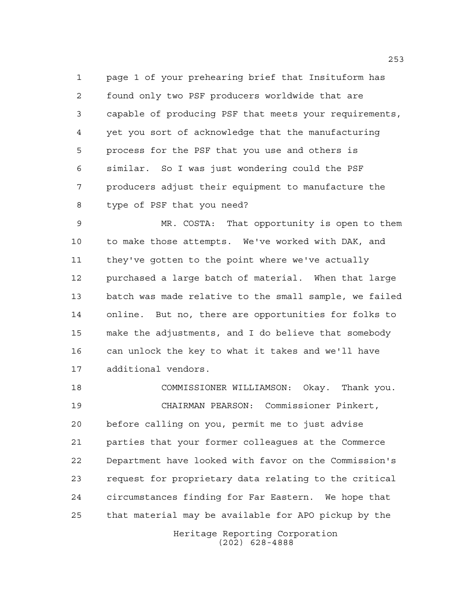page 1 of your prehearing brief that Insituform has found only two PSF producers worldwide that are capable of producing PSF that meets your requirements, yet you sort of acknowledge that the manufacturing process for the PSF that you use and others is similar. So I was just wondering could the PSF producers adjust their equipment to manufacture the type of PSF that you need?

 MR. COSTA: That opportunity is open to them to make those attempts. We've worked with DAK, and they've gotten to the point where we've actually purchased a large batch of material. When that large batch was made relative to the small sample, we failed online. But no, there are opportunities for folks to make the adjustments, and I do believe that somebody can unlock the key to what it takes and we'll have additional vendors.

 COMMISSIONER WILLIAMSON: Okay. Thank you. CHAIRMAN PEARSON: Commissioner Pinkert, before calling on you, permit me to just advise parties that your former colleagues at the Commerce Department have looked with favor on the Commission's request for proprietary data relating to the critical circumstances finding for Far Eastern. We hope that that material may be available for APO pickup by the

> Heritage Reporting Corporation (202) 628-4888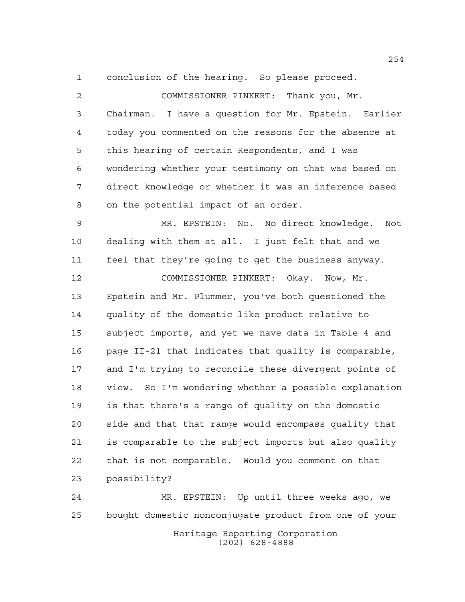conclusion of the hearing. So please proceed.

 COMMISSIONER PINKERT: Thank you, Mr. Chairman. I have a question for Mr. Epstein. Earlier today you commented on the reasons for the absence at this hearing of certain Respondents, and I was wondering whether your testimony on that was based on direct knowledge or whether it was an inference based on the potential impact of an order. MR. EPSTEIN: No. No direct knowledge. Not dealing with them at all. I just felt that and we feel that they're going to get the business anyway. COMMISSIONER PINKERT: Okay. Now, Mr. Epstein and Mr. Plummer, you've both questioned the quality of the domestic like product relative to subject imports, and yet we have data in Table 4 and page II-21 that indicates that quality is comparable, and I'm trying to reconcile these divergent points of view. So I'm wondering whether a possible explanation is that there's a range of quality on the domestic side and that that range would encompass quality that is comparable to the subject imports but also quality that is not comparable. Would you comment on that possibility? MR. EPSTEIN: Up until three weeks ago, we

Heritage Reporting Corporation (202) 628-4888 bought domestic nonconjugate product from one of your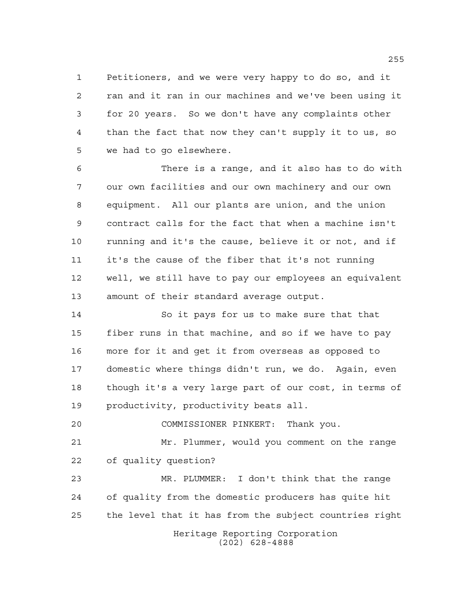Petitioners, and we were very happy to do so, and it ran and it ran in our machines and we've been using it for 20 years. So we don't have any complaints other than the fact that now they can't supply it to us, so we had to go elsewhere.

 There is a range, and it also has to do with our own facilities and our own machinery and our own equipment. All our plants are union, and the union contract calls for the fact that when a machine isn't running and it's the cause, believe it or not, and if it's the cause of the fiber that it's not running well, we still have to pay our employees an equivalent amount of their standard average output.

 So it pays for us to make sure that that fiber runs in that machine, and so if we have to pay more for it and get it from overseas as opposed to domestic where things didn't run, we do. Again, even though it's a very large part of our cost, in terms of productivity, productivity beats all.

COMMISSIONER PINKERT: Thank you.

 Mr. Plummer, would you comment on the range of quality question?

 MR. PLUMMER: I don't think that the range of quality from the domestic producers has quite hit the level that it has from the subject countries right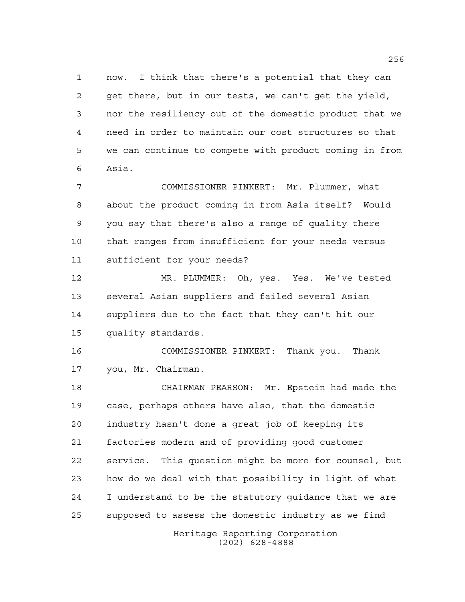now. I think that there's a potential that they can get there, but in our tests, we can't get the yield, nor the resiliency out of the domestic product that we need in order to maintain our cost structures so that we can continue to compete with product coming in from Asia.

 COMMISSIONER PINKERT: Mr. Plummer, what about the product coming in from Asia itself? Would you say that there's also a range of quality there that ranges from insufficient for your needs versus sufficient for your needs?

 MR. PLUMMER: Oh, yes. Yes. We've tested several Asian suppliers and failed several Asian suppliers due to the fact that they can't hit our quality standards.

 COMMISSIONER PINKERT: Thank you. Thank you, Mr. Chairman.

 CHAIRMAN PEARSON: Mr. Epstein had made the case, perhaps others have also, that the domestic industry hasn't done a great job of keeping its factories modern and of providing good customer service. This question might be more for counsel, but how do we deal with that possibility in light of what I understand to be the statutory guidance that we are supposed to assess the domestic industry as we find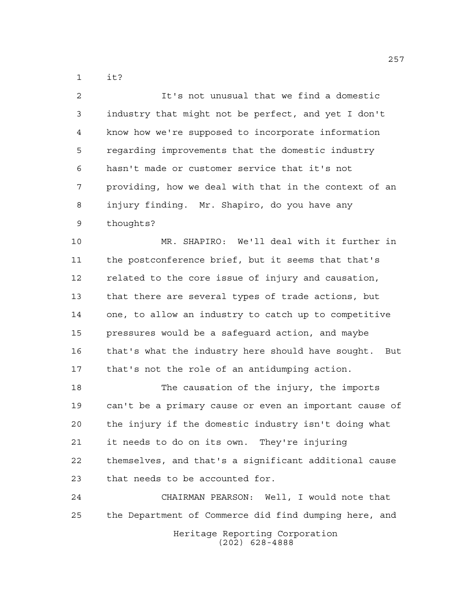it?

 It's not unusual that we find a domestic industry that might not be perfect, and yet I don't know how we're supposed to incorporate information regarding improvements that the domestic industry hasn't made or customer service that it's not providing, how we deal with that in the context of an injury finding. Mr. Shapiro, do you have any thoughts?

 MR. SHAPIRO: We'll deal with it further in the postconference brief, but it seems that that's related to the core issue of injury and causation, that there are several types of trade actions, but one, to allow an industry to catch up to competitive pressures would be a safeguard action, and maybe that's what the industry here should have sought. But that's not the role of an antidumping action.

 The causation of the injury, the imports can't be a primary cause or even an important cause of the injury if the domestic industry isn't doing what it needs to do on its own. They're injuring themselves, and that's a significant additional cause that needs to be accounted for.

Heritage Reporting Corporation (202) 628-4888 CHAIRMAN PEARSON: Well, I would note that the Department of Commerce did find dumping here, and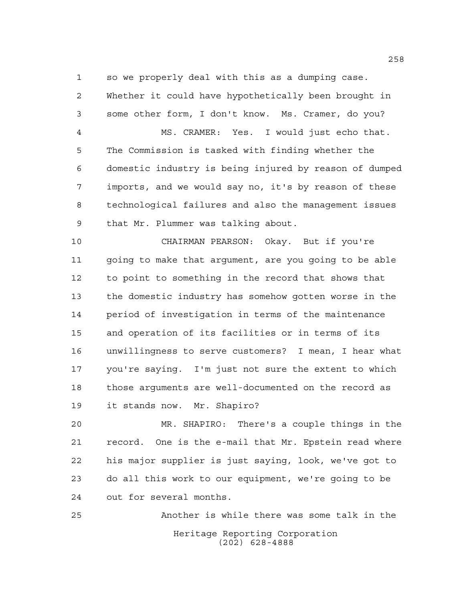so we properly deal with this as a dumping case.

 Whether it could have hypothetically been brought in some other form, I don't know. Ms. Cramer, do you? MS. CRAMER: Yes. I would just echo that. The Commission is tasked with finding whether the domestic industry is being injured by reason of dumped imports, and we would say no, it's by reason of these technological failures and also the management issues that Mr. Plummer was talking about.

 CHAIRMAN PEARSON: Okay. But if you're going to make that argument, are you going to be able to point to something in the record that shows that the domestic industry has somehow gotten worse in the period of investigation in terms of the maintenance and operation of its facilities or in terms of its unwillingness to serve customers? I mean, I hear what you're saying. I'm just not sure the extent to which those arguments are well-documented on the record as it stands now. Mr. Shapiro?

 MR. SHAPIRO: There's a couple things in the record. One is the e-mail that Mr. Epstein read where his major supplier is just saying, look, we've got to do all this work to our equipment, we're going to be out for several months.

Heritage Reporting Corporation (202) 628-4888 Another is while there was some talk in the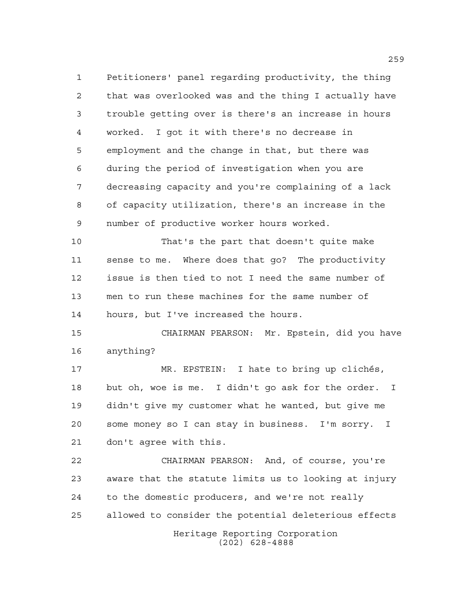Petitioners' panel regarding productivity, the thing that was overlooked was and the thing I actually have trouble getting over is there's an increase in hours worked. I got it with there's no decrease in employment and the change in that, but there was during the period of investigation when you are decreasing capacity and you're complaining of a lack of capacity utilization, there's an increase in the number of productive worker hours worked.

 That's the part that doesn't quite make sense to me. Where does that go? The productivity issue is then tied to not I need the same number of men to run these machines for the same number of hours, but I've increased the hours.

 CHAIRMAN PEARSON: Mr. Epstein, did you have anything?

 MR. EPSTEIN: I hate to bring up clichés, but oh, woe is me. I didn't go ask for the order. I didn't give my customer what he wanted, but give me some money so I can stay in business. I'm sorry. I don't agree with this.

Heritage Reporting Corporation CHAIRMAN PEARSON: And, of course, you're aware that the statute limits us to looking at injury to the domestic producers, and we're not really allowed to consider the potential deleterious effects

(202) 628-4888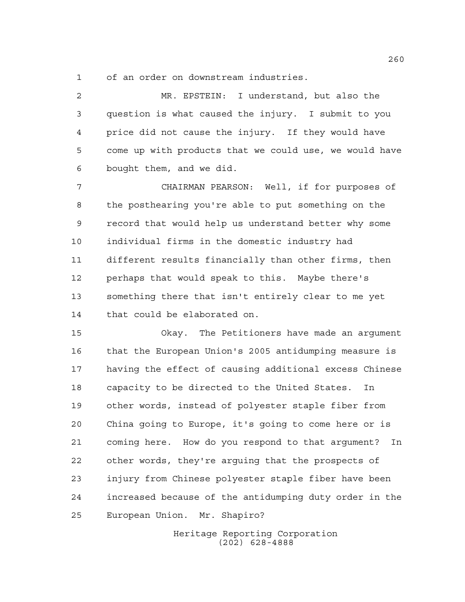of an order on downstream industries.

 MR. EPSTEIN: I understand, but also the question is what caused the injury. I submit to you price did not cause the injury. If they would have come up with products that we could use, we would have bought them, and we did.

 CHAIRMAN PEARSON: Well, if for purposes of the posthearing you're able to put something on the record that would help us understand better why some individual firms in the domestic industry had different results financially than other firms, then perhaps that would speak to this. Maybe there's something there that isn't entirely clear to me yet that could be elaborated on.

 Okay. The Petitioners have made an argument that the European Union's 2005 antidumping measure is having the effect of causing additional excess Chinese capacity to be directed to the United States. In other words, instead of polyester staple fiber from China going to Europe, it's going to come here or is coming here. How do you respond to that argument? In other words, they're arguing that the prospects of injury from Chinese polyester staple fiber have been increased because of the antidumping duty order in the European Union. Mr. Shapiro?

> Heritage Reporting Corporation (202) 628-4888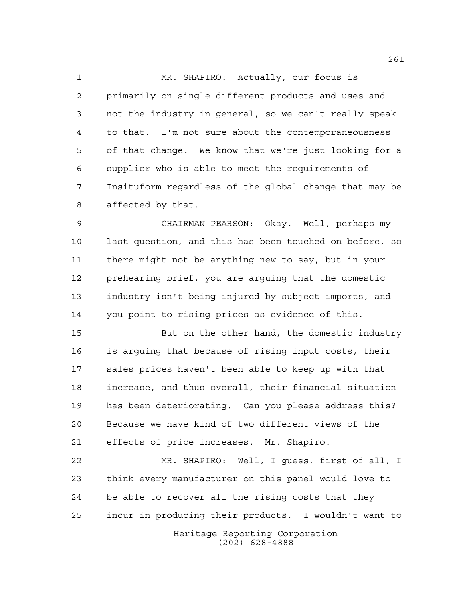MR. SHAPIRO: Actually, our focus is primarily on single different products and uses and not the industry in general, so we can't really speak to that. I'm not sure about the contemporaneousness of that change. We know that we're just looking for a supplier who is able to meet the requirements of Insituform regardless of the global change that may be affected by that.

 CHAIRMAN PEARSON: Okay. Well, perhaps my last question, and this has been touched on before, so there might not be anything new to say, but in your prehearing brief, you are arguing that the domestic industry isn't being injured by subject imports, and you point to rising prices as evidence of this.

 But on the other hand, the domestic industry is arguing that because of rising input costs, their sales prices haven't been able to keep up with that increase, and thus overall, their financial situation has been deteriorating. Can you please address this? Because we have kind of two different views of the effects of price increases. Mr. Shapiro.

 MR. SHAPIRO: Well, I guess, first of all, I think every manufacturer on this panel would love to be able to recover all the rising costs that they incur in producing their products. I wouldn't want to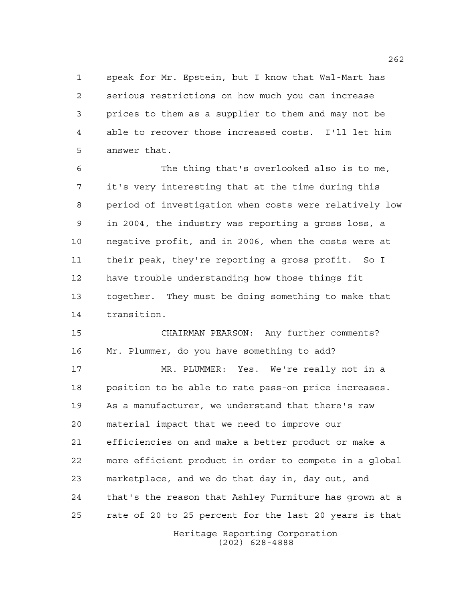speak for Mr. Epstein, but I know that Wal-Mart has serious restrictions on how much you can increase prices to them as a supplier to them and may not be able to recover those increased costs. I'll let him answer that.

 The thing that's overlooked also is to me, it's very interesting that at the time during this period of investigation when costs were relatively low in 2004, the industry was reporting a gross loss, a negative profit, and in 2006, when the costs were at their peak, they're reporting a gross profit. So I have trouble understanding how those things fit together. They must be doing something to make that transition.

 CHAIRMAN PEARSON: Any further comments? Mr. Plummer, do you have something to add?

 MR. PLUMMER: Yes. We're really not in a position to be able to rate pass-on price increases. As a manufacturer, we understand that there's raw material impact that we need to improve our efficiencies on and make a better product or make a more efficient product in order to compete in a global marketplace, and we do that day in, day out, and that's the reason that Ashley Furniture has grown at a rate of 20 to 25 percent for the last 20 years is that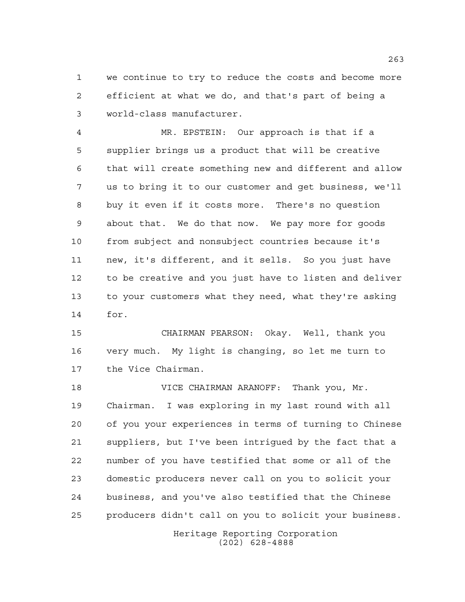we continue to try to reduce the costs and become more efficient at what we do, and that's part of being a world-class manufacturer.

 MR. EPSTEIN: Our approach is that if a supplier brings us a product that will be creative that will create something new and different and allow us to bring it to our customer and get business, we'll buy it even if it costs more. There's no question about that. We do that now. We pay more for goods from subject and nonsubject countries because it's new, it's different, and it sells. So you just have to be creative and you just have to listen and deliver to your customers what they need, what they're asking for.

 CHAIRMAN PEARSON: Okay. Well, thank you very much. My light is changing, so let me turn to the Vice Chairman.

 VICE CHAIRMAN ARANOFF: Thank you, Mr. Chairman. I was exploring in my last round with all of you your experiences in terms of turning to Chinese suppliers, but I've been intrigued by the fact that a number of you have testified that some or all of the domestic producers never call on you to solicit your business, and you've also testified that the Chinese producers didn't call on you to solicit your business.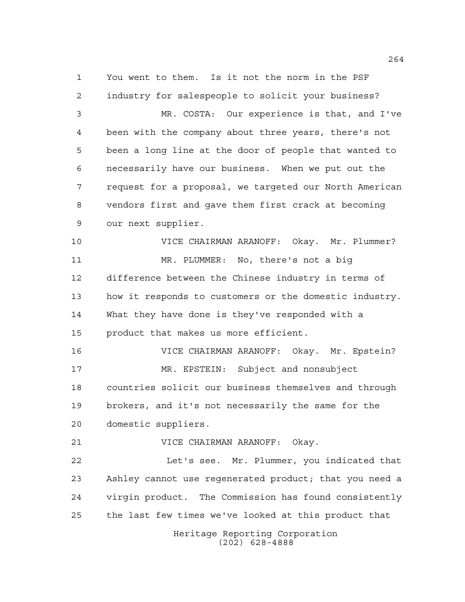You went to them. Is it not the norm in the PSF industry for salespeople to solicit your business? MR. COSTA: Our experience is that, and I've

 been with the company about three years, there's not been a long line at the door of people that wanted to necessarily have our business. When we put out the request for a proposal, we targeted our North American vendors first and gave them first crack at becoming our next supplier.

 VICE CHAIRMAN ARANOFF: Okay. Mr. Plummer? MR. PLUMMER: No, there's not a big difference between the Chinese industry in terms of how it responds to customers or the domestic industry. What they have done is they've responded with a product that makes us more efficient.

 VICE CHAIRMAN ARANOFF: Okay. Mr. Epstein? MR. EPSTEIN: Subject and nonsubject countries solicit our business themselves and through brokers, and it's not necessarily the same for the domestic suppliers.

VICE CHAIRMAN ARANOFF: Okay.

22 Let's see. Mr. Plummer, you indicated that Ashley cannot use regenerated product; that you need a virgin product. The Commission has found consistently the last few times we've looked at this product that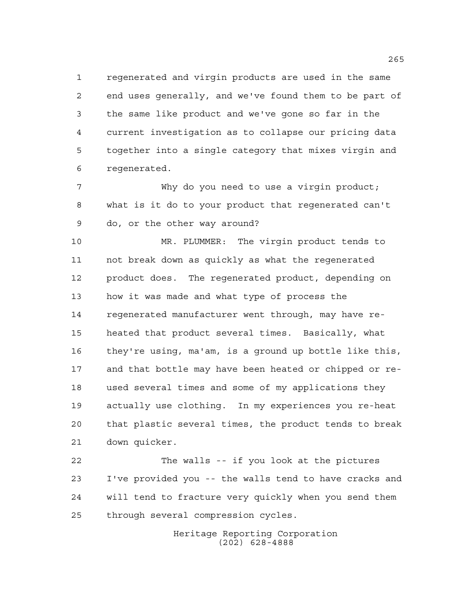regenerated and virgin products are used in the same end uses generally, and we've found them to be part of the same like product and we've gone so far in the current investigation as to collapse our pricing data together into a single category that mixes virgin and regenerated.

 Why do you need to use a virgin product; what is it do to your product that regenerated can't do, or the other way around?

 MR. PLUMMER: The virgin product tends to not break down as quickly as what the regenerated product does. The regenerated product, depending on how it was made and what type of process the regenerated manufacturer went through, may have re- heated that product several times. Basically, what they're using, ma'am, is a ground up bottle like this, and that bottle may have been heated or chipped or re- used several times and some of my applications they actually use clothing. In my experiences you re-heat that plastic several times, the product tends to break down quicker.

 The walls -- if you look at the pictures I've provided you -- the walls tend to have cracks and will tend to fracture very quickly when you send them through several compression cycles.

> Heritage Reporting Corporation (202) 628-4888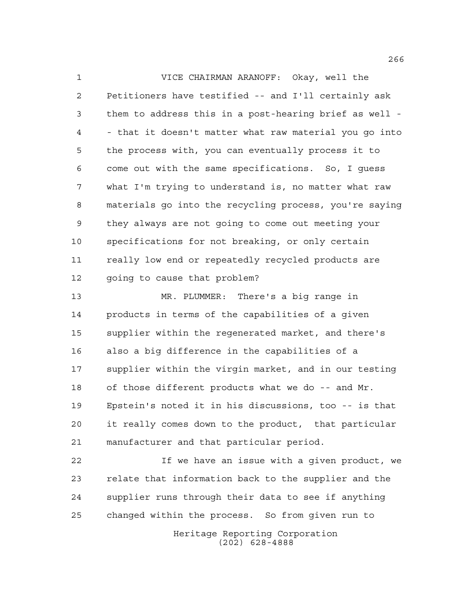VICE CHAIRMAN ARANOFF: Okay, well the Petitioners have testified -- and I'll certainly ask them to address this in a post-hearing brief as well - - that it doesn't matter what raw material you go into the process with, you can eventually process it to come out with the same specifications. So, I guess what I'm trying to understand is, no matter what raw materials go into the recycling process, you're saying they always are not going to come out meeting your specifications for not breaking, or only certain really low end or repeatedly recycled products are going to cause that problem?

 MR. PLUMMER: There's a big range in products in terms of the capabilities of a given supplier within the regenerated market, and there's also a big difference in the capabilities of a supplier within the virgin market, and in our testing of those different products what we do -- and Mr. Epstein's noted it in his discussions, too -- is that it really comes down to the product, that particular manufacturer and that particular period.

Heritage Reporting Corporation If we have an issue with a given product, we relate that information back to the supplier and the supplier runs through their data to see if anything changed within the process. So from given run to

(202) 628-4888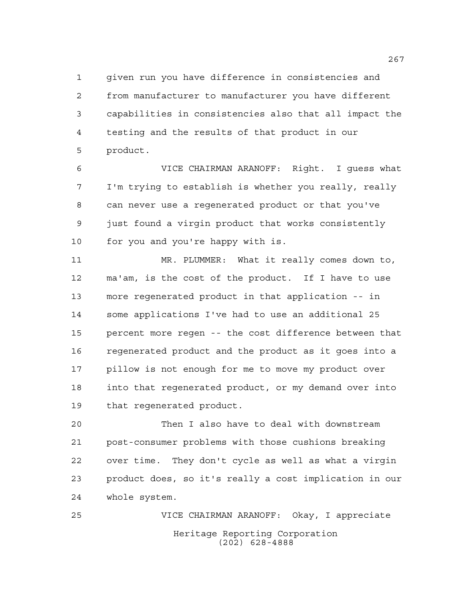given run you have difference in consistencies and from manufacturer to manufacturer you have different capabilities in consistencies also that all impact the testing and the results of that product in our product.

 VICE CHAIRMAN ARANOFF: Right. I guess what I'm trying to establish is whether you really, really can never use a regenerated product or that you've just found a virgin product that works consistently for you and you're happy with is.

 MR. PLUMMER: What it really comes down to, ma'am, is the cost of the product. If I have to use more regenerated product in that application -- in some applications I've had to use an additional 25 percent more regen -- the cost difference between that regenerated product and the product as it goes into a pillow is not enough for me to move my product over into that regenerated product, or my demand over into that regenerated product.

 Then I also have to deal with downstream post-consumer problems with those cushions breaking over time. They don't cycle as well as what a virgin product does, so it's really a cost implication in our whole system.

Heritage Reporting Corporation (202) 628-4888 VICE CHAIRMAN ARANOFF: Okay, I appreciate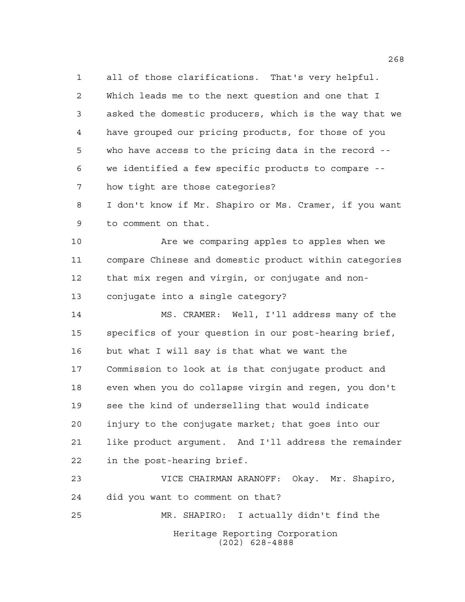all of those clarifications. That's very helpful. Which leads me to the next question and one that I asked the domestic producers, which is the way that we have grouped our pricing products, for those of you who have access to the pricing data in the record -- we identified a few specific products to compare -- how tight are those categories?

 I don't know if Mr. Shapiro or Ms. Cramer, if you want to comment on that.

 Are we comparing apples to apples when we compare Chinese and domestic product within categories that mix regen and virgin, or conjugate and non-conjugate into a single category?

 MS. CRAMER: Well, I'll address many of the specifics of your question in our post-hearing brief, but what I will say is that what we want the Commission to look at is that conjugate product and even when you do collapse virgin and regen, you don't see the kind of underselling that would indicate injury to the conjugate market; that goes into our like product argument. And I'll address the remainder in the post-hearing brief.

Heritage Reporting Corporation (202) 628-4888 VICE CHAIRMAN ARANOFF: Okay. Mr. Shapiro, did you want to comment on that? MR. SHAPIRO: I actually didn't find the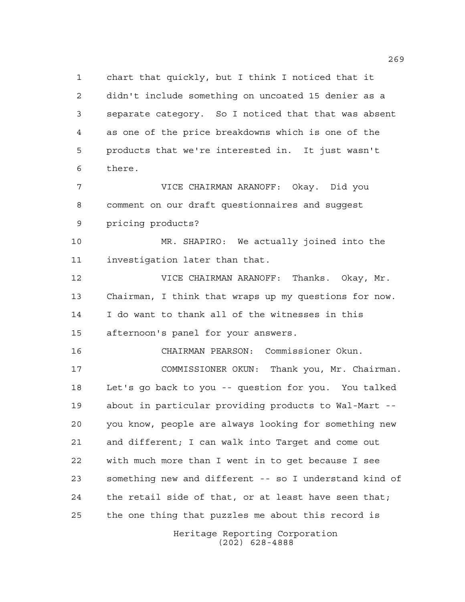chart that quickly, but I think I noticed that it didn't include something on uncoated 15 denier as a separate category. So I noticed that that was absent as one of the price breakdowns which is one of the products that we're interested in. It just wasn't there.

 VICE CHAIRMAN ARANOFF: Okay. Did you comment on our draft questionnaires and suggest pricing products?

 MR. SHAPIRO: We actually joined into the investigation later than that.

 VICE CHAIRMAN ARANOFF: Thanks. Okay, Mr. Chairman, I think that wraps up my questions for now. I do want to thank all of the witnesses in this afternoon's panel for your answers.

CHAIRMAN PEARSON: Commissioner Okun.

 COMMISSIONER OKUN: Thank you, Mr. Chairman. Let's go back to you -- question for you. You talked about in particular providing products to Wal-Mart -- you know, people are always looking for something new and different; I can walk into Target and come out with much more than I went in to get because I see something new and different -- so I understand kind of 24 the retail side of that, or at least have seen that; the one thing that puzzles me about this record is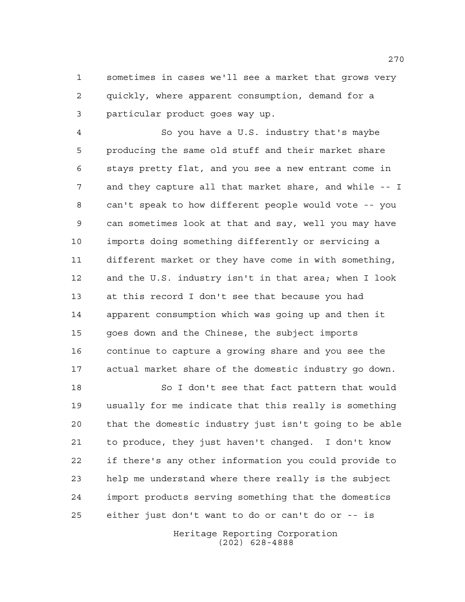sometimes in cases we'll see a market that grows very quickly, where apparent consumption, demand for a particular product goes way up.

 So you have a U.S. industry that's maybe producing the same old stuff and their market share stays pretty flat, and you see a new entrant come in and they capture all that market share, and while -- I can't speak to how different people would vote -- you can sometimes look at that and say, well you may have imports doing something differently or servicing a different market or they have come in with something, and the U.S. industry isn't in that area; when I look at this record I don't see that because you had apparent consumption which was going up and then it goes down and the Chinese, the subject imports continue to capture a growing share and you see the actual market share of the domestic industry go down.

 So I don't see that fact pattern that would usually for me indicate that this really is something that the domestic industry just isn't going to be able to produce, they just haven't changed. I don't know if there's any other information you could provide to help me understand where there really is the subject import products serving something that the domestics either just don't want to do or can't do or -- is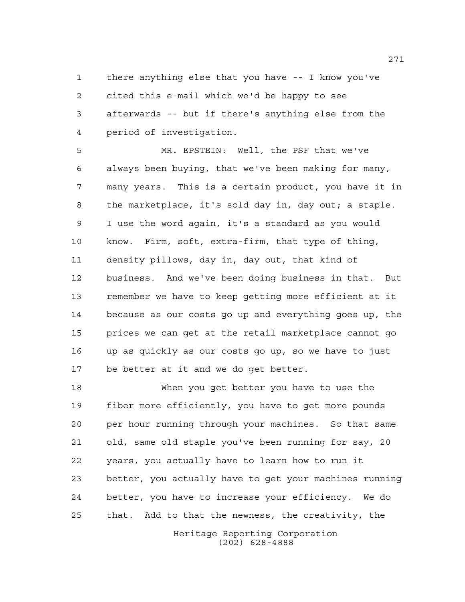there anything else that you have -- I know you've cited this e-mail which we'd be happy to see afterwards -- but if there's anything else from the period of investigation.

 MR. EPSTEIN: Well, the PSF that we've always been buying, that we've been making for many, many years. This is a certain product, you have it in the marketplace, it's sold day in, day out; a staple. I use the word again, it's a standard as you would know. Firm, soft, extra-firm, that type of thing, density pillows, day in, day out, that kind of business. And we've been doing business in that. But remember we have to keep getting more efficient at it because as our costs go up and everything goes up, the prices we can get at the retail marketplace cannot go up as quickly as our costs go up, so we have to just be better at it and we do get better.

 When you get better you have to use the fiber more efficiently, you have to get more pounds per hour running through your machines. So that same old, same old staple you've been running for say, 20 years, you actually have to learn how to run it better, you actually have to get your machines running better, you have to increase your efficiency. We do that. Add to that the newness, the creativity, the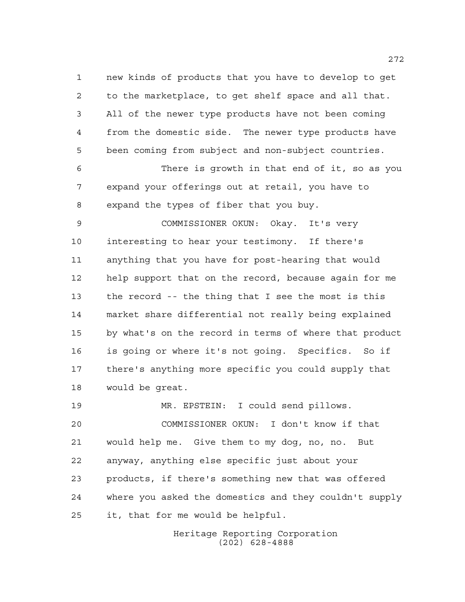new kinds of products that you have to develop to get to the marketplace, to get shelf space and all that. All of the newer type products have not been coming from the domestic side. The newer type products have been coming from subject and non-subject countries.

 There is growth in that end of it, so as you expand your offerings out at retail, you have to expand the types of fiber that you buy.

 COMMISSIONER OKUN: Okay. It's very interesting to hear your testimony. If there's anything that you have for post-hearing that would help support that on the record, because again for me the record -- the thing that I see the most is this market share differential not really being explained by what's on the record in terms of where that product is going or where it's not going. Specifics. So if there's anything more specific you could supply that would be great.

 MR. EPSTEIN: I could send pillows. COMMISSIONER OKUN: I don't know if that would help me. Give them to my dog, no, no. But anyway, anything else specific just about your products, if there's something new that was offered where you asked the domestics and they couldn't supply it, that for me would be helpful.

> Heritage Reporting Corporation (202) 628-4888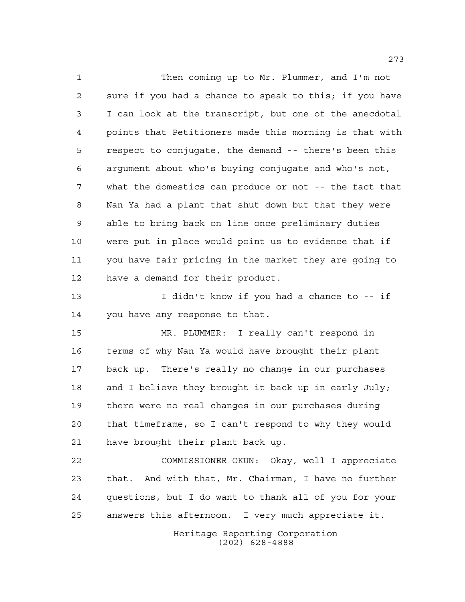Then coming up to Mr. Plummer, and I'm not sure if you had a chance to speak to this; if you have I can look at the transcript, but one of the anecdotal points that Petitioners made this morning is that with respect to conjugate, the demand -- there's been this argument about who's buying conjugate and who's not, what the domestics can produce or not -- the fact that Nan Ya had a plant that shut down but that they were able to bring back on line once preliminary duties were put in place would point us to evidence that if you have fair pricing in the market they are going to have a demand for their product.

 I didn't know if you had a chance to -- if you have any response to that.

 MR. PLUMMER: I really can't respond in terms of why Nan Ya would have brought their plant back up. There's really no change in our purchases and I believe they brought it back up in early July; there were no real changes in our purchases during that timeframe, so I can't respond to why they would have brought their plant back up.

 COMMISSIONER OKUN: Okay, well I appreciate that. And with that, Mr. Chairman, I have no further questions, but I do want to thank all of you for your answers this afternoon. I very much appreciate it.

> Heritage Reporting Corporation (202) 628-4888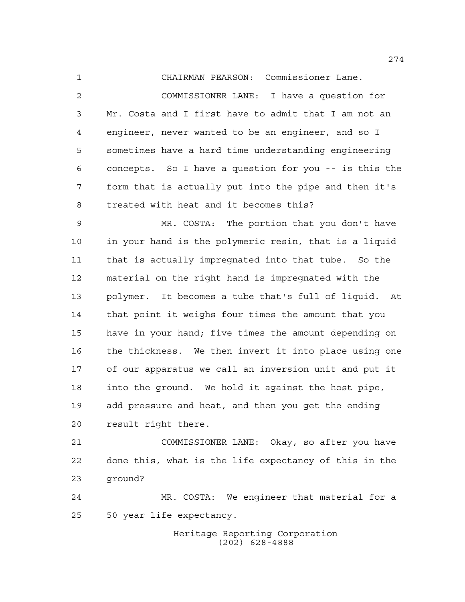CHAIRMAN PEARSON: Commissioner Lane. COMMISSIONER LANE: I have a question for Mr. Costa and I first have to admit that I am not an engineer, never wanted to be an engineer, and so I sometimes have a hard time understanding engineering concepts. So I have a question for you -- is this the form that is actually put into the pipe and then it's treated with heat and it becomes this?

 MR. COSTA: The portion that you don't have in your hand is the polymeric resin, that is a liquid that is actually impregnated into that tube. So the material on the right hand is impregnated with the polymer. It becomes a tube that's full of liquid. At that point it weighs four times the amount that you have in your hand; five times the amount depending on the thickness. We then invert it into place using one of our apparatus we call an inversion unit and put it into the ground. We hold it against the host pipe, add pressure and heat, and then you get the ending result right there.

 COMMISSIONER LANE: Okay, so after you have done this, what is the life expectancy of this in the ground?

 MR. COSTA: We engineer that material for a 50 year life expectancy.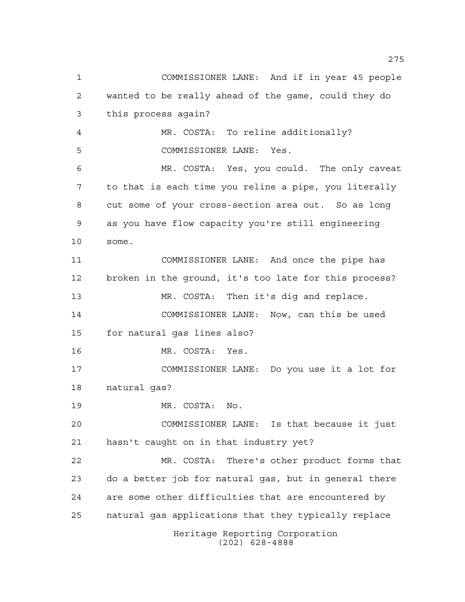Heritage Reporting Corporation (202) 628-4888 COMMISSIONER LANE: And if in year 45 people wanted to be really ahead of the game, could they do this process again? MR. COSTA: To reline additionally? COMMISSIONER LANE: Yes. MR. COSTA: Yes, you could. The only caveat to that is each time you reline a pipe, you literally cut some of your cross-section area out. So as long as you have flow capacity you're still engineering some. COMMISSIONER LANE: And once the pipe has broken in the ground, it's too late for this process? MR. COSTA: Then it's dig and replace. COMMISSIONER LANE: Now, can this be used for natural gas lines also? MR. COSTA: Yes. COMMISSIONER LANE: Do you use it a lot for natural gas? MR. COSTA: No. COMMISSIONER LANE: Is that because it just hasn't caught on in that industry yet? MR. COSTA: There's other product forms that do a better job for natural gas, but in general there are some other difficulties that are encountered by natural gas applications that they typically replace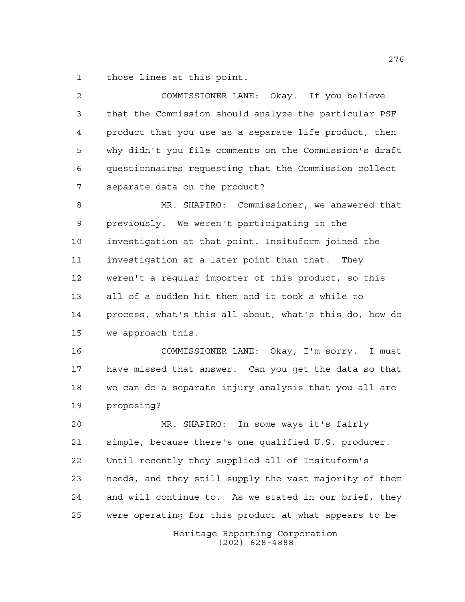those lines at this point.

 COMMISSIONER LANE: Okay. If you believe that the Commission should analyze the particular PSF product that you use as a separate life product, then why didn't you file comments on the Commission's draft questionnaires requesting that the Commission collect separate data on the product? MR. SHAPIRO: Commissioner, we answered that previously. We weren't participating in the investigation at that point. Insituform joined the investigation at a later point than that. They weren't a regular importer of this product, so this all of a sudden hit them and it took a while to process, what's this all about, what's this do, how do we approach this. COMMISSIONER LANE: Okay, I'm sorry. I must

 have missed that answer. Can you get the data so that we can do a separate injury analysis that you all are proposing?

 MR. SHAPIRO: In some ways it's fairly simple, because there's one qualified U.S. producer. Until recently they supplied all of Insituform's needs, and they still supply the vast majority of them and will continue to. As we stated in our brief, they were operating for this product at what appears to be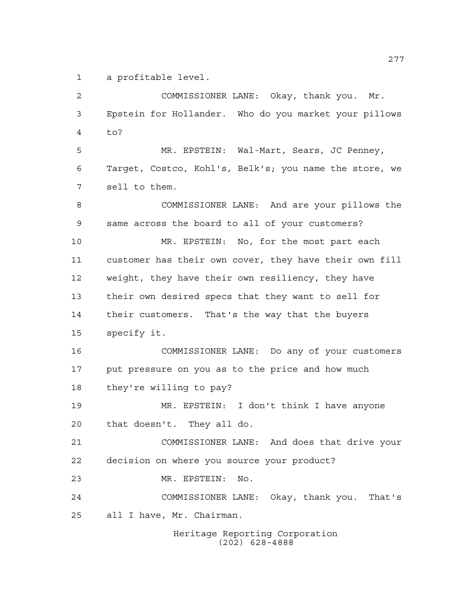a profitable level.

 COMMISSIONER LANE: Okay, thank you. Mr. Epstein for Hollander. Who do you market your pillows to? MR. EPSTEIN: Wal-Mart, Sears, JC Penney, Target, Costco, Kohl's, Belk's; you name the store, we sell to them. COMMISSIONER LANE: And are your pillows the same across the board to all of your customers? MR. EPSTEIN: No, for the most part each customer has their own cover, they have their own fill weight, they have their own resiliency, they have their own desired specs that they want to sell for their customers. That's the way that the buyers specify it. COMMISSIONER LANE: Do any of your customers put pressure on you as to the price and how much they're willing to pay? MR. EPSTEIN: I don't think I have anyone that doesn't. They all do. COMMISSIONER LANE: And does that drive your decision on where you source your product? MR. EPSTEIN: No. COMMISSIONER LANE: Okay, thank you. That's all I have, Mr. Chairman.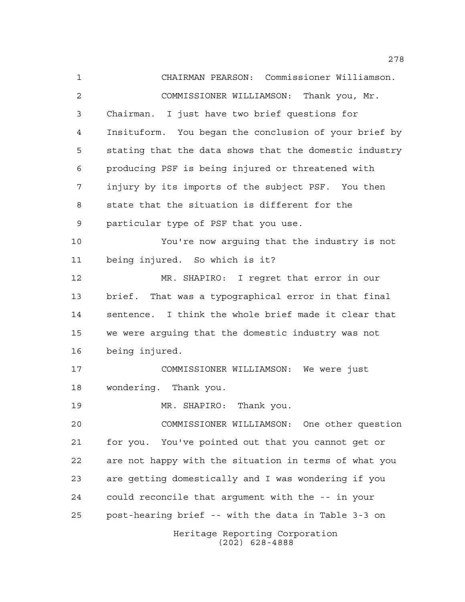Heritage Reporting Corporation (202) 628-4888 CHAIRMAN PEARSON: Commissioner Williamson. COMMISSIONER WILLIAMSON: Thank you, Mr. Chairman. I just have two brief questions for Insituform. You began the conclusion of your brief by stating that the data shows that the domestic industry producing PSF is being injured or threatened with injury by its imports of the subject PSF. You then state that the situation is different for the particular type of PSF that you use. You're now arguing that the industry is not being injured. So which is it? MR. SHAPIRO: I regret that error in our brief. That was a typographical error in that final sentence. I think the whole brief made it clear that we were arguing that the domestic industry was not being injured. COMMISSIONER WILLIAMSON: We were just wondering. Thank you. MR. SHAPIRO: Thank you. COMMISSIONER WILLIAMSON: One other question for you. You've pointed out that you cannot get or are not happy with the situation in terms of what you are getting domestically and I was wondering if you could reconcile that argument with the -- in your post-hearing brief -- with the data in Table 3-3 on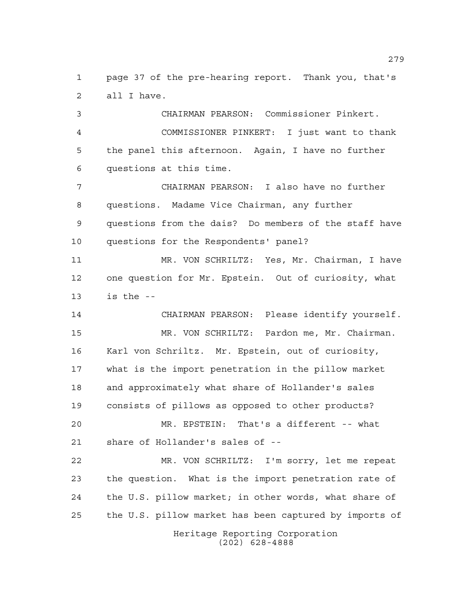page 37 of the pre-hearing report. Thank you, that's all I have.

 CHAIRMAN PEARSON: Commissioner Pinkert. COMMISSIONER PINKERT: I just want to thank the panel this afternoon. Again, I have no further questions at this time.

 CHAIRMAN PEARSON: I also have no further questions. Madame Vice Chairman, any further questions from the dais? Do members of the staff have questions for the Respondents' panel?

 MR. VON SCHRILTZ: Yes, Mr. Chairman, I have one question for Mr. Epstein. Out of curiosity, what is the --

 CHAIRMAN PEARSON: Please identify yourself. MR. VON SCHRILTZ: Pardon me, Mr. Chairman. Karl von Schriltz. Mr. Epstein, out of curiosity, what is the import penetration in the pillow market and approximately what share of Hollander's sales consists of pillows as opposed to other products?

 MR. EPSTEIN: That's a different -- what share of Hollander's sales of --

 MR. VON SCHRILTZ: I'm sorry, let me repeat the question. What is the import penetration rate of the U.S. pillow market; in other words, what share of the U.S. pillow market has been captured by imports of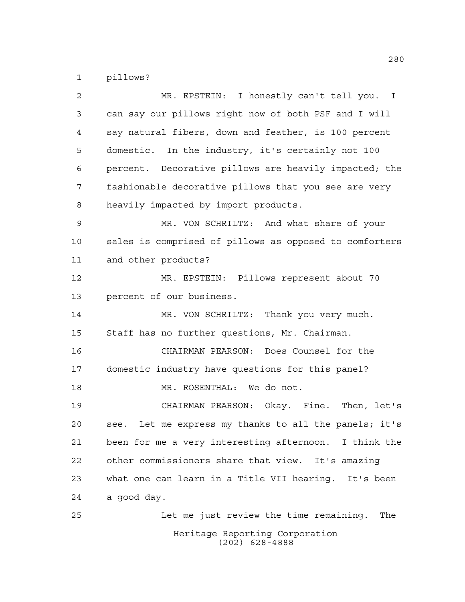pillows?

| $\overline{2}$ | MR. EPSTEIN: I honestly can't tell you. I                |
|----------------|----------------------------------------------------------|
| 3              | can say our pillows right now of both PSF and I will     |
| 4              | say natural fibers, down and feather, is 100 percent     |
| 5              | domestic. In the industry, it's certainly not 100        |
| 6              | percent. Decorative pillows are heavily impacted; the    |
| 7              | fashionable decorative pillows that you see are very     |
| 8              | heavily impacted by import products.                     |
| 9              | MR. VON SCHRILTZ: And what share of your                 |
| 10             | sales is comprised of pillows as opposed to comforters   |
| 11             | and other products?                                      |
| 12             | MR. EPSTEIN: Pillows represent about 70                  |
| 13             | percent of our business.                                 |
| 14             | MR. VON SCHRILTZ: Thank you very much.                   |
| 15             | Staff has no further questions, Mr. Chairman.            |
| 16             | CHAIRMAN PEARSON: Does Counsel for the                   |
| 17             | domestic industry have questions for this panel?         |
| 18             | MR. ROSENTHAL: We do not.                                |
| 19             | CHAIRMAN PEARSON: Okay. Fine. Then, let's                |
| 20             | Let me express my thanks to all the panels; it's<br>see. |
| 21             | been for me a very interesting afternoon. I think the    |
| 22             | other commissioners share that view. It's amazing        |
| 23             | what one can learn in a Title VII hearing. It's been     |
| 24             | a good day.                                              |
| 25             | Let me just review the time remaining.<br>The            |
|                | Heritage Reporting Corporation<br>$(202)$ 628-4888       |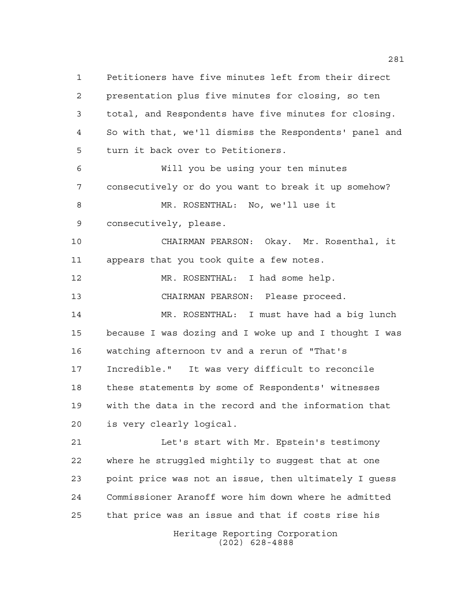Petitioners have five minutes left from their direct presentation plus five minutes for closing, so ten total, and Respondents have five minutes for closing. So with that, we'll dismiss the Respondents' panel and turn it back over to Petitioners. Will you be using your ten minutes consecutively or do you want to break it up somehow? MR. ROSENTHAL: No, we'll use it consecutively, please. CHAIRMAN PEARSON: Okay. Mr. Rosenthal, it appears that you took quite a few notes. 12 MR. ROSENTHAL: I had some help. CHAIRMAN PEARSON: Please proceed. MR. ROSENTHAL: I must have had a big lunch because I was dozing and I woke up and I thought I was watching afternoon tv and a rerun of "That's Incredible." It was very difficult to reconcile these statements by some of Respondents' witnesses with the data in the record and the information that is very clearly logical. Let's start with Mr. Epstein's testimony where he struggled mightily to suggest that at one point price was not an issue, then ultimately I guess Commissioner Aranoff wore him down where he admitted that price was an issue and that if costs rise his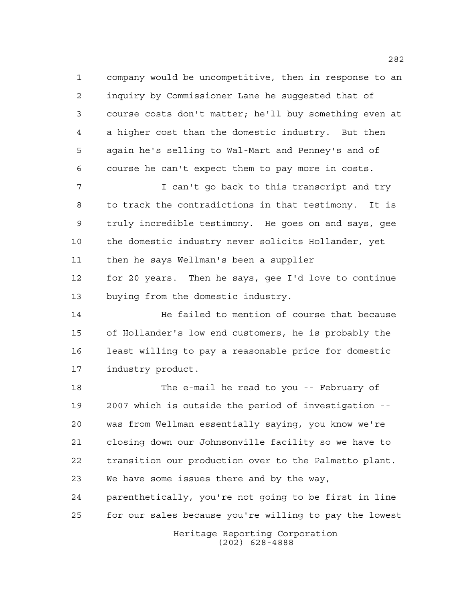company would be uncompetitive, then in response to an inquiry by Commissioner Lane he suggested that of course costs don't matter; he'll buy something even at a higher cost than the domestic industry. But then again he's selling to Wal-Mart and Penney's and of course he can't expect them to pay more in costs.

 I can't go back to this transcript and try to track the contradictions in that testimony. It is truly incredible testimony. He goes on and says, gee the domestic industry never solicits Hollander, yet then he says Wellman's been a supplier

 for 20 years. Then he says, gee I'd love to continue buying from the domestic industry.

 He failed to mention of course that because of Hollander's low end customers, he is probably the least willing to pay a reasonable price for domestic industry product.

 The e-mail he read to you -- February of 2007 which is outside the period of investigation -- was from Wellman essentially saying, you know we're closing down our Johnsonville facility so we have to transition our production over to the Palmetto plant. We have some issues there and by the way, parenthetically, you're not going to be first in line for our sales because you're willing to pay the lowest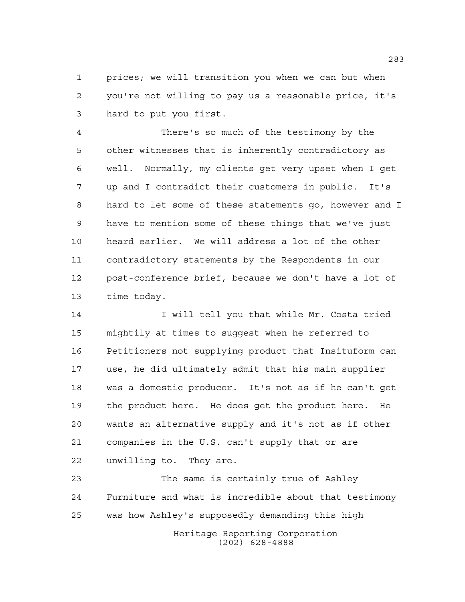prices; we will transition you when we can but when you're not willing to pay us a reasonable price, it's hard to put you first.

 There's so much of the testimony by the other witnesses that is inherently contradictory as well. Normally, my clients get very upset when I get up and I contradict their customers in public. It's hard to let some of these statements go, however and I have to mention some of these things that we've just heard earlier. We will address a lot of the other contradictory statements by the Respondents in our post-conference brief, because we don't have a lot of time today.

14 I will tell you that while Mr. Costa tried mightily at times to suggest when he referred to Petitioners not supplying product that Insituform can use, he did ultimately admit that his main supplier was a domestic producer. It's not as if he can't get the product here. He does get the product here. He wants an alternative supply and it's not as if other companies in the U.S. can't supply that or are unwilling to. They are.

 The same is certainly true of Ashley Furniture and what is incredible about that testimony was how Ashley's supposedly demanding this high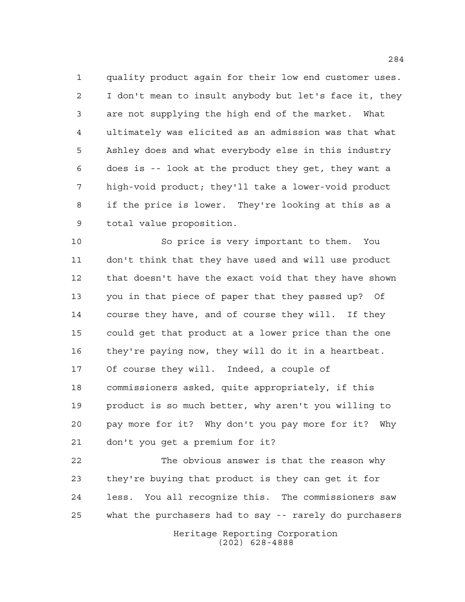quality product again for their low end customer uses. I don't mean to insult anybody but let's face it, they are not supplying the high end of the market. What ultimately was elicited as an admission was that what Ashley does and what everybody else in this industry does is -- look at the product they get, they want a high-void product; they'll take a lower-void product if the price is lower. They're looking at this as a total value proposition.

 So price is very important to them. You don't think that they have used and will use product that doesn't have the exact void that they have shown you in that piece of paper that they passed up? Of course they have, and of course they will. If they could get that product at a lower price than the one they're paying now, they will do it in a heartbeat. Of course they will. Indeed, a couple of commissioners asked, quite appropriately, if this product is so much better, why aren't you willing to pay more for it? Why don't you pay more for it? Why don't you get a premium for it?

 The obvious answer is that the reason why they're buying that product is they can get it for less. You all recognize this. The commissioners saw what the purchasers had to say -- rarely do purchasers

Heritage Reporting Corporation (202) 628-4888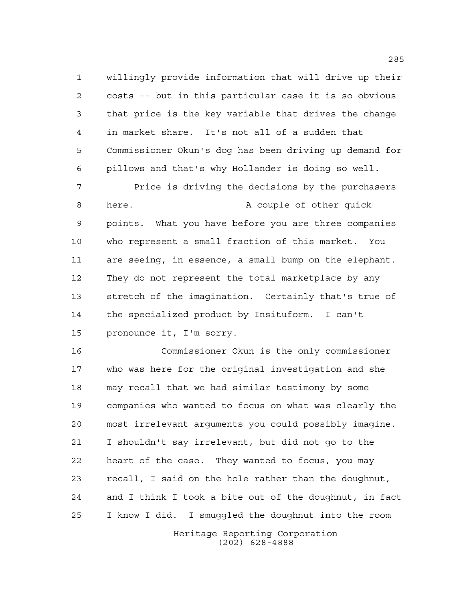willingly provide information that will drive up their costs -- but in this particular case it is so obvious that price is the key variable that drives the change in market share. It's not all of a sudden that Commissioner Okun's dog has been driving up demand for pillows and that's why Hollander is doing so well.

 Price is driving the decisions by the purchasers 8 here. A couple of other quick points. What you have before you are three companies who represent a small fraction of this market. You are seeing, in essence, a small bump on the elephant. They do not represent the total marketplace by any stretch of the imagination. Certainly that's true of the specialized product by Insituform. I can't pronounce it, I'm sorry.

 Commissioner Okun is the only commissioner who was here for the original investigation and she may recall that we had similar testimony by some companies who wanted to focus on what was clearly the most irrelevant arguments you could possibly imagine. I shouldn't say irrelevant, but did not go to the heart of the case. They wanted to focus, you may recall, I said on the hole rather than the doughnut, and I think I took a bite out of the doughnut, in fact I know I did. I smuggled the doughnut into the room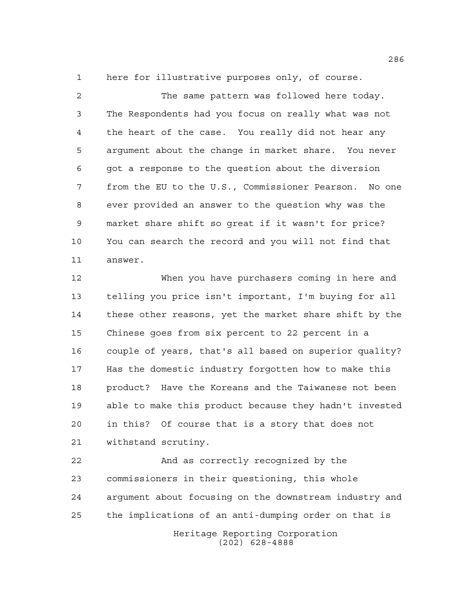here for illustrative purposes only, of course.

 The same pattern was followed here today. The Respondents had you focus on really what was not the heart of the case. You really did not hear any argument about the change in market share. You never got a response to the question about the diversion from the EU to the U.S., Commissioner Pearson. No one ever provided an answer to the question why was the market share shift so great if it wasn't for price? You can search the record and you will not find that answer.

 When you have purchasers coming in here and telling you price isn't important, I'm buying for all these other reasons, yet the market share shift by the Chinese goes from six percent to 22 percent in a couple of years, that's all based on superior quality? Has the domestic industry forgotten how to make this product? Have the Koreans and the Taiwanese not been able to make this product because they hadn't invested in this? Of course that is a story that does not withstand scrutiny.

Heritage Reporting Corporation And as correctly recognized by the commissioners in their questioning, this whole argument about focusing on the downstream industry and the implications of an anti-dumping order on that is

(202) 628-4888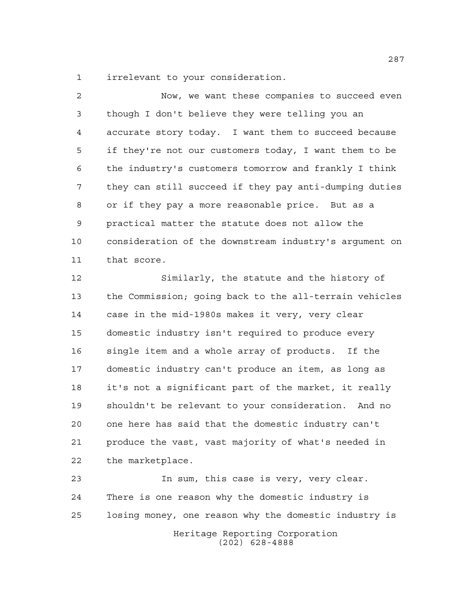irrelevant to your consideration.

 Now, we want these companies to succeed even though I don't believe they were telling you an accurate story today. I want them to succeed because if they're not our customers today, I want them to be the industry's customers tomorrow and frankly I think they can still succeed if they pay anti-dumping duties or if they pay a more reasonable price. But as a practical matter the statute does not allow the consideration of the downstream industry's argument on that score.

 Similarly, the statute and the history of the Commission; going back to the all-terrain vehicles case in the mid-1980s makes it very, very clear domestic industry isn't required to produce every single item and a whole array of products. If the domestic industry can't produce an item, as long as it's not a significant part of the market, it really shouldn't be relevant to your consideration. And no one here has said that the domestic industry can't produce the vast, vast majority of what's needed in the marketplace.

Heritage Reporting Corporation In sum, this case is very, very clear. There is one reason why the domestic industry is losing money, one reason why the domestic industry is

(202) 628-4888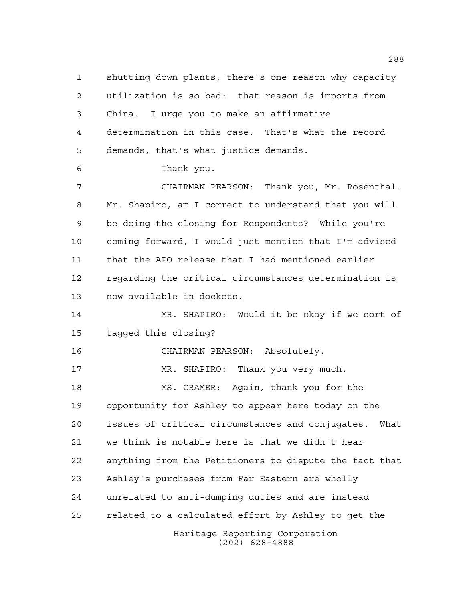shutting down plants, there's one reason why capacity utilization is so bad: that reason is imports from China. I urge you to make an affirmative determination in this case. That's what the record demands, that's what justice demands.

Thank you.

 CHAIRMAN PEARSON: Thank you, Mr. Rosenthal. Mr. Shapiro, am I correct to understand that you will be doing the closing for Respondents? While you're coming forward, I would just mention that I'm advised that the APO release that I had mentioned earlier regarding the critical circumstances determination is now available in dockets.

 MR. SHAPIRO: Would it be okay if we sort of tagged this closing?

CHAIRMAN PEARSON: Absolutely.

MR. SHAPIRO: Thank you very much.

Heritage Reporting Corporation MS. CRAMER: Again, thank you for the opportunity for Ashley to appear here today on the issues of critical circumstances and conjugates. What we think is notable here is that we didn't hear anything from the Petitioners to dispute the fact that Ashley's purchases from Far Eastern are wholly unrelated to anti-dumping duties and are instead related to a calculated effort by Ashley to get the

(202) 628-4888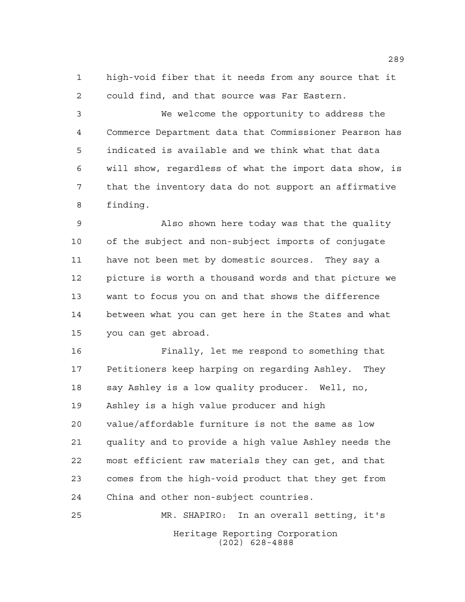high-void fiber that it needs from any source that it could find, and that source was Far Eastern.

 We welcome the opportunity to address the Commerce Department data that Commissioner Pearson has indicated is available and we think what that data will show, regardless of what the import data show, is that the inventory data do not support an affirmative finding.

 Also shown here today was that the quality of the subject and non-subject imports of conjugate have not been met by domestic sources. They say a picture is worth a thousand words and that picture we want to focus you on and that shows the difference between what you can get here in the States and what you can get abroad.

 Finally, let me respond to something that Petitioners keep harping on regarding Ashley. They say Ashley is a low quality producer. Well, no, Ashley is a high value producer and high value/affordable furniture is not the same as low quality and to provide a high value Ashley needs the most efficient raw materials they can get, and that comes from the high-void product that they get from China and other non-subject countries.

Heritage Reporting Corporation (202) 628-4888 MR. SHAPIRO: In an overall setting, it's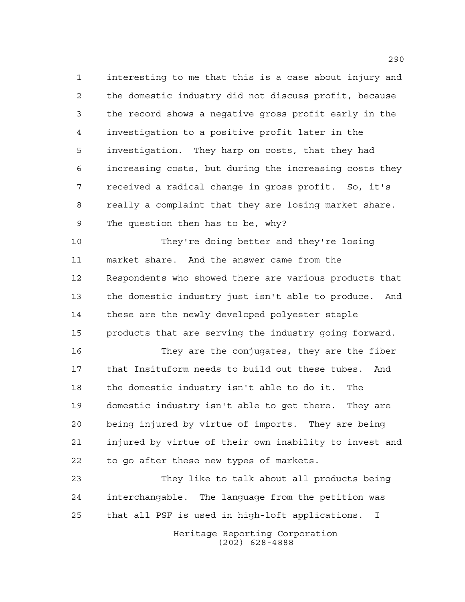interesting to me that this is a case about injury and the domestic industry did not discuss profit, because the record shows a negative gross profit early in the investigation to a positive profit later in the investigation. They harp on costs, that they had increasing costs, but during the increasing costs they received a radical change in gross profit. So, it's really a complaint that they are losing market share. The question then has to be, why?

 They're doing better and they're losing market share. And the answer came from the Respondents who showed there are various products that the domestic industry just isn't able to produce. And these are the newly developed polyester staple products that are serving the industry going forward.

 They are the conjugates, they are the fiber that Insituform needs to build out these tubes. And the domestic industry isn't able to do it. The domestic industry isn't able to get there. They are being injured by virtue of imports. They are being injured by virtue of their own inability to invest and to go after these new types of markets.

 They like to talk about all products being interchangable. The language from the petition was that all PSF is used in high-loft applications. I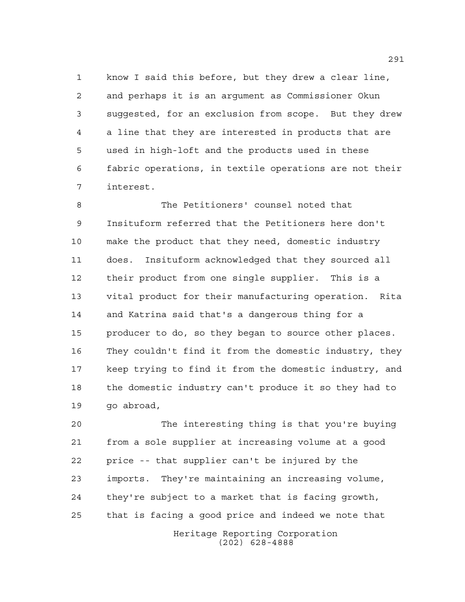know I said this before, but they drew a clear line, and perhaps it is an argument as Commissioner Okun suggested, for an exclusion from scope. But they drew a line that they are interested in products that are used in high-loft and the products used in these fabric operations, in textile operations are not their interest.

 The Petitioners' counsel noted that Insituform referred that the Petitioners here don't make the product that they need, domestic industry does. Insituform acknowledged that they sourced all their product from one single supplier. This is a vital product for their manufacturing operation. Rita and Katrina said that's a dangerous thing for a producer to do, so they began to source other places. They couldn't find it from the domestic industry, they keep trying to find it from the domestic industry, and the domestic industry can't produce it so they had to go abroad,

 The interesting thing is that you're buying from a sole supplier at increasing volume at a good price -- that supplier can't be injured by the imports. They're maintaining an increasing volume, they're subject to a market that is facing growth, that is facing a good price and indeed we note that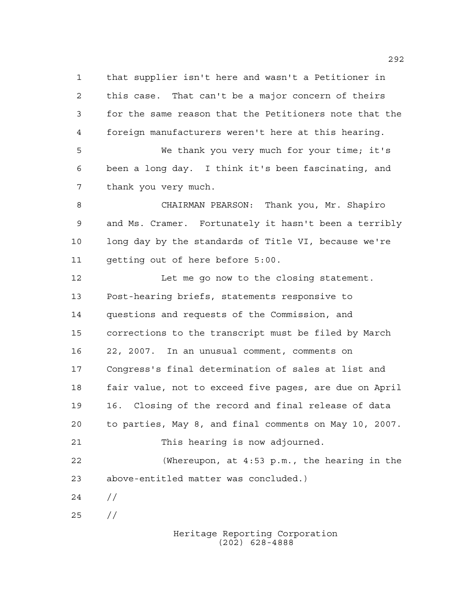that supplier isn't here and wasn't a Petitioner in this case. That can't be a major concern of theirs for the same reason that the Petitioners note that the foreign manufacturers weren't here at this hearing. We thank you very much for your time; it's

 been a long day. I think it's been fascinating, and thank you very much.

 CHAIRMAN PEARSON: Thank you, Mr. Shapiro and Ms. Cramer. Fortunately it hasn't been a terribly long day by the standards of Title VI, because we're getting out of here before 5:00.

12 Let me go now to the closing statement. Post-hearing briefs, statements responsive to questions and requests of the Commission, and corrections to the transcript must be filed by March 22, 2007. In an unusual comment, comments on Congress's final determination of sales at list and fair value, not to exceed five pages, are due on April 16. Closing of the record and final release of data to parties, May 8, and final comments on May 10, 2007. This hearing is now adjourned. (Whereupon, at 4:53 p.m., the hearing in the above-entitled matter was concluded.)  $24 /$ //